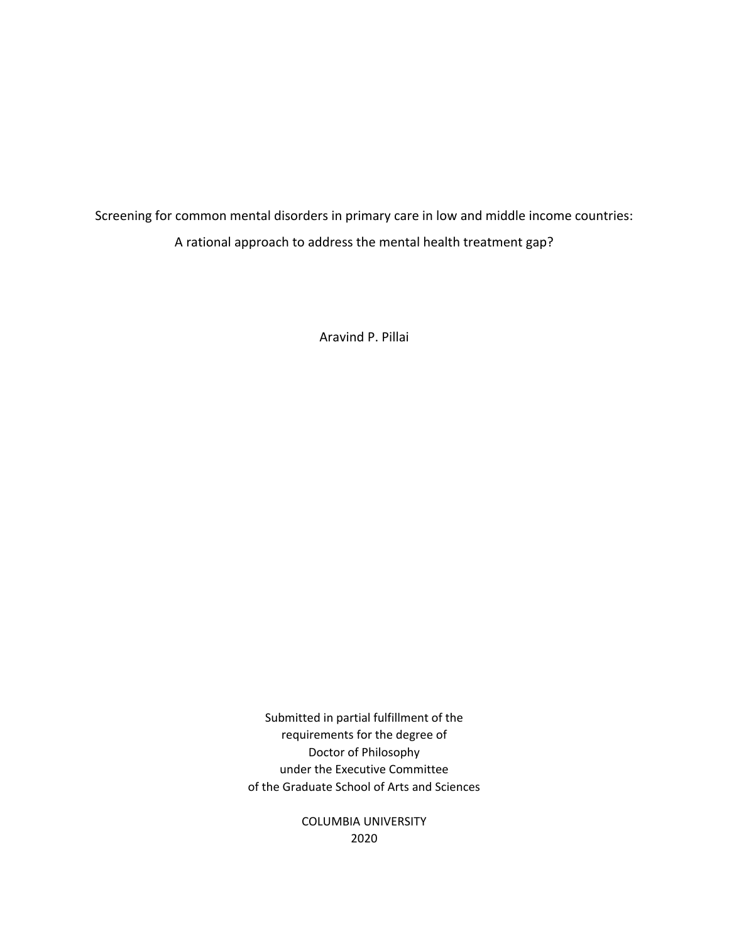Screening for common mental disorders in primary care in low and middle income countries: A rational approach to address the mental health treatment gap?

Aravind P. Pillai

Submitted in partial fulfillment of the requirements for the degree of Doctor of Philosophy under the Executive Committee of the Graduate School of Arts and Sciences

> COLUMBIA UNIVERSITY 2020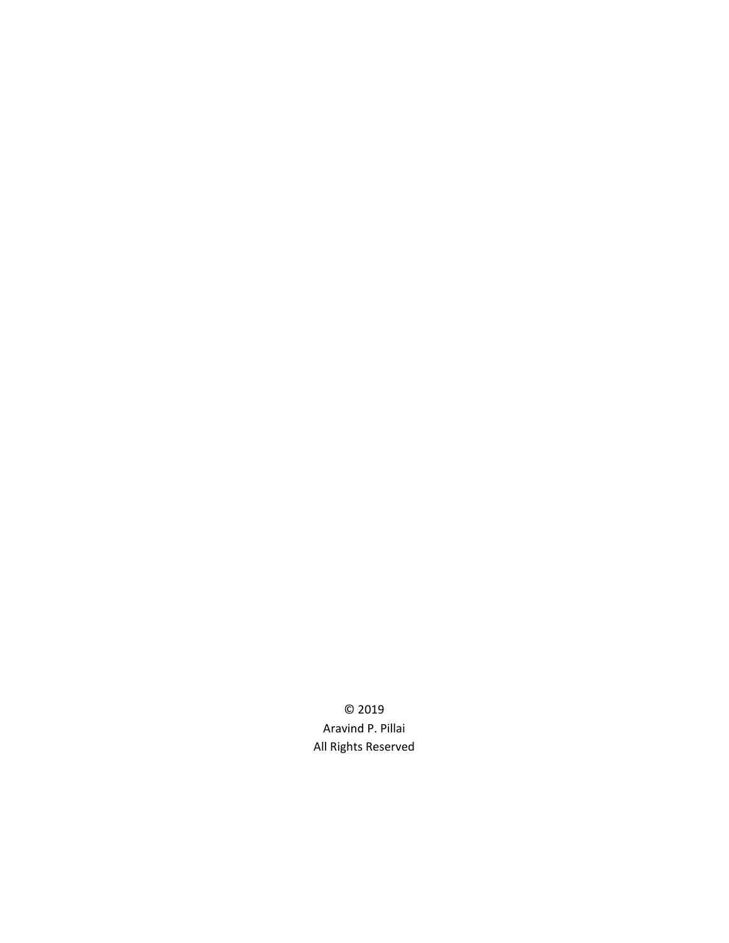© 2019 Aravind P. Pillai All Rights Reserved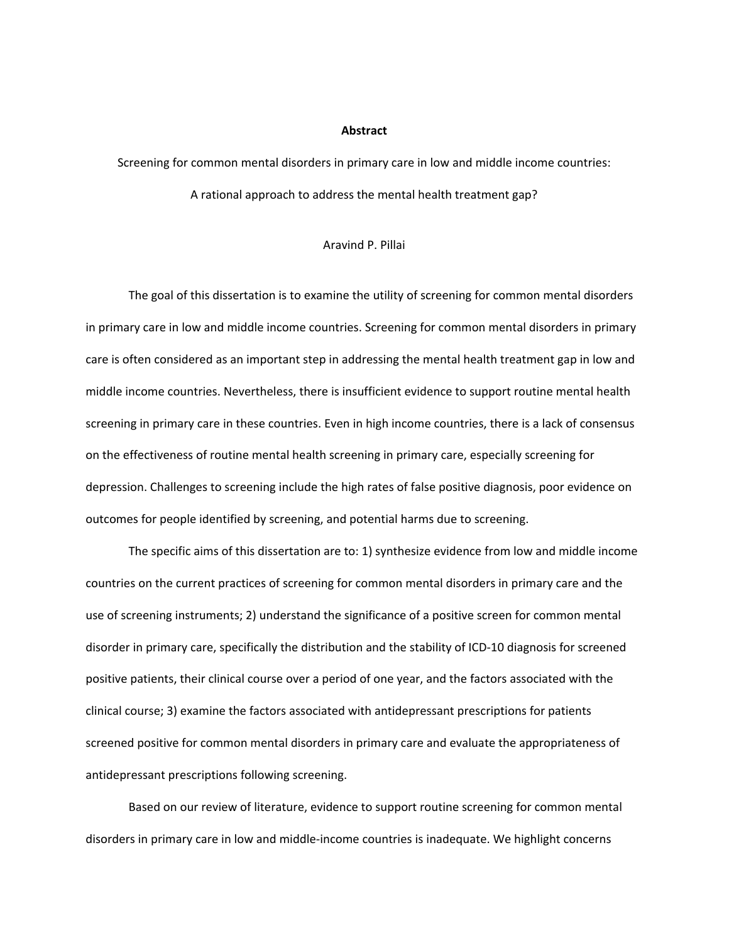#### **Abstract**

Screening for common mental disorders in primary care in low and middle income countries:

A rational approach to address the mental health treatment gap?

#### Aravind P. Pillai

The goal of this dissertation is to examine the utility of screening for common mental disorders in primary care in low and middle income countries. Screening for common mental disorders in primary care is often considered as an important step in addressing the mental health treatment gap in low and middle income countries. Nevertheless, there is insufficient evidence to support routine mental health screening in primary care in these countries. Even in high income countries, there is a lack of consensus on the effectiveness of routine mental health screening in primary care, especially screening for depression. Challenges to screening include the high rates of false positive diagnosis, poor evidence on outcomes for people identified by screening, and potential harms due to screening.

The specific aims of this dissertation are to: 1) synthesize evidence from low and middle income countries on the current practices of screening for common mental disorders in primary care and the use of screening instruments; 2) understand the significance of a positive screen for common mental disorder in primary care, specifically the distribution and the stability of ICD‐10 diagnosis for screened positive patients, their clinical course over a period of one year, and the factors associated with the clinical course; 3) examine the factors associated with antidepressant prescriptions for patients screened positive for common mental disorders in primary care and evaluate the appropriateness of antidepressant prescriptions following screening.

Based on our review of literature, evidence to support routine screening for common mental disorders in primary care in low and middle‐income countries is inadequate. We highlight concerns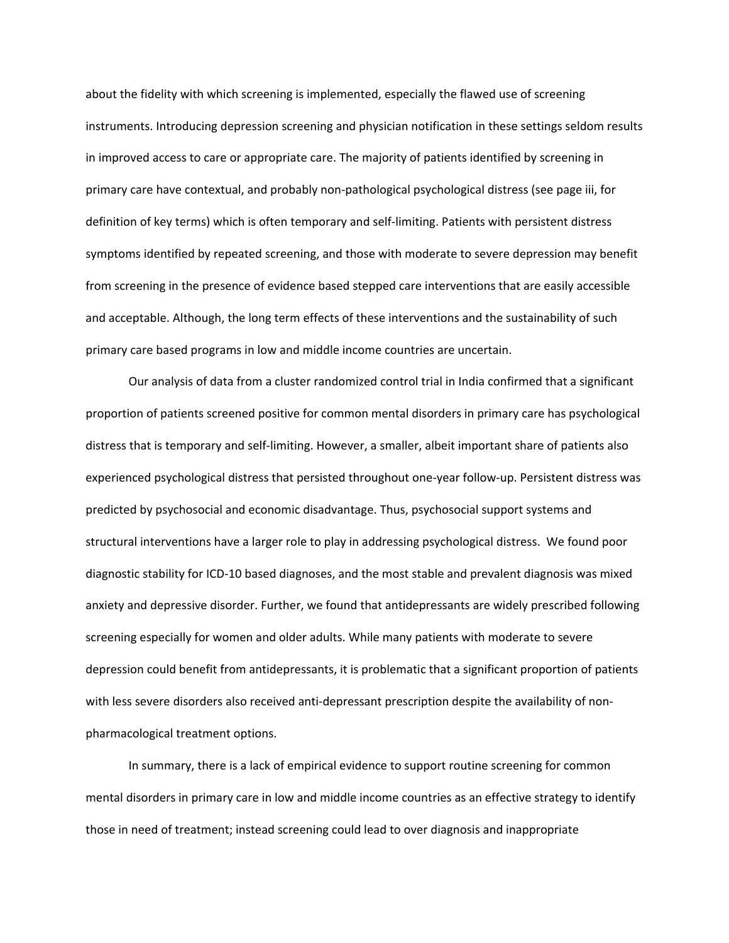about the fidelity with which screening is implemented, especially the flawed use of screening instruments. Introducing depression screening and physician notification in these settings seldom results in improved access to care or appropriate care. The majority of patients identified by screening in primary care have contextual, and probably non‐pathological psychological distress (see page iii, for definition of key terms) which is often temporary and self‐limiting. Patients with persistent distress symptoms identified by repeated screening, and those with moderate to severe depression may benefit from screening in the presence of evidence based stepped care interventions that are easily accessible and acceptable. Although, the long term effects of these interventions and the sustainability of such primary care based programs in low and middle income countries are uncertain.

Our analysis of data from a cluster randomized control trial in India confirmed that a significant proportion of patients screened positive for common mental disorders in primary care has psychological distress that is temporary and self‐limiting. However, a smaller, albeit important share of patients also experienced psychological distress that persisted throughout one‐year follow‐up. Persistent distress was predicted by psychosocial and economic disadvantage. Thus, psychosocial support systems and structural interventions have a larger role to play in addressing psychological distress. We found poor diagnostic stability for ICD‐10 based diagnoses, and the most stable and prevalent diagnosis was mixed anxiety and depressive disorder. Further, we found that antidepressants are widely prescribed following screening especially for women and older adults. While many patients with moderate to severe depression could benefit from antidepressants, it is problematic that a significant proportion of patients with less severe disorders also received anti-depressant prescription despite the availability of nonpharmacological treatment options.

In summary, there is a lack of empirical evidence to support routine screening for common mental disorders in primary care in low and middle income countries as an effective strategy to identify those in need of treatment; instead screening could lead to over diagnosis and inappropriate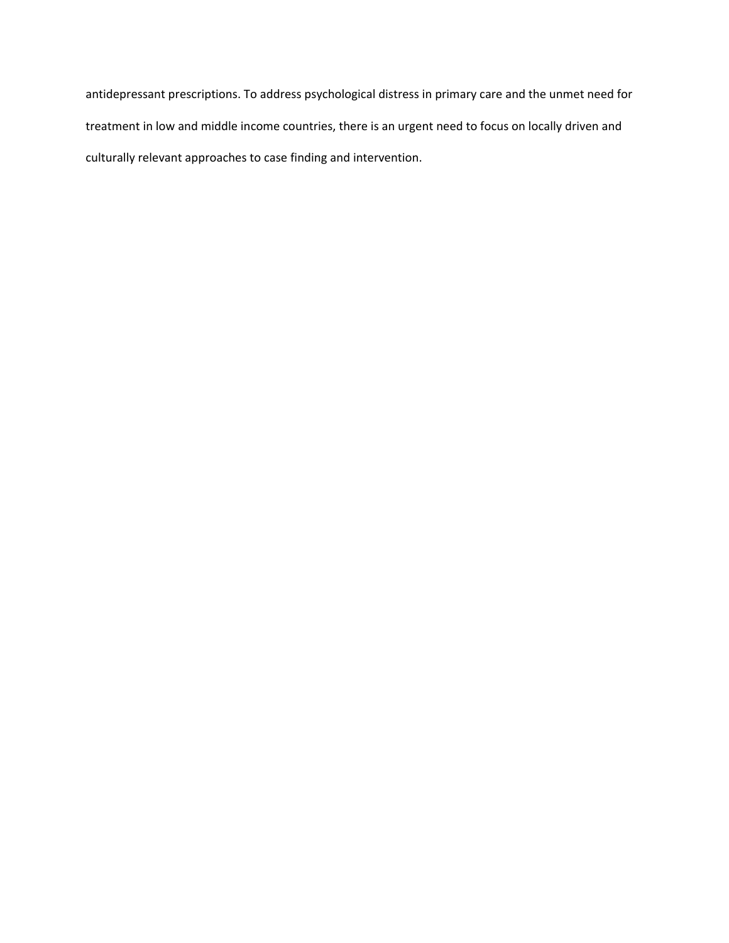antidepressant prescriptions. To address psychological distress in primary care and the unmet need for treatment in low and middle income countries, there is an urgent need to focus on locally driven and culturally relevant approaches to case finding and intervention.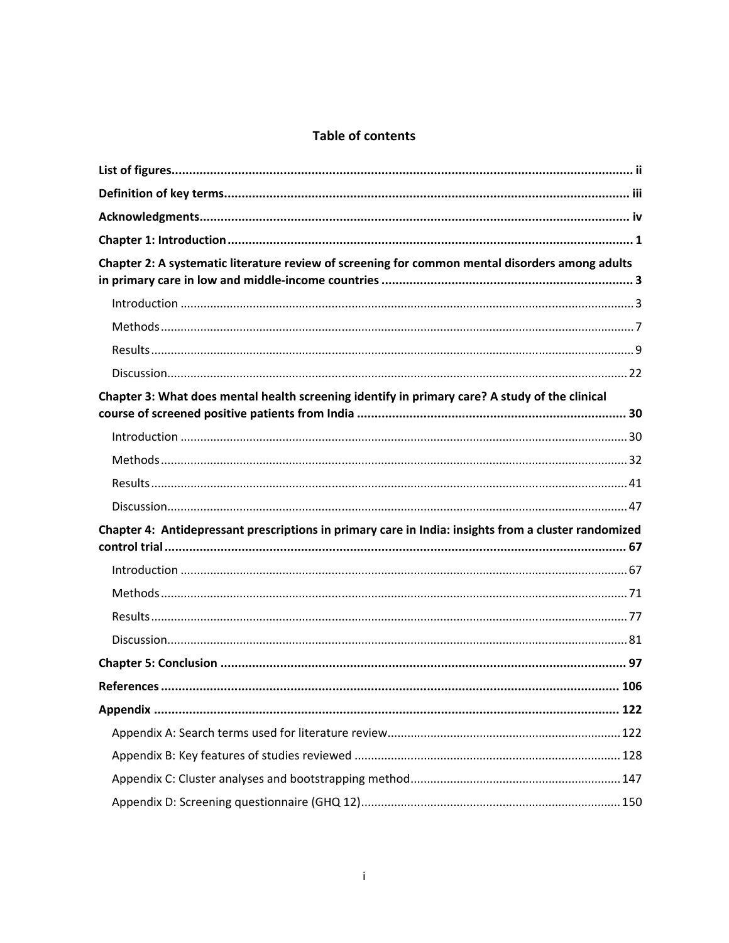# **Table of contents**

| Chapter 2: A systematic literature review of screening for common mental disorders among adults      |  |
|------------------------------------------------------------------------------------------------------|--|
|                                                                                                      |  |
|                                                                                                      |  |
|                                                                                                      |  |
|                                                                                                      |  |
| Chapter 3: What does mental health screening identify in primary care? A study of the clinical       |  |
|                                                                                                      |  |
|                                                                                                      |  |
|                                                                                                      |  |
|                                                                                                      |  |
| Chapter 4: Antidepressant prescriptions in primary care in India: insights from a cluster randomized |  |
|                                                                                                      |  |
|                                                                                                      |  |
|                                                                                                      |  |
|                                                                                                      |  |
|                                                                                                      |  |
|                                                                                                      |  |
|                                                                                                      |  |
|                                                                                                      |  |
|                                                                                                      |  |
|                                                                                                      |  |
|                                                                                                      |  |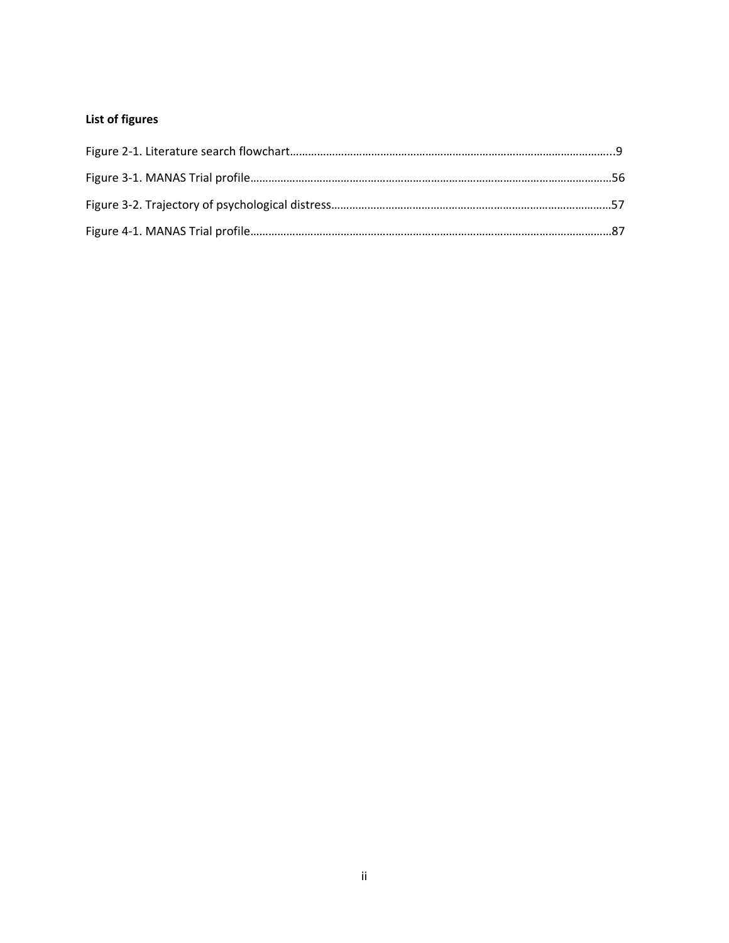# **List of figures**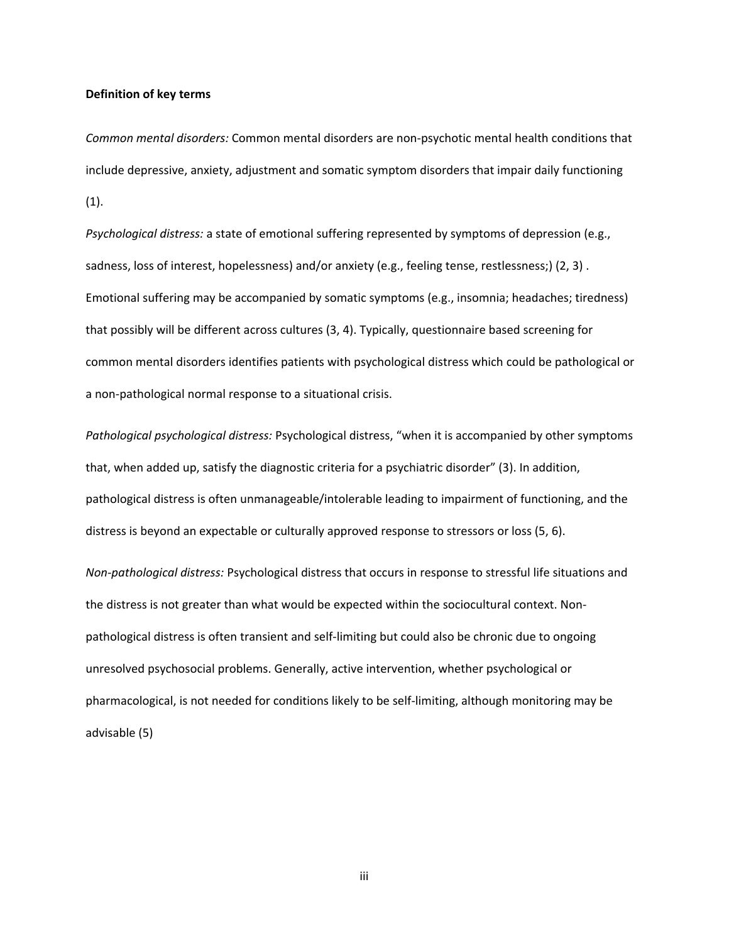#### **Definition of key terms**

*Common mental disorders:* Common mental disorders are non‐psychotic mental health conditions that include depressive, anxiety, adjustment and somatic symptom disorders that impair daily functioning (1).

*Psychological distress:* a state of emotional suffering represented by symptoms of depression (e.g., sadness, loss of interest, hopelessness) and/or anxiety (e.g., feeling tense, restlessness;) (2, 3) . Emotional suffering may be accompanied by somatic symptoms (e.g., insomnia; headaches; tiredness) that possibly will be different across cultures (3, 4). Typically, questionnaire based screening for common mental disorders identifies patients with psychological distress which could be pathological or a non‐pathological normal response to a situational crisis.

*Pathological psychological distress:* Psychological distress, "when it is accompanied by other symptoms that, when added up, satisfy the diagnostic criteria for a psychiatric disorder" (3). In addition, pathological distress is often unmanageable/intolerable leading to impairment of functioning, and the distress is beyond an expectable or culturally approved response to stressors or loss (5, 6).

*Non‐pathological distress:* Psychological distress that occurs in response to stressful life situations and the distress is not greater than what would be expected within the sociocultural context. Non‐ pathological distress is often transient and self‐limiting but could also be chronic due to ongoing unresolved psychosocial problems. Generally, active intervention, whether psychological or pharmacological, is not needed for conditions likely to be self‐limiting, although monitoring may be advisable (5)

iii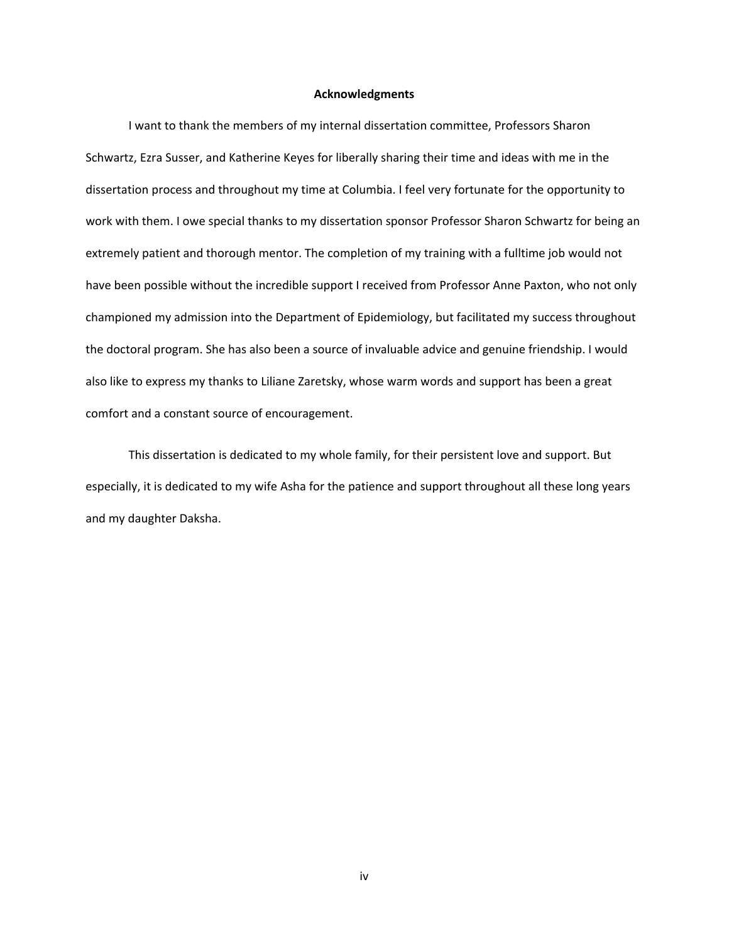#### **Acknowledgments**

I want to thank the members of my internal dissertation committee, Professors Sharon Schwartz, Ezra Susser, and Katherine Keyes for liberally sharing their time and ideas with me in the dissertation process and throughout my time at Columbia. I feel very fortunate for the opportunity to work with them. I owe special thanks to my dissertation sponsor Professor Sharon Schwartz for being an extremely patient and thorough mentor. The completion of my training with a fulltime job would not have been possible without the incredible support I received from Professor Anne Paxton, who not only championed my admission into the Department of Epidemiology, but facilitated my success throughout the doctoral program. She has also been a source of invaluable advice and genuine friendship. I would also like to express my thanks to Liliane Zaretsky, whose warm words and support has been a great comfort and a constant source of encouragement.

This dissertation is dedicated to my whole family, for their persistent love and support. But especially, it is dedicated to my wife Asha for the patience and support throughout all these long years and my daughter Daksha.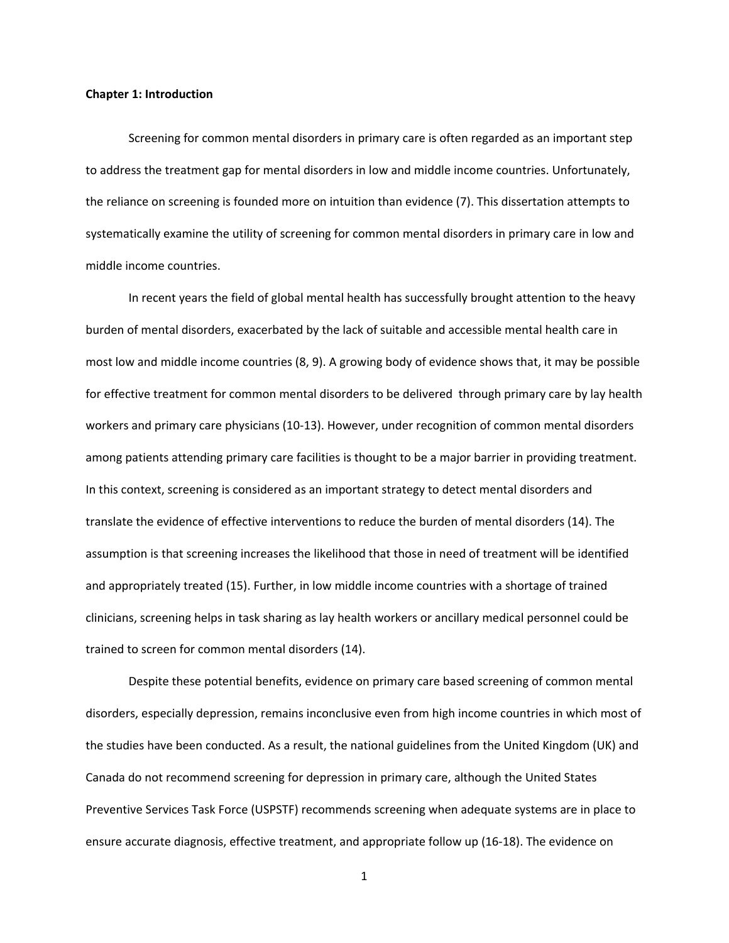#### **Chapter 1: Introduction**

Screening for common mental disorders in primary care is often regarded as an important step to address the treatment gap for mental disorders in low and middle income countries. Unfortunately, the reliance on screening is founded more on intuition than evidence (7). This dissertation attempts to systematically examine the utility of screening for common mental disorders in primary care in low and middle income countries.

In recent years the field of global mental health has successfully brought attention to the heavy burden of mental disorders, exacerbated by the lack of suitable and accessible mental health care in most low and middle income countries (8, 9). A growing body of evidence shows that, it may be possible for effective treatment for common mental disorders to be delivered through primary care by lay health workers and primary care physicians (10‐13). However, under recognition of common mental disorders among patients attending primary care facilities is thought to be a major barrier in providing treatment. In this context, screening is considered as an important strategy to detect mental disorders and translate the evidence of effective interventions to reduce the burden of mental disorders (14). The assumption is that screening increases the likelihood that those in need of treatment will be identified and appropriately treated (15). Further, in low middle income countries with a shortage of trained clinicians, screening helps in task sharing as lay health workers or ancillary medical personnel could be trained to screen for common mental disorders (14).

Despite these potential benefits, evidence on primary care based screening of common mental disorders, especially depression, remains inconclusive even from high income countries in which most of the studies have been conducted. As a result, the national guidelines from the United Kingdom (UK) and Canada do not recommend screening for depression in primary care, although the United States Preventive Services Task Force (USPSTF) recommends screening when adequate systems are in place to ensure accurate diagnosis, effective treatment, and appropriate follow up (16‐18). The evidence on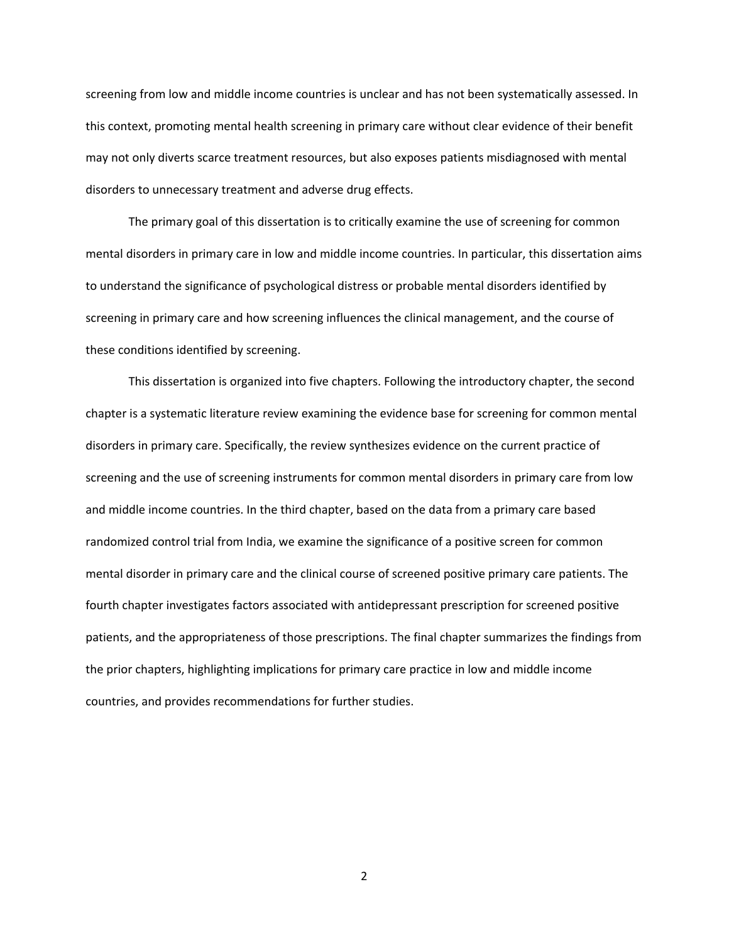screening from low and middle income countries is unclear and has not been systematically assessed. In this context, promoting mental health screening in primary care without clear evidence of their benefit may not only diverts scarce treatment resources, but also exposes patients misdiagnosed with mental disorders to unnecessary treatment and adverse drug effects.

The primary goal of this dissertation is to critically examine the use of screening for common mental disorders in primary care in low and middle income countries. In particular, this dissertation aims to understand the significance of psychological distress or probable mental disorders identified by screening in primary care and how screening influences the clinical management, and the course of these conditions identified by screening.

This dissertation is organized into five chapters. Following the introductory chapter, the second chapter is a systematic literature review examining the evidence base for screening for common mental disorders in primary care. Specifically, the review synthesizes evidence on the current practice of screening and the use of screening instruments for common mental disorders in primary care from low and middle income countries. In the third chapter, based on the data from a primary care based randomized control trial from India, we examine the significance of a positive screen for common mental disorder in primary care and the clinical course of screened positive primary care patients. The fourth chapter investigates factors associated with antidepressant prescription for screened positive patients, and the appropriateness of those prescriptions. The final chapter summarizes the findings from the prior chapters, highlighting implications for primary care practice in low and middle income countries, and provides recommendations for further studies.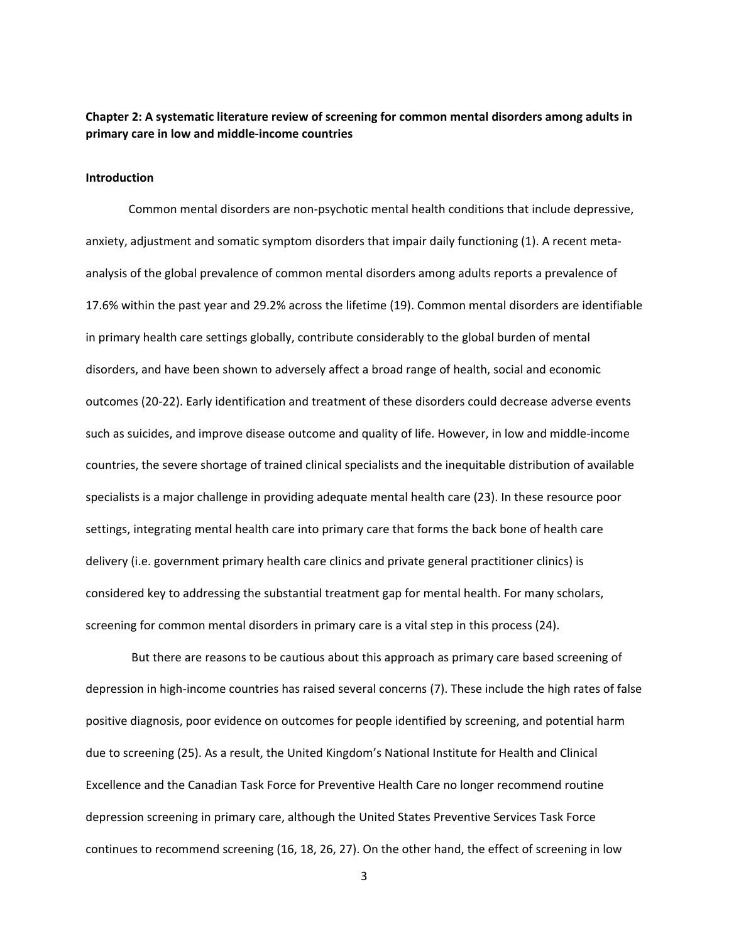## **Chapter 2: A systematic literature review of screening for common mental disorders among adults in primary care in low and middle‐income countries**

#### **Introduction**

Common mental disorders are non‐psychotic mental health conditions that include depressive, anxiety, adjustment and somatic symptom disorders that impair daily functioning (1). A recent metaanalysis of the global prevalence of common mental disorders among adults reports a prevalence of 17.6% within the past year and 29.2% across the lifetime (19). Common mental disorders are identifiable in primary health care settings globally, contribute considerably to the global burden of mental disorders, and have been shown to adversely affect a broad range of health, social and economic outcomes (20‐22). Early identification and treatment of these disorders could decrease adverse events such as suicides, and improve disease outcome and quality of life. However, in low and middle‐income countries, the severe shortage of trained clinical specialists and the inequitable distribution of available specialists is a major challenge in providing adequate mental health care (23). In these resource poor settings, integrating mental health care into primary care that forms the back bone of health care delivery (i.e. government primary health care clinics and private general practitioner clinics) is considered key to addressing the substantial treatment gap for mental health. For many scholars, screening for common mental disorders in primary care is a vital step in this process (24).

 But there are reasons to be cautious about this approach as primary care based screening of depression in high‐income countries has raised several concerns (7). These include the high rates of false positive diagnosis, poor evidence on outcomes for people identified by screening, and potential harm due to screening (25). As a result, the United Kingdom's National Institute for Health and Clinical Excellence and the Canadian Task Force for Preventive Health Care no longer recommend routine depression screening in primary care, although the United States Preventive Services Task Force continues to recommend screening (16, 18, 26, 27). On the other hand, the effect of screening in low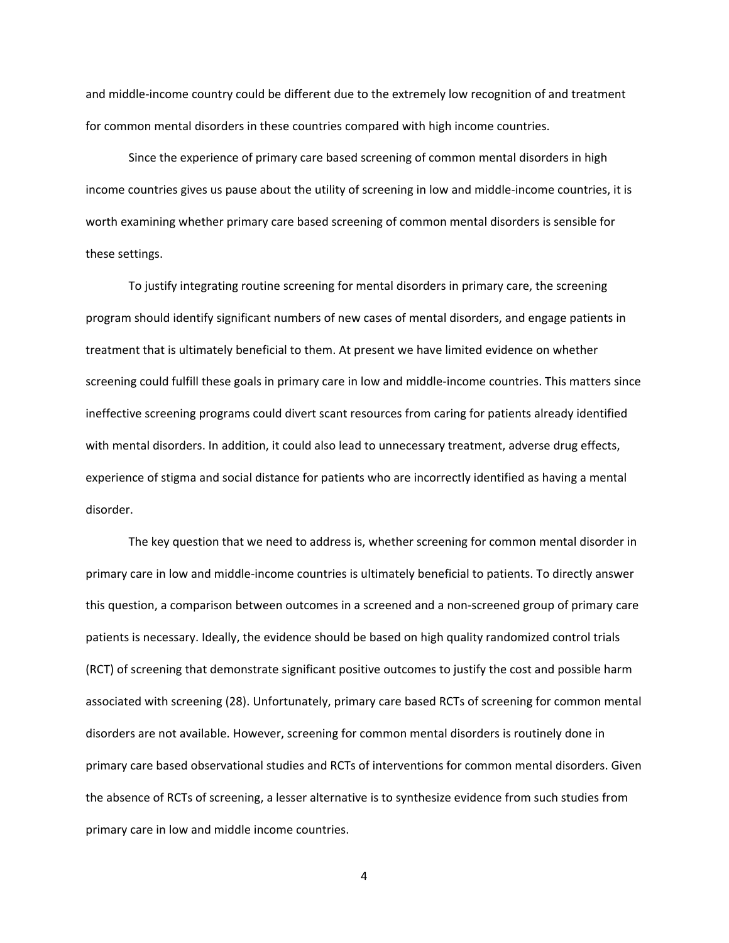and middle‐income country could be different due to the extremely low recognition of and treatment for common mental disorders in these countries compared with high income countries.

Since the experience of primary care based screening of common mental disorders in high income countries gives us pause about the utility of screening in low and middle-income countries, it is worth examining whether primary care based screening of common mental disorders is sensible for these settings.

To justify integrating routine screening for mental disorders in primary care, the screening program should identify significant numbers of new cases of mental disorders, and engage patients in treatment that is ultimately beneficial to them. At present we have limited evidence on whether screening could fulfill these goals in primary care in low and middle‐income countries. This matters since ineffective screening programs could divert scant resources from caring for patients already identified with mental disorders. In addition, it could also lead to unnecessary treatment, adverse drug effects, experience of stigma and social distance for patients who are incorrectly identified as having a mental disorder.

The key question that we need to address is, whether screening for common mental disorder in primary care in low and middle‐income countries is ultimately beneficial to patients. To directly answer this question, a comparison between outcomes in a screened and a non‐screened group of primary care patients is necessary. Ideally, the evidence should be based on high quality randomized control trials (RCT) of screening that demonstrate significant positive outcomes to justify the cost and possible harm associated with screening (28). Unfortunately, primary care based RCTs of screening for common mental disorders are not available. However, screening for common mental disorders is routinely done in primary care based observational studies and RCTs of interventions for common mental disorders. Given the absence of RCTs of screening, a lesser alternative is to synthesize evidence from such studies from primary care in low and middle income countries.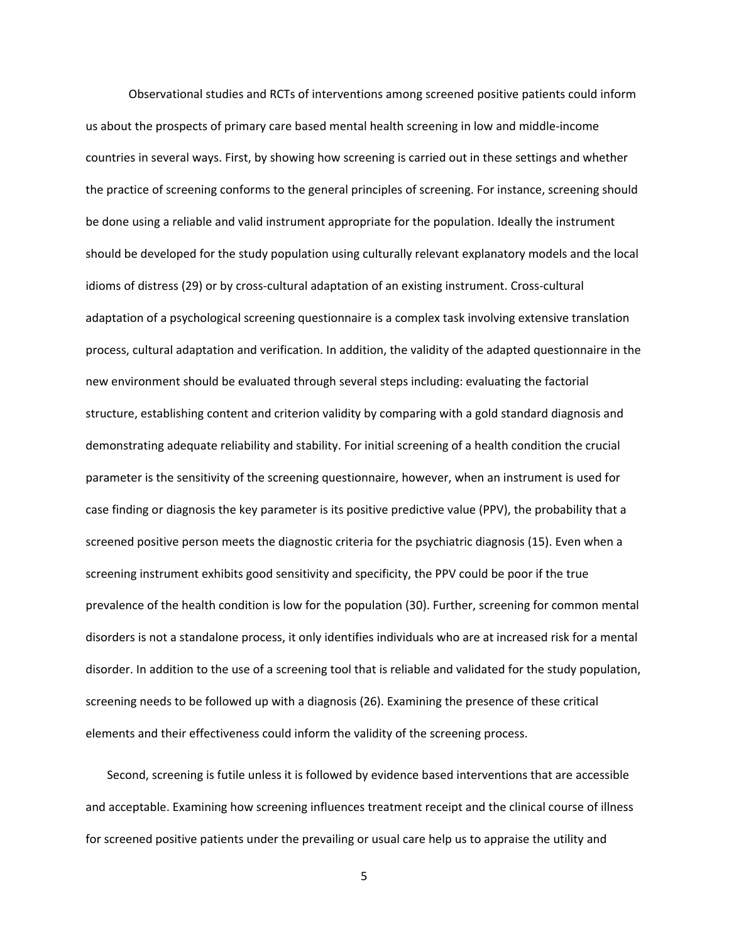Observational studies and RCTs of interventions among screened positive patients could inform us about the prospects of primary care based mental health screening in low and middle‐income countries in several ways. First, by showing how screening is carried out in these settings and whether the practice of screening conforms to the general principles of screening. For instance, screening should be done using a reliable and valid instrument appropriate for the population. Ideally the instrument should be developed for the study population using culturally relevant explanatory models and the local idioms of distress (29) or by cross-cultural adaptation of an existing instrument. Cross-cultural adaptation of a psychological screening questionnaire is a complex task involving extensive translation process, cultural adaptation and verification. In addition, the validity of the adapted questionnaire in the new environment should be evaluated through several steps including: evaluating the factorial structure, establishing content and criterion validity by comparing with a gold standard diagnosis and demonstrating adequate reliability and stability. For initial screening of a health condition the crucial parameter is the sensitivity of the screening questionnaire, however, when an instrument is used for case finding or diagnosis the key parameter is its positive predictive value (PPV), the probability that a screened positive person meets the diagnostic criteria for the psychiatric diagnosis (15). Even when a screening instrument exhibits good sensitivity and specificity, the PPV could be poor if the true prevalence of the health condition is low for the population (30). Further, screening for common mental disorders is not a standalone process, it only identifies individuals who are at increased risk for a mental disorder. In addition to the use of a screening tool that is reliable and validated for the study population, screening needs to be followed up with a diagnosis (26). Examining the presence of these critical elements and their effectiveness could inform the validity of the screening process.

Second, screening is futile unless it is followed by evidence based interventions that are accessible and acceptable. Examining how screening influences treatment receipt and the clinical course of illness for screened positive patients under the prevailing or usual care help us to appraise the utility and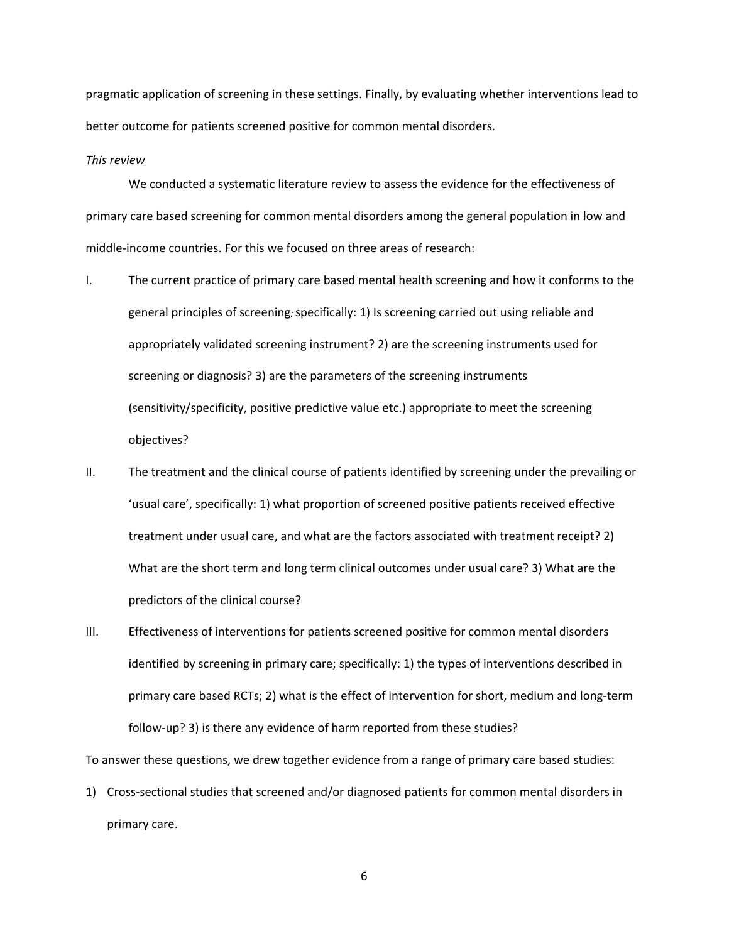pragmatic application of screening in these settings. Finally, by evaluating whether interventions lead to better outcome for patients screened positive for common mental disorders.

#### *This review*

We conducted a systematic literature review to assess the evidence for the effectiveness of primary care based screening for common mental disorders among the general population in low and middle‐income countries. For this we focused on three areas of research:

- I. The current practice of primary care based mental health screening and how it conforms to the general principles of screening*;* specifically: 1) Is screening carried out using reliable and appropriately validated screening instrument? 2) are the screening instruments used for screening or diagnosis? 3) are the parameters of the screening instruments (sensitivity/specificity, positive predictive value etc.) appropriate to meet the screening objectives?
- II. The treatment and the clinical course of patients identified by screening under the prevailing or 'usual care', specifically: 1) what proportion of screened positive patients received effective treatment under usual care, and what are the factors associated with treatment receipt? 2) What are the short term and long term clinical outcomes under usual care? 3) What are the predictors of the clinical course?
- III. Effectiveness of interventions for patients screened positive for common mental disorders identified by screening in primary care; specifically: 1) the types of interventions described in primary care based RCTs; 2) what is the effect of intervention for short, medium and long‐term follow-up? 3) is there any evidence of harm reported from these studies?

To answer these questions, we drew together evidence from a range of primary care based studies:

1) Cross-sectional studies that screened and/or diagnosed patients for common mental disorders in primary care.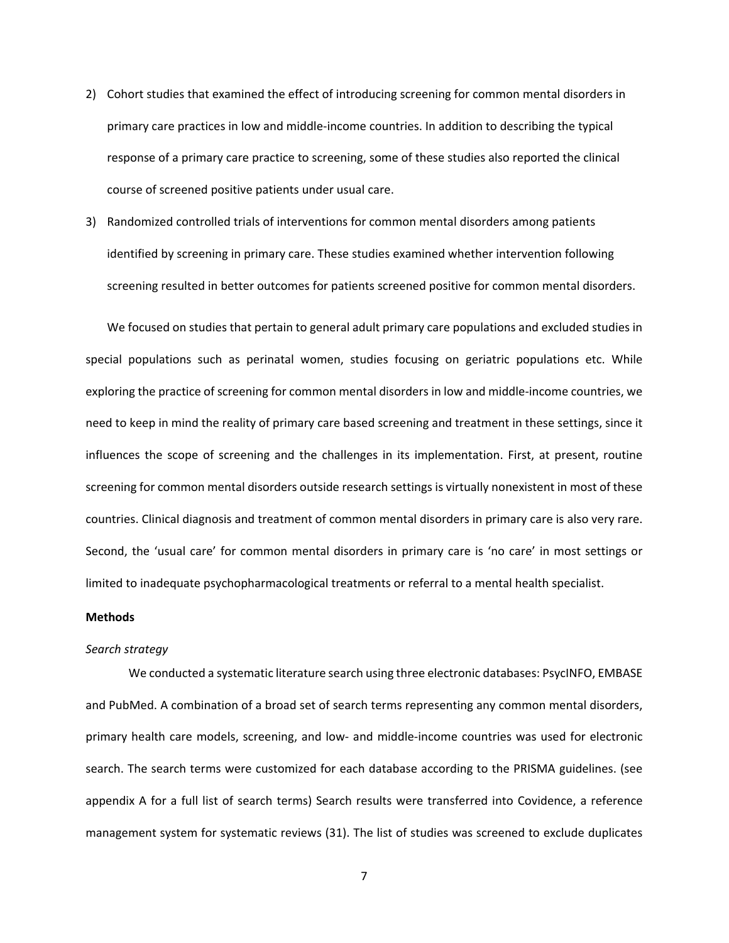- 2) Cohort studies that examined the effect of introducing screening for common mental disorders in primary care practices in low and middle‐income countries. In addition to describing the typical response of a primary care practice to screening, some of these studies also reported the clinical course of screened positive patients under usual care.
- 3) Randomized controlled trials of interventions for common mental disorders among patients identified by screening in primary care. These studies examined whether intervention following screening resulted in better outcomes for patients screened positive for common mental disorders.

We focused on studies that pertain to general adult primary care populations and excluded studies in special populations such as perinatal women, studies focusing on geriatric populations etc. While exploring the practice of screening for common mental disorders in low and middle‐income countries, we need to keep in mind the reality of primary care based screening and treatment in these settings, since it influences the scope of screening and the challenges in its implementation. First, at present, routine screening for common mental disorders outside research settings is virtually nonexistent in most of these countries. Clinical diagnosis and treatment of common mental disorders in primary care is also very rare. Second, the 'usual care' for common mental disorders in primary care is 'no care' in most settings or limited to inadequate psychopharmacological treatments or referral to a mental health specialist.

#### **Methods**

#### *Search strategy*

We conducted a systematic literature search using three electronic databases: PsycINFO, EMBASE and PubMed. A combination of a broad set of search terms representing any common mental disorders, primary health care models, screening, and low‐ and middle‐income countries was used for electronic search. The search terms were customized for each database according to the PRISMA guidelines. (see appendix A for a full list of search terms) Search results were transferred into Covidence, a reference management system for systematic reviews (31). The list of studies was screened to exclude duplicates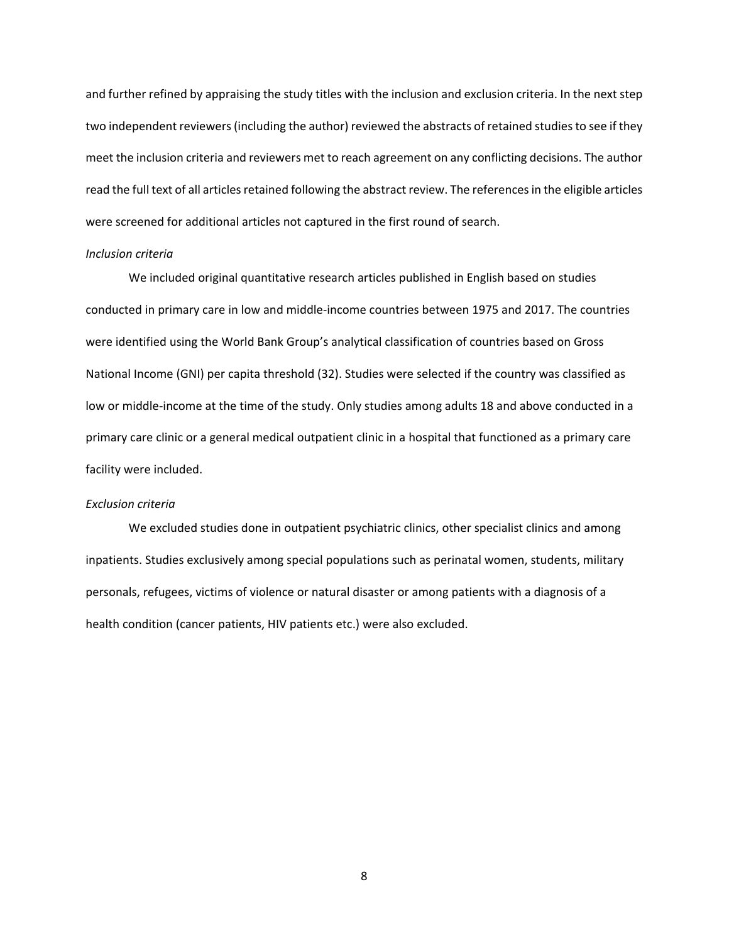and further refined by appraising the study titles with the inclusion and exclusion criteria. In the next step two independent reviewers (including the author) reviewed the abstracts of retained studies to see if they meet the inclusion criteria and reviewers met to reach agreement on any conflicting decisions. The author read the full text of all articles retained following the abstract review. The references in the eligible articles were screened for additional articles not captured in the first round of search.

#### *Inclusion criteria*

We included original quantitative research articles published in English based on studies conducted in primary care in low and middle‐income countries between 1975 and 2017. The countries were identified using the World Bank Group's analytical classification of countries based on Gross National Income (GNI) per capita threshold (32). Studies were selected if the country was classified as low or middle‐income at the time of the study. Only studies among adults 18 and above conducted in a primary care clinic or a general medical outpatient clinic in a hospital that functioned as a primary care facility were included.

### *Exclusion criteria*

 We excluded studies done in outpatient psychiatric clinics, other specialist clinics and among inpatients. Studies exclusively among special populations such as perinatal women, students, military personals, refugees, victims of violence or natural disaster or among patients with a diagnosis of a health condition (cancer patients, HIV patients etc.) were also excluded.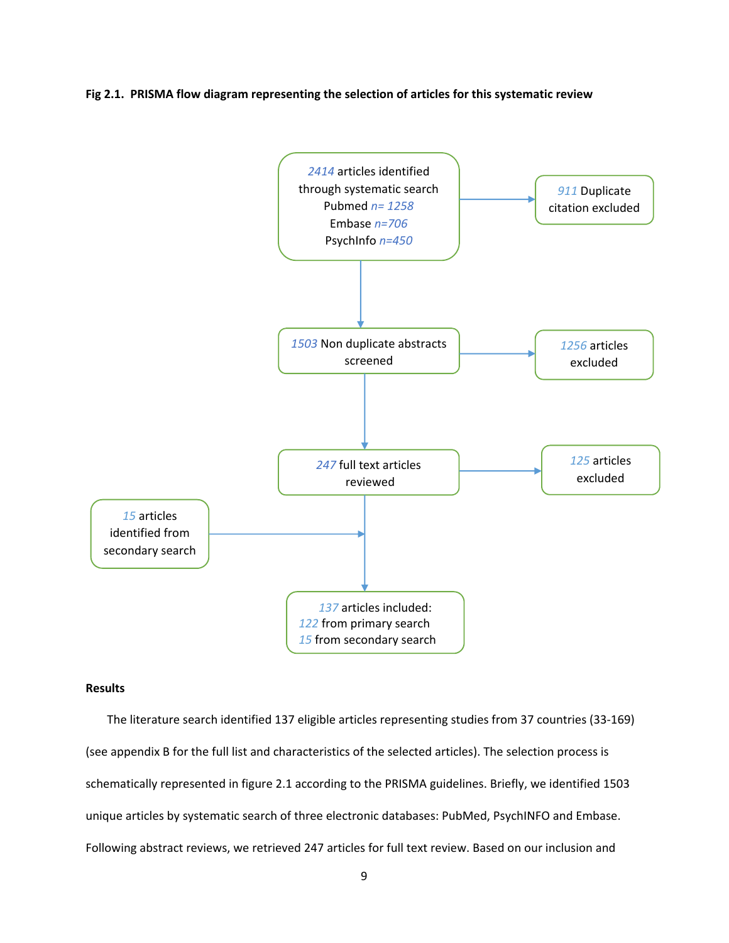**Fig 2.1. PRISMA flow diagram representing the selection of articles for this systematic review** 



### **Results**

The literature search identified 137 eligible articles representing studies from 37 countries (33‐169) (see appendix B for the full list and characteristics of the selected articles). The selection process is schematically represented in figure 2.1 according to the PRISMA guidelines. Briefly, we identified 1503 unique articles by systematic search of three electronic databases: PubMed, PsychINFO and Embase. Following abstract reviews, we retrieved 247 articles for full text review. Based on our inclusion and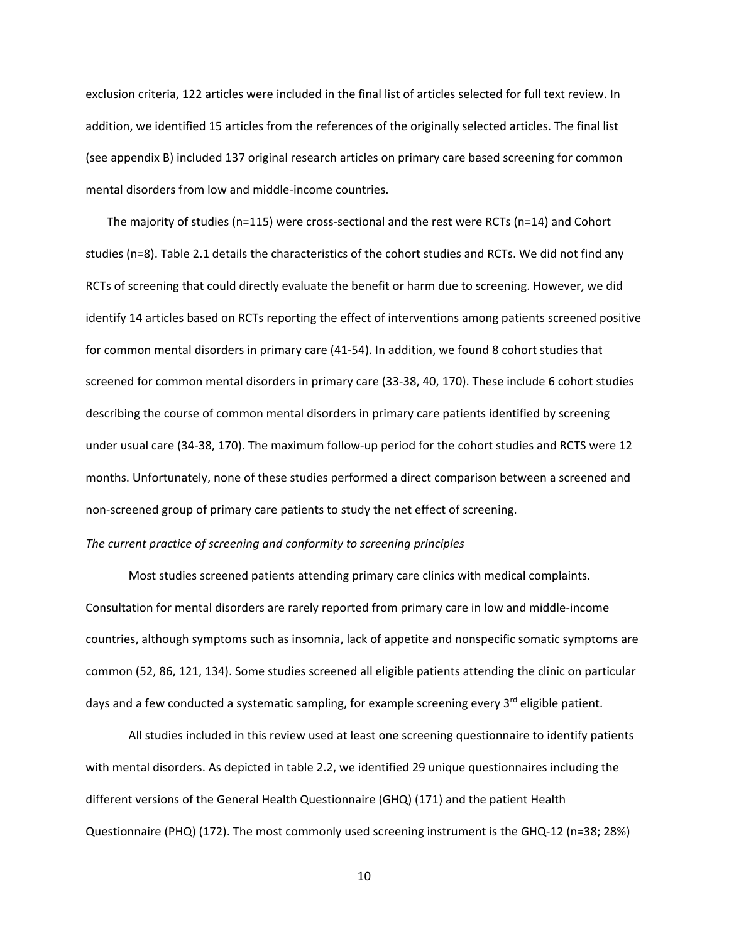exclusion criteria, 122 articles were included in the final list of articles selected for full text review. In addition, we identified 15 articles from the references of the originally selected articles. The final list (see appendix B) included 137 original research articles on primary care based screening for common mental disorders from low and middle‐income countries.

The majority of studies ( $n=115$ ) were cross-sectional and the rest were RCTs ( $n=14$ ) and Cohort studies (n=8). Table 2.1 details the characteristics of the cohort studies and RCTs. We did not find any RCTs of screening that could directly evaluate the benefit or harm due to screening. However, we did identify 14 articles based on RCTs reporting the effect of interventions among patients screened positive for common mental disorders in primary care (41‐54). In addition, we found 8 cohort studies that screened for common mental disorders in primary care (33‐38, 40, 170). These include 6 cohort studies describing the course of common mental disorders in primary care patients identified by screening under usual care (34‐38, 170). The maximum follow‐up period for the cohort studies and RCTS were 12 months. Unfortunately, none of these studies performed a direct comparison between a screened and non‐screened group of primary care patients to study the net effect of screening.

### *The current practice of screening and conformity to screening principles*

Most studies screened patients attending primary care clinics with medical complaints. Consultation for mental disorders are rarely reported from primary care in low and middle‐income countries, although symptoms such as insomnia, lack of appetite and nonspecific somatic symptoms are common (52, 86, 121, 134). Some studies screened all eligible patients attending the clinic on particular days and a few conducted a systematic sampling, for example screening every  $3<sup>rd</sup>$  eligible patient.

All studies included in this review used at least one screening questionnaire to identify patients with mental disorders. As depicted in table 2.2, we identified 29 unique questionnaires including the different versions of the General Health Questionnaire (GHQ) (171) and the patient Health Questionnaire (PHQ) (172). The most commonly used screening instrument is the GHQ‐12 (n=38; 28%)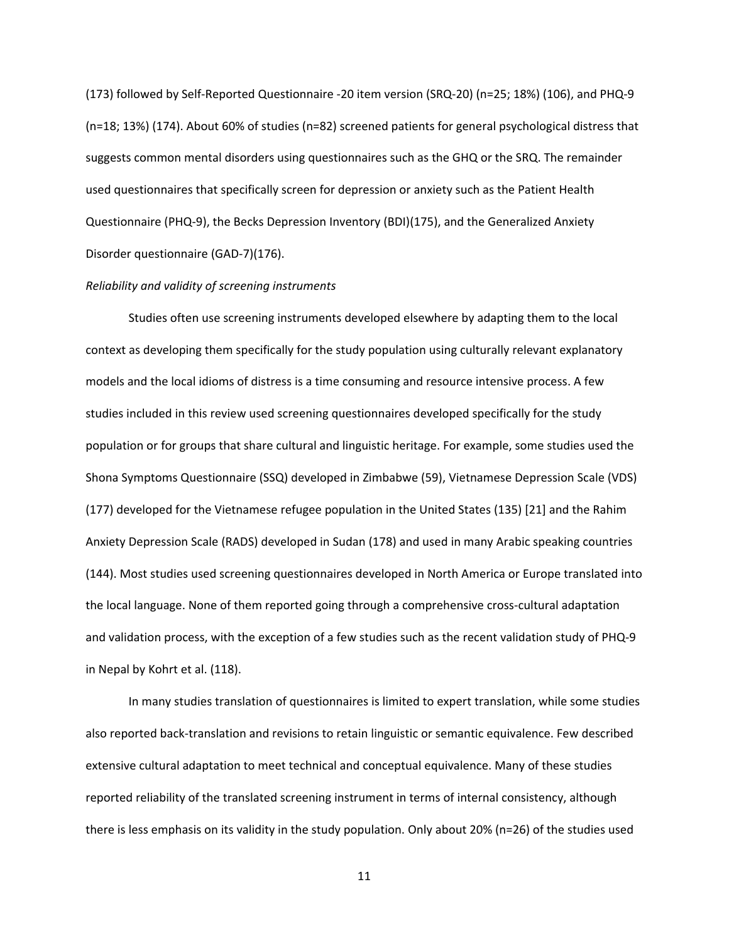(173) followed by Self‐Reported Questionnaire ‐20 item version (SRQ‐20) (n=25; 18%) (106), and PHQ‐9 (n=18; 13%) (174). About 60% of studies (n=82) screened patients for general psychological distress that suggests common mental disorders using questionnaires such as the GHQ or the SRQ. The remainder used questionnaires that specifically screen for depression or anxiety such as the Patient Health Questionnaire (PHQ‐9), the Becks Depression Inventory (BDI)(175), and the Generalized Anxiety Disorder questionnaire (GAD‐7)(176).

#### *Reliability and validity of screening instruments*

Studies often use screening instruments developed elsewhere by adapting them to the local context as developing them specifically for the study population using culturally relevant explanatory models and the local idioms of distress is a time consuming and resource intensive process. A few studies included in this review used screening questionnaires developed specifically for the study population or for groups that share cultural and linguistic heritage. For example, some studies used the Shona Symptoms Questionnaire (SSQ) developed in Zimbabwe (59), Vietnamese Depression Scale (VDS) (177) developed for the Vietnamese refugee population in the United States (135) [21] and the Rahim Anxiety Depression Scale (RADS) developed in Sudan (178) and used in many Arabic speaking countries (144). Most studies used screening questionnaires developed in North America or Europe translated into the local language. None of them reported going through a comprehensive cross‐cultural adaptation and validation process, with the exception of a few studies such as the recent validation study of PHQ‐9 in Nepal by Kohrt et al. (118).

In many studies translation of questionnaires is limited to expert translation, while some studies also reported back‐translation and revisions to retain linguistic or semantic equivalence. Few described extensive cultural adaptation to meet technical and conceptual equivalence. Many of these studies reported reliability of the translated screening instrument in terms of internal consistency, although there is less emphasis on its validity in the study population. Only about 20% (n=26) of the studies used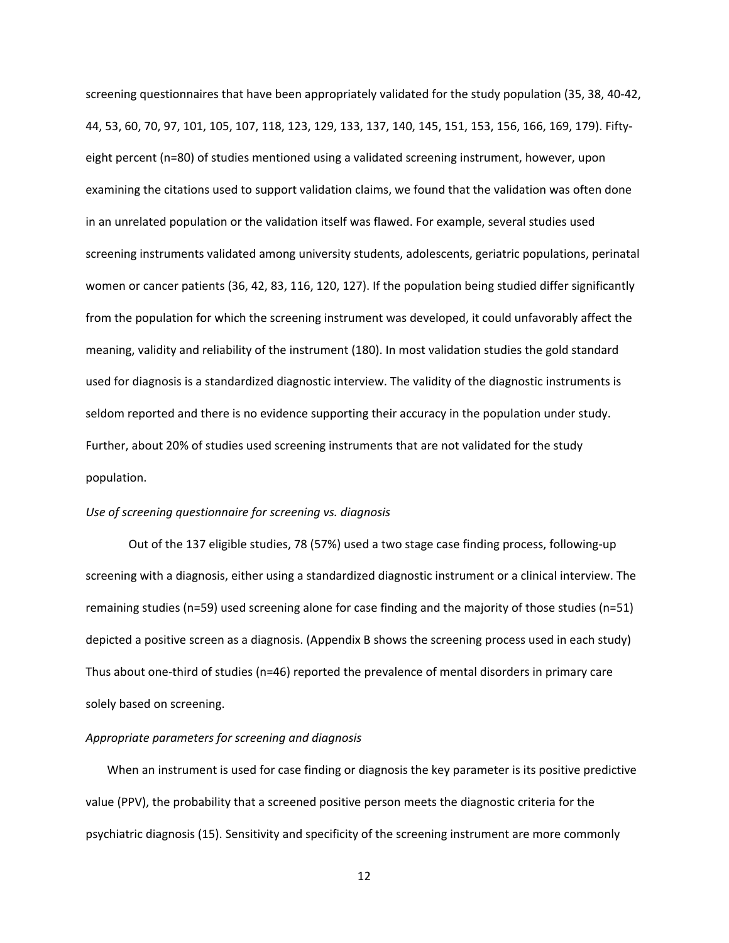screening questionnaires that have been appropriately validated for the study population (35, 38, 40‐42, 44, 53, 60, 70, 97, 101, 105, 107, 118, 123, 129, 133, 137, 140, 145, 151, 153, 156, 166, 169, 179). Fifty‐ eight percent (n=80) of studies mentioned using a validated screening instrument, however, upon examining the citations used to support validation claims, we found that the validation was often done in an unrelated population or the validation itself was flawed. For example, several studies used screening instruments validated among university students, adolescents, geriatric populations, perinatal women or cancer patients (36, 42, 83, 116, 120, 127). If the population being studied differ significantly from the population for which the screening instrument was developed, it could unfavorably affect the meaning, validity and reliability of the instrument (180). In most validation studies the gold standard used for diagnosis is a standardized diagnostic interview. The validity of the diagnostic instruments is seldom reported and there is no evidence supporting their accuracy in the population under study. Further, about 20% of studies used screening instruments that are not validated for the study population.

### *Use of screening questionnaire for screening vs. diagnosis*

Out of the 137 eligible studies, 78 (57%) used a two stage case finding process, following‐up screening with a diagnosis, either using a standardized diagnostic instrument or a clinical interview. The remaining studies (n=59) used screening alone for case finding and the majority of those studies (n=51) depicted a positive screen as a diagnosis. (Appendix B shows the screening process used in each study) Thus about one‐third of studies (n=46) reported the prevalence of mental disorders in primary care solely based on screening.

#### *Appropriate parameters for screening and diagnosis*

When an instrument is used for case finding or diagnosis the key parameter is its positive predictive value (PPV), the probability that a screened positive person meets the diagnostic criteria for the psychiatric diagnosis (15). Sensitivity and specificity of the screening instrument are more commonly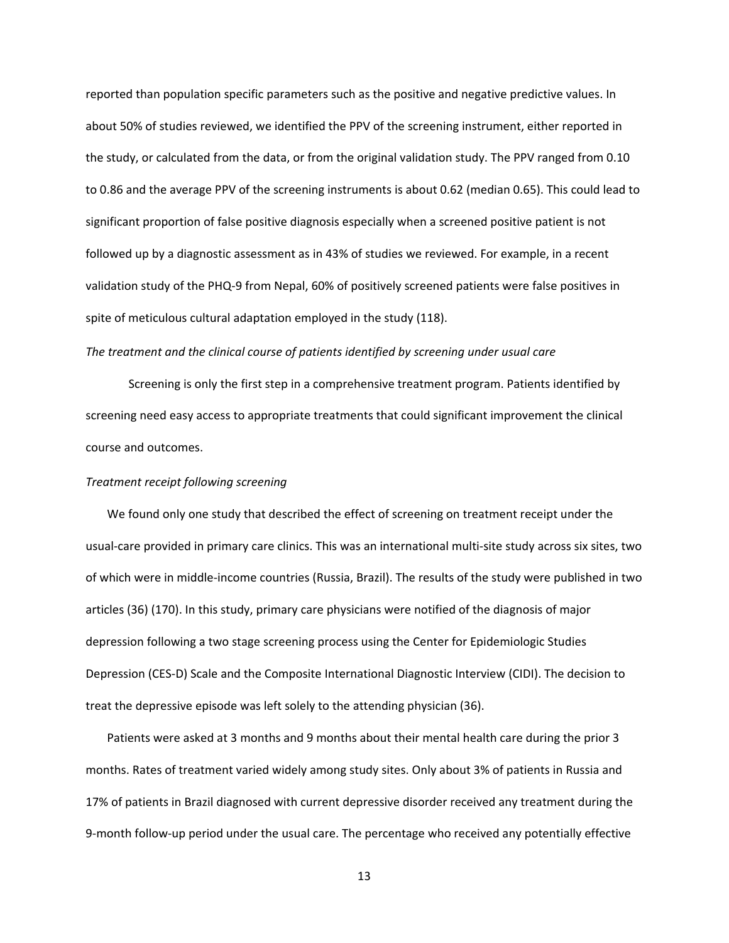reported than population specific parameters such as the positive and negative predictive values. In about 50% of studies reviewed, we identified the PPV of the screening instrument, either reported in the study, or calculated from the data, or from the original validation study. The PPV ranged from 0.10 to 0.86 and the average PPV of the screening instruments is about 0.62 (median 0.65). This could lead to significant proportion of false positive diagnosis especially when a screened positive patient is not followed up by a diagnostic assessment as in 43% of studies we reviewed. For example, in a recent validation study of the PHQ‐9 from Nepal, 60% of positively screened patients were false positives in spite of meticulous cultural adaptation employed in the study (118).

### *The treatment and the clinical course of patients identified by screening under usual care*

Screening is only the first step in a comprehensive treatment program. Patients identified by screening need easy access to appropriate treatments that could significant improvement the clinical course and outcomes.

### *Treatment receipt following screening*

We found only one study that described the effect of screening on treatment receipt under the usual‐care provided in primary care clinics. This was an international multi‐site study across six sites, two of which were in middle‐income countries (Russia, Brazil). The results of the study were published in two articles (36) (170). In this study, primary care physicians were notified of the diagnosis of major depression following a two stage screening process using the Center for Epidemiologic Studies Depression (CES‐D) Scale and the Composite International Diagnostic Interview (CIDI). The decision to treat the depressive episode was left solely to the attending physician (36).

Patients were asked at 3 months and 9 months about their mental health care during the prior 3 months. Rates of treatment varied widely among study sites. Only about 3% of patients in Russia and 17% of patients in Brazil diagnosed with current depressive disorder received any treatment during the 9‐month follow‐up period under the usual care. The percentage who received any potentially effective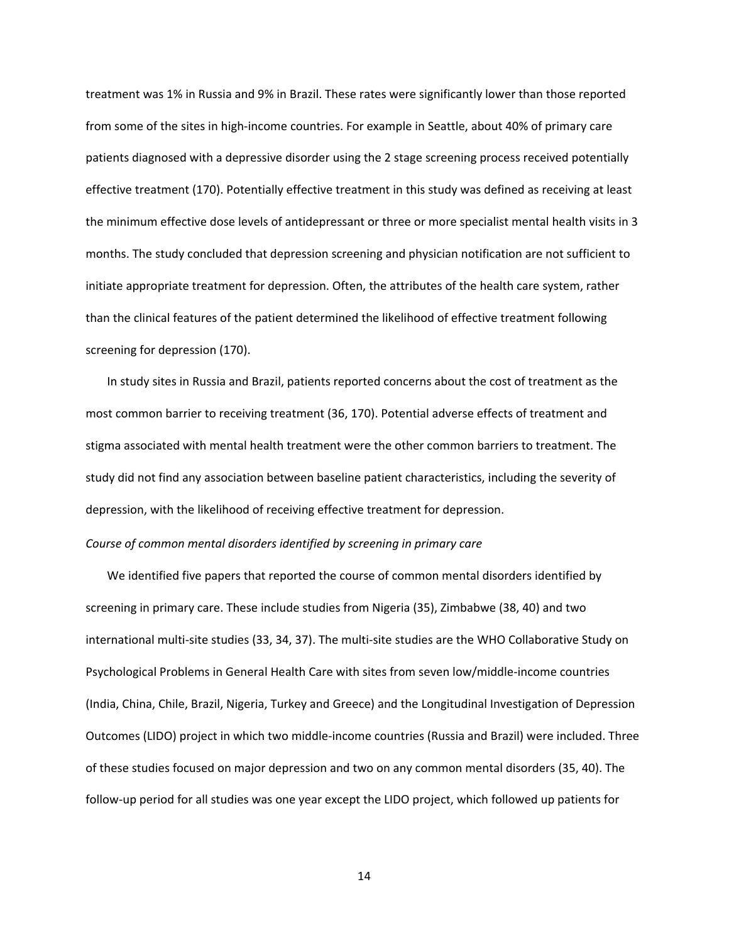treatment was 1% in Russia and 9% in Brazil. These rates were significantly lower than those reported from some of the sites in high-income countries. For example in Seattle, about 40% of primary care patients diagnosed with a depressive disorder using the 2 stage screening process received potentially effective treatment (170). Potentially effective treatment in this study was defined as receiving at least the minimum effective dose levels of antidepressant or three or more specialist mental health visits in 3 months. The study concluded that depression screening and physician notification are not sufficient to initiate appropriate treatment for depression. Often, the attributes of the health care system, rather than the clinical features of the patient determined the likelihood of effective treatment following screening for depression (170).

In study sites in Russia and Brazil, patients reported concerns about the cost of treatment as the most common barrier to receiving treatment (36, 170). Potential adverse effects of treatment and stigma associated with mental health treatment were the other common barriers to treatment. The study did not find any association between baseline patient characteristics, including the severity of depression, with the likelihood of receiving effective treatment for depression.

### *Course of common mental disorders identified by screening in primary care*

We identified five papers that reported the course of common mental disorders identified by screening in primary care. These include studies from Nigeria (35), Zimbabwe (38, 40) and two international multi‐site studies (33, 34, 37). The multi‐site studies are the WHO Collaborative Study on Psychological Problems in General Health Care with sites from seven low/middle‐income countries (India, China, Chile, Brazil, Nigeria, Turkey and Greece) and the Longitudinal Investigation of Depression Outcomes (LIDO) project in which two middle‐income countries (Russia and Brazil) were included. Three of these studies focused on major depression and two on any common mental disorders (35, 40). The follow‐up period for all studies was one year except the LIDO project, which followed up patients for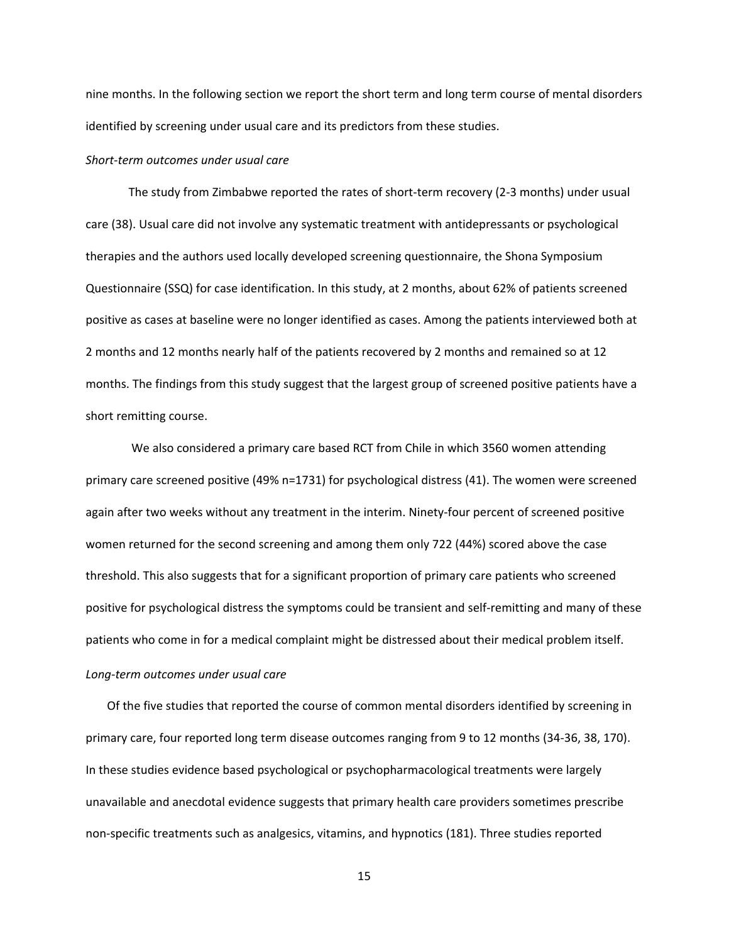nine months. In the following section we report the short term and long term course of mental disorders identified by screening under usual care and its predictors from these studies.

### *Short‐term outcomes under usual care*

The study from Zimbabwe reported the rates of short-term recovery (2-3 months) under usual care (38). Usual care did not involve any systematic treatment with antidepressants or psychological therapies and the authors used locally developed screening questionnaire, the Shona Symposium Questionnaire (SSQ) for case identification. In this study, at 2 months, about 62% of patients screened positive as cases at baseline were no longer identified as cases. Among the patients interviewed both at 2 months and 12 months nearly half of the patients recovered by 2 months and remained so at 12 months. The findings from this study suggest that the largest group of screened positive patients have a short remitting course.

 We also considered a primary care based RCT from Chile in which 3560 women attending primary care screened positive (49% n=1731) for psychological distress (41). The women were screened again after two weeks without any treatment in the interim. Ninety-four percent of screened positive women returned for the second screening and among them only 722 (44%) scored above the case threshold. This also suggests that for a significant proportion of primary care patients who screened positive for psychological distress the symptoms could be transient and self‐remitting and many of these patients who come in for a medical complaint might be distressed about their medical problem itself.

## *Long‐term outcomes under usual care*

Of the five studies that reported the course of common mental disorders identified by screening in primary care, four reported long term disease outcomes ranging from 9 to 12 months (34‐36, 38, 170). In these studies evidence based psychological or psychopharmacological treatments were largely unavailable and anecdotal evidence suggests that primary health care providers sometimes prescribe non‐specific treatments such as analgesics, vitamins, and hypnotics (181). Three studies reported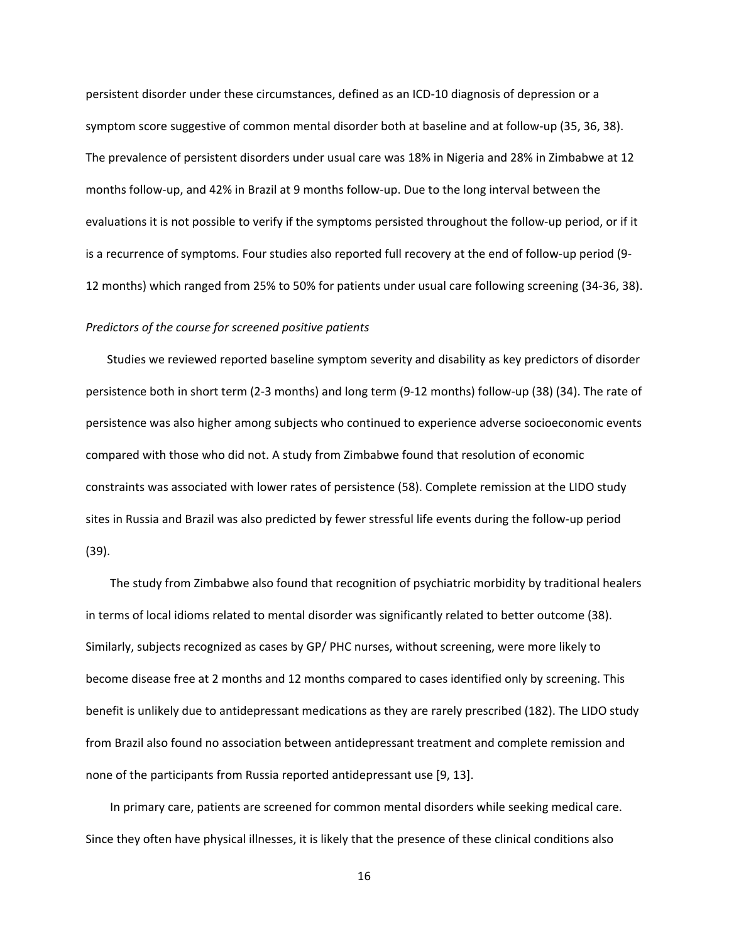persistent disorder under these circumstances, defined as an ICD‐10 diagnosis of depression or a symptom score suggestive of common mental disorder both at baseline and at follow-up (35, 36, 38). The prevalence of persistent disorders under usual care was 18% in Nigeria and 28% in Zimbabwe at 12 months follow‐up, and 42% in Brazil at 9 months follow‐up. Due to the long interval between the evaluations it is not possible to verify if the symptoms persisted throughout the follow-up period, or if it is a recurrence of symptoms. Four studies also reported full recovery at the end of follow-up period (9-12 months) which ranged from 25% to 50% for patients under usual care following screening (34‐36, 38).

### *Predictors of the course for screened positive patients*

Studies we reviewed reported baseline symptom severity and disability as key predictors of disorder persistence both in short term (2‐3 months) and long term (9‐12 months) follow‐up (38) (34). The rate of persistence was also higher among subjects who continued to experience adverse socioeconomic events compared with those who did not. A study from Zimbabwe found that resolution of economic constraints was associated with lower rates of persistence (58). Complete remission at the LIDO study sites in Russia and Brazil was also predicted by fewer stressful life events during the follow‐up period (39).

 The study from Zimbabwe also found that recognition of psychiatric morbidity by traditional healers in terms of local idioms related to mental disorder was significantly related to better outcome (38). Similarly, subjects recognized as cases by GP/ PHC nurses, without screening, were more likely to become disease free at 2 months and 12 months compared to cases identified only by screening. This benefit is unlikely due to antidepressant medications as they are rarely prescribed (182). The LIDO study from Brazil also found no association between antidepressant treatment and complete remission and none of the participants from Russia reported antidepressant use [9, 13].

 In primary care, patients are screened for common mental disorders while seeking medical care. Since they often have physical illnesses, it is likely that the presence of these clinical conditions also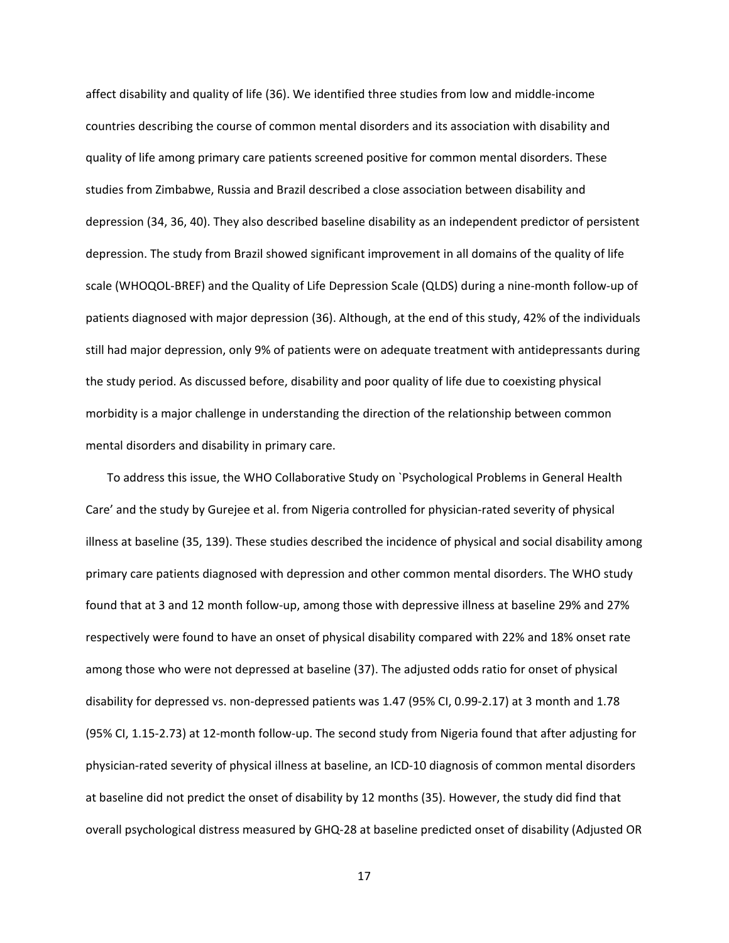affect disability and quality of life (36). We identified three studies from low and middle‐income countries describing the course of common mental disorders and its association with disability and quality of life among primary care patients screened positive for common mental disorders. These studies from Zimbabwe, Russia and Brazil described a close association between disability and depression (34, 36, 40). They also described baseline disability as an independent predictor of persistent depression. The study from Brazil showed significant improvement in all domains of the quality of life scale (WHOQOL‐BREF) and the Quality of Life Depression Scale (QLDS) during a nine‐month follow‐up of patients diagnosed with major depression (36). Although, at the end of this study, 42% of the individuals still had major depression, only 9% of patients were on adequate treatment with antidepressants during the study period. As discussed before, disability and poor quality of life due to coexisting physical morbidity is a major challenge in understanding the direction of the relationship between common mental disorders and disability in primary care.

To address this issue, the WHO Collaborative Study on `Psychological Problems in General Health Care' and the study by Gurejee et al. from Nigeria controlled for physician‐rated severity of physical illness at baseline (35, 139). These studies described the incidence of physical and social disability among primary care patients diagnosed with depression and other common mental disorders. The WHO study found that at 3 and 12 month follow‐up, among those with depressive illness at baseline 29% and 27% respectively were found to have an onset of physical disability compared with 22% and 18% onset rate among those who were not depressed at baseline (37). The adjusted odds ratio for onset of physical disability for depressed vs. non‐depressed patients was 1.47 (95% CI, 0.99‐2.17) at 3 month and 1.78 (95% CI, 1.15‐2.73) at 12‐month follow‐up. The second study from Nigeria found that after adjusting for physician‐rated severity of physical illness at baseline, an ICD‐10 diagnosis of common mental disorders at baseline did not predict the onset of disability by 12 months (35). However, the study did find that overall psychological distress measured by GHQ‐28 at baseline predicted onset of disability (Adjusted OR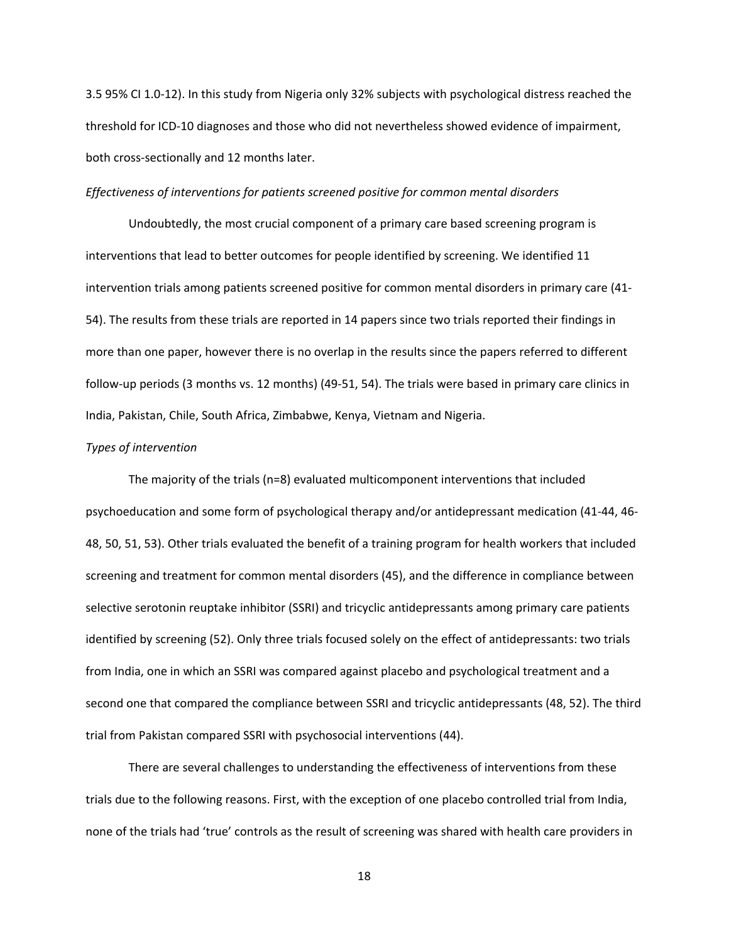3.5 95% CI 1.0‐12). In this study from Nigeria only 32% subjects with psychological distress reached the threshold for ICD‐10 diagnoses and those who did not nevertheless showed evidence of impairment, both cross‐sectionally and 12 months later.

#### *Effectiveness of interventions for patients screened positive for common mental disorders*

 Undoubtedly, the most crucial component of a primary care based screening program is interventions that lead to better outcomes for people identified by screening. We identified 11 intervention trials among patients screened positive for common mental disorders in primary care (41‐ 54). The results from these trials are reported in 14 papers since two trials reported their findings in more than one paper, however there is no overlap in the results since the papers referred to different follow‐up periods (3 months vs. 12 months) (49‐51, 54). The trials were based in primary care clinics in India, Pakistan, Chile, South Africa, Zimbabwe, Kenya, Vietnam and Nigeria.

#### *Types of intervention*

The majority of the trials (n=8) evaluated multicomponent interventions that included psychoeducation and some form of psychological therapy and/or antidepressant medication (41‐44, 46‐ 48, 50, 51, 53). Other trials evaluated the benefit of a training program for health workers that included screening and treatment for common mental disorders (45), and the difference in compliance between selective serotonin reuptake inhibitor (SSRI) and tricyclic antidepressants among primary care patients identified by screening (52). Only three trials focused solely on the effect of antidepressants: two trials from India, one in which an SSRI was compared against placebo and psychological treatment and a second one that compared the compliance between SSRI and tricyclic antidepressants (48, 52). The third trial from Pakistan compared SSRI with psychosocial interventions (44).

There are several challenges to understanding the effectiveness of interventions from these trials due to the following reasons. First, with the exception of one placebo controlled trial from India, none of the trials had 'true' controls as the result of screening was shared with health care providers in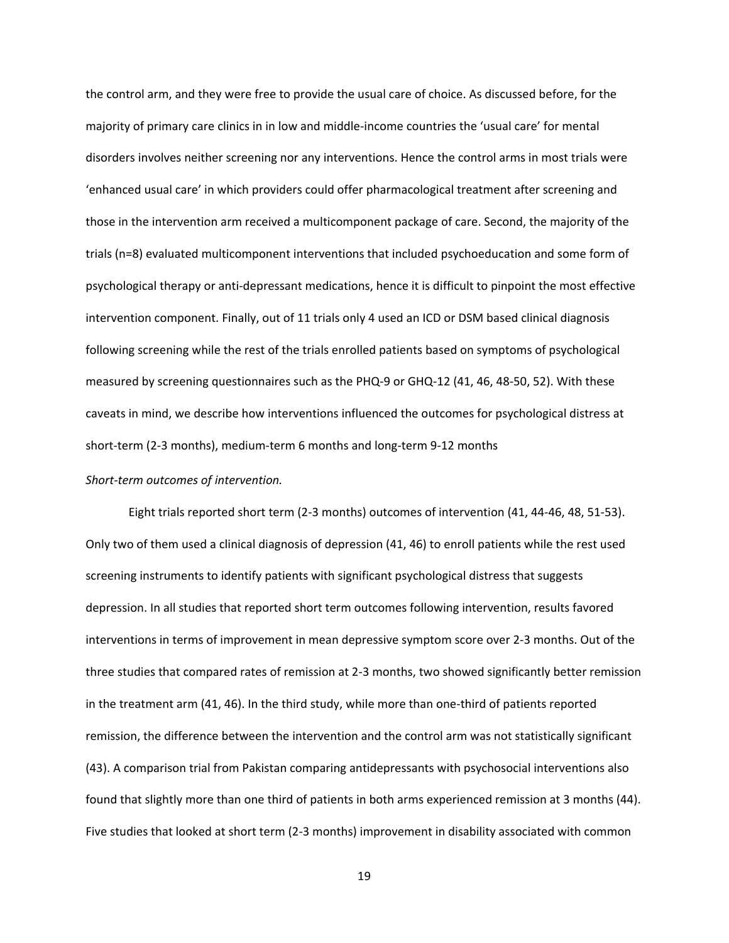the control arm, and they were free to provide the usual care of choice. As discussed before, for the majority of primary care clinics in in low and middle‐income countries the 'usual care' for mental disorders involves neither screening nor any interventions. Hence the control arms in most trials were 'enhanced usual care' in which providers could offer pharmacological treatment after screening and those in the intervention arm received a multicomponent package of care. Second, the majority of the trials (n=8) evaluated multicomponent interventions that included psychoeducation and some form of psychological therapy or anti‐depressant medications, hence it is difficult to pinpoint the most effective intervention component. Finally, out of 11 trials only 4 used an ICD or DSM based clinical diagnosis following screening while the rest of the trials enrolled patients based on symptoms of psychological measured by screening questionnaires such as the PHQ‐9 or GHQ‐12 (41, 46, 48‐50, 52). With these caveats in mind, we describe how interventions influenced the outcomes for psychological distress at short-term (2-3 months), medium-term 6 months and long-term 9-12 months

#### *Short‐term outcomes of intervention.*

Eight trials reported short term (2‐3 months) outcomes of intervention (41, 44‐46, 48, 51‐53). Only two of them used a clinical diagnosis of depression (41, 46) to enroll patients while the rest used screening instruments to identify patients with significant psychological distress that suggests depression. In all studies that reported short term outcomes following intervention, results favored interventions in terms of improvement in mean depressive symptom score over 2‐3 months. Out of the three studies that compared rates of remission at 2‐3 months, two showed significantly better remission in the treatment arm (41, 46). In the third study, while more than one-third of patients reported remission, the difference between the intervention and the control arm was not statistically significant (43). A comparison trial from Pakistan comparing antidepressants with psychosocial interventions also found that slightly more than one third of patients in both arms experienced remission at 3 months (44). Five studies that looked at short term (2‐3 months) improvement in disability associated with common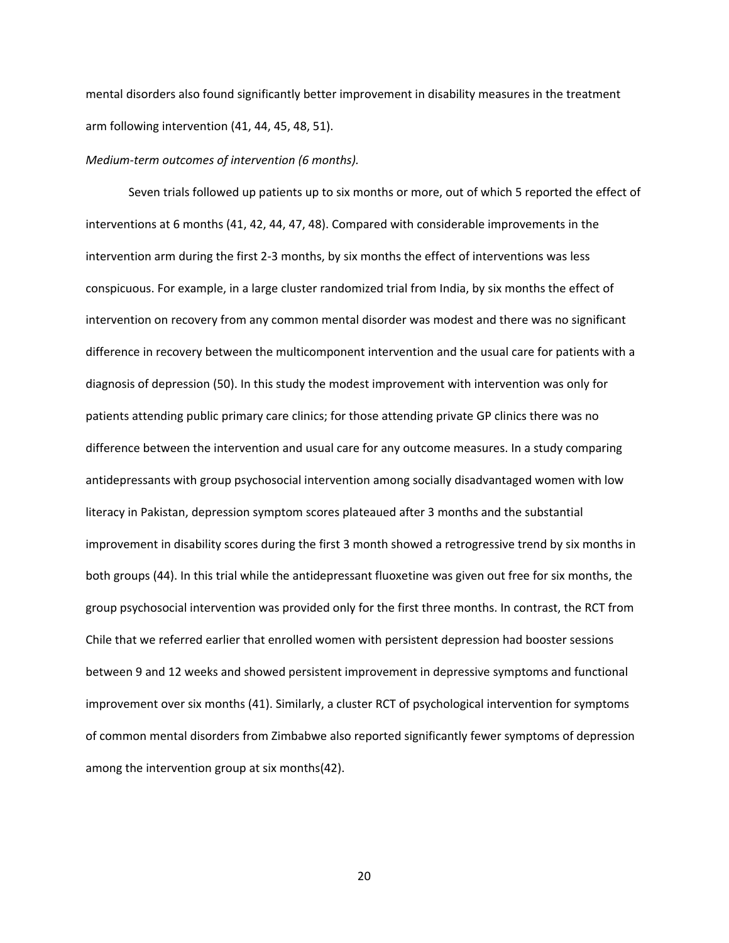mental disorders also found significantly better improvement in disability measures in the treatment arm following intervention (41, 44, 45, 48, 51).

#### *Medium‐term outcomes of intervention (6 months).*

Seven trials followed up patients up to six months or more, out of which 5 reported the effect of interventions at 6 months (41, 42, 44, 47, 48). Compared with considerable improvements in the intervention arm during the first 2‐3 months, by six months the effect of interventions was less conspicuous. For example, in a large cluster randomized trial from India, by six months the effect of intervention on recovery from any common mental disorder was modest and there was no significant difference in recovery between the multicomponent intervention and the usual care for patients with a diagnosis of depression (50). In this study the modest improvement with intervention was only for patients attending public primary care clinics; for those attending private GP clinics there was no difference between the intervention and usual care for any outcome measures. In a study comparing antidepressants with group psychosocial intervention among socially disadvantaged women with low literacy in Pakistan, depression symptom scores plateaued after 3 months and the substantial improvement in disability scores during the first 3 month showed a retrogressive trend by six months in both groups (44). In this trial while the antidepressant fluoxetine was given out free for six months, the group psychosocial intervention was provided only for the first three months. In contrast, the RCT from Chile that we referred earlier that enrolled women with persistent depression had booster sessions between 9 and 12 weeks and showed persistent improvement in depressive symptoms and functional improvement over six months (41). Similarly, a cluster RCT of psychological intervention for symptoms of common mental disorders from Zimbabwe also reported significantly fewer symptoms of depression among the intervention group at six months(42).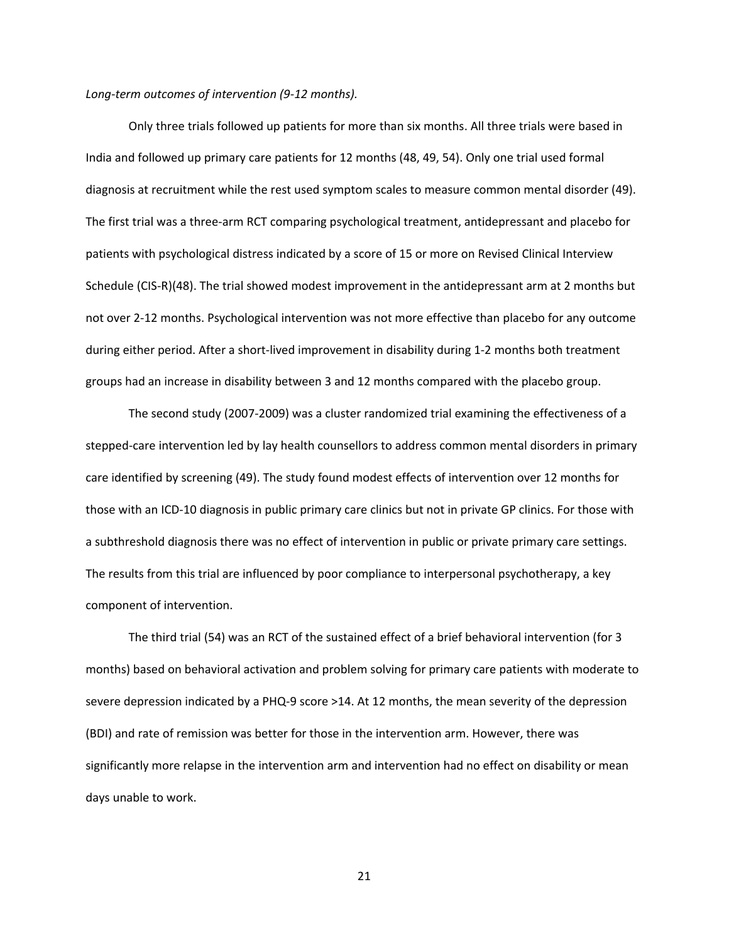#### *Long‐term outcomes of intervention (9‐12 months).*

Only three trials followed up patients for more than six months. All three trials were based in India and followed up primary care patients for 12 months (48, 49, 54). Only one trial used formal diagnosis at recruitment while the rest used symptom scales to measure common mental disorder (49). The first trial was a three‐arm RCT comparing psychological treatment, antidepressant and placebo for patients with psychological distress indicated by a score of 15 or more on Revised Clinical Interview Schedule (CIS‐R)(48). The trial showed modest improvement in the antidepressant arm at 2 months but not over 2‐12 months. Psychological intervention was not more effective than placebo for any outcome during either period. After a short‐lived improvement in disability during 1‐2 months both treatment groups had an increase in disability between 3 and 12 months compared with the placebo group.

The second study (2007‐2009) was a cluster randomized trial examining the effectiveness of a stepped‐care intervention led by lay health counsellors to address common mental disorders in primary care identified by screening (49). The study found modest effects of intervention over 12 months for those with an ICD‐10 diagnosis in public primary care clinics but not in private GP clinics. For those with a subthreshold diagnosis there was no effect of intervention in public or private primary care settings. The results from this trial are influenced by poor compliance to interpersonal psychotherapy, a key component of intervention.

The third trial (54) was an RCT of the sustained effect of a brief behavioral intervention (for 3 months) based on behavioral activation and problem solving for primary care patients with moderate to severe depression indicated by a PHQ-9 score >14. At 12 months, the mean severity of the depression (BDI) and rate of remission was better for those in the intervention arm. However, there was significantly more relapse in the intervention arm and intervention had no effect on disability or mean days unable to work.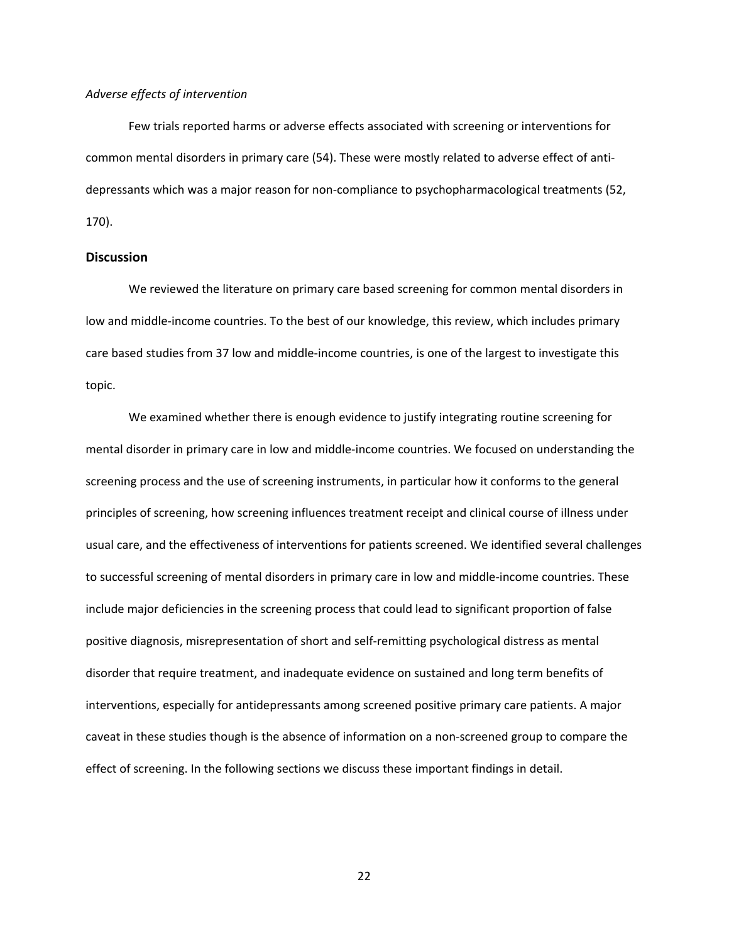### *Adverse effects of intervention*

Few trials reported harms or adverse effects associated with screening or interventions for common mental disorders in primary care (54). These were mostly related to adverse effect of anti‐ depressants which was a major reason for non‐compliance to psychopharmacological treatments (52, 170).

### **Discussion**

We reviewed the literature on primary care based screening for common mental disorders in low and middle‐income countries. To the best of our knowledge, this review, which includes primary care based studies from 37 low and middle‐income countries, is one of the largest to investigate this topic.

We examined whether there is enough evidence to justify integrating routine screening for mental disorder in primary care in low and middle‐income countries. We focused on understanding the screening process and the use of screening instruments, in particular how it conforms to the general principles of screening, how screening influences treatment receipt and clinical course of illness under usual care, and the effectiveness of interventions for patients screened. We identified several challenges to successful screening of mental disorders in primary care in low and middle‐income countries. These include major deficiencies in the screening process that could lead to significant proportion of false positive diagnosis, misrepresentation of short and self‐remitting psychological distress as mental disorder that require treatment, and inadequate evidence on sustained and long term benefits of interventions, especially for antidepressants among screened positive primary care patients. A major caveat in these studies though is the absence of information on a non-screened group to compare the effect of screening. In the following sections we discuss these important findings in detail.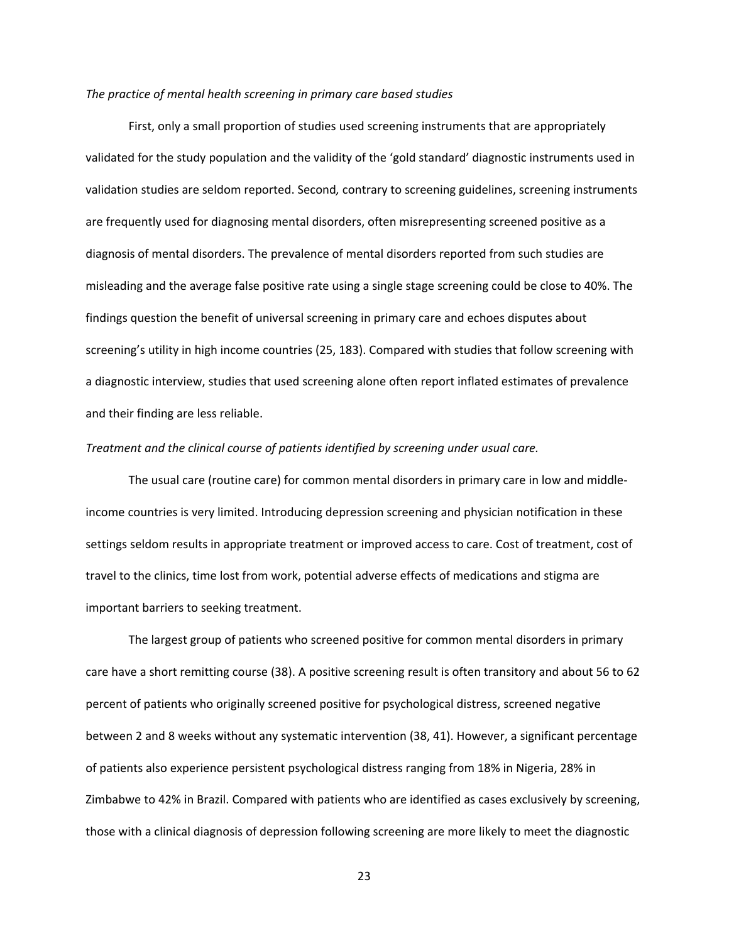#### *The practice of mental health screening in primary care based studies*

First, only a small proportion of studies used screening instruments that are appropriately validated for the study population and the validity of the 'gold standard' diagnostic instruments used in validation studies are seldom reported. Second*,* contrary to screening guidelines, screening instruments are frequently used for diagnosing mental disorders, often misrepresenting screened positive as a diagnosis of mental disorders. The prevalence of mental disorders reported from such studies are misleading and the average false positive rate using a single stage screening could be close to 40%. The findings question the benefit of universal screening in primary care and echoes disputes about screening's utility in high income countries (25, 183). Compared with studies that follow screening with a diagnostic interview, studies that used screening alone often report inflated estimates of prevalence and their finding are less reliable.

#### *Treatment and the clinical course of patients identified by screening under usual care.*

The usual care (routine care) for common mental disorders in primary care in low and middle‐ income countries is very limited. Introducing depression screening and physician notification in these settings seldom results in appropriate treatment or improved access to care. Cost of treatment, cost of travel to the clinics, time lost from work, potential adverse effects of medications and stigma are important barriers to seeking treatment.

The largest group of patients who screened positive for common mental disorders in primary care have a short remitting course (38). A positive screening result is often transitory and about 56 to 62 percent of patients who originally screened positive for psychological distress, screened negative between 2 and 8 weeks without any systematic intervention (38, 41). However, a significant percentage of patients also experience persistent psychological distress ranging from 18% in Nigeria, 28% in Zimbabwe to 42% in Brazil. Compared with patients who are identified as cases exclusively by screening, those with a clinical diagnosis of depression following screening are more likely to meet the diagnostic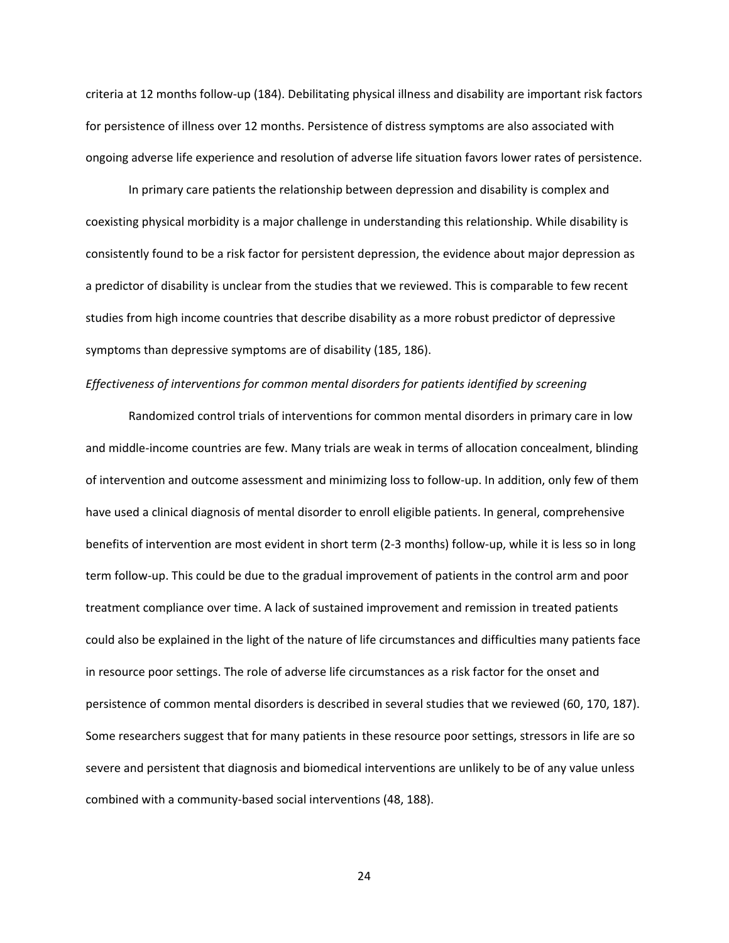criteria at 12 months follow‐up (184). Debilitating physical illness and disability are important risk factors for persistence of illness over 12 months. Persistence of distress symptoms are also associated with ongoing adverse life experience and resolution of adverse life situation favors lower rates of persistence.

In primary care patients the relationship between depression and disability is complex and coexisting physical morbidity is a major challenge in understanding this relationship. While disability is consistently found to be a risk factor for persistent depression, the evidence about major depression as a predictor of disability is unclear from the studies that we reviewed. This is comparable to few recent studies from high income countries that describe disability as a more robust predictor of depressive symptoms than depressive symptoms are of disability (185, 186).

### *Effectiveness of interventions for common mental disorders for patients identified by screening*

Randomized control trials of interventions for common mental disorders in primary care in low and middle‐income countries are few. Many trials are weak in terms of allocation concealment, blinding of intervention and outcome assessment and minimizing loss to follow‐up. In addition, only few of them have used a clinical diagnosis of mental disorder to enroll eligible patients. In general, comprehensive benefits of intervention are most evident in short term (2‐3 months) follow‐up, while it is less so in long term follow‐up. This could be due to the gradual improvement of patients in the control arm and poor treatment compliance over time. A lack of sustained improvement and remission in treated patients could also be explained in the light of the nature of life circumstances and difficulties many patients face in resource poor settings. The role of adverse life circumstances as a risk factor for the onset and persistence of common mental disorders is described in several studies that we reviewed (60, 170, 187). Some researchers suggest that for many patients in these resource poor settings, stressors in life are so severe and persistent that diagnosis and biomedical interventions are unlikely to be of any value unless combined with a community‐based social interventions (48, 188).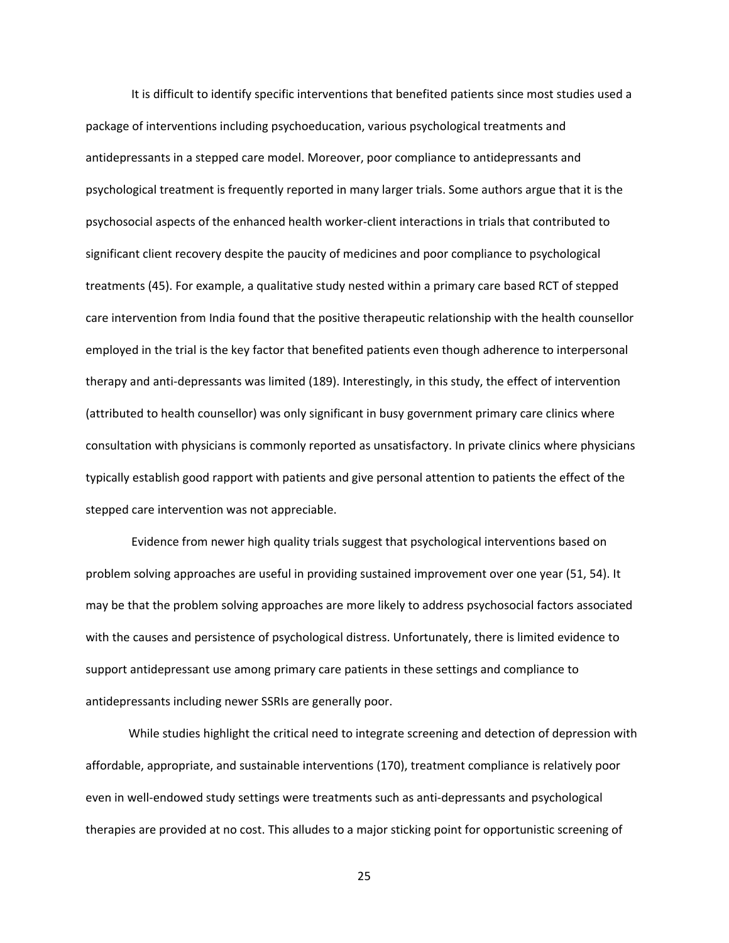It is difficult to identify specific interventions that benefited patients since most studies used a package of interventions including psychoeducation, various psychological treatments and antidepressants in a stepped care model. Moreover, poor compliance to antidepressants and psychological treatment is frequently reported in many larger trials. Some authors argue that it is the psychosocial aspects of the enhanced health worker‐client interactions in trials that contributed to significant client recovery despite the paucity of medicines and poor compliance to psychological treatments (45). For example, a qualitative study nested within a primary care based RCT of stepped care intervention from India found that the positive therapeutic relationship with the health counsellor employed in the trial is the key factor that benefited patients even though adherence to interpersonal therapy and anti‐depressants was limited (189). Interestingly, in this study, the effect of intervention (attributed to health counsellor) was only significant in busy government primary care clinics where consultation with physicians is commonly reported as unsatisfactory. In private clinics where physicians typically establish good rapport with patients and give personal attention to patients the effect of the stepped care intervention was not appreciable.

 Evidence from newer high quality trials suggest that psychological interventions based on problem solving approaches are useful in providing sustained improvement over one year (51, 54). It may be that the problem solving approaches are more likely to address psychosocial factors associated with the causes and persistence of psychological distress. Unfortunately, there is limited evidence to support antidepressant use among primary care patients in these settings and compliance to antidepressants including newer SSRIs are generally poor.

While studies highlight the critical need to integrate screening and detection of depression with affordable, appropriate, and sustainable interventions (170), treatment compliance is relatively poor even in well-endowed study settings were treatments such as anti-depressants and psychological therapies are provided at no cost. This alludes to a major sticking point for opportunistic screening of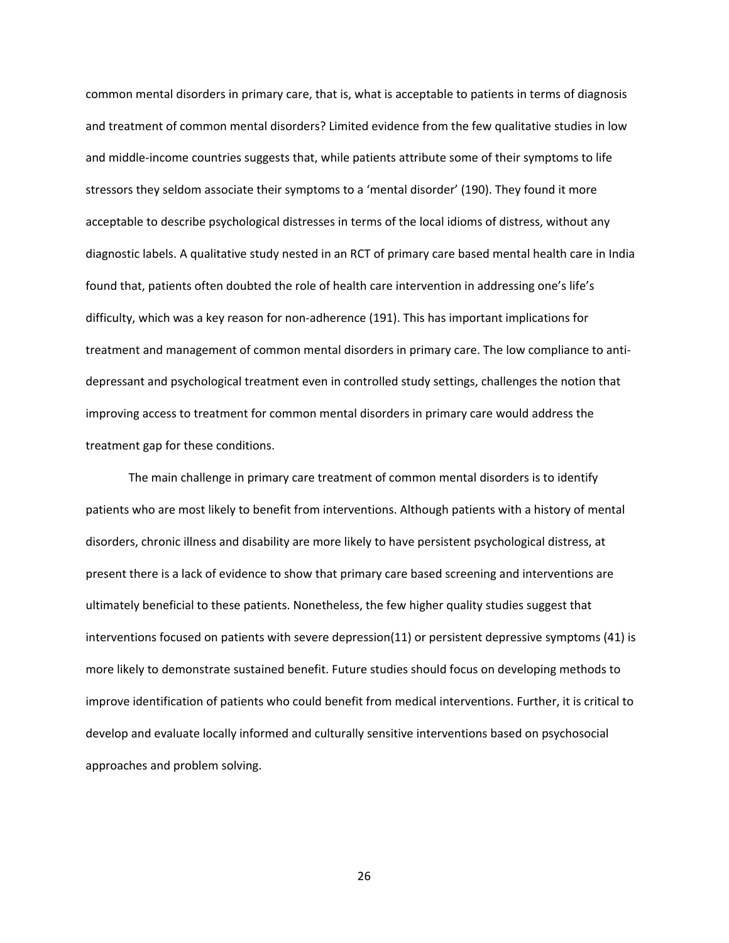common mental disorders in primary care, that is, what is acceptable to patients in terms of diagnosis and treatment of common mental disorders? Limited evidence from the few qualitative studies in low and middle‐income countries suggests that, while patients attribute some of their symptoms to life stressors they seldom associate their symptoms to a 'mental disorder' (190). They found it more acceptable to describe psychological distresses in terms of the local idioms of distress, without any diagnostic labels. A qualitative study nested in an RCT of primary care based mental health care in India found that, patients often doubted the role of health care intervention in addressing one's life's difficulty, which was a key reason for non‐adherence (191). This has important implications for treatment and management of common mental disorders in primary care. The low compliance to anti‐ depressant and psychological treatment even in controlled study settings, challenges the notion that improving access to treatment for common mental disorders in primary care would address the treatment gap for these conditions.

The main challenge in primary care treatment of common mental disorders is to identify patients who are most likely to benefit from interventions. Although patients with a history of mental disorders, chronic illness and disability are more likely to have persistent psychological distress, at present there is a lack of evidence to show that primary care based screening and interventions are ultimately beneficial to these patients. Nonetheless, the few higher quality studies suggest that interventions focused on patients with severe depression(11) or persistent depressive symptoms (41) is more likely to demonstrate sustained benefit. Future studies should focus on developing methods to improve identification of patients who could benefit from medical interventions. Further, it is critical to develop and evaluate locally informed and culturally sensitive interventions based on psychosocial approaches and problem solving.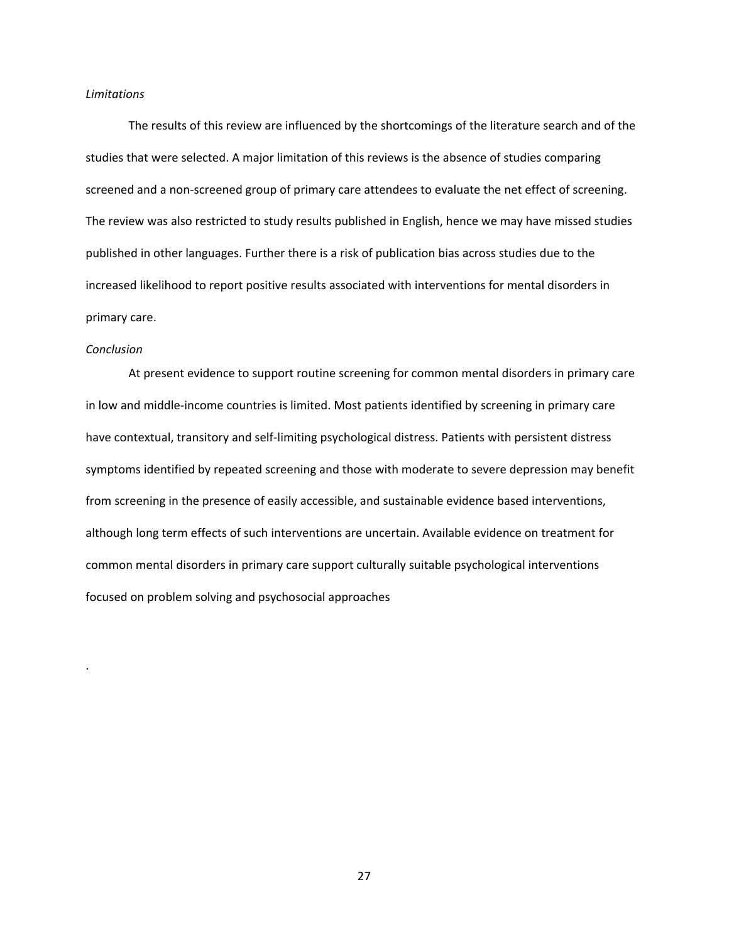#### *Limitations*

The results of this review are influenced by the shortcomings of the literature search and of the studies that were selected. A major limitation of this reviews is the absence of studies comparing screened and a non-screened group of primary care attendees to evaluate the net effect of screening. The review was also restricted to study results published in English, hence we may have missed studies published in other languages. Further there is a risk of publication bias across studies due to the increased likelihood to report positive results associated with interventions for mental disorders in primary care.

#### *Conclusion*

.

 At present evidence to support routine screening for common mental disorders in primary care in low and middle‐income countries is limited. Most patients identified by screening in primary care have contextual, transitory and self‐limiting psychological distress. Patients with persistent distress symptoms identified by repeated screening and those with moderate to severe depression may benefit from screening in the presence of easily accessible, and sustainable evidence based interventions, although long term effects of such interventions are uncertain. Available evidence on treatment for common mental disorders in primary care support culturally suitable psychological interventions focused on problem solving and psychosocial approaches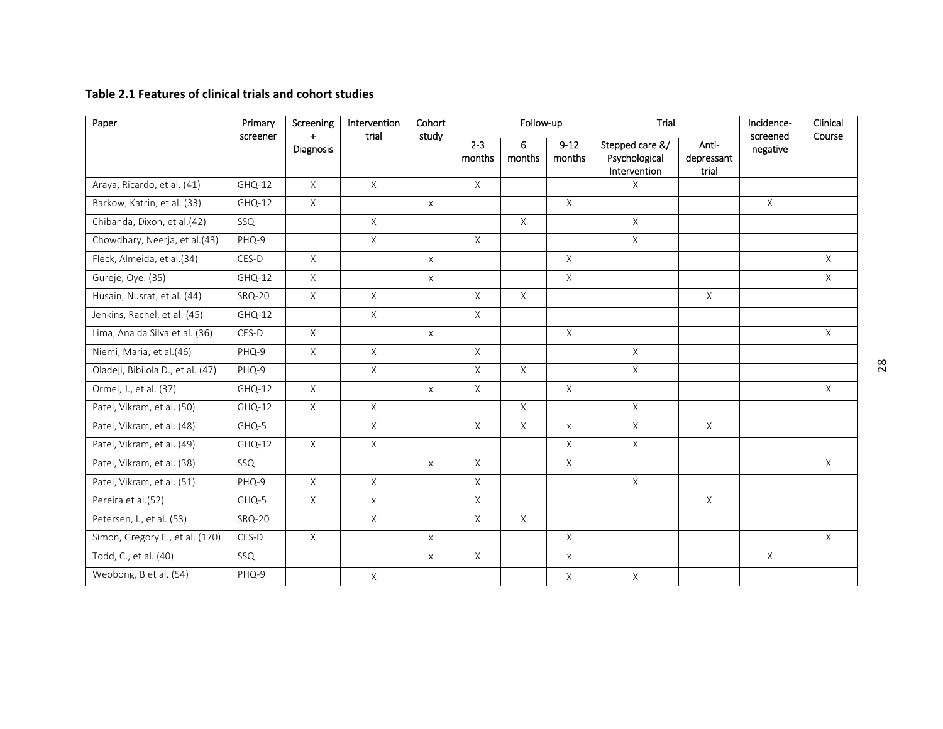#### **Table 2.1 Features of clinical trials and cohort studies**

| Paper                             | Primary       | Screening                       | Intervention<br>trial | Cohort<br>study   |             | Follow-up          |                                                  | Trial                        |              | Incidence-<br>Clinical<br>screened<br>Course |              |
|-----------------------------------|---------------|---------------------------------|-----------------------|-------------------|-------------|--------------------|--------------------------------------------------|------------------------------|--------------|----------------------------------------------|--------------|
|                                   | screener      | $\ddotmark$<br><b>Diagnosis</b> |                       | $2 - 3$<br>months | 6<br>months | $9 - 12$<br>months | Stepped care &/<br>Psychological<br>Intervention | Anti-<br>depressant<br>trial | negative     |                                              |              |
| Araya, Ricardo, et al. (41)       | $GHQ-12$      | X                               | $\mathsf X$           |                   | $\mathsf X$ |                    |                                                  | X                            |              |                                              |              |
| Barkow, Katrin, et al. (33)       | GHQ-12        | X                               |                       | $\mathsf X$       |             |                    | $\mathsf{X}$                                     |                              |              | X                                            |              |
| Chibanda, Dixon, et al.(42)       | SSQ           |                                 | $\mathsf{X}^-$        |                   |             | $\mathsf{X}$       |                                                  | X                            |              |                                              |              |
| Chowdhary, Neerja, et al.(43)     | PHQ-9         |                                 | $\mathsf X$           |                   | $\mathsf X$ |                    |                                                  | $\overline{X}$               |              |                                              |              |
| Fleck, Almeida, et al.(34)        | CES-D         | $\mathsf{X}$                    |                       | $\mathsf{X}$      |             |                    | $\chi$                                           |                              |              |                                              | $\mathsf{X}$ |
| Gureje, Oye. (35)                 | $GHQ-12$      | X                               |                       | X                 |             |                    | $\mathsf{X}$                                     |                              |              |                                              | X            |
| Husain, Nusrat, et al. (44)       | <b>SRQ-20</b> | $\overline{X}$                  | $\overline{X}$        |                   | X           | $\mathsf{X}$       |                                                  |                              | $\chi$       |                                              |              |
| Jenkins, Rachel, et al. (45)      | GHQ-12        |                                 | X                     |                   | X           |                    |                                                  |                              |              |                                              |              |
| Lima, Ana da Silva et al. (36)    | CES-D         | X                               |                       | $\pmb{\times}$    |             |                    | $\chi$                                           |                              |              |                                              | X            |
| Niemi, Maria, et al.(46)          | PHQ-9         | X                               | $\mathsf{X}$          |                   | X           |                    |                                                  | $\mathsf{X}$                 |              |                                              |              |
| Oladeji, Bibilola D., et al. (47) | PHQ-9         |                                 | $\overline{X}$        |                   | X           | $\mathsf{X}$       |                                                  | $\overline{X}$               |              |                                              |              |
| Ormel, J., et al. (37)            | $GHQ-12$      | X                               |                       | $\pmb{\times}$    | X           |                    | $\mathsf{X}$                                     |                              |              |                                              | X            |
| Patel, Vikram, et al. (50)        | $GHQ-12$      | X                               | $\mathsf X$           |                   |             | $\mathsf{X}$       |                                                  | $\mathsf{X}$                 |              |                                              |              |
| Patel, Vikram, et al. (48)        | GHQ-5         |                                 | X                     |                   | $\times$    | X                  | $\mathsf{X}$                                     | X                            | $\mathsf{X}$ |                                              |              |
| Patel, Vikram, et al. (49)        | GHQ-12        | X                               | X                     |                   |             |                    | X                                                | $\mathsf{X}$                 |              |                                              |              |
| Patel, Vikram, et al. (38)        | SSQ           |                                 |                       | $\mathsf X$       | X           |                    | $\mathsf X$                                      |                              |              |                                              | $\mathsf X$  |
| Patel, Vikram, et al. (51)        | PHQ-9         | X                               | $\mathsf X$           |                   | X           |                    |                                                  | $\mathsf{X}$                 |              |                                              |              |
| Pereira et al.(52)                | GHQ-5         | $\mathsf X$                     | $\mathsf{X}$          |                   | X           |                    |                                                  |                              | $\mathsf{X}$ |                                              |              |
| Petersen, I., et al. (53)         | <b>SRQ-20</b> |                                 | X                     |                   | X           | $\mathsf{X}$       |                                                  |                              |              |                                              |              |
| Simon, Gregory E., et al. (170)   | CES-D         | X                               |                       | X                 |             |                    | $\mathsf{X}$                                     |                              |              |                                              | X            |
| Todd, C., et al. (40)             | SSQ           |                                 |                       | X                 | X           |                    | $\times$                                         |                              |              | $\times$                                     |              |
| Weobong, B et al. (54)            | PHQ-9         |                                 | $\mathsf X$           |                   |             |                    | X                                                | X                            |              |                                              |              |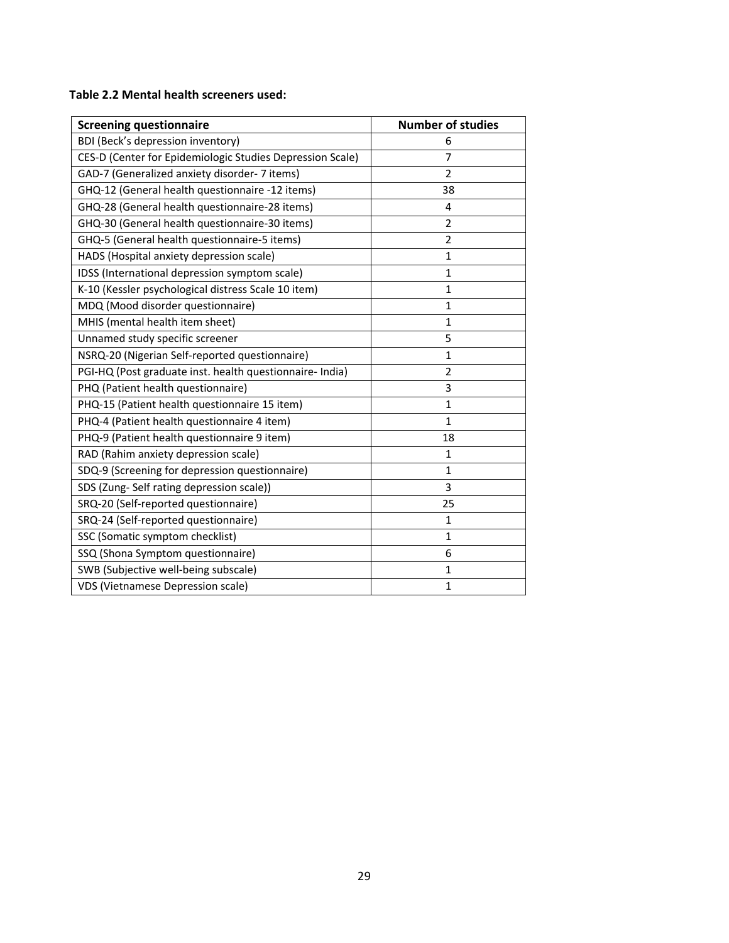## **Table 2.2 Mental health screeners used:**

| <b>Screening questionnaire</b>                            | <b>Number of studies</b> |
|-----------------------------------------------------------|--------------------------|
| BDI (Beck's depression inventory)                         | 6                        |
| CES-D (Center for Epidemiologic Studies Depression Scale) | 7                        |
| GAD-7 (Generalized anxiety disorder- 7 items)             | 2                        |
| GHQ-12 (General health questionnaire -12 items)           | 38                       |
| GHQ-28 (General health questionnaire-28 items)            | 4                        |
| GHQ-30 (General health questionnaire-30 items)            | $\overline{2}$           |
| GHQ-5 (General health questionnaire-5 items)              | 2                        |
| HADS (Hospital anxiety depression scale)                  | 1                        |
| IDSS (International depression symptom scale)             | 1                        |
| K-10 (Kessler psychological distress Scale 10 item)       | 1                        |
| MDQ (Mood disorder questionnaire)                         | 1                        |
| MHIS (mental health item sheet)                           | 1                        |
| Unnamed study specific screener                           | 5                        |
| NSRQ-20 (Nigerian Self-reported questionnaire)            | 1                        |
| PGI-HQ (Post graduate inst. health questionnaire- India)  | $\overline{2}$           |
| PHQ (Patient health questionnaire)                        | 3                        |
| PHQ-15 (Patient health questionnaire 15 item)             | $\mathbf{1}$             |
| PHQ-4 (Patient health questionnaire 4 item)               | $\mathbf{1}$             |
| PHQ-9 (Patient health questionnaire 9 item)               | 18                       |
| RAD (Rahim anxiety depression scale)                      | 1                        |
| SDQ-9 (Screening for depression questionnaire)            | 1                        |
| SDS (Zung-Self rating depression scale))                  | 3                        |
| SRQ-20 (Self-reported questionnaire)                      | 25                       |
| SRQ-24 (Self-reported questionnaire)                      | 1                        |
| SSC (Somatic symptom checklist)                           | $\mathbf{1}$             |
| SSQ (Shona Symptom questionnaire)                         | 6                        |
| SWB (Subjective well-being subscale)                      | 1                        |
| <b>VDS (Vietnamese Depression scale)</b>                  | $\mathbf{1}$             |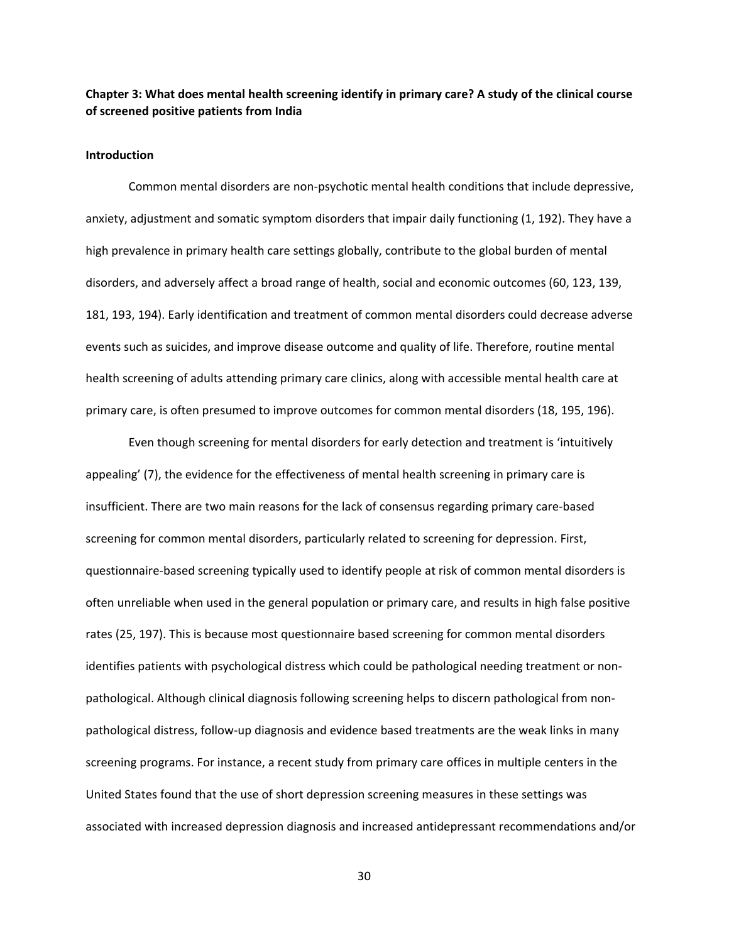## **Chapter 3: What does mental health screening identify in primary care? A study of the clinical course of screened positive patients from India**

#### **Introduction**

Common mental disorders are non‐psychotic mental health conditions that include depressive, anxiety, adjustment and somatic symptom disorders that impair daily functioning (1, 192). They have a high prevalence in primary health care settings globally, contribute to the global burden of mental disorders, and adversely affect a broad range of health, social and economic outcomes (60, 123, 139, 181, 193, 194). Early identification and treatment of common mental disorders could decrease adverse events such as suicides, and improve disease outcome and quality of life. Therefore, routine mental health screening of adults attending primary care clinics, along with accessible mental health care at primary care, is often presumed to improve outcomes for common mental disorders (18, 195, 196).

Even though screening for mental disorders for early detection and treatment is 'intuitively appealing' (7), the evidence for the effectiveness of mental health screening in primary care is insufficient. There are two main reasons for the lack of consensus regarding primary care‐based screening for common mental disorders, particularly related to screening for depression. First, questionnaire‐based screening typically used to identify people at risk of common mental disorders is often unreliable when used in the general population or primary care, and results in high false positive rates (25, 197). This is because most questionnaire based screening for common mental disorders identifies patients with psychological distress which could be pathological needing treatment or nonpathological. Although clinical diagnosis following screening helps to discern pathological from non‐ pathological distress, follow‐up diagnosis and evidence based treatments are the weak links in many screening programs. For instance, a recent study from primary care offices in multiple centers in the United States found that the use of short depression screening measures in these settings was associated with increased depression diagnosis and increased antidepressant recommendations and/or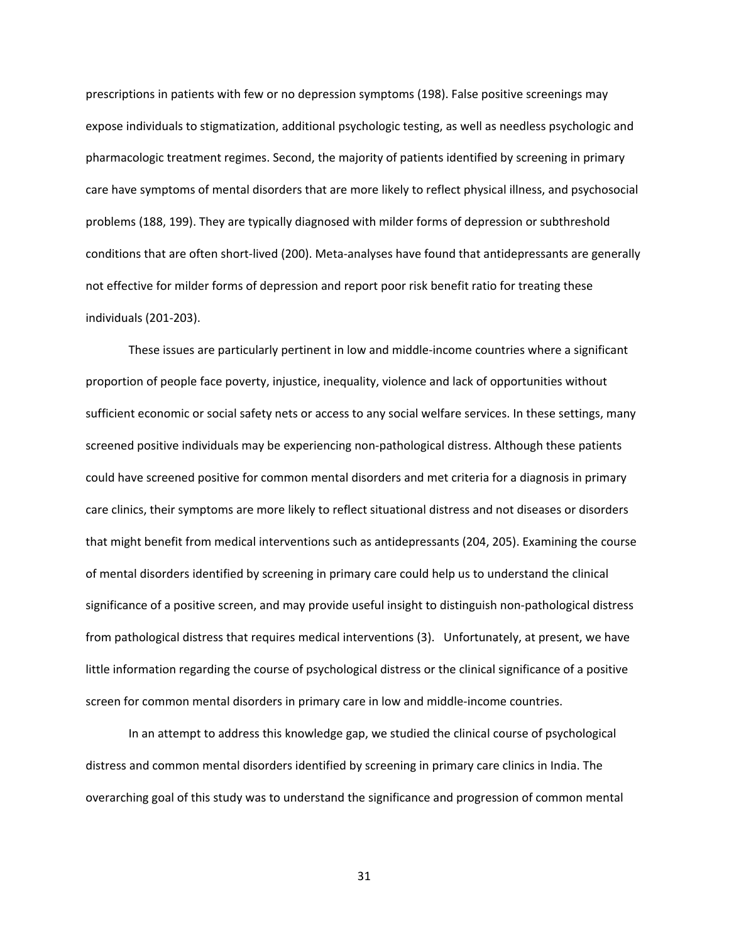prescriptions in patients with few or no depression symptoms (198). False positive screenings may expose individuals to stigmatization, additional psychologic testing, as well as needless psychologic and pharmacologic treatment regimes. Second, the majority of patients identified by screening in primary care have symptoms of mental disorders that are more likely to reflect physical illness, and psychosocial problems (188, 199). They are typically diagnosed with milder forms of depression or subthreshold conditions that are often short‐lived (200). Meta‐analyses have found that antidepressants are generally not effective for milder forms of depression and report poor risk benefit ratio for treating these individuals (201‐203).

These issues are particularly pertinent in low and middle‐income countries where a significant proportion of people face poverty, injustice, inequality, violence and lack of opportunities without sufficient economic or social safety nets or access to any social welfare services. In these settings, many screened positive individuals may be experiencing non-pathological distress. Although these patients could have screened positive for common mental disorders and met criteria for a diagnosis in primary care clinics, their symptoms are more likely to reflect situational distress and not diseases or disorders that might benefit from medical interventions such as antidepressants (204, 205). Examining the course of mental disorders identified by screening in primary care could help us to understand the clinical significance of a positive screen, and may provide useful insight to distinguish non‐pathological distress from pathological distress that requires medical interventions (3). Unfortunately, at present, we have little information regarding the course of psychological distress or the clinical significance of a positive screen for common mental disorders in primary care in low and middle‐income countries.

In an attempt to address this knowledge gap, we studied the clinical course of psychological distress and common mental disorders identified by screening in primary care clinics in India. The overarching goal of this study was to understand the significance and progression of common mental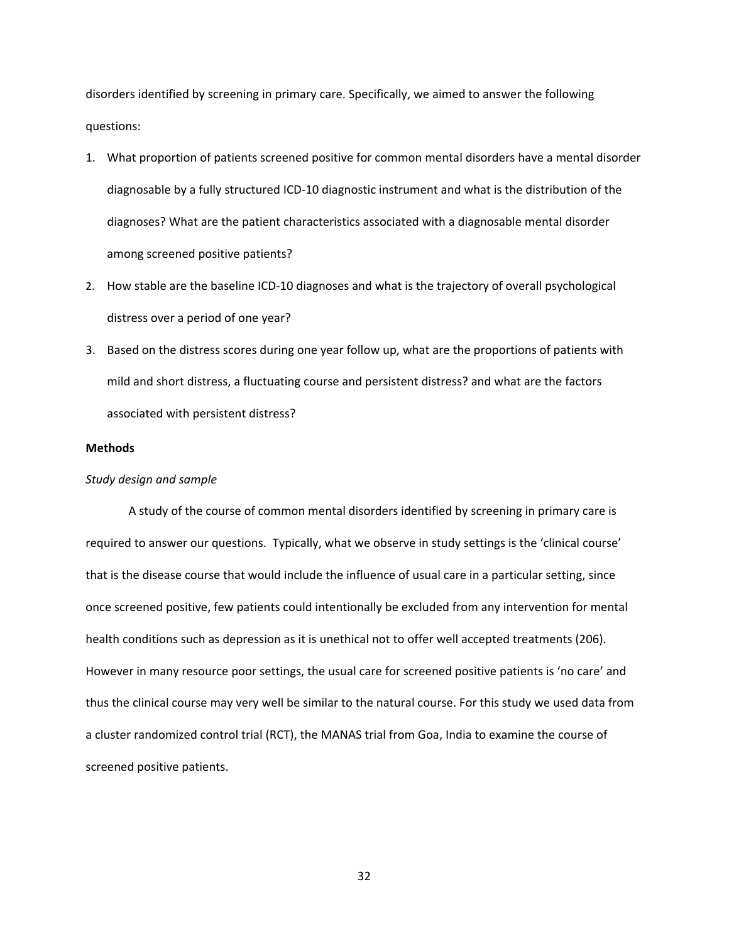disorders identified by screening in primary care. Specifically, we aimed to answer the following questions:

- 1. What proportion of patients screened positive for common mental disorders have a mental disorder diagnosable by a fully structured ICD‐10 diagnostic instrument and what is the distribution of the diagnoses? What are the patient characteristics associated with a diagnosable mental disorder among screened positive patients?
- 2. How stable are the baseline ICD-10 diagnoses and what is the trajectory of overall psychological distress over a period of one year?
- 3. Based on the distress scores during one year follow up, what are the proportions of patients with mild and short distress, a fluctuating course and persistent distress? and what are the factors associated with persistent distress?

#### **Methods**

### *Study design and sample*

A study of the course of common mental disorders identified by screening in primary care is required to answer our questions. Typically, what we observe in study settings is the 'clinical course' that is the disease course that would include the influence of usual care in a particular setting, since once screened positive, few patients could intentionally be excluded from any intervention for mental health conditions such as depression as it is unethical not to offer well accepted treatments (206). However in many resource poor settings, the usual care for screened positive patients is 'no care' and thus the clinical course may very well be similar to the natural course. For this study we used data from a cluster randomized control trial (RCT), the MANAS trial from Goa, India to examine the course of screened positive patients.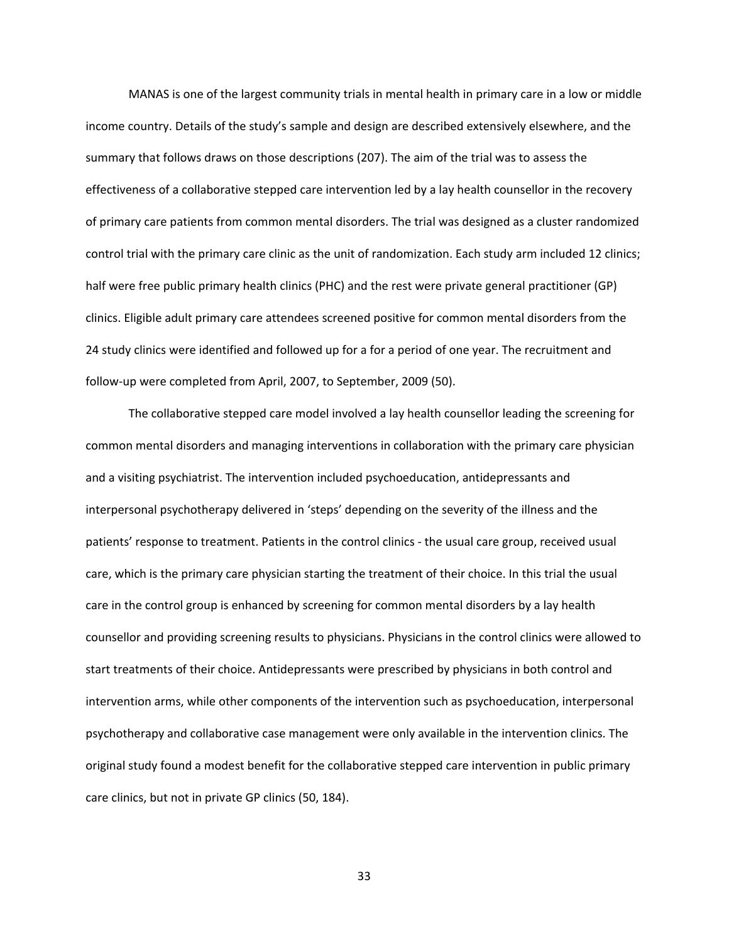MANAS is one of the largest community trials in mental health in primary care in a low or middle income country. Details of the study's sample and design are described extensively elsewhere, and the summary that follows draws on those descriptions (207). The aim of the trial was to assess the effectiveness of a collaborative stepped care intervention led by a lay health counsellor in the recovery of primary care patients from common mental disorders. The trial was designed as a cluster randomized control trial with the primary care clinic as the unit of randomization. Each study arm included 12 clinics; half were free public primary health clinics (PHC) and the rest were private general practitioner (GP) clinics. Eligible adult primary care attendees screened positive for common mental disorders from the 24 study clinics were identified and followed up for a for a period of one year. The recruitment and follow‐up were completed from April, 2007, to September, 2009 (50).

The collaborative stepped care model involved a lay health counsellor leading the screening for common mental disorders and managing interventions in collaboration with the primary care physician and a visiting psychiatrist. The intervention included psychoeducation, antidepressants and interpersonal psychotherapy delivered in 'steps' depending on the severity of the illness and the patients' response to treatment. Patients in the control clinics ‐ the usual care group, received usual care, which is the primary care physician starting the treatment of their choice. In this trial the usual care in the control group is enhanced by screening for common mental disorders by a lay health counsellor and providing screening results to physicians. Physicians in the control clinics were allowed to start treatments of their choice. Antidepressants were prescribed by physicians in both control and intervention arms, while other components of the intervention such as psychoeducation, interpersonal psychotherapy and collaborative case management were only available in the intervention clinics. The original study found a modest benefit for the collaborative stepped care intervention in public primary care clinics, but not in private GP clinics (50, 184).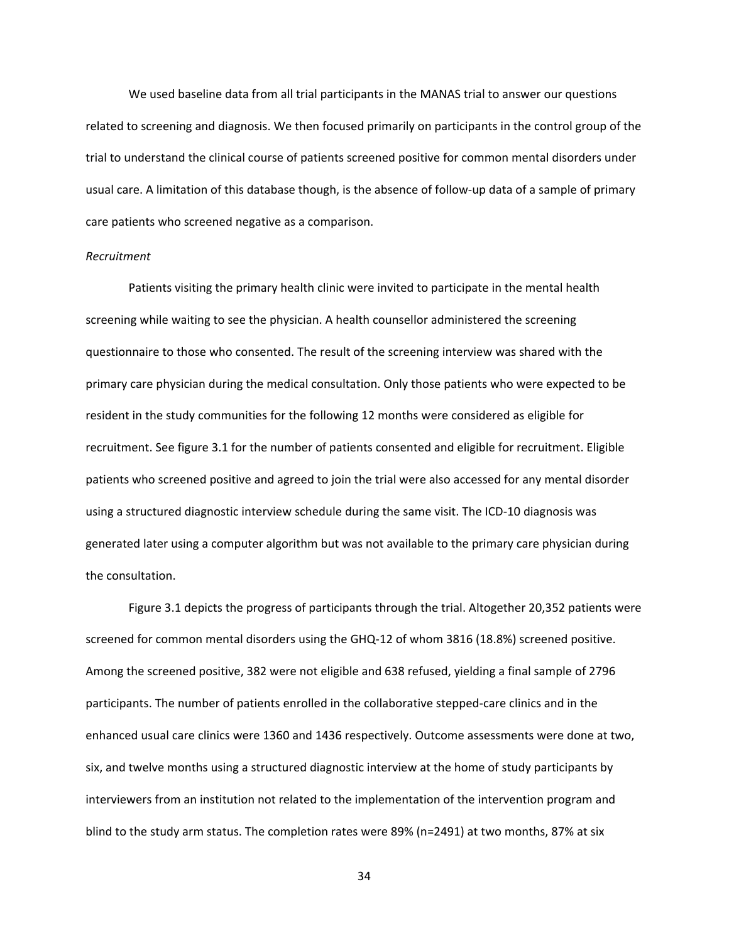We used baseline data from all trial participants in the MANAS trial to answer our questions related to screening and diagnosis. We then focused primarily on participants in the control group of the trial to understand the clinical course of patients screened positive for common mental disorders under usual care. A limitation of this database though, is the absence of follow-up data of a sample of primary care patients who screened negative as a comparison.

#### *Recruitment*

Patients visiting the primary health clinic were invited to participate in the mental health screening while waiting to see the physician. A health counsellor administered the screening questionnaire to those who consented. The result of the screening interview was shared with the primary care physician during the medical consultation. Only those patients who were expected to be resident in the study communities for the following 12 months were considered as eligible for recruitment. See figure 3.1 for the number of patients consented and eligible for recruitment. Eligible patients who screened positive and agreed to join the trial were also accessed for any mental disorder using a structured diagnostic interview schedule during the same visit. The ICD‐10 diagnosis was generated later using a computer algorithm but was not available to the primary care physician during the consultation.

Figure 3.1 depicts the progress of participants through the trial. Altogether 20,352 patients were screened for common mental disorders using the GHQ‐12 of whom 3816 (18.8%) screened positive. Among the screened positive, 382 were not eligible and 638 refused, yielding a final sample of 2796 participants. The number of patients enrolled in the collaborative stepped-care clinics and in the enhanced usual care clinics were 1360 and 1436 respectively. Outcome assessments were done at two, six, and twelve months using a structured diagnostic interview at the home of study participants by interviewers from an institution not related to the implementation of the intervention program and blind to the study arm status. The completion rates were 89% (n=2491) at two months, 87% at six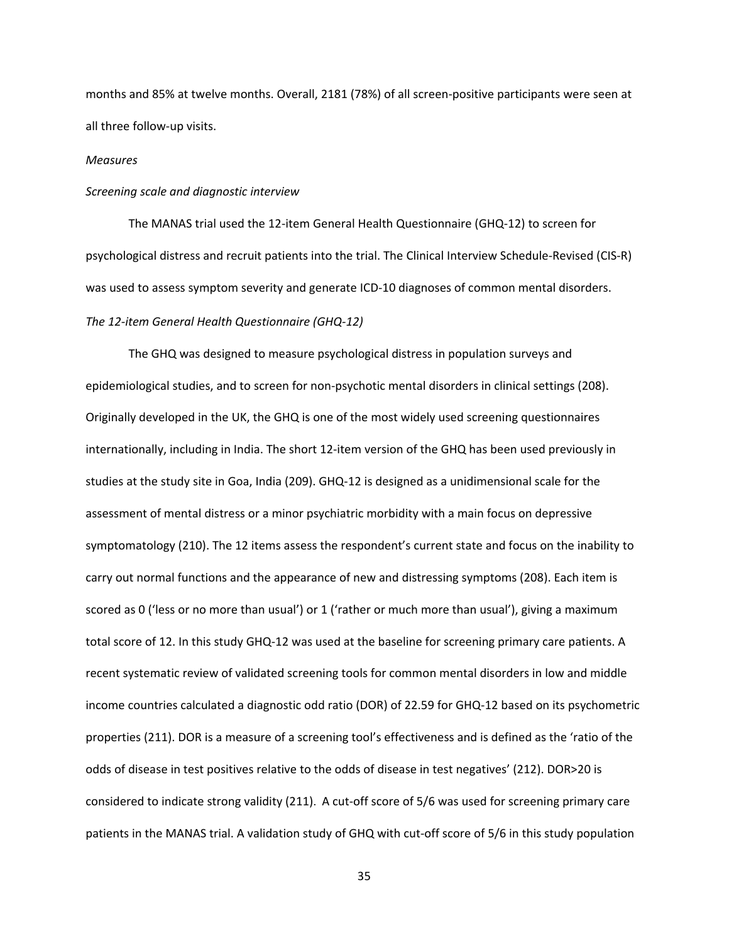months and 85% at twelve months. Overall, 2181 (78%) of all screen-positive participants were seen at all three follow‐up visits.

#### *Measures*

#### *Screening scale and diagnostic interview*

The MANAS trial used the 12‐item General Health Questionnaire (GHQ‐12) to screen for psychological distress and recruit patients into the trial. The Clinical Interview Schedule‐Revised (CIS‐R) was used to assess symptom severity and generate ICD-10 diagnoses of common mental disorders. *The 12‐item General Health Questionnaire (GHQ‐12)* 

 The GHQ was designed to measure psychological distress in population surveys and epidemiological studies, and to screen for non‐psychotic mental disorders in clinical settings (208). Originally developed in the UK, the GHQ is one of the most widely used screening questionnaires internationally, including in India. The short 12‐item version of the GHQ has been used previously in studies at the study site in Goa, India (209). GHQ‐12 is designed as a unidimensional scale for the assessment of mental distress or a minor psychiatric morbidity with a main focus on depressive symptomatology (210). The 12 items assess the respondent's current state and focus on the inability to carry out normal functions and the appearance of new and distressing symptoms (208). Each item is scored as 0 ('less or no more than usual') or 1 ('rather or much more than usual'), giving a maximum total score of 12. In this study GHQ‐12 was used at the baseline for screening primary care patients. A recent systematic review of validated screening tools for common mental disorders in low and middle income countries calculated a diagnostic odd ratio (DOR) of 22.59 for GHQ‐12 based on its psychometric properties (211). DOR is a measure of a screening tool's effectiveness and is defined as the 'ratio of the odds of disease in test positives relative to the odds of disease in test negatives' (212). DOR>20 is considered to indicate strong validity (211). A cut‐off score of 5/6 was used for screening primary care patients in the MANAS trial. A validation study of GHQ with cut-off score of 5/6 in this study population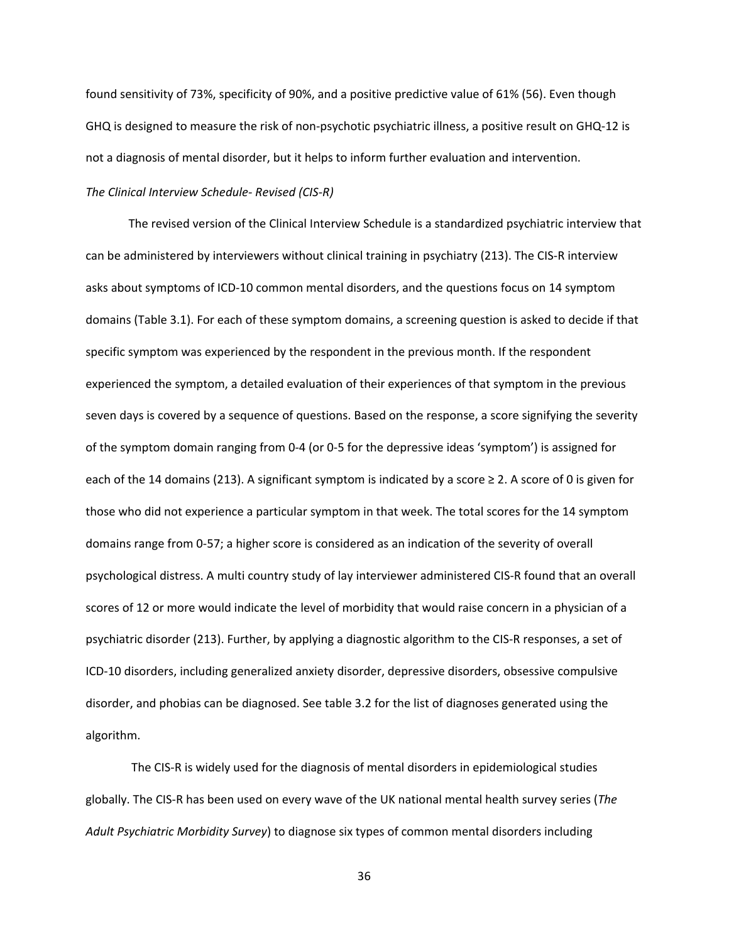found sensitivity of 73%, specificity of 90%, and a positive predictive value of 61% (56). Even though GHQ is designed to measure the risk of non‐psychotic psychiatric illness, a positive result on GHQ‐12 is not a diagnosis of mental disorder, but it helps to inform further evaluation and intervention.

## *The Clinical Interview Schedule‐ Revised (CIS‐R)*

The revised version of the Clinical Interview Schedule is a standardized psychiatric interview that can be administered by interviewers without clinical training in psychiatry (213). The CIS‐R interview asks about symptoms of ICD‐10 common mental disorders, and the questions focus on 14 symptom domains (Table 3.1). For each of these symptom domains, a screening question is asked to decide if that specific symptom was experienced by the respondent in the previous month. If the respondent experienced the symptom, a detailed evaluation of their experiences of that symptom in the previous seven days is covered by a sequence of questions. Based on the response, a score signifying the severity of the symptom domain ranging from 0‐4 (or 0‐5 for the depressive ideas 'symptom') is assigned for each of the 14 domains (213). A significant symptom is indicated by a score  $\geq 2$ . A score of 0 is given for those who did not experience a particular symptom in that week. The total scores for the 14 symptom domains range from 0‐57; a higher score is considered as an indication of the severity of overall psychological distress. A multi country study of lay interviewer administered CIS‐R found that an overall scores of 12 or more would indicate the level of morbidity that would raise concern in a physician of a psychiatric disorder (213). Further, by applying a diagnostic algorithm to the CIS‐R responses, a set of ICD‐10 disorders, including generalized anxiety disorder, depressive disorders, obsessive compulsive disorder, and phobias can be diagnosed. See table 3.2 for the list of diagnoses generated using the algorithm.

 The CIS‐R is widely used for the diagnosis of mental disorders in epidemiological studies globally. The CIS‐R has been used on every wave of the UK national mental health survey series (*The Adult Psychiatric Morbidity Survey*) to diagnose six types of common mental disorders including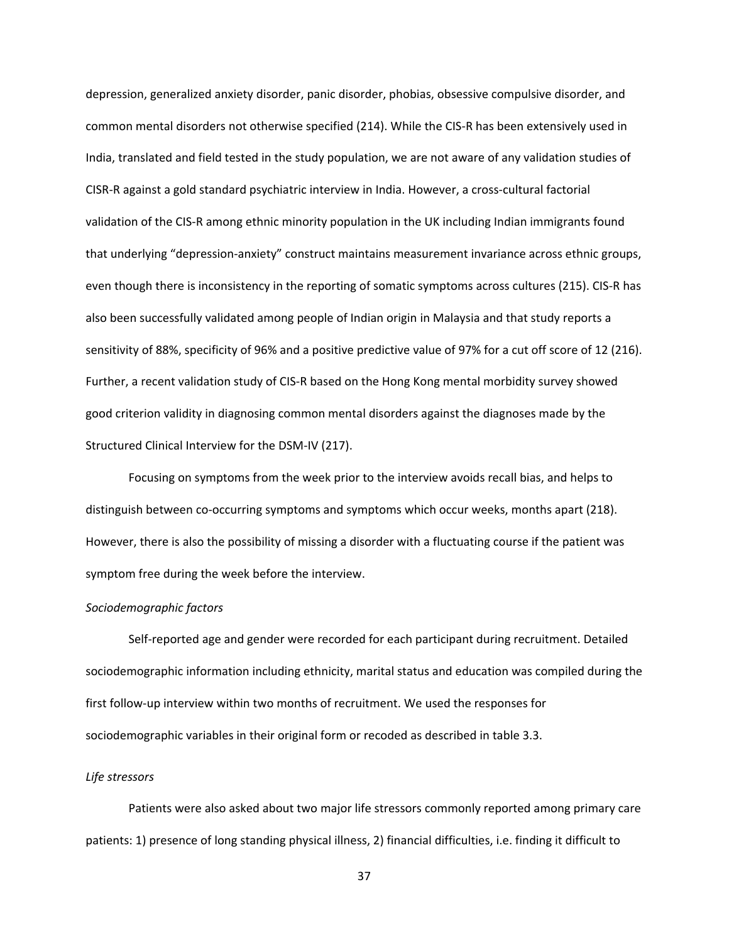depression, generalized anxiety disorder, panic disorder, phobias, obsessive compulsive disorder, and common mental disorders not otherwise specified (214). While the CIS‐R has been extensively used in India, translated and field tested in the study population, we are not aware of any validation studies of CISR‐R against a gold standard psychiatric interview in India. However, a cross‐cultural factorial validation of the CIS‐R among ethnic minority population in the UK including Indian immigrants found that underlying "depression-anxiety" construct maintains measurement invariance across ethnic groups, even though there is inconsistency in the reporting of somatic symptoms across cultures (215). CIS‐R has also been successfully validated among people of Indian origin in Malaysia and that study reports a sensitivity of 88%, specificity of 96% and a positive predictive value of 97% for a cut off score of 12 (216). Further, a recent validation study of CIS‐R based on the Hong Kong mental morbidity survey showed good criterion validity in diagnosing common mental disorders against the diagnoses made by the Structured Clinical Interview for the DSM‐IV (217).

Focusing on symptoms from the week prior to the interview avoids recall bias, and helps to distinguish between co-occurring symptoms and symptoms which occur weeks, months apart (218). However, there is also the possibility of missing a disorder with a fluctuating course if the patient was symptom free during the week before the interview.

#### *Sociodemographic factors*

Self-reported age and gender were recorded for each participant during recruitment. Detailed sociodemographic information including ethnicity, marital status and education was compiled during the first follow-up interview within two months of recruitment. We used the responses for sociodemographic variables in their original form or recoded as described in table 3.3.

#### *Life stressors*

Patients were also asked about two major life stressors commonly reported among primary care patients: 1) presence of long standing physical illness, 2) financial difficulties, i.e. finding it difficult to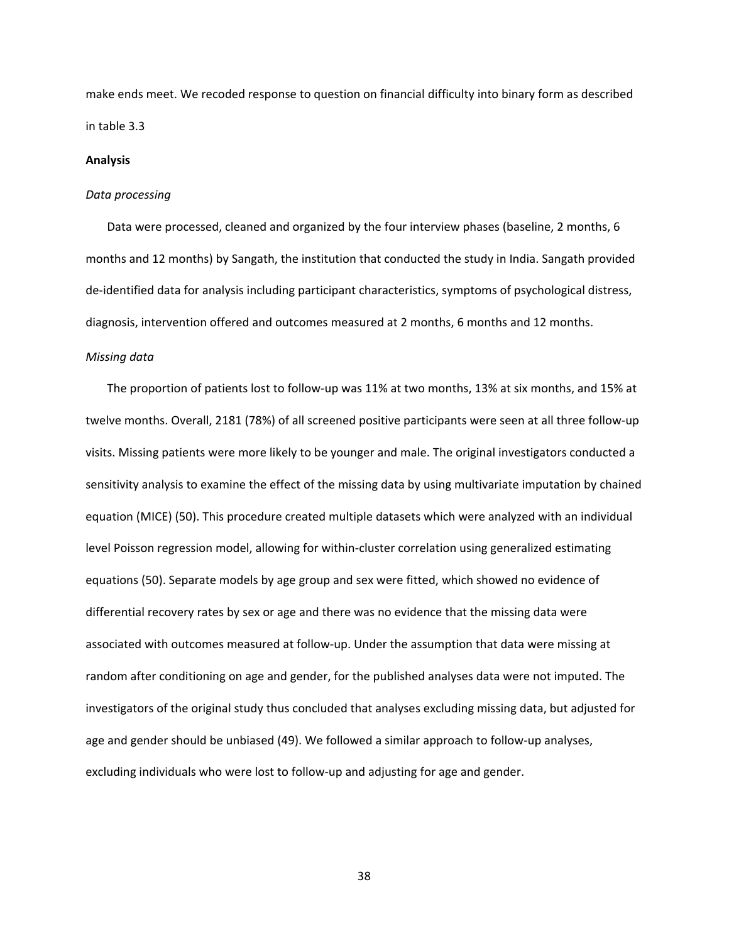make ends meet. We recoded response to question on financial difficulty into binary form as described in table 3.3

#### **Analysis**

#### *Data processing*

Data were processed, cleaned and organized by the four interview phases (baseline, 2 months, 6 months and 12 months) by Sangath, the institution that conducted the study in India. Sangath provided de-identified data for analysis including participant characteristics, symptoms of psychological distress, diagnosis, intervention offered and outcomes measured at 2 months, 6 months and 12 months.

### *Missing data*

The proportion of patients lost to follow‐up was 11% at two months, 13% at six months, and 15% at twelve months. Overall, 2181 (78%) of all screened positive participants were seen at all three follow‐up visits. Missing patients were more likely to be younger and male. The original investigators conducted a sensitivity analysis to examine the effect of the missing data by using multivariate imputation by chained equation (MICE) (50). This procedure created multiple datasets which were analyzed with an individual level Poisson regression model, allowing for within-cluster correlation using generalized estimating equations (50). Separate models by age group and sex were fitted, which showed no evidence of differential recovery rates by sex or age and there was no evidence that the missing data were associated with outcomes measured at follow‐up. Under the assumption that data were missing at random after conditioning on age and gender, for the published analyses data were not imputed. The investigators of the original study thus concluded that analyses excluding missing data, but adjusted for age and gender should be unbiased (49). We followed a similar approach to follow‐up analyses, excluding individuals who were lost to follow-up and adjusting for age and gender.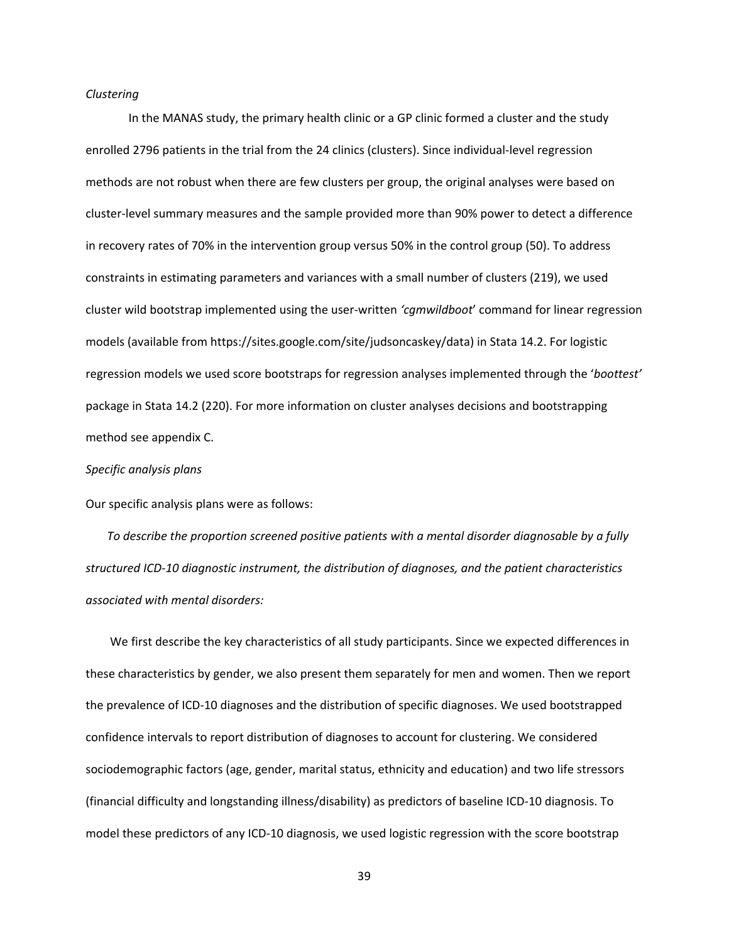#### *Clustering*

In the MANAS study, the primary health clinic or a GP clinic formed a cluster and the study enrolled 2796 patients in the trial from the 24 clinics (clusters). Since individual-level regression methods are not robust when there are few clusters per group, the original analyses were based on cluster‐level summary measures and the sample provided more than 90% power to detect a difference in recovery rates of 70% in the intervention group versus 50% in the control group (50). To address constraints in estimating parameters and variances with a small number of clusters (219), we used cluster wild bootstrap implemented using the user‐written *'cgmwildboot*' command for linear regression models (available from https://sites.google.com/site/judsoncaskey/data) in Stata 14.2. For logistic regression models we used score bootstraps for regression analyses implemented through the '*boottest'* package in Stata 14.2 (220). For more information on cluster analyses decisions and bootstrapping method see appendix C.

#### *Specific analysis plans*

Our specific analysis plans were as follows:

*To describe the proportion screened positive patients with a mental disorder diagnosable by a fully structured ICD‐10 diagnostic instrument, the distribution of diagnoses, and the patient characteristics associated with mental disorders:* 

 We first describe the key characteristics of all study participants. Since we expected differences in these characteristics by gender, we also present them separately for men and women. Then we report the prevalence of ICD‐10 diagnoses and the distribution of specific diagnoses. We used bootstrapped confidence intervals to report distribution of diagnoses to account for clustering. We considered sociodemographic factors (age, gender, marital status, ethnicity and education) and two life stressors (financial difficulty and longstanding illness/disability) as predictors of baseline ICD‐10 diagnosis. To model these predictors of any ICD‐10 diagnosis, we used logistic regression with the score bootstrap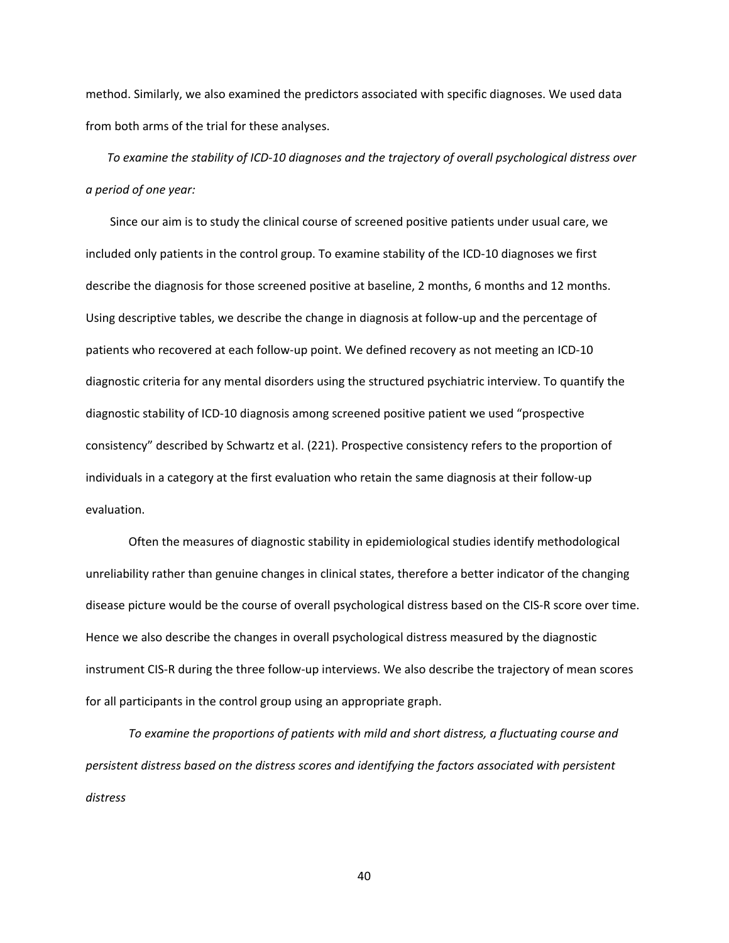method. Similarly, we also examined the predictors associated with specific diagnoses. We used data from both arms of the trial for these analyses.

*To examine the stability of ICD‐10 diagnoses and the trajectory of overall psychological distress over a period of one year:* 

Since our aim is to study the clinical course of screened positive patients under usual care, we included only patients in the control group. To examine stability of the ICD‐10 diagnoses we first describe the diagnosis for those screened positive at baseline, 2 months, 6 months and 12 months. Using descriptive tables, we describe the change in diagnosis at follow‐up and the percentage of patients who recovered at each follow‐up point. We defined recovery as not meeting an ICD‐10 diagnostic criteria for any mental disorders using the structured psychiatric interview. To quantify the diagnostic stability of ICD‐10 diagnosis among screened positive patient we used "prospective consistency" described by Schwartz et al. (221). Prospective consistency refers to the proportion of individuals in a category at the first evaluation who retain the same diagnosis at their follow‐up evaluation.

Often the measures of diagnostic stability in epidemiological studies identify methodological unreliability rather than genuine changes in clinical states, therefore a better indicator of the changing disease picture would be the course of overall psychological distress based on the CIS‐R score over time. Hence we also describe the changes in overall psychological distress measured by the diagnostic instrument CIS‐R during the three follow‐up interviews. We also describe the trajectory of mean scores for all participants in the control group using an appropriate graph.

*To examine the proportions of patients with mild and short distress, a fluctuating course and persistent distress based on the distress scores and identifying the factors associated with persistent distress*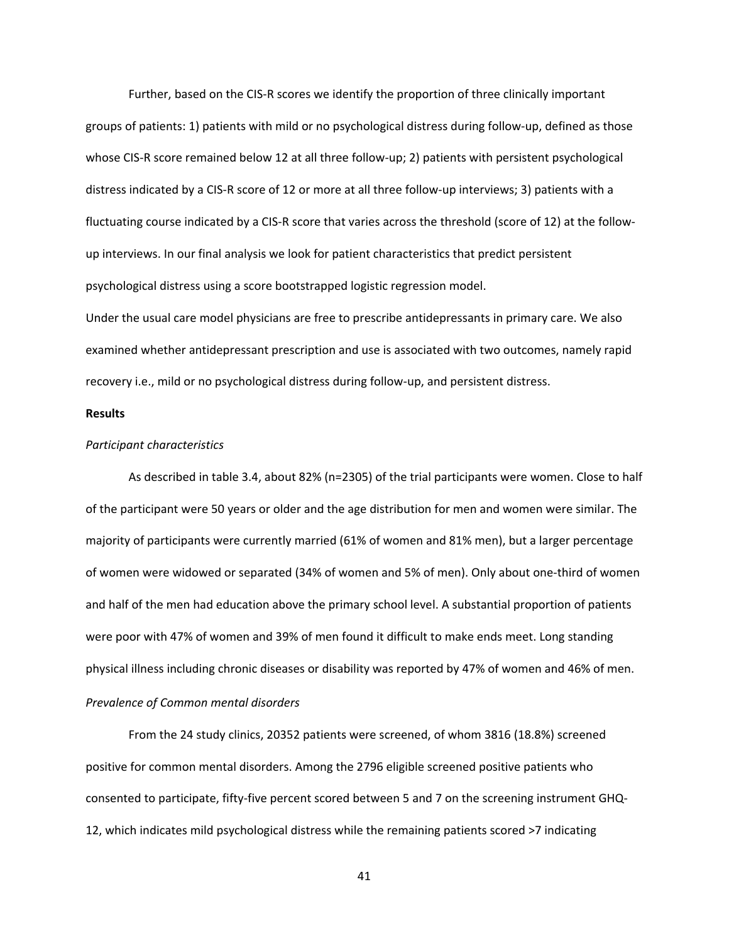Further, based on the CIS‐R scores we identify the proportion of three clinically important groups of patients: 1) patients with mild or no psychological distress during follow‐up, defined as those whose CIS-R score remained below 12 at all three follow-up; 2) patients with persistent psychological distress indicated by a CIS‐R score of 12 or more at all three follow‐up interviews; 3) patients with a fluctuating course indicated by a CIS‐R score that varies across the threshold (score of 12) at the follow‐ up interviews. In our final analysis we look for patient characteristics that predict persistent psychological distress using a score bootstrapped logistic regression model.

Under the usual care model physicians are free to prescribe antidepressants in primary care. We also examined whether antidepressant prescription and use is associated with two outcomes, namely rapid recovery i.e., mild or no psychological distress during follow‐up, and persistent distress.

#### **Results**

### *Participant characteristics*

As described in table 3.4, about 82% (n=2305) of the trial participants were women. Close to half of the participant were 50 years or older and the age distribution for men and women were similar. The majority of participants were currently married (61% of women and 81% men), but a larger percentage of women were widowed or separated (34% of women and 5% of men). Only about one‐third of women and half of the men had education above the primary school level. A substantial proportion of patients were poor with 47% of women and 39% of men found it difficult to make ends meet. Long standing physical illness including chronic diseases or disability was reported by 47% of women and 46% of men. *Prevalence of Common mental disorders* 

From the 24 study clinics, 20352 patients were screened, of whom 3816 (18.8%) screened positive for common mental disorders. Among the 2796 eligible screened positive patients who consented to participate, fifty‐five percent scored between 5 and 7 on the screening instrument GHQ‐ 12, which indicates mild psychological distress while the remaining patients scored >7 indicating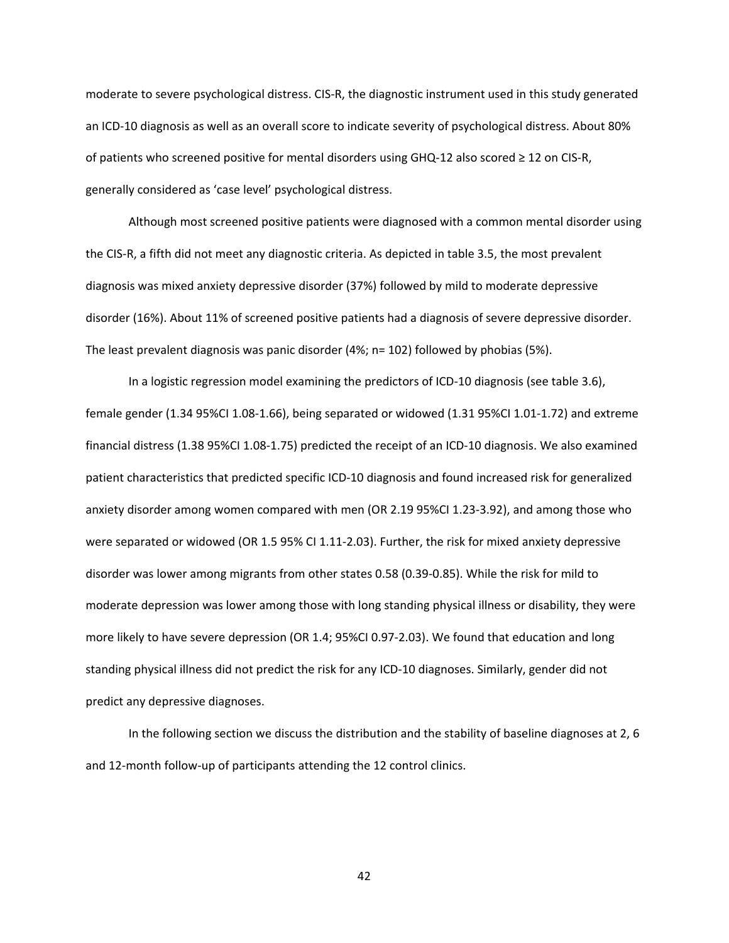moderate to severe psychological distress. CIS‐R, the diagnostic instrument used in this study generated an ICD‐10 diagnosis as well as an overall score to indicate severity of psychological distress. About 80% of patients who screened positive for mental disorders using GHQ‐12 also scored ≥ 12 on CIS‐R, generally considered as 'case level' psychological distress.

Although most screened positive patients were diagnosed with a common mental disorder using the CIS‐R, a fifth did not meet any diagnostic criteria. As depicted in table 3.5, the most prevalent diagnosis was mixed anxiety depressive disorder (37%) followed by mild to moderate depressive disorder (16%). About 11% of screened positive patients had a diagnosis of severe depressive disorder. The least prevalent diagnosis was panic disorder (4%; n= 102) followed by phobias (5%).

In a logistic regression model examining the predictors of ICD-10 diagnosis (see table 3.6), female gender (1.34 95%CI 1.08‐1.66), being separated or widowed (1.31 95%CI 1.01‐1.72) and extreme financial distress (1.38 95%CI 1.08‐1.75) predicted the receipt of an ICD‐10 diagnosis. We also examined patient characteristics that predicted specific ICD‐10 diagnosis and found increased risk for generalized anxiety disorder among women compared with men (OR 2.19 95%CI 1.23‐3.92), and among those who were separated or widowed (OR 1.5 95% CI 1.11-2.03). Further, the risk for mixed anxiety depressive disorder was lower among migrants from other states 0.58 (0.39‐0.85). While the risk for mild to moderate depression was lower among those with long standing physical illness or disability, they were more likely to have severe depression (OR 1.4; 95%CI 0.97‐2.03). We found that education and long standing physical illness did not predict the risk for any ICD‐10 diagnoses. Similarly, gender did not predict any depressive diagnoses.

In the following section we discuss the distribution and the stability of baseline diagnoses at 2, 6 and 12-month follow-up of participants attending the 12 control clinics.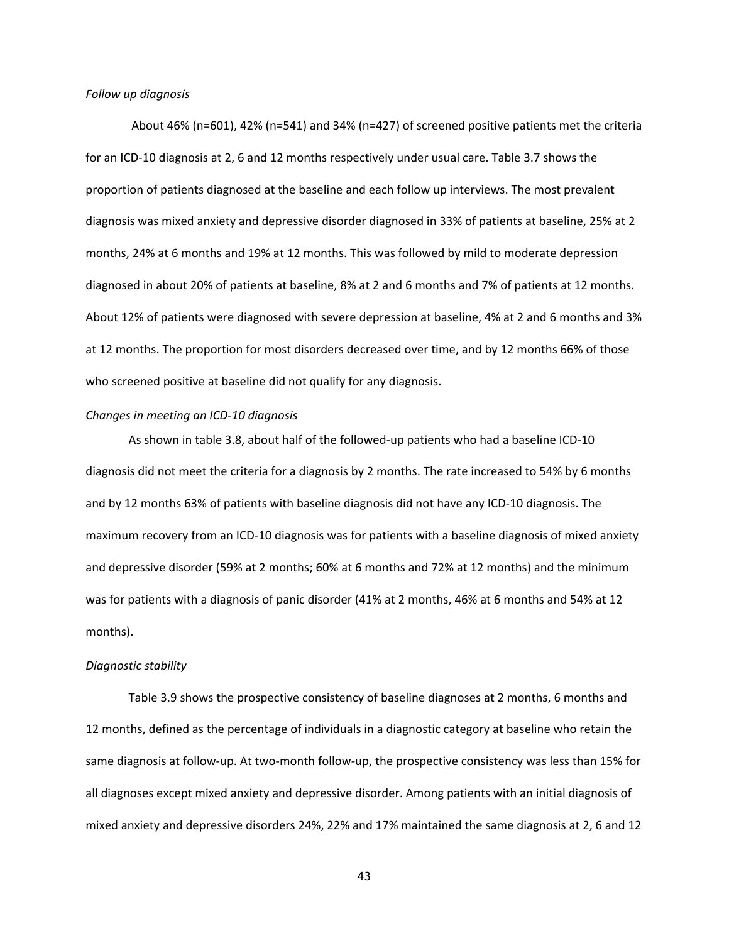#### *Follow up diagnosis*

 About 46% (n=601), 42% (n=541) and 34% (n=427) of screened positive patients met the criteria for an ICD‐10 diagnosis at 2, 6 and 12 months respectively under usual care. Table 3.7 shows the proportion of patients diagnosed at the baseline and each follow up interviews. The most prevalent diagnosis was mixed anxiety and depressive disorder diagnosed in 33% of patients at baseline, 25% at 2 months, 24% at 6 months and 19% at 12 months. This was followed by mild to moderate depression diagnosed in about 20% of patients at baseline, 8% at 2 and 6 months and 7% of patients at 12 months. About 12% of patients were diagnosed with severe depression at baseline, 4% at 2 and 6 months and 3% at 12 months. The proportion for most disorders decreased over time, and by 12 months 66% of those who screened positive at baseline did not qualify for any diagnosis.

#### *Changes in meeting an ICD‐10 diagnosis*

As shown in table 3.8, about half of the followed‐up patients who had a baseline ICD‐10 diagnosis did not meet the criteria for a diagnosis by 2 months. The rate increased to 54% by 6 months and by 12 months 63% of patients with baseline diagnosis did not have any ICD‐10 diagnosis. The maximum recovery from an ICD‐10 diagnosis was for patients with a baseline diagnosis of mixed anxiety and depressive disorder (59% at 2 months; 60% at 6 months and 72% at 12 months) and the minimum was for patients with a diagnosis of panic disorder (41% at 2 months, 46% at 6 months and 54% at 12 months).

#### *Diagnostic stability*

Table 3.9 shows the prospective consistency of baseline diagnoses at 2 months, 6 months and 12 months, defined as the percentage of individuals in a diagnostic category at baseline who retain the same diagnosis at follow-up. At two-month follow-up, the prospective consistency was less than 15% for all diagnoses except mixed anxiety and depressive disorder. Among patients with an initial diagnosis of mixed anxiety and depressive disorders 24%, 22% and 17% maintained the same diagnosis at 2, 6 and 12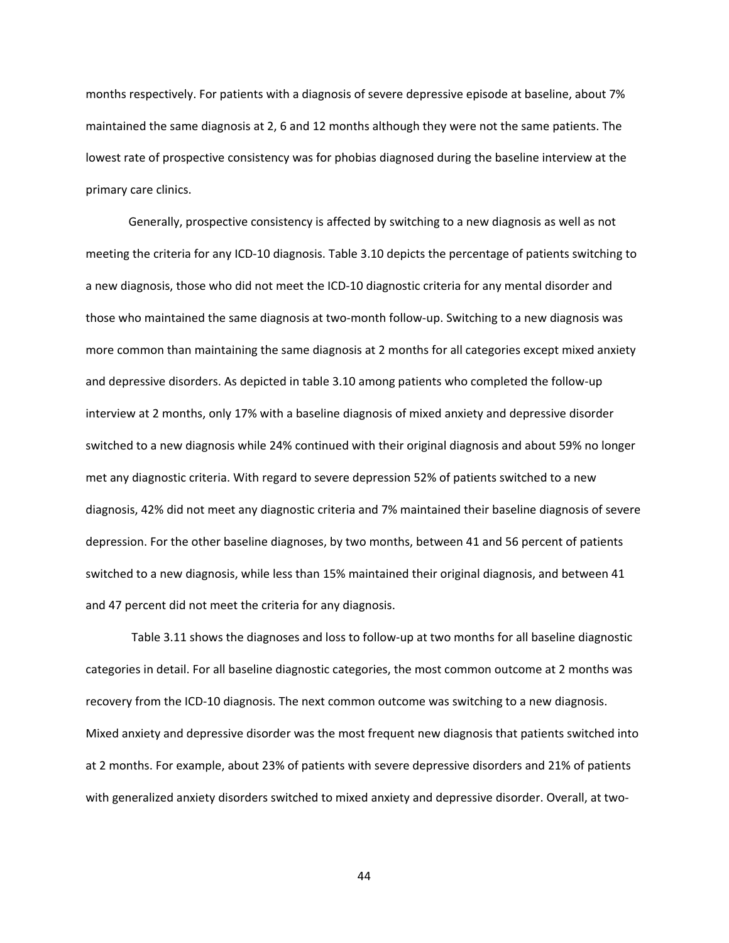months respectively. For patients with a diagnosis of severe depressive episode at baseline, about 7% maintained the same diagnosis at 2, 6 and 12 months although they were not the same patients. The lowest rate of prospective consistency was for phobias diagnosed during the baseline interview at the primary care clinics.

Generally, prospective consistency is affected by switching to a new diagnosis as well as not meeting the criteria for any ICD‐10 diagnosis. Table 3.10 depicts the percentage of patients switching to a new diagnosis, those who did not meet the ICD‐10 diagnostic criteria for any mental disorder and those who maintained the same diagnosis at two‐month follow‐up. Switching to a new diagnosis was more common than maintaining the same diagnosis at 2 months for all categories except mixed anxiety and depressive disorders. As depicted in table 3.10 among patients who completed the follow‐up interview at 2 months, only 17% with a baseline diagnosis of mixed anxiety and depressive disorder switched to a new diagnosis while 24% continued with their original diagnosis and about 59% no longer met any diagnostic criteria. With regard to severe depression 52% of patients switched to a new diagnosis, 42% did not meet any diagnostic criteria and 7% maintained their baseline diagnosis of severe depression. For the other baseline diagnoses, by two months, between 41 and 56 percent of patients switched to a new diagnosis, while less than 15% maintained their original diagnosis, and between 41 and 47 percent did not meet the criteria for any diagnosis.

 Table 3.11 shows the diagnoses and loss to follow‐up at two months for all baseline diagnostic categories in detail. For all baseline diagnostic categories, the most common outcome at 2 months was recovery from the ICD‐10 diagnosis. The next common outcome was switching to a new diagnosis. Mixed anxiety and depressive disorder was the most frequent new diagnosis that patients switched into at 2 months. For example, about 23% of patients with severe depressive disorders and 21% of patients with generalized anxiety disorders switched to mixed anxiety and depressive disorder. Overall, at two-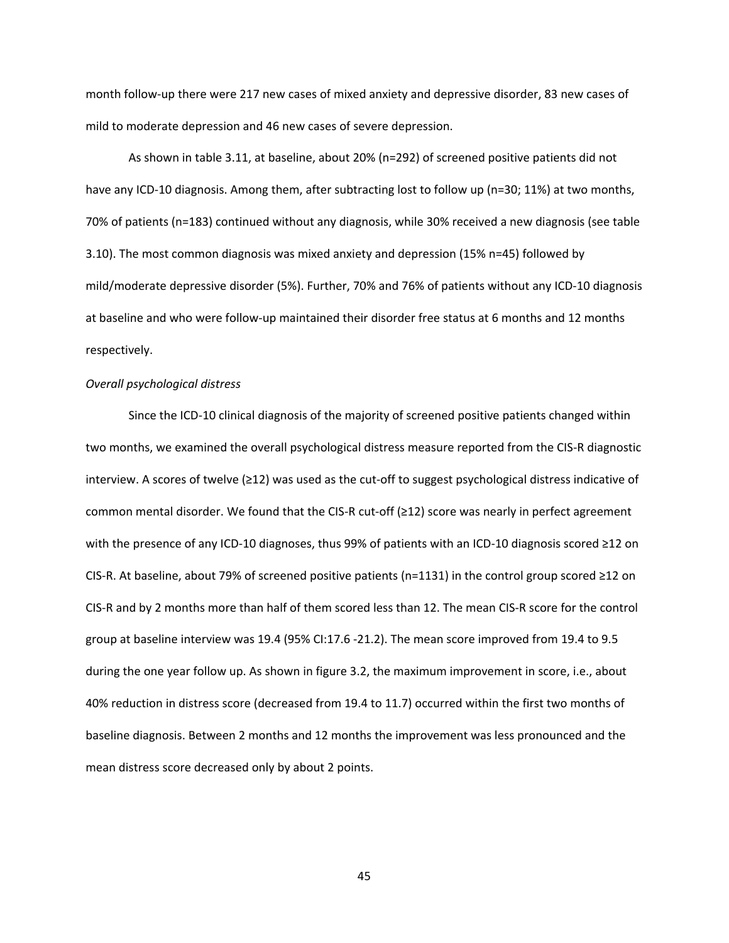month follow‐up there were 217 new cases of mixed anxiety and depressive disorder, 83 new cases of mild to moderate depression and 46 new cases of severe depression.

As shown in table 3.11, at baseline, about 20% (n=292) of screened positive patients did not have any ICD-10 diagnosis. Among them, after subtracting lost to follow up (n=30; 11%) at two months, 70% of patients (n=183) continued without any diagnosis, while 30% received a new diagnosis (see table 3.10). The most common diagnosis was mixed anxiety and depression (15% n=45) followed by mild/moderate depressive disorder (5%). Further, 70% and 76% of patients without any ICD‐10 diagnosis at baseline and who were follow‐up maintained their disorder free status at 6 months and 12 months respectively.

#### *Overall psychological distress*

Since the ICD‐10 clinical diagnosis of the majority of screened positive patients changed within two months, we examined the overall psychological distress measure reported from the CIS‐R diagnostic interview. A scores of twelve (≥12) was used as the cut‐off to suggest psychological distress indicative of common mental disorder. We found that the CIS‐R cut‐off (≥12) score was nearly in perfect agreement with the presence of any ICD-10 diagnoses, thus 99% of patients with an ICD-10 diagnosis scored ≥12 on CIS‐R. At baseline, about 79% of screened positive patients (n=1131) in the control group scored ≥12 on CIS‐R and by 2 months more than half of them scored less than 12. The mean CIS‐R score for the control group at baseline interview was 19.4 (95% CI:17.6 ‐21.2). The mean score improved from 19.4 to 9.5 during the one year follow up. As shown in figure 3.2, the maximum improvement in score, i.e., about 40% reduction in distress score (decreased from 19.4 to 11.7) occurred within the first two months of baseline diagnosis. Between 2 months and 12 months the improvement was less pronounced and the mean distress score decreased only by about 2 points.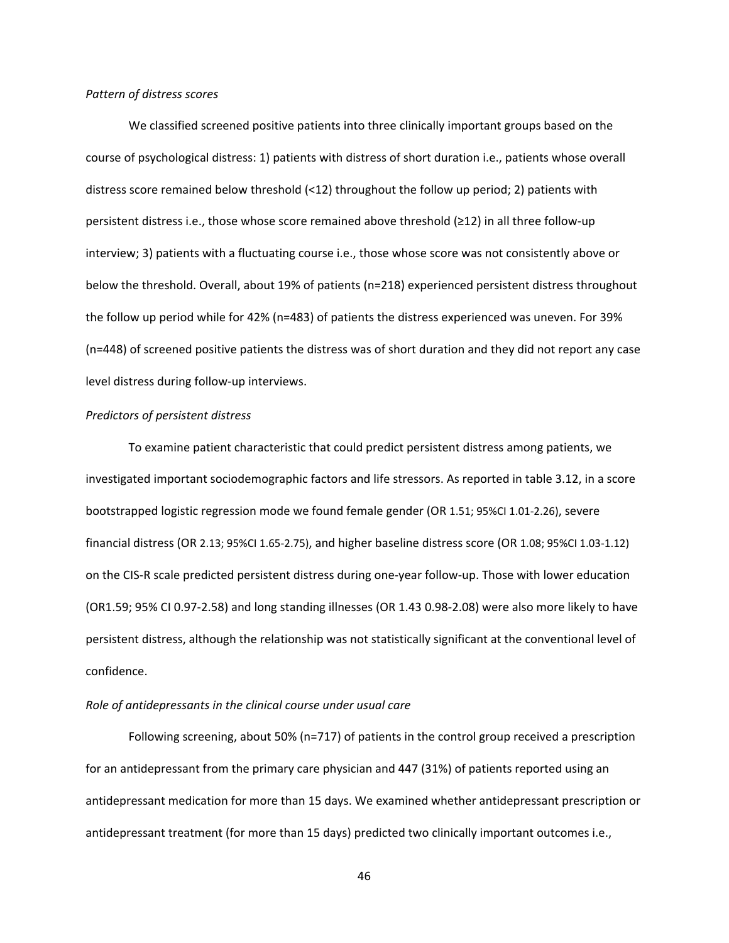### *Pattern of distress scores*

We classified screened positive patients into three clinically important groups based on the course of psychological distress: 1) patients with distress of short duration i.e., patients whose overall distress score remained below threshold (<12) throughout the follow up period; 2) patients with persistent distress i.e., those whose score remained above threshold (≥12) in all three follow‐up interview; 3) patients with a fluctuating course i.e., those whose score was not consistently above or below the threshold. Overall, about 19% of patients (n=218) experienced persistent distress throughout the follow up period while for 42% (n=483) of patients the distress experienced was uneven. For 39% (n=448) of screened positive patients the distress was of short duration and they did not report any case level distress during follow‐up interviews.

### *Predictors of persistent distress*

To examine patient characteristic that could predict persistent distress among patients, we investigated important sociodemographic factors and life stressors. As reported in table 3.12, in a score bootstrapped logistic regression mode we found female gender (OR 1.51; 95%CI 1.01‐2.26), severe financial distress (OR 2.13; 95%CI 1.65‐2.75), and higher baseline distress score (OR 1.08; 95%CI 1.03‐1.12) on the CIS‐R scale predicted persistent distress during one‐year follow‐up. Those with lower education (OR1.59; 95% CI 0.97‐2.58) and long standing illnesses (OR 1.43 0.98‐2.08) were also more likely to have persistent distress, although the relationship was not statistically significant at the conventional level of confidence.

### *Role of antidepressants in the clinical course under usual care*

Following screening, about 50% (n=717) of patients in the control group received a prescription for an antidepressant from the primary care physician and 447 (31%) of patients reported using an antidepressant medication for more than 15 days. We examined whether antidepressant prescription or antidepressant treatment (for more than 15 days) predicted two clinically important outcomes i.e.,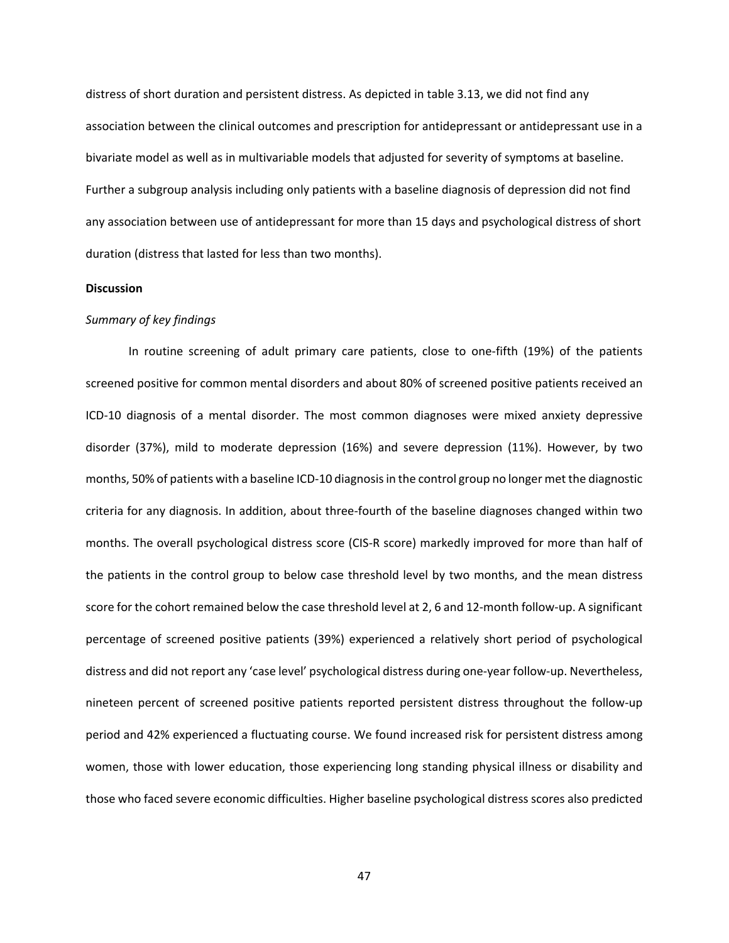distress of short duration and persistent distress. As depicted in table 3.13, we did not find any association between the clinical outcomes and prescription for antidepressant or antidepressant use in a bivariate model as well as in multivariable models that adjusted for severity of symptoms at baseline. Further a subgroup analysis including only patients with a baseline diagnosis of depression did not find any association between use of antidepressant for more than 15 days and psychological distress of short duration (distress that lasted for less than two months).

#### **Discussion**

#### *Summary of key findings*

In routine screening of adult primary care patients, close to one-fifth (19%) of the patients screened positive for common mental disorders and about 80% of screened positive patients received an ICD‐10 diagnosis of a mental disorder. The most common diagnoses were mixed anxiety depressive disorder (37%), mild to moderate depression (16%) and severe depression (11%). However, by two months, 50% of patients with a baseline ICD-10 diagnosis in the control group no longer met the diagnostic criteria for any diagnosis. In addition, about three‐fourth of the baseline diagnoses changed within two months. The overall psychological distress score (CIS‐R score) markedly improved for more than half of the patients in the control group to below case threshold level by two months, and the mean distress score for the cohort remained below the case threshold level at 2, 6 and 12-month follow-up. A significant percentage of screened positive patients (39%) experienced a relatively short period of psychological distress and did not report any 'case level' psychological distress during one‐year follow‐up. Nevertheless, nineteen percent of screened positive patients reported persistent distress throughout the follow‐up period and 42% experienced a fluctuating course. We found increased risk for persistent distress among women, those with lower education, those experiencing long standing physical illness or disability and those who faced severe economic difficulties. Higher baseline psychological distress scores also predicted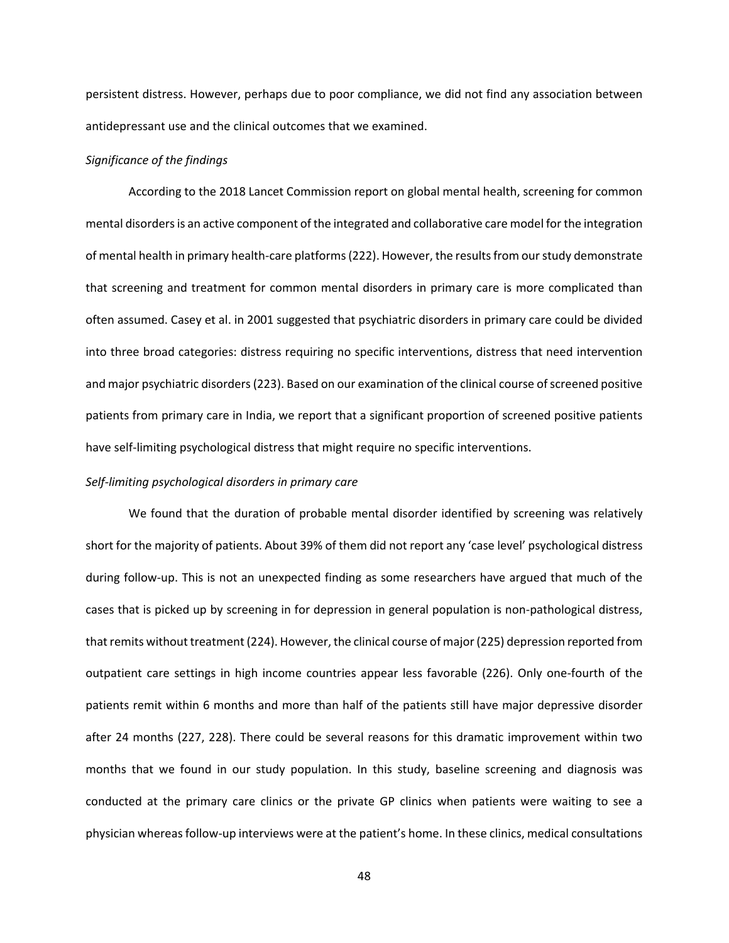persistent distress. However, perhaps due to poor compliance, we did not find any association between antidepressant use and the clinical outcomes that we examined.

### *Significance of the findings*

According to the 2018 Lancet Commission report on global mental health, screening for common mental disorders is an active component of the integrated and collaborative care model for the integration of mental health in primary health‐care platforms (222). However, the results from our study demonstrate that screening and treatment for common mental disorders in primary care is more complicated than often assumed. Casey et al. in 2001 suggested that psychiatric disorders in primary care could be divided into three broad categories: distress requiring no specific interventions, distress that need intervention and major psychiatric disorders (223). Based on our examination of the clinical course of screened positive patients from primary care in India, we report that a significant proportion of screened positive patients have self-limiting psychological distress that might require no specific interventions.

#### *Self‐limiting psychological disorders in primary care*

We found that the duration of probable mental disorder identified by screening was relatively short for the majority of patients. About 39% of them did not report any 'case level' psychological distress during follow‐up. This is not an unexpected finding as some researchers have argued that much of the cases that is picked up by screening in for depression in general population is non‐pathological distress, that remits without treatment (224). However, the clinical course of major (225) depression reported from outpatient care settings in high income countries appear less favorable (226). Only one-fourth of the patients remit within 6 months and more than half of the patients still have major depressive disorder after 24 months (227, 228). There could be several reasons for this dramatic improvement within two months that we found in our study population. In this study, baseline screening and diagnosis was conducted at the primary care clinics or the private GP clinics when patients were waiting to see a physician whereas follow‐up interviews were at the patient's home. In these clinics, medical consultations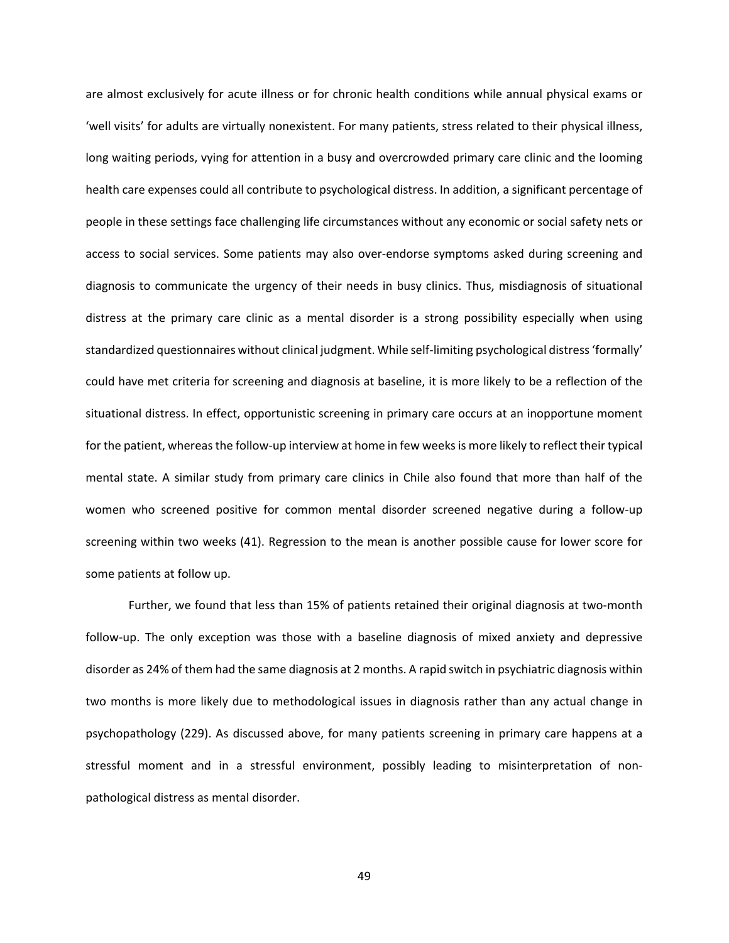are almost exclusively for acute illness or for chronic health conditions while annual physical exams or 'well visits' for adults are virtually nonexistent. For many patients, stress related to their physical illness, long waiting periods, vying for attention in a busy and overcrowded primary care clinic and the looming health care expenses could all contribute to psychological distress. In addition, a significant percentage of people in these settings face challenging life circumstances without any economic or social safety nets or access to social services. Some patients may also over-endorse symptoms asked during screening and diagnosis to communicate the urgency of their needs in busy clinics. Thus, misdiagnosis of situational distress at the primary care clinic as a mental disorder is a strong possibility especially when using standardized questionnaires without clinical judgment. While self‐limiting psychological distress 'formally' could have met criteria for screening and diagnosis at baseline, it is more likely to be a reflection of the situational distress. In effect, opportunistic screening in primary care occurs at an inopportune moment for the patient, whereas the follow-up interview at home in few weeks is more likely to reflect their typical mental state. A similar study from primary care clinics in Chile also found that more than half of the women who screened positive for common mental disorder screened negative during a follow-up screening within two weeks (41). Regression to the mean is another possible cause for lower score for some patients at follow up.

Further, we found that less than 15% of patients retained their original diagnosis at two-month follow-up. The only exception was those with a baseline diagnosis of mixed anxiety and depressive disorder as 24% of them had the same diagnosis at 2 months. A rapid switch in psychiatric diagnosis within two months is more likely due to methodological issues in diagnosis rather than any actual change in psychopathology (229). As discussed above, for many patients screening in primary care happens at a stressful moment and in a stressful environment, possibly leading to misinterpretation of nonpathological distress as mental disorder.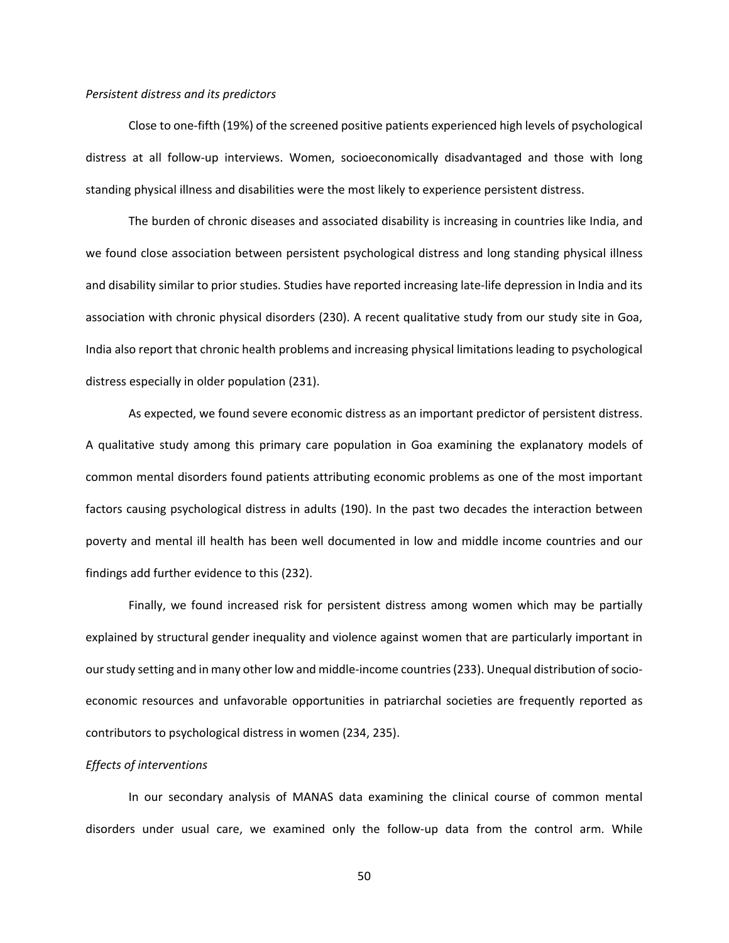## *Persistent distress and its predictors*

Close to one‐fifth (19%) of the screened positive patients experienced high levels of psychological distress at all follow‐up interviews. Women, socioeconomically disadvantaged and those with long standing physical illness and disabilities were the most likely to experience persistent distress.

The burden of chronic diseases and associated disability is increasing in countries like India, and we found close association between persistent psychological distress and long standing physical illness and disability similar to prior studies. Studies have reported increasing late‐life depression in India and its association with chronic physical disorders (230). A recent qualitative study from our study site in Goa, India also report that chronic health problems and increasing physical limitations leading to psychological distress especially in older population (231).

As expected, we found severe economic distress as an important predictor of persistent distress. A qualitative study among this primary care population in Goa examining the explanatory models of common mental disorders found patients attributing economic problems as one of the most important factors causing psychological distress in adults (190). In the past two decades the interaction between poverty and mental ill health has been well documented in low and middle income countries and our findings add further evidence to this (232).

Finally, we found increased risk for persistent distress among women which may be partially explained by structural gender inequality and violence against women that are particularly important in our study setting and in many other low and middle‐income countries (233). Unequal distribution of socio‐ economic resources and unfavorable opportunities in patriarchal societies are frequently reported as contributors to psychological distress in women (234, 235).

#### *Effects of interventions*

In our secondary analysis of MANAS data examining the clinical course of common mental disorders under usual care, we examined only the follow‐up data from the control arm. While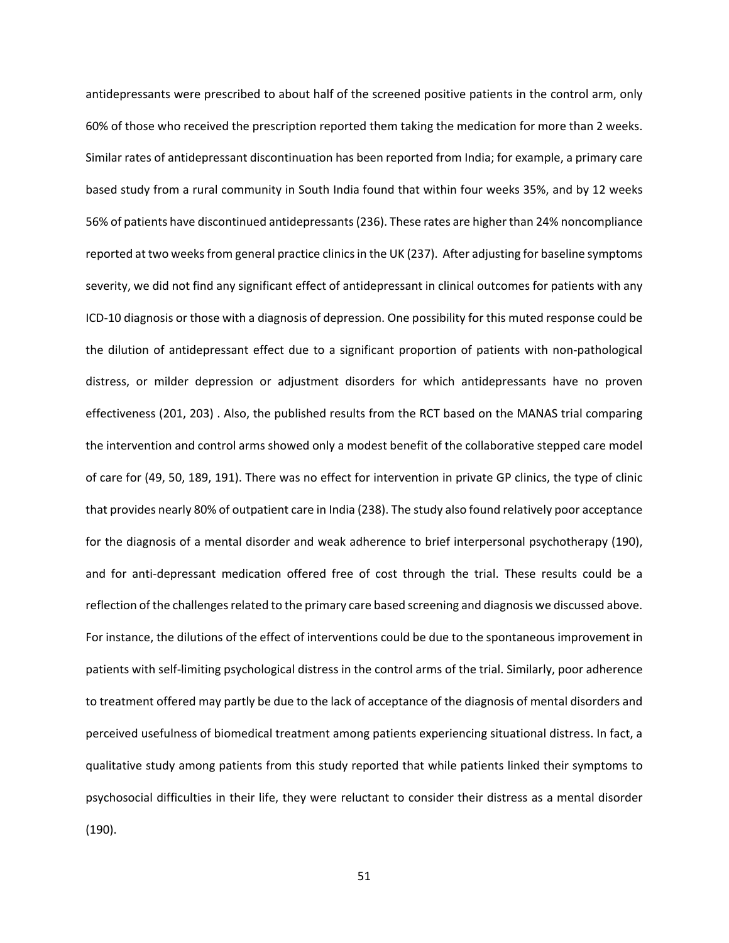antidepressants were prescribed to about half of the screened positive patients in the control arm, only 60% of those who received the prescription reported them taking the medication for more than 2 weeks. Similar rates of antidepressant discontinuation has been reported from India; for example, a primary care based study from a rural community in South India found that within four weeks 35%, and by 12 weeks 56% of patients have discontinued antidepressants (236). These rates are higher than 24% noncompliance reported at two weeks from general practice clinics in the UK (237). After adjusting for baseline symptoms severity, we did not find any significant effect of antidepressant in clinical outcomes for patients with any ICD‐10 diagnosis or those with a diagnosis of depression. One possibility for this muted response could be the dilution of antidepressant effect due to a significant proportion of patients with non-pathological distress, or milder depression or adjustment disorders for which antidepressants have no proven effectiveness (201, 203) . Also, the published results from the RCT based on the MANAS trial comparing the intervention and control arms showed only a modest benefit of the collaborative stepped care model of care for (49, 50, 189, 191). There was no effect for intervention in private GP clinics, the type of clinic that provides nearly 80% of outpatient care in India (238). The study also found relatively poor acceptance for the diagnosis of a mental disorder and weak adherence to brief interpersonal psychotherapy (190), and for anti-depressant medication offered free of cost through the trial. These results could be a reflection of the challenges related to the primary care based screening and diagnosis we discussed above. For instance, the dilutions of the effect of interventions could be due to the spontaneous improvement in patients with self‐limiting psychological distress in the control arms of the trial. Similarly, poor adherence to treatment offered may partly be due to the lack of acceptance of the diagnosis of mental disorders and perceived usefulness of biomedical treatment among patients experiencing situational distress. In fact, a qualitative study among patients from this study reported that while patients linked their symptoms to psychosocial difficulties in their life, they were reluctant to consider their distress as a mental disorder (190).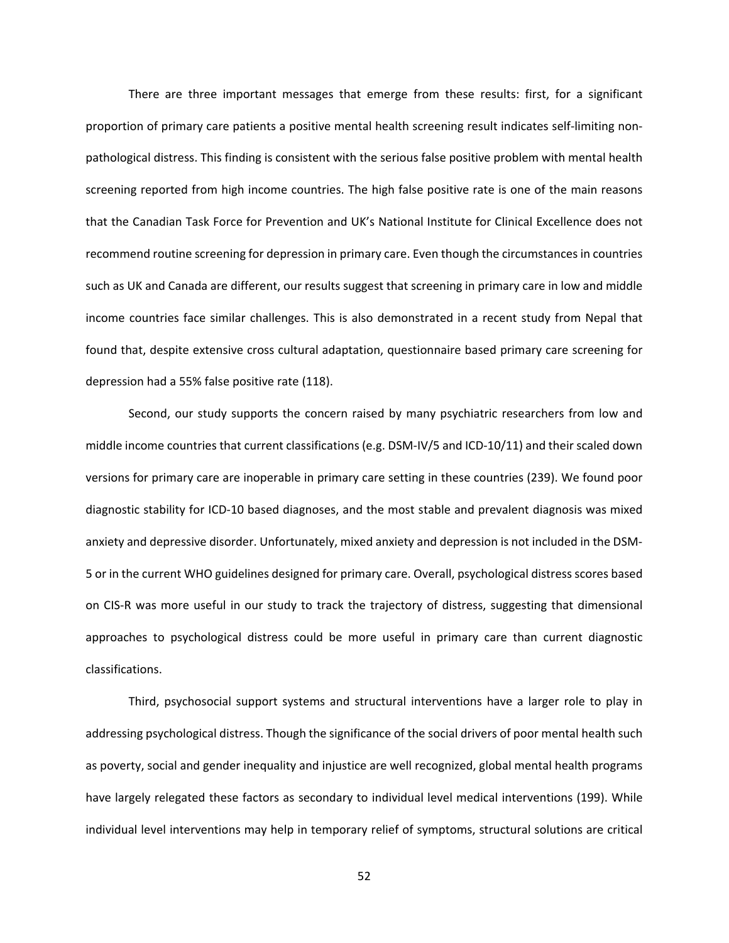There are three important messages that emerge from these results: first, for a significant proportion of primary care patients a positive mental health screening result indicates self-limiting nonpathological distress. This finding is consistent with the serious false positive problem with mental health screening reported from high income countries. The high false positive rate is one of the main reasons that the Canadian Task Force for Prevention and UK's National Institute for Clinical Excellence does not recommend routine screening for depression in primary care. Even though the circumstances in countries such as UK and Canada are different, our results suggest that screening in primary care in low and middle income countries face similar challenges. This is also demonstrated in a recent study from Nepal that found that, despite extensive cross cultural adaptation, questionnaire based primary care screening for depression had a 55% false positive rate (118).

Second, our study supports the concern raised by many psychiatric researchers from low and middle income countries that current classifications (e.g. DSM-IV/5 and ICD-10/11) and their scaled down versions for primary care are inoperable in primary care setting in these countries (239). We found poor diagnostic stability for ICD‐10 based diagnoses, and the most stable and prevalent diagnosis was mixed anxiety and depressive disorder. Unfortunately, mixed anxiety and depression is not included in the DSM‐ 5 or in the current WHO guidelines designed for primary care. Overall, psychological distress scores based on CIS-R was more useful in our study to track the trajectory of distress, suggesting that dimensional approaches to psychological distress could be more useful in primary care than current diagnostic classifications.

Third, psychosocial support systems and structural interventions have a larger role to play in addressing psychological distress. Though the significance of the social drivers of poor mental health such as poverty, social and gender inequality and injustice are well recognized, global mental health programs have largely relegated these factors as secondary to individual level medical interventions (199). While individual level interventions may help in temporary relief of symptoms, structural solutions are critical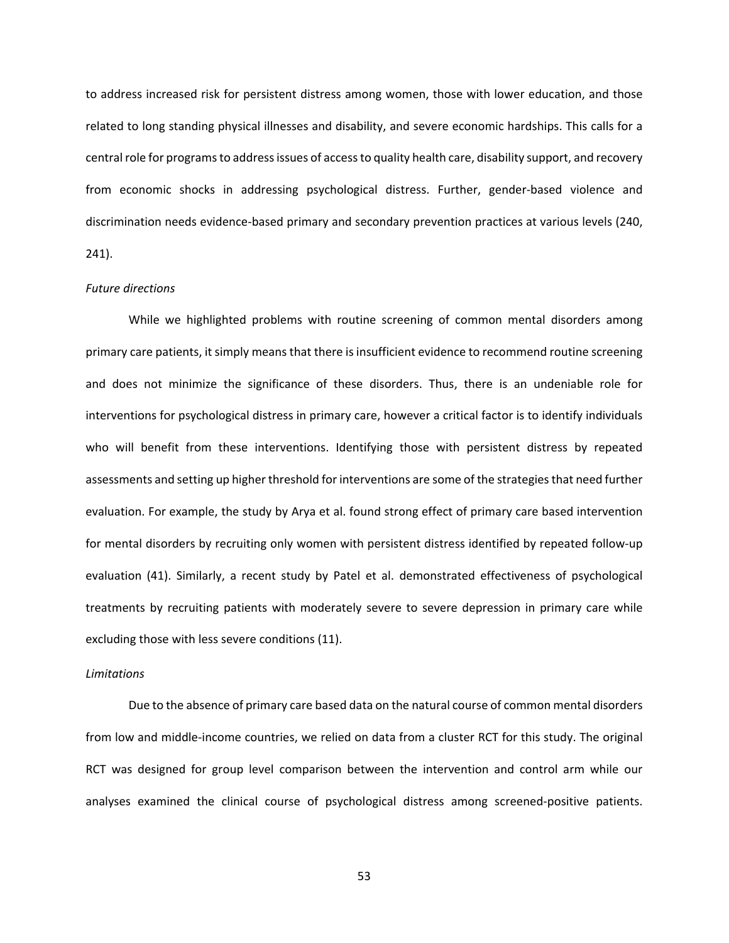to address increased risk for persistent distress among women, those with lower education, and those related to long standing physical illnesses and disability, and severe economic hardships. This calls for a central role for programs to address issues of access to quality health care, disability support, and recovery from economic shocks in addressing psychological distress. Further, gender-based violence and discrimination needs evidence‐based primary and secondary prevention practices at various levels (240, 241).

### *Future directions*

While we highlighted problems with routine screening of common mental disorders among primary care patients, it simply means that there is insufficient evidence to recommend routine screening and does not minimize the significance of these disorders. Thus, there is an undeniable role for interventions for psychological distress in primary care, however a critical factor is to identify individuals who will benefit from these interventions. Identifying those with persistent distress by repeated assessments and setting up higher threshold for interventions are some of the strategies that need further evaluation. For example, the study by Arya et al. found strong effect of primary care based intervention for mental disorders by recruiting only women with persistent distress identified by repeated follow‐up evaluation (41). Similarly, a recent study by Patel et al. demonstrated effectiveness of psychological treatments by recruiting patients with moderately severe to severe depression in primary care while excluding those with less severe conditions (11).

#### *Limitations*

Due to the absence of primary care based data on the natural course of common mental disorders from low and middle-income countries, we relied on data from a cluster RCT for this study. The original RCT was designed for group level comparison between the intervention and control arm while our analyses examined the clinical course of psychological distress among screened‐positive patients.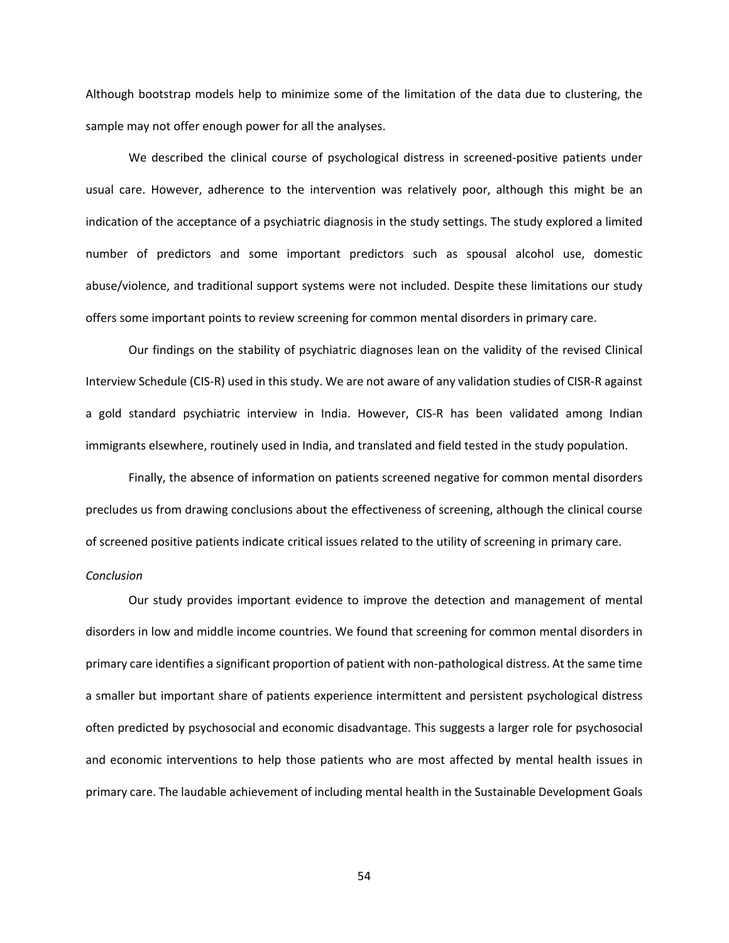Although bootstrap models help to minimize some of the limitation of the data due to clustering, the sample may not offer enough power for all the analyses.

We described the clinical course of psychological distress in screened-positive patients under usual care. However, adherence to the intervention was relatively poor, although this might be an indication of the acceptance of a psychiatric diagnosis in the study settings. The study explored a limited number of predictors and some important predictors such as spousal alcohol use, domestic abuse/violence, and traditional support systems were not included. Despite these limitations our study offers some important points to review screening for common mental disorders in primary care.

Our findings on the stability of psychiatric diagnoses lean on the validity of the revised Clinical Interview Schedule (CIS‐R) used in this study. We are not aware of any validation studies of CISR‐R against a gold standard psychiatric interview in India. However, CIS‐R has been validated among Indian immigrants elsewhere, routinely used in India, and translated and field tested in the study population.

Finally, the absence of information on patients screened negative for common mental disorders precludes us from drawing conclusions about the effectiveness of screening, although the clinical course of screened positive patients indicate critical issues related to the utility of screening in primary care.

## *Conclusion*

Our study provides important evidence to improve the detection and management of mental disorders in low and middle income countries. We found that screening for common mental disorders in primary care identifies a significant proportion of patient with non-pathological distress. At the same time a smaller but important share of patients experience intermittent and persistent psychological distress often predicted by psychosocial and economic disadvantage. This suggests a larger role for psychosocial and economic interventions to help those patients who are most affected by mental health issues in primary care. The laudable achievement of including mental health in the Sustainable Development Goals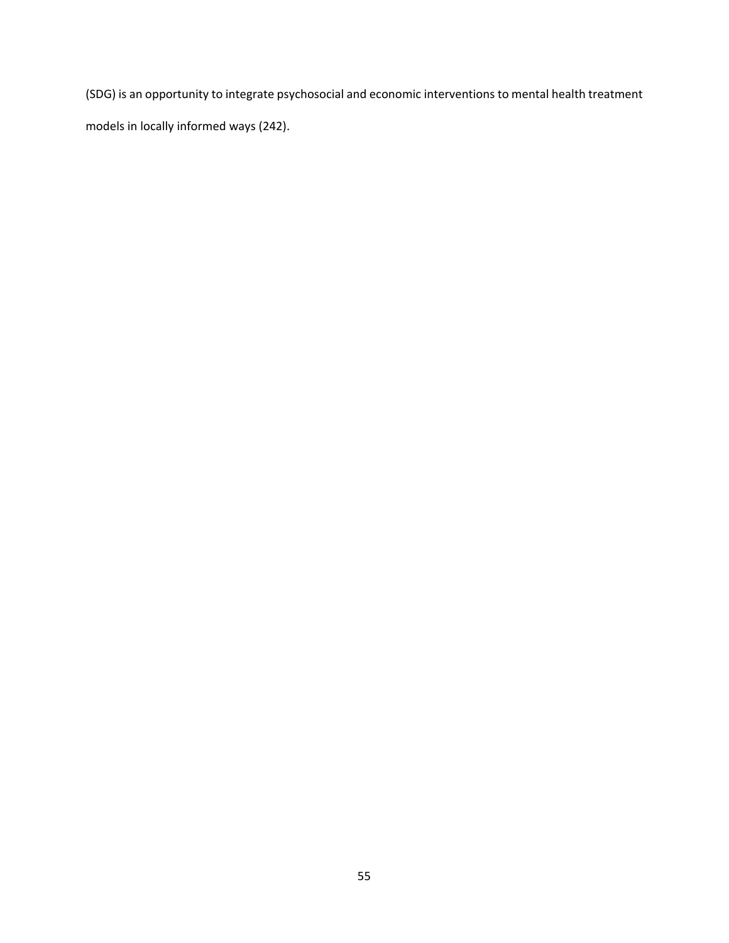(SDG) is an opportunity to integrate psychosocial and economic interventions to mental health treatment models in locally informed ways (242).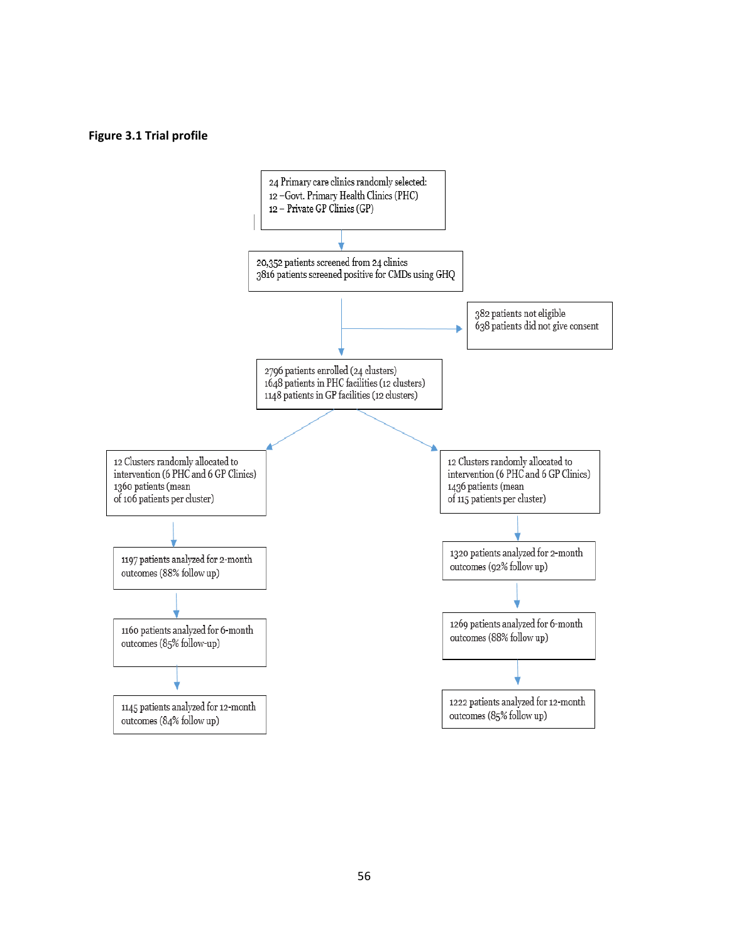### **Figure 3.1 Trial profile**

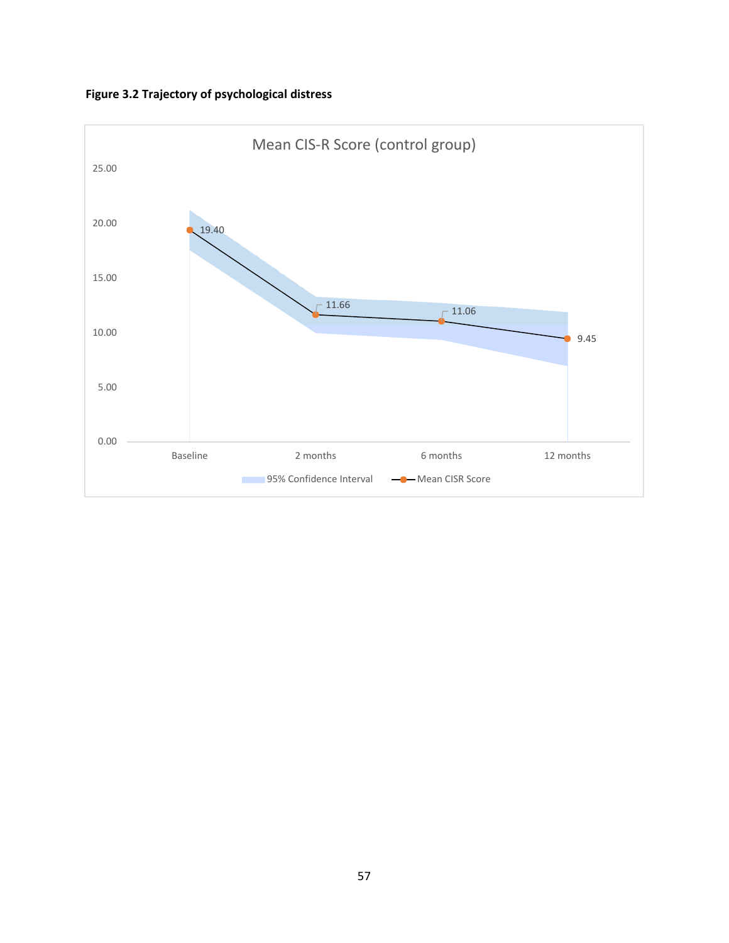**Figure 3.2 Trajectory of psychological distress** 

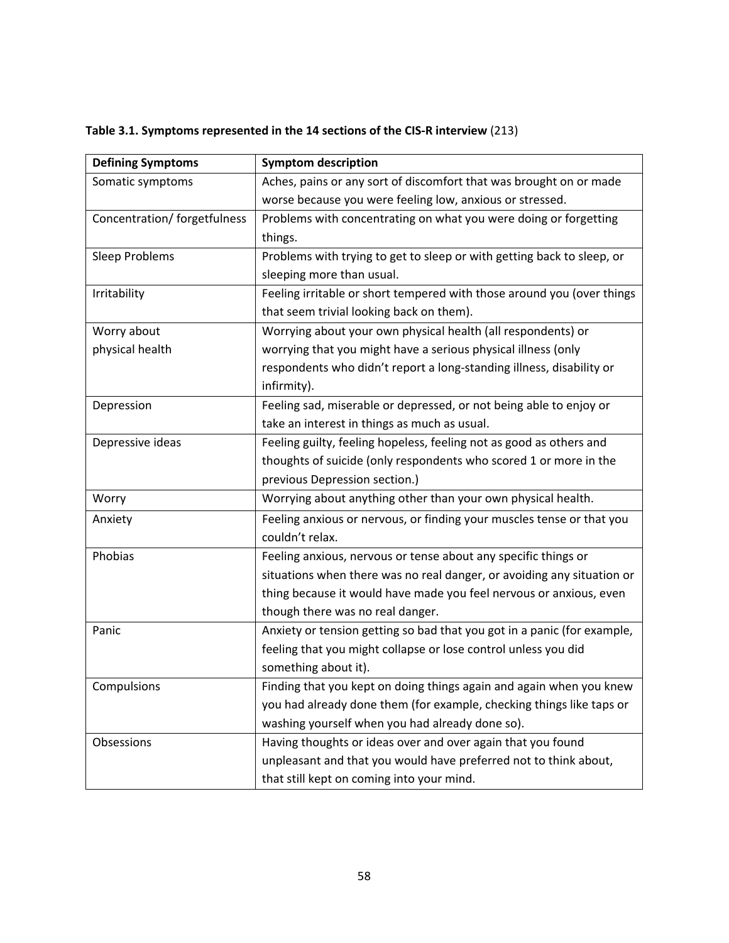| <b>Defining Symptoms</b>     | <b>Symptom description</b>                                              |
|------------------------------|-------------------------------------------------------------------------|
| Somatic symptoms             | Aches, pains or any sort of discomfort that was brought on or made      |
|                              | worse because you were feeling low, anxious or stressed.                |
| Concentration/ forgetfulness | Problems with concentrating on what you were doing or forgetting        |
|                              | things.                                                                 |
| Sleep Problems               | Problems with trying to get to sleep or with getting back to sleep, or  |
|                              | sleeping more than usual.                                               |
| Irritability                 | Feeling irritable or short tempered with those around you (over things  |
|                              | that seem trivial looking back on them).                                |
| Worry about                  | Worrying about your own physical health (all respondents) or            |
| physical health              | worrying that you might have a serious physical illness (only           |
|                              | respondents who didn't report a long-standing illness, disability or    |
|                              | infirmity).                                                             |
| Depression                   | Feeling sad, miserable or depressed, or not being able to enjoy or      |
|                              | take an interest in things as much as usual.                            |
| Depressive ideas             | Feeling guilty, feeling hopeless, feeling not as good as others and     |
|                              | thoughts of suicide (only respondents who scored 1 or more in the       |
|                              | previous Depression section.)                                           |
| Worry                        | Worrying about anything other than your own physical health.            |
| Anxiety                      | Feeling anxious or nervous, or finding your muscles tense or that you   |
|                              | couldn't relax.                                                         |
| Phobias                      | Feeling anxious, nervous or tense about any specific things or          |
|                              | situations when there was no real danger, or avoiding any situation or  |
|                              | thing because it would have made you feel nervous or anxious, even      |
|                              | though there was no real danger.                                        |
| Panic                        | Anxiety or tension getting so bad that you got in a panic (for example, |
|                              | feeling that you might collapse or lose control unless you did          |
|                              | something about it).                                                    |
| Compulsions                  | Finding that you kept on doing things again and again when you knew     |
|                              | you had already done them (for example, checking things like taps or    |
|                              | washing yourself when you had already done so).                         |
| Obsessions                   | Having thoughts or ideas over and over again that you found             |
|                              | unpleasant and that you would have preferred not to think about,        |
|                              | that still kept on coming into your mind.                               |

# **Table 3.1. Symptoms represented in the 14 sections of the CIS‐R interview** (213)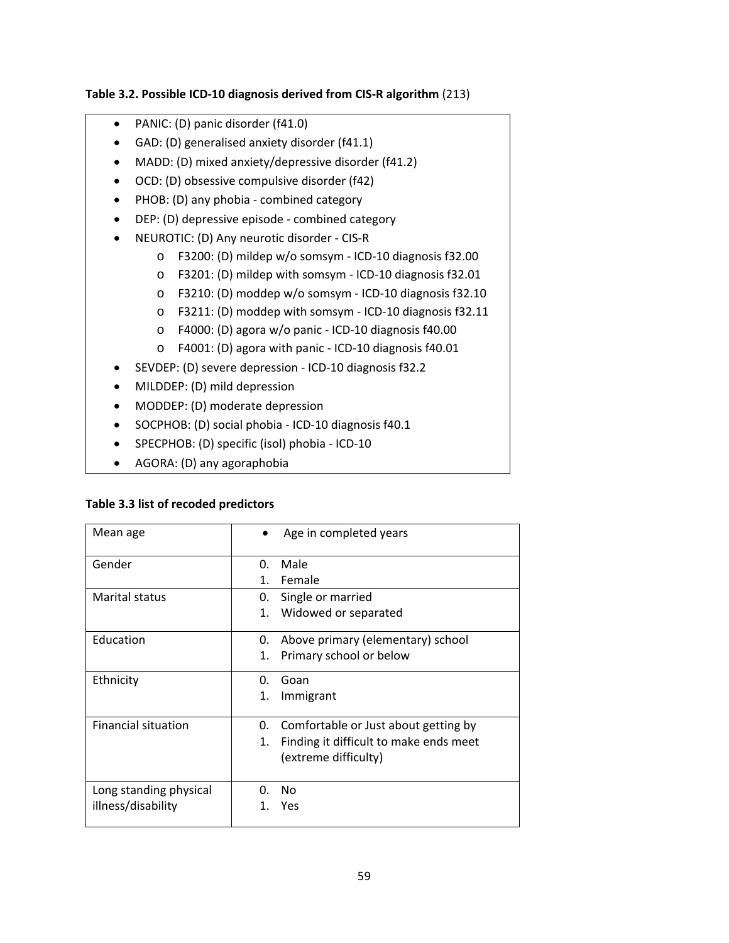## **Table 3.2. Possible ICD‐10 diagnosis derived from CIS‐R algorithm** (213)

- PANIC: (D) panic disorder (f41.0)
- GAD: (D) generalised anxiety disorder (f41.1)
- MADD: (D) mixed anxiety/depressive disorder (f41.2)
- OCD: (D) obsessive compulsive disorder (f42)
- PHOB: (D) any phobia combined category
- DEP: (D) depressive episode ‐ combined category
- NEUROTIC: (D) Any neurotic disorder ‐ CIS‐R
	- o F3200: (D) mildep w/o somsym ‐ ICD‐10 diagnosis f32.00
	- o F3201: (D) mildep with somsym ‐ ICD‐10 diagnosis f32.01
	- o F3210: (D) moddep w/o somsym ‐ ICD‐10 diagnosis f32.10
	- o F3211: (D) moddep with somsym ‐ ICD‐10 diagnosis f32.11
	- o F4000: (D) agora w/o panic ‐ ICD‐10 diagnosis f40.00
	- o F4001: (D) agora with panic ‐ ICD‐10 diagnosis f40.01
- SEVDEP: (D) severe depression ‐ ICD‐10 diagnosis f32.2
- MILDDEP: (D) mild depression
- MODDEP: (D) moderate depression
- SOCPHOB: (D) social phobia ‐ ICD‐10 diagnosis f40.1
- SPECPHOB: (D) specific (isol) phobia ‐ ICD‐10
- AGORA: (D) any agoraphobia

## **Table 3.3 list of recoded predictors**

| Mean age                                     | Age in completed years                                                                                             |
|----------------------------------------------|--------------------------------------------------------------------------------------------------------------------|
| Gender                                       | Male<br>∩.<br>Female<br>$1_{-}$                                                                                    |
| Marital status                               | Single or married<br>0.<br>1.<br>Widowed or separated                                                              |
| Education                                    | Above primary (elementary) school<br>0.<br>1.<br>Primary school or below                                           |
| Ethnicity                                    | Goan<br>0.<br>Immigrant<br>1.                                                                                      |
| <b>Financial situation</b>                   | Comfortable or Just about getting by<br>0.<br>Finding it difficult to make ends meet<br>1.<br>(extreme difficulty) |
| Long standing physical<br>illness/disability | No<br>O.<br>Yes<br>1.                                                                                              |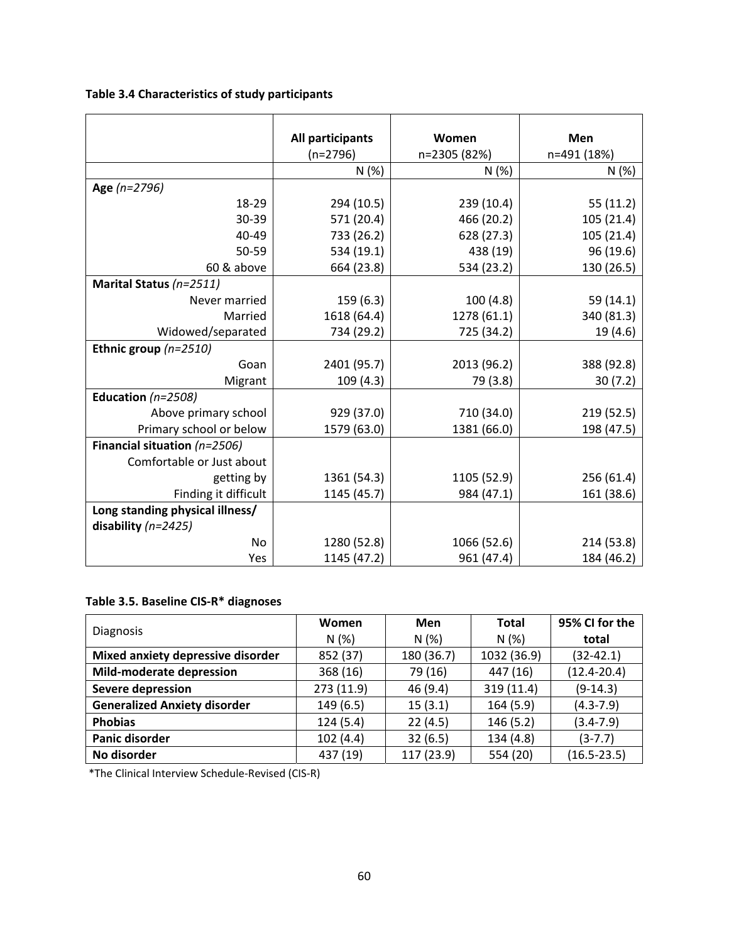**Table 3.4 Characteristics of study participants** 

|                                 | All participants | Women        | Men         |
|---------------------------------|------------------|--------------|-------------|
|                                 | $(n=2796)$       | n=2305 (82%) | n=491 (18%) |
|                                 | N (%)            | N(%)         | N(%)        |
| Age (n=2796)                    |                  |              |             |
| 18-29                           | 294 (10.5)       | 239 (10.4)   | 55(11.2)    |
| 30-39                           | 571 (20.4)       | 466 (20.2)   | 105 (21.4)  |
| 40-49                           | 733 (26.2)       | 628 (27.3)   | 105 (21.4)  |
| 50-59                           | 534 (19.1)       | 438 (19)     | 96 (19.6)   |
| 60 & above                      | 664 (23.8)       | 534 (23.2)   | 130 (26.5)  |
| Marital Status (n=2511)         |                  |              |             |
| Never married                   | 159(6.3)         | 100(4.8)     | 59 (14.1)   |
| Married                         | 1618 (64.4)      | 1278 (61.1)  | 340 (81.3)  |
| Widowed/separated               | 734 (29.2)       | 725 (34.2)   | 19 (4.6)    |
| Ethnic group $(n=2510)$         |                  |              |             |
| Goan                            | 2401 (95.7)      | 2013 (96.2)  | 388 (92.8)  |
| Migrant                         | 109(4.3)         | 79 (3.8)     | 30(7.2)     |
| Education $(n=2508)$            |                  |              |             |
| Above primary school            | 929 (37.0)       | 710 (34.0)   | 219 (52.5)  |
| Primary school or below         | 1579 (63.0)      | 1381 (66.0)  | 198 (47.5)  |
| Financial situation $(n=2506)$  |                  |              |             |
| Comfortable or Just about       |                  |              |             |
| getting by                      | 1361 (54.3)      | 1105 (52.9)  | 256 (61.4)  |
| Finding it difficult            | 1145 (45.7)      | 984 (47.1)   | 161 (38.6)  |
| Long standing physical illness/ |                  |              |             |
| disability $(n=2425)$           |                  |              |             |
| No                              | 1280 (52.8)      | 1066 (52.6)  | 214 (53.8)  |
| Yes                             | 1145 (47.2)      | 961 (47.4)   | 184 (46.2)  |

# **Table 3.5. Baseline CIS‐R\* diagnoses**

|                                     | Women      | Men        | <b>Total</b> | 95% CI for the  |
|-------------------------------------|------------|------------|--------------|-----------------|
| Diagnosis                           | N(%)       | N(%)       | N(%)         | total           |
| Mixed anxiety depressive disorder   | 852 (37)   | 180 (36.7) | 1032 (36.9)  | $(32-42.1)$     |
| Mild-moderate depression            | 368 (16)   | 79 (16)    | 447 (16)     | $(12.4 - 20.4)$ |
| <b>Severe depression</b>            | 273 (11.9) | 46 (9.4)   | 319 (11.4)   | $(9-14.3)$      |
| <b>Generalized Anxiety disorder</b> | 149(6.5)   | 15(3.1)    | 164(5.9)     | $(4.3 - 7.9)$   |
| <b>Phobias</b>                      | 124(5.4)   | 22(4.5)    | 146(5.2)     | $(3.4 - 7.9)$   |
| Panic disorder                      | 102(4.4)   | 32(6.5)    | 134 (4.8)    | $(3-7.7)$       |
| No disorder                         | 437 (19)   | 117 (23.9) | 554 (20)     | $(16.5 - 23.5)$ |

\*The Clinical Interview Schedule‐Revised (CIS‐R)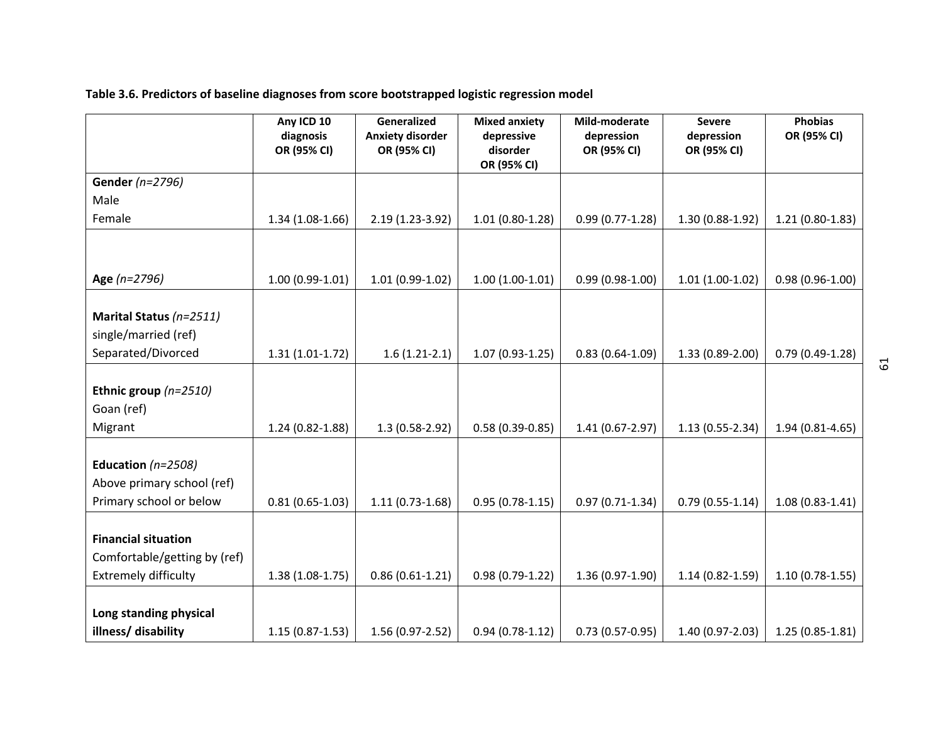**Table 3.6. Predictors of baseline diagnoses from score bootstrapped logistic regression model** 

|                              | Any ICD 10               | Generalized                            | <b>Mixed anxiety</b>   | Mild-moderate             | <b>Severe</b>             | <b>Phobias</b>      |
|------------------------------|--------------------------|----------------------------------------|------------------------|---------------------------|---------------------------|---------------------|
|                              | diagnosis<br>OR (95% CI) | <b>Anxiety disorder</b><br>OR (95% CI) | depressive<br>disorder | depression<br>OR (95% CI) | depression<br>OR (95% CI) | OR (95% CI)         |
|                              |                          |                                        | OR (95% CI)            |                           |                           |                     |
| Gender (n=2796)              |                          |                                        |                        |                           |                           |                     |
| Male                         |                          |                                        |                        |                           |                           |                     |
| Female                       | $1.34(1.08-1.66)$        | 2.19 (1.23-3.92)                       | $1.01(0.80-1.28)$      | $0.99(0.77 - 1.28)$       | 1.30 (0.88-1.92)          | $1.21(0.80-1.83)$   |
|                              |                          |                                        |                        |                           |                           |                     |
|                              |                          |                                        |                        |                           |                           |                     |
| Age (n=2796)                 | $1.00(0.99-1.01)$        | $1.01(0.99-1.02)$                      | $1.00(1.00-1.01)$      | $0.99(0.98-1.00)$         | $1.01(1.00-1.02)$         | $0.98(0.96 - 1.00)$ |
|                              |                          |                                        |                        |                           |                           |                     |
| Marital Status (n=2511)      |                          |                                        |                        |                           |                           |                     |
| single/married (ref)         |                          |                                        |                        |                           |                           |                     |
| Separated/Divorced           | $1.31(1.01-1.72)$        | $1.6(1.21-2.1)$                        | $1.07(0.93-1.25)$      | $0.83(0.64 - 1.09)$       | 1.33 (0.89-2.00)          | $0.79(0.49-1.28)$   |
|                              |                          |                                        |                        |                           |                           |                     |
| Ethnic group $(n=2510)$      |                          |                                        |                        |                           |                           |                     |
| Goan (ref)                   |                          |                                        |                        |                           |                           |                     |
| Migrant                      | $1.24(0.82 - 1.88)$      | 1.3 (0.58-2.92)                        | $0.58(0.39 - 0.85)$    | $1.41(0.67 - 2.97)$       | $1.13(0.55 - 2.34)$       | $1.94(0.81 - 4.65)$ |
|                              |                          |                                        |                        |                           |                           |                     |
| Education $(n=2508)$         |                          |                                        |                        |                           |                           |                     |
| Above primary school (ref)   |                          |                                        |                        |                           |                           |                     |
| Primary school or below      | $0.81(0.65-1.03)$        | $1.11(0.73-1.68)$                      | $0.95(0.78-1.15)$      | $0.97(0.71-1.34)$         | $0.79(0.55-1.14)$         | $1.08(0.83 - 1.41)$ |
|                              |                          |                                        |                        |                           |                           |                     |
| <b>Financial situation</b>   |                          |                                        |                        |                           |                           |                     |
| Comfortable/getting by (ref) |                          |                                        |                        |                           |                           |                     |
| <b>Extremely difficulty</b>  | $1.38(1.08-1.75)$        | $0.86(0.61-1.21)$                      | $0.98(0.79-1.22)$      | $1.36(0.97-1.90)$         | $1.14(0.82 - 1.59)$       | $1.10(0.78-1.55)$   |
|                              |                          |                                        |                        |                           |                           |                     |
| Long standing physical       |                          |                                        |                        |                           |                           |                     |
| illness/ disability          | $1.15(0.87-1.53)$        | 1.56 (0.97-2.52)                       | $0.94(0.78-1.12)$      | $0.73(0.57-0.95)$         | 1.40 (0.97-2.03)          | $1.25(0.85-1.81)$   |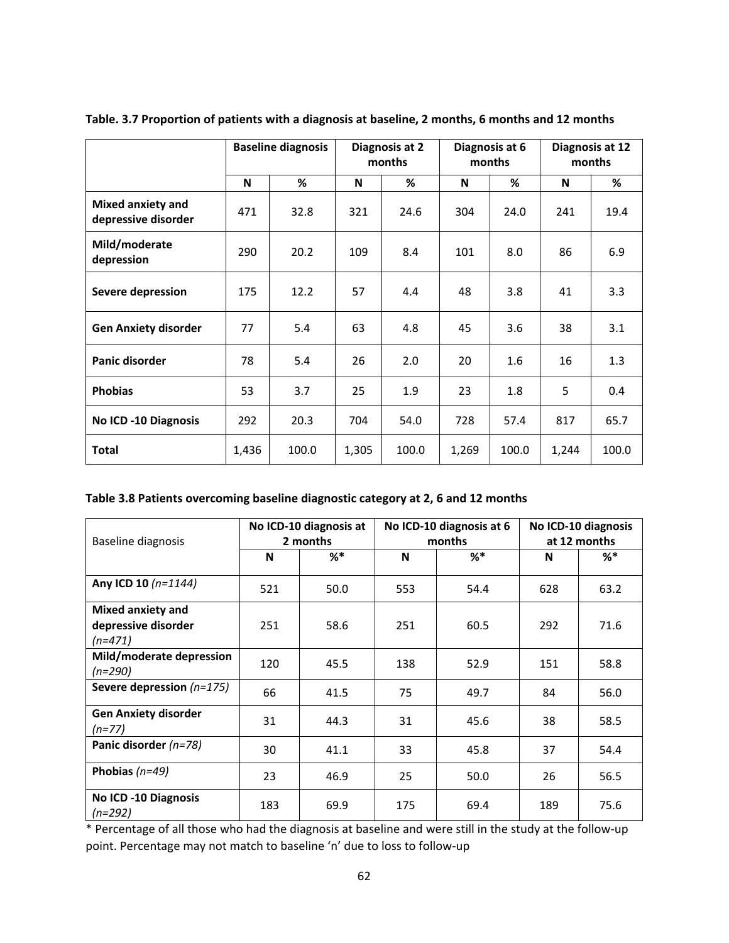|                                                 | <b>Baseline diagnosis</b> |       | Diagnosis at 2<br>months |       | Diagnosis at 6<br>months |       | Diagnosis at 12<br>months |       |
|-------------------------------------------------|---------------------------|-------|--------------------------|-------|--------------------------|-------|---------------------------|-------|
|                                                 | N                         | %     | N                        | %     | N                        | %     | N                         | %     |
| <b>Mixed anxiety and</b><br>depressive disorder | 471                       | 32.8  | 321                      | 24.6  | 304                      | 24.0  | 241                       | 19.4  |
| Mild/moderate<br>depression                     | 290                       | 20.2  | 109                      | 8.4   | 101                      | 8.0   | 86                        | 6.9   |
| <b>Severe depression</b>                        | 175                       | 12.2  | 57                       | 4.4   | 48                       | 3.8   | 41                        | 3.3   |
| <b>Gen Anxiety disorder</b>                     | 77                        | 5.4   | 63                       | 4.8   | 45                       | 3.6   | 38                        | 3.1   |
| <b>Panic disorder</b>                           | 78                        | 5.4   | 26                       | 2.0   | 20                       | 1.6   | 16                        | 1.3   |
| <b>Phobias</b>                                  | 53                        | 3.7   | 25                       | 1.9   | 23                       | 1.8   | 5                         | 0.4   |
| <b>No ICD -10 Diagnosis</b>                     | 292                       | 20.3  | 704                      | 54.0  | 728                      | 57.4  | 817                       | 65.7  |
| <b>Total</b>                                    | 1,436                     | 100.0 | 1,305                    | 100.0 | 1,269                    | 100.0 | 1,244                     | 100.0 |

**Table. 3.7 Proportion of patients with a diagnosis at baseline, 2 months, 6 months and 12 months** 

## **Table 3.8 Patients overcoming baseline diagnostic category at 2, 6 and 12 months**

| Baseline diagnosis                                           | No ICD-10 diagnosis at<br>2 months |       |     | No ICD-10 diagnosis at 6<br>months | No ICD-10 diagnosis<br>at 12 months |       |  |
|--------------------------------------------------------------|------------------------------------|-------|-----|------------------------------------|-------------------------------------|-------|--|
|                                                              | N                                  | $%$ * | N   | $%$ *                              | N                                   | $%$ * |  |
| Any ICD 10 (n=1144)                                          | 521                                | 50.0  | 553 | 54.4                               | 628                                 | 63.2  |  |
| <b>Mixed anxiety and</b><br>depressive disorder<br>$(n=471)$ | 251                                | 58.6  | 251 | 60.5                               | 292                                 | 71.6  |  |
| Mild/moderate depression<br>$(n=290)$                        | 120                                | 45.5  | 138 | 52.9                               | 151                                 | 58.8  |  |
| Severe depression $(n=175)$                                  | 66                                 | 41.5  | 75  | 49.7                               | 84                                  | 56.0  |  |
| <b>Gen Anxiety disorder</b><br>$(n=77)$                      | 31                                 | 44.3  | 31  | 45.6                               | 38                                  | 58.5  |  |
| Panic disorder (n=78)                                        | 30                                 | 41.1  | 33  | 45.8                               | 37                                  | 54.4  |  |
| Phobias $(n=49)$                                             | 23                                 | 46.9  | 25  | 50.0                               | 26                                  | 56.5  |  |
| <b>No ICD -10 Diagnosis</b><br>$(n=292)$                     | 183                                | 69.9  | 175 | 69.4                               | 189                                 | 75.6  |  |

\* Percentage of all those who had the diagnosis at baseline and were still in the study at the follow‐up point. Percentage may not match to baseline 'n' due to loss to follow‐up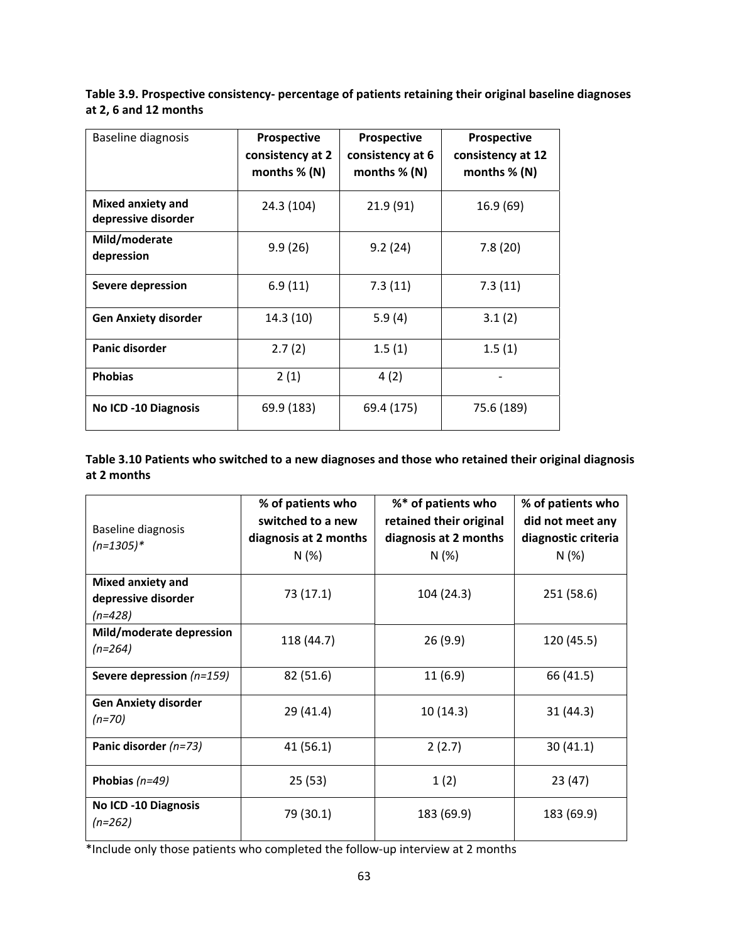**Table 3.9. Prospective consistency‐ percentage of patients retaining their original baseline diagnoses at 2, 6 and 12 months** 

| <b>Baseline diagnosis</b>                | Prospective<br>consistency at 2<br>months $% (N)$ | Prospective<br>consistency at 6<br>months $% (N)$ | <b>Prospective</b><br>consistency at 12<br>months $% (N)$ |
|------------------------------------------|---------------------------------------------------|---------------------------------------------------|-----------------------------------------------------------|
| Mixed anxiety and<br>depressive disorder | 24.3 (104)                                        | 21.9 (91)                                         | 16.9 (69)                                                 |
| Mild/moderate<br>depression              | 9.9(26)                                           | 9.2(24)                                           | 7.8(20)                                                   |
| Severe depression                        | 6.9(11)                                           | 7.3(11)                                           | 7.3(11)                                                   |
| <b>Gen Anxiety disorder</b>              | 14.3(10)                                          | 5.9(4)                                            | 3.1(2)                                                    |
| Panic disorder                           | 2.7(2)                                            | 1.5(1)                                            | 1.5(1)                                                    |
| <b>Phobias</b>                           | 2(1)                                              | 4(2)                                              |                                                           |
| <b>No ICD -10 Diagnosis</b>              | 69.9 (183)                                        | 69.4 (175)                                        | 75.6 (189)                                                |

**Table 3.10 Patients who switched to a new diagnoses and those who retained their original diagnosis at 2 months** 

| Baseline diagnosis<br>$(n=1305)*$                            | % of patients who<br>switched to a new<br>diagnosis at 2 months<br>N (%) | %* of patients who<br>retained their original<br>diagnosis at 2 months<br>N(%) | % of patients who<br>did not meet any<br>diagnostic criteria<br>N(%) |
|--------------------------------------------------------------|--------------------------------------------------------------------------|--------------------------------------------------------------------------------|----------------------------------------------------------------------|
| <b>Mixed anxiety and</b><br>depressive disorder<br>$(n=428)$ | 73 (17.1)                                                                | 104 (24.3)                                                                     | 251 (58.6)                                                           |
| Mild/moderate depression<br>$(n=264)$                        | 118 (44.7)                                                               | 26(9.9)                                                                        | 120 (45.5)                                                           |
| Severe depression (n=159)                                    | 82 (51.6)                                                                | 11(6.9)                                                                        | 66 (41.5)                                                            |
| <b>Gen Anxiety disorder</b><br>$(n=70)$                      | 29 (41.4)                                                                | 10(14.3)                                                                       | 31 (44.3)                                                            |
| Panic disorder (n=73)                                        | 41 (56.1)                                                                | 2(2.7)                                                                         | 30(41.1)                                                             |
| Phobias $(n=49)$                                             | 25(53)                                                                   | 1(2)                                                                           | 23 (47)                                                              |
| <b>No ICD -10 Diagnosis</b><br>$(n=262)$                     | 79 (30.1)                                                                | 183 (69.9)                                                                     | 183 (69.9)                                                           |

\*Include only those patients who completed the follow‐up interview at 2 months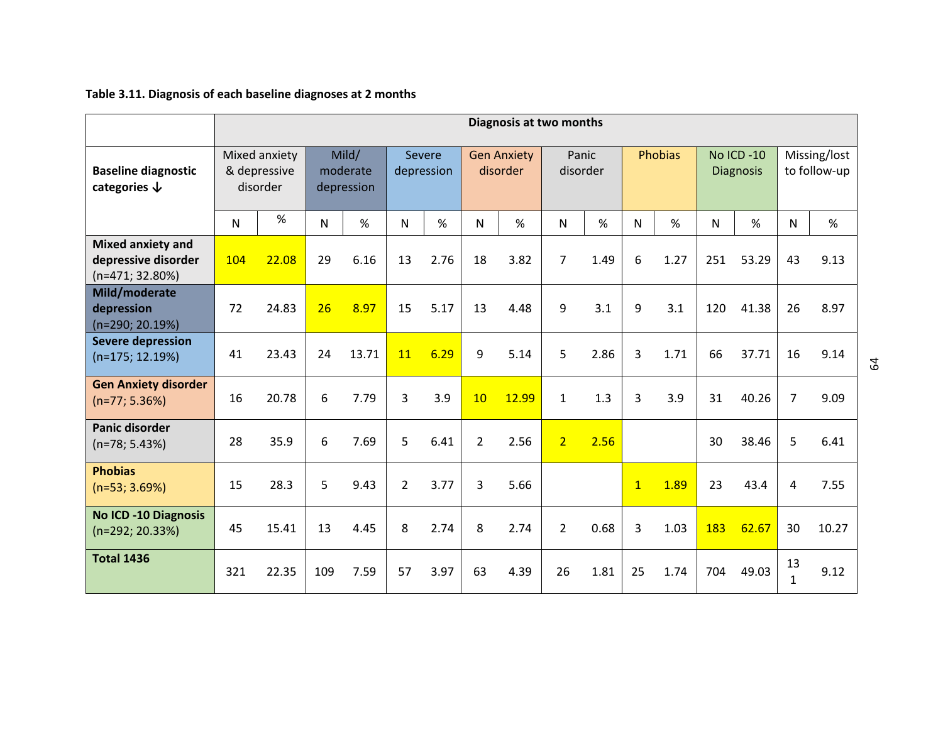# **Table 3.11. Diagnosis of each baseline diagnoses at 2 months**

|                                                                      | Diagnosis at two months |                                           |     |                                 |                |                      |                |                                |                |                   |              |                |     |                                |                    |                              |
|----------------------------------------------------------------------|-------------------------|-------------------------------------------|-----|---------------------------------|----------------|----------------------|----------------|--------------------------------|----------------|-------------------|--------------|----------------|-----|--------------------------------|--------------------|------------------------------|
| <b>Baseline diagnostic</b><br>categories $\downarrow$                |                         | Mixed anxiety<br>& depressive<br>disorder |     | Mild/<br>moderate<br>depression |                | Severe<br>depression |                | <b>Gen Anxiety</b><br>disorder |                | Panic<br>disorder |              | <b>Phobias</b> |     | No ICD -10<br><b>Diagnosis</b> |                    | Missing/lost<br>to follow-up |
|                                                                      | $\mathsf{N}$            | %                                         | N   | %                               | N              | %                    | $\mathsf{N}$   | %                              | N              | %                 | N            | %              | N   | %                              | N                  | %                            |
| <b>Mixed anxiety and</b><br>depressive disorder<br>$(n=471; 32.80%)$ | 104                     | 22.08                                     | 29  | 6.16                            | 13             | 2.76                 | 18             | 3.82                           | $\overline{7}$ | 1.49              | 6            | 1.27           | 251 | 53.29                          | 43                 | 9.13                         |
| Mild/moderate<br>depression<br>(n=290; 20.19%)                       | 72                      | 24.83                                     | 26  | 8.97                            | 15             | 5.17                 | 13             | 4.48                           | 9              | 3.1               | 9            | 3.1            | 120 | 41.38                          | 26                 | 8.97                         |
| <b>Severe depression</b><br>$(n=175; 12.19%)$                        | 41                      | 23.43                                     | 24  | 13.71                           | 11             | 6.29                 | 9              | 5.14                           | 5              | 2.86              | 3            | 1.71           | 66  | 37.71                          | 16                 | 9.14                         |
| <b>Gen Anxiety disorder</b><br>$(n=77; 5.36%)$                       | 16                      | 20.78                                     | 6   | 7.79                            | 3              | 3.9                  | 10             | 12.99                          | $\mathbf{1}$   | 1.3               | 3            | 3.9            | 31  | 40.26                          | $\overline{7}$     | 9.09                         |
| Panic disorder<br>$(n=78; 5.43%)$                                    | 28                      | 35.9                                      | 6   | 7.69                            | 5              | 6.41                 | $\overline{2}$ | 2.56                           | 2 <sup>1</sup> | 2.56              |              |                | 30  | 38.46                          | 5                  | 6.41                         |
| <b>Phobias</b><br>$(n=53; 3.69%)$                                    | 15                      | 28.3                                      | 5   | 9.43                            | $\overline{2}$ | 3.77                 | 3              | 5.66                           |                |                   | $\mathbf{1}$ | 1.89           | 23  | 43.4                           | 4                  | 7.55                         |
| <b>No ICD -10 Diagnosis</b><br>$(n=292; 20.33%)$                     | 45                      | 15.41                                     | 13  | 4.45                            | 8              | 2.74                 | 8              | 2.74                           | $\overline{2}$ | 0.68              | 3            | 1.03           | 183 | 62.67                          | 30                 | 10.27                        |
| <b>Total 1436</b>                                                    | 321                     | 22.35                                     | 109 | 7.59                            | 57             | 3.97                 | 63             | 4.39                           | 26             | 1.81              | 25           | 1.74           | 704 | 49.03                          | 13<br>$\mathbf{1}$ | 9.12                         |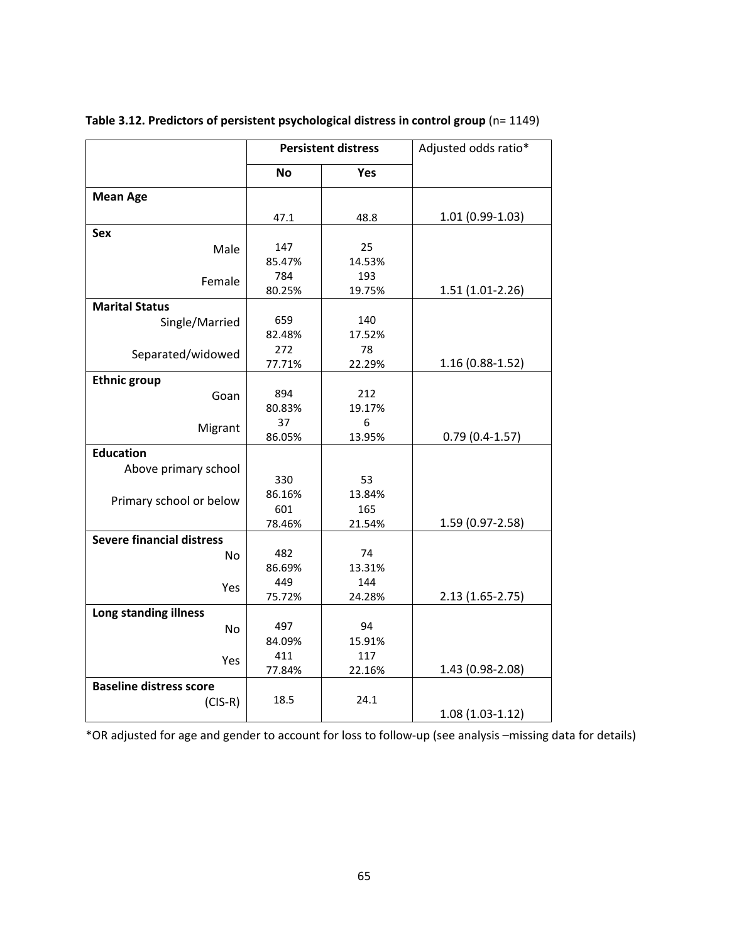|                                  | <b>Persistent distress</b> |               | Adjusted odds ratio* |
|----------------------------------|----------------------------|---------------|----------------------|
|                                  | <b>No</b>                  | Yes           |                      |
| <b>Mean Age</b>                  |                            |               |                      |
|                                  | 47.1                       | 48.8          | $1.01(0.99-1.03)$    |
| <b>Sex</b>                       |                            |               |                      |
| Male                             | 147                        | 25            |                      |
|                                  | 85.47%                     | 14.53%        |                      |
| Female                           | 784<br>80.25%              | 193<br>19.75% | $1.51(1.01-2.26)$    |
| <b>Marital Status</b>            |                            |               |                      |
| Single/Married                   | 659                        | 140           |                      |
|                                  | 82.48%                     | 17.52%        |                      |
| Separated/widowed                | 272                        | 78            |                      |
|                                  | 77.71%                     | 22.29%        | 1.16 (0.88-1.52)     |
| <b>Ethnic group</b>              |                            |               |                      |
| Goan                             | 894                        | 212           |                      |
|                                  | 80.83%                     | 19.17%        |                      |
| Migrant                          | 37                         | 6             |                      |
| <b>Education</b>                 | 86.05%                     | 13.95%        | $0.79(0.4-1.57)$     |
|                                  |                            |               |                      |
| Above primary school             | 330                        | 53            |                      |
|                                  | 86.16%                     | 13.84%        |                      |
| Primary school or below          | 601                        | 165           |                      |
|                                  | 78.46%                     | 21.54%        | 1.59 (0.97-2.58)     |
| <b>Severe financial distress</b> |                            |               |                      |
| No                               | 482                        | 74            |                      |
|                                  | 86.69%                     | 13.31%        |                      |
| Yes                              | 449                        | 144           |                      |
|                                  | 75.72%                     | 24.28%        | $2.13(1.65 - 2.75)$  |
| Long standing illness            | 497                        | 94            |                      |
| No                               | 84.09%                     | 15.91%        |                      |
|                                  | 411                        | 117           |                      |
| Yes                              | 77.84%                     | 22.16%        | 1.43 (0.98-2.08)     |
| <b>Baseline distress score</b>   |                            |               |                      |
| $(CIS-R)$                        | 18.5                       | 24.1          |                      |
|                                  |                            |               | $1.08(1.03-1.12)$    |

**Table 3.12. Predictors of persistent psychological distress in control group** (n= 1149)

\*OR adjusted for age and gender to account for loss to follow‐up (see analysis –missing data for details)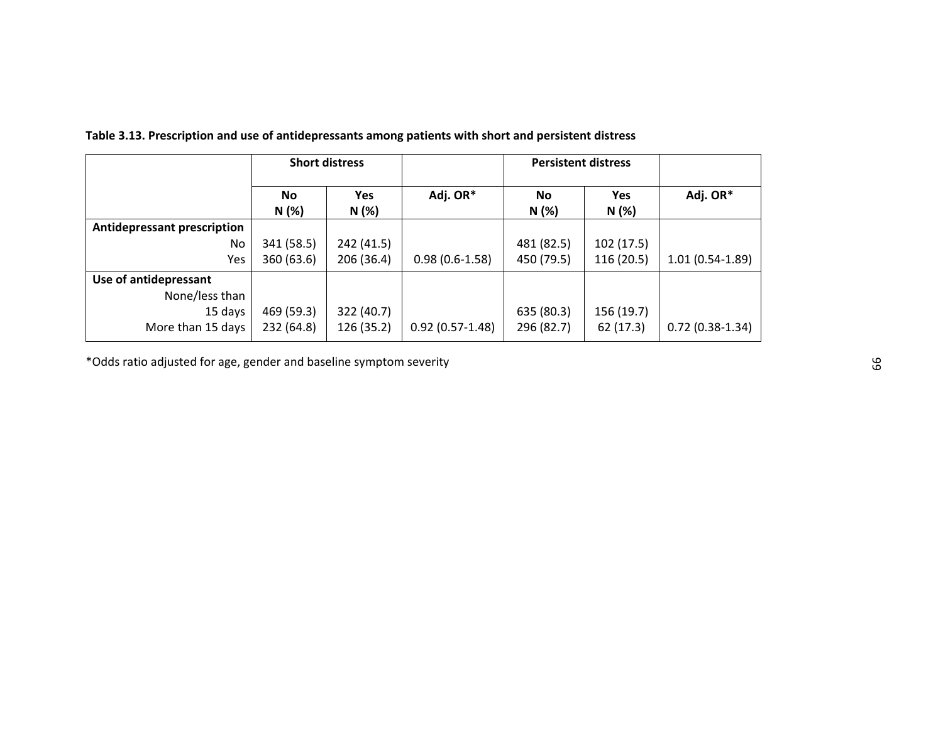|                                    | <b>Short distress</b> |              |                   | <b>Persistent distress</b> |                     |                   |
|------------------------------------|-----------------------|--------------|-------------------|----------------------------|---------------------|-------------------|
|                                    | <b>No</b><br>N(%)     | Yes<br>N (%) | Adj. OR*          | <b>No</b><br>N(%)          | <b>Yes</b><br>N (%) | Adj. OR*          |
| <b>Antidepressant prescription</b> |                       |              |                   |                            |                     |                   |
| No.                                | 341 (58.5)            | 242 (41.5)   |                   | 481 (82.5)                 | 102(17.5)           |                   |
| Yes                                | 360 (63.6)            | 206 (36.4)   | $0.98(0.6-1.58)$  | 450 (79.5)                 | 116(20.5)           | $1.01(0.54-1.89)$ |
| Use of antidepressant              |                       |              |                   |                            |                     |                   |
| None/less than                     |                       |              |                   |                            |                     |                   |
| 15 days                            | 469 (59.3)            | 322 (40.7)   |                   | 635 (80.3)                 | 156 (19.7)          |                   |
| More than 15 days                  | 232 (64.8)            | 126 (35.2)   | $0.92(0.57-1.48)$ | 296 (82.7)                 | 62 (17.3)           | $0.72(0.38-1.34)$ |

**Table 3.13. Prescription and use of antidepressants among patients with short and persistent distress** 

\*Odds ratio adjusted for age, gender and baseline symptom severity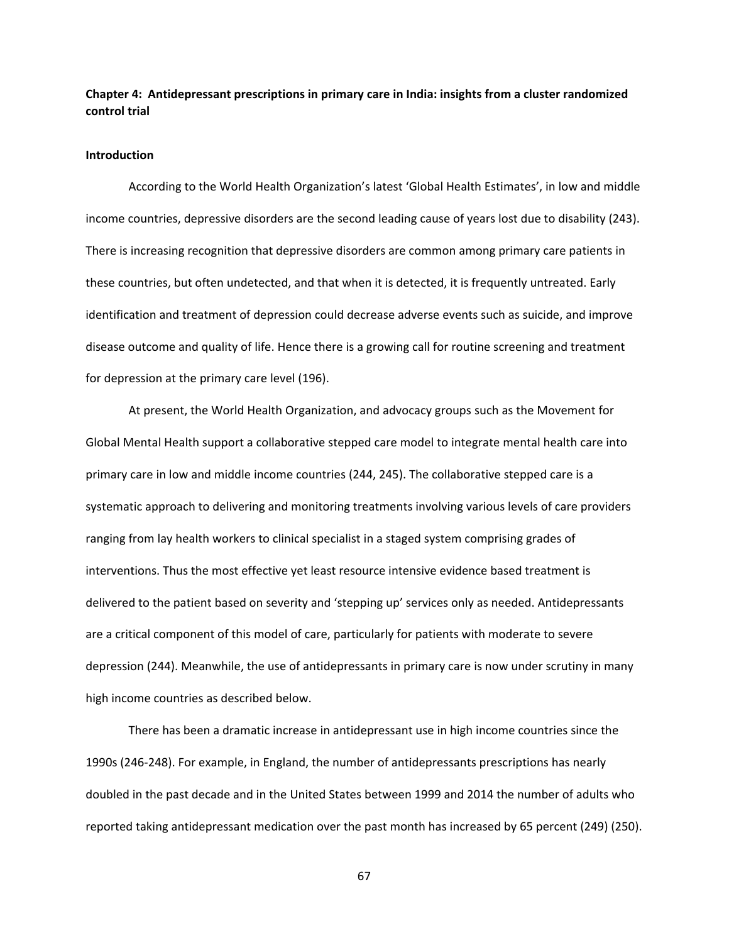# **Chapter 4: Antidepressant prescriptions in primary care in India: insights from a cluster randomized control trial**

## **Introduction**

According to the World Health Organization's latest 'Global Health Estimates', in low and middle income countries, depressive disorders are the second leading cause of years lost due to disability (243). There is increasing recognition that depressive disorders are common among primary care patients in these countries, but often undetected, and that when it is detected, it is frequently untreated. Early identification and treatment of depression could decrease adverse events such as suicide, and improve disease outcome and quality of life. Hence there is a growing call for routine screening and treatment for depression at the primary care level (196).

At present, the World Health Organization, and advocacy groups such as the Movement for Global Mental Health support a collaborative stepped care model to integrate mental health care into primary care in low and middle income countries (244, 245). The collaborative stepped care is a systematic approach to delivering and monitoring treatments involving various levels of care providers ranging from lay health workers to clinical specialist in a staged system comprising grades of interventions. Thus the most effective yet least resource intensive evidence based treatment is delivered to the patient based on severity and 'stepping up' services only as needed. Antidepressants are a critical component of this model of care, particularly for patients with moderate to severe depression (244). Meanwhile, the use of antidepressants in primary care is now under scrutiny in many high income countries as described below.

There has been a dramatic increase in antidepressant use in high income countries since the 1990s (246‐248). For example, in England, the number of antidepressants prescriptions has nearly doubled in the past decade and in the United States between 1999 and 2014 the number of adults who reported taking antidepressant medication over the past month has increased by 65 percent (249) (250).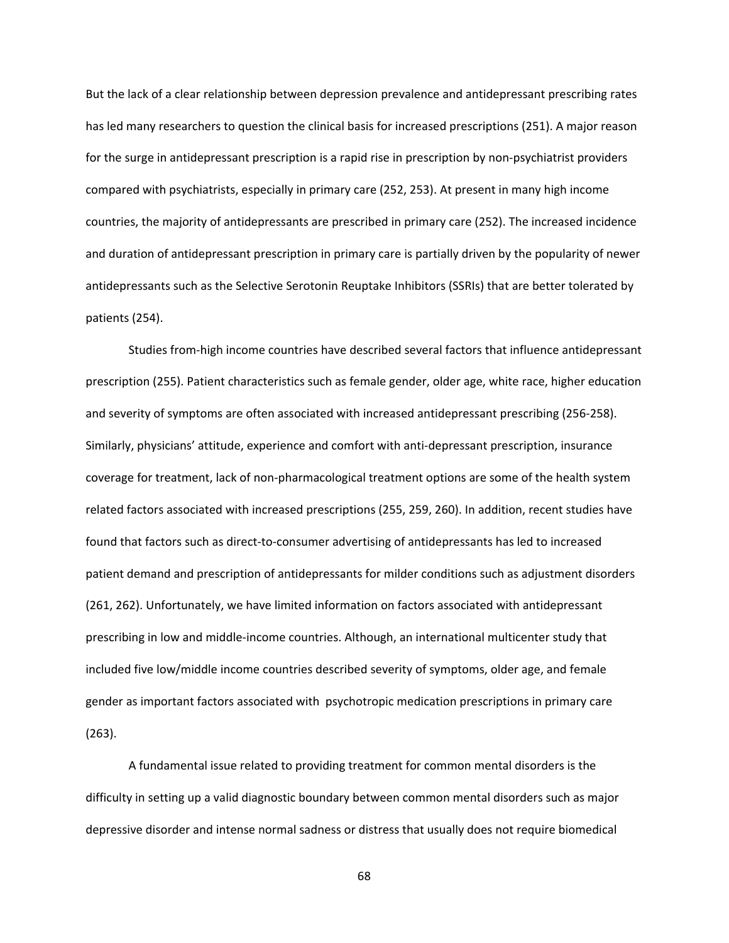But the lack of a clear relationship between depression prevalence and antidepressant prescribing rates has led many researchers to question the clinical basis for increased prescriptions (251). A major reason for the surge in antidepressant prescription is a rapid rise in prescription by non-psychiatrist providers compared with psychiatrists, especially in primary care (252, 253). At present in many high income countries, the majority of antidepressants are prescribed in primary care (252). The increased incidence and duration of antidepressant prescription in primary care is partially driven by the popularity of newer antidepressants such as the Selective Serotonin Reuptake Inhibitors (SSRIs) that are better tolerated by patients (254).

Studies from-high income countries have described several factors that influence antidepressant prescription (255). Patient characteristics such as female gender, older age, white race, higher education and severity of symptoms are often associated with increased antidepressant prescribing (256‐258). Similarly, physicians' attitude, experience and comfort with anti‐depressant prescription, insurance coverage for treatment, lack of non‐pharmacological treatment options are some of the health system related factors associated with increased prescriptions (255, 259, 260). In addition, recent studies have found that factors such as direct-to-consumer advertising of antidepressants has led to increased patient demand and prescription of antidepressants for milder conditions such as adjustment disorders (261, 262). Unfortunately, we have limited information on factors associated with antidepressant prescribing in low and middle‐income countries. Although, an international multicenter study that included five low/middle income countries described severity of symptoms, older age, and female gender as important factors associated with psychotropic medication prescriptions in primary care (263).

A fundamental issue related to providing treatment for common mental disorders is the difficulty in setting up a valid diagnostic boundary between common mental disorders such as major depressive disorder and intense normal sadness or distress that usually does not require biomedical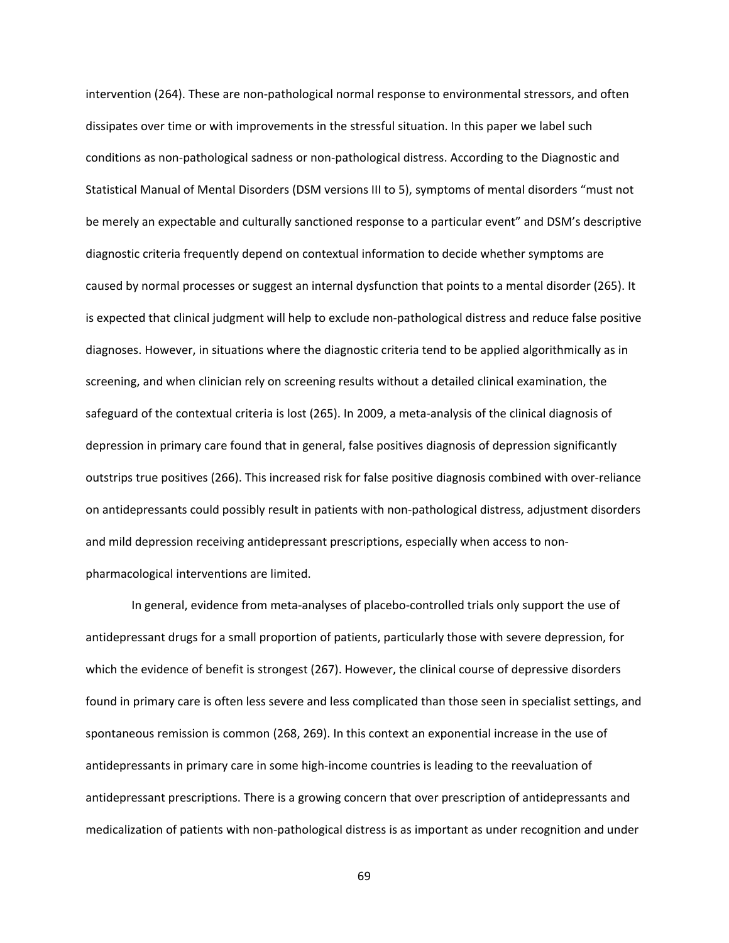intervention (264). These are non‐pathological normal response to environmental stressors, and often dissipates over time or with improvements in the stressful situation. In this paper we label such conditions as non‐pathological sadness or non‐pathological distress. According to the Diagnostic and Statistical Manual of Mental Disorders (DSM versions III to 5), symptoms of mental disorders "must not be merely an expectable and culturally sanctioned response to a particular event" and DSM's descriptive diagnostic criteria frequently depend on contextual information to decide whether symptoms are caused by normal processes or suggest an internal dysfunction that points to a mental disorder (265). It is expected that clinical judgment will help to exclude non-pathological distress and reduce false positive diagnoses. However, in situations where the diagnostic criteria tend to be applied algorithmically as in screening, and when clinician rely on screening results without a detailed clinical examination, the safeguard of the contextual criteria is lost (265). In 2009, a meta‐analysis of the clinical diagnosis of depression in primary care found that in general, false positives diagnosis of depression significantly outstrips true positives (266). This increased risk for false positive diagnosis combined with over‐reliance on antidepressants could possibly result in patients with non-pathological distress, adjustment disorders and mild depression receiving antidepressant prescriptions, especially when access to non‐ pharmacological interventions are limited.

 In general, evidence from meta‐analyses of placebo‐controlled trials only support the use of antidepressant drugs for a small proportion of patients, particularly those with severe depression, for which the evidence of benefit is strongest (267). However, the clinical course of depressive disorders found in primary care is often less severe and less complicated than those seen in specialist settings, and spontaneous remission is common (268, 269). In this context an exponential increase in the use of antidepressants in primary care in some high‐income countries is leading to the reevaluation of antidepressant prescriptions. There is a growing concern that over prescription of antidepressants and medicalization of patients with non‐pathological distress is as important as under recognition and under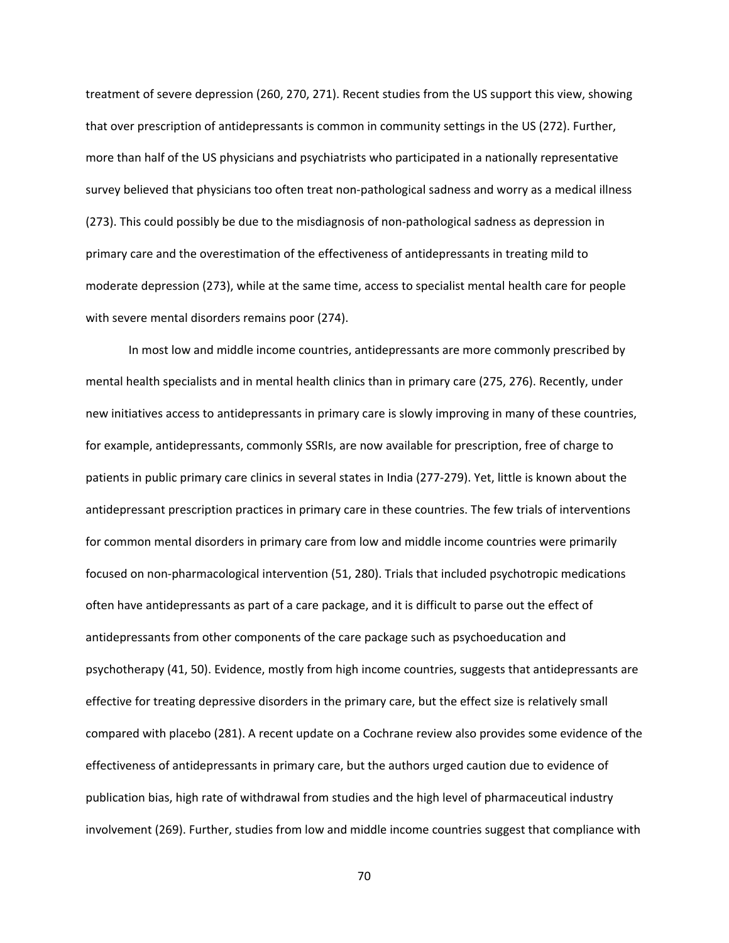treatment of severe depression (260, 270, 271). Recent studies from the US support this view, showing that over prescription of antidepressants is common in community settings in the US (272). Further, more than half of the US physicians and psychiatrists who participated in a nationally representative survey believed that physicians too often treat non‐pathological sadness and worry as a medical illness (273). This could possibly be due to the misdiagnosis of non‐pathological sadness as depression in primary care and the overestimation of the effectiveness of antidepressants in treating mild to moderate depression (273), while at the same time, access to specialist mental health care for people with severe mental disorders remains poor (274).

In most low and middle income countries, antidepressants are more commonly prescribed by mental health specialists and in mental health clinics than in primary care (275, 276). Recently, under new initiatives access to antidepressants in primary care is slowly improving in many of these countries, for example, antidepressants, commonly SSRIs, are now available for prescription, free of charge to patients in public primary care clinics in several states in India (277‐279). Yet, little is known about the antidepressant prescription practices in primary care in these countries. The few trials of interventions for common mental disorders in primary care from low and middle income countries were primarily focused on non‐pharmacological intervention (51, 280). Trials that included psychotropic medications often have antidepressants as part of a care package, and it is difficult to parse out the effect of antidepressants from other components of the care package such as psychoeducation and psychotherapy (41, 50). Evidence, mostly from high income countries, suggests that antidepressants are effective for treating depressive disorders in the primary care, but the effect size is relatively small compared with placebo (281). A recent update on a Cochrane review also provides some evidence of the effectiveness of antidepressants in primary care, but the authors urged caution due to evidence of publication bias, high rate of withdrawal from studies and the high level of pharmaceutical industry involvement (269). Further, studies from low and middle income countries suggest that compliance with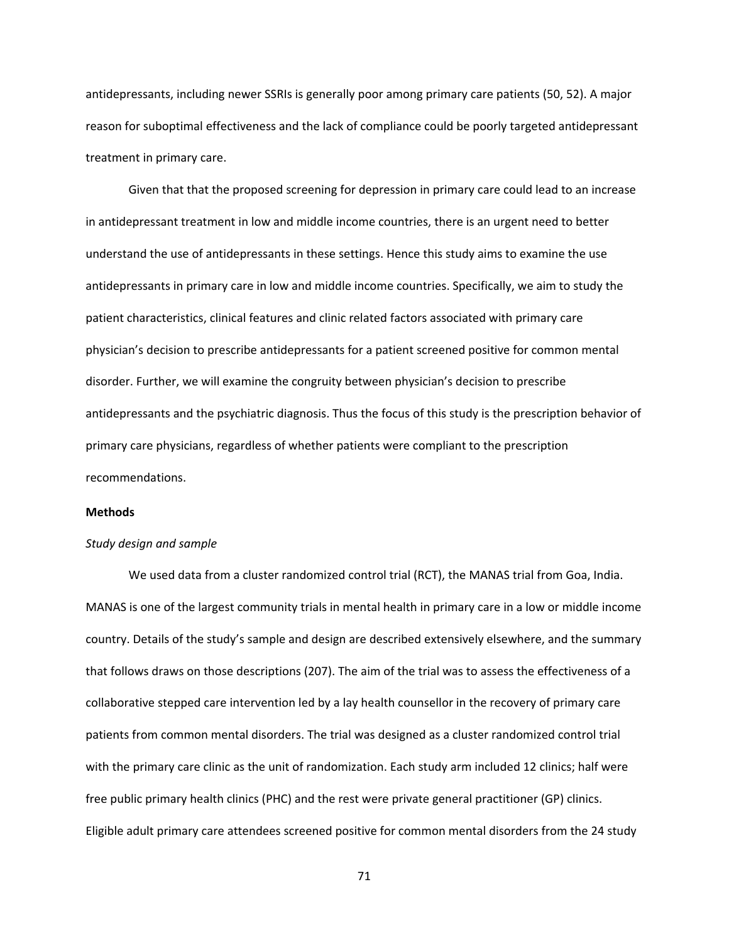antidepressants, including newer SSRIs is generally poor among primary care patients (50, 52). A major reason for suboptimal effectiveness and the lack of compliance could be poorly targeted antidepressant treatment in primary care.

Given that that the proposed screening for depression in primary care could lead to an increase in antidepressant treatment in low and middle income countries, there is an urgent need to better understand the use of antidepressants in these settings. Hence this study aims to examine the use antidepressants in primary care in low and middle income countries. Specifically, we aim to study the patient characteristics, clinical features and clinic related factors associated with primary care physician's decision to prescribe antidepressants for a patient screened positive for common mental disorder. Further, we will examine the congruity between physician's decision to prescribe antidepressants and the psychiatric diagnosis. Thus the focus of this study is the prescription behavior of primary care physicians, regardless of whether patients were compliant to the prescription recommendations.

### **Methods**

#### *Study design and sample*

We used data from a cluster randomized control trial (RCT), the MANAS trial from Goa, India. MANAS is one of the largest community trials in mental health in primary care in a low or middle income country. Details of the study's sample and design are described extensively elsewhere, and the summary that follows draws on those descriptions (207). The aim of the trial was to assess the effectiveness of a collaborative stepped care intervention led by a lay health counsellor in the recovery of primary care patients from common mental disorders. The trial was designed as a cluster randomized control trial with the primary care clinic as the unit of randomization. Each study arm included 12 clinics; half were free public primary health clinics (PHC) and the rest were private general practitioner (GP) clinics. Eligible adult primary care attendees screened positive for common mental disorders from the 24 study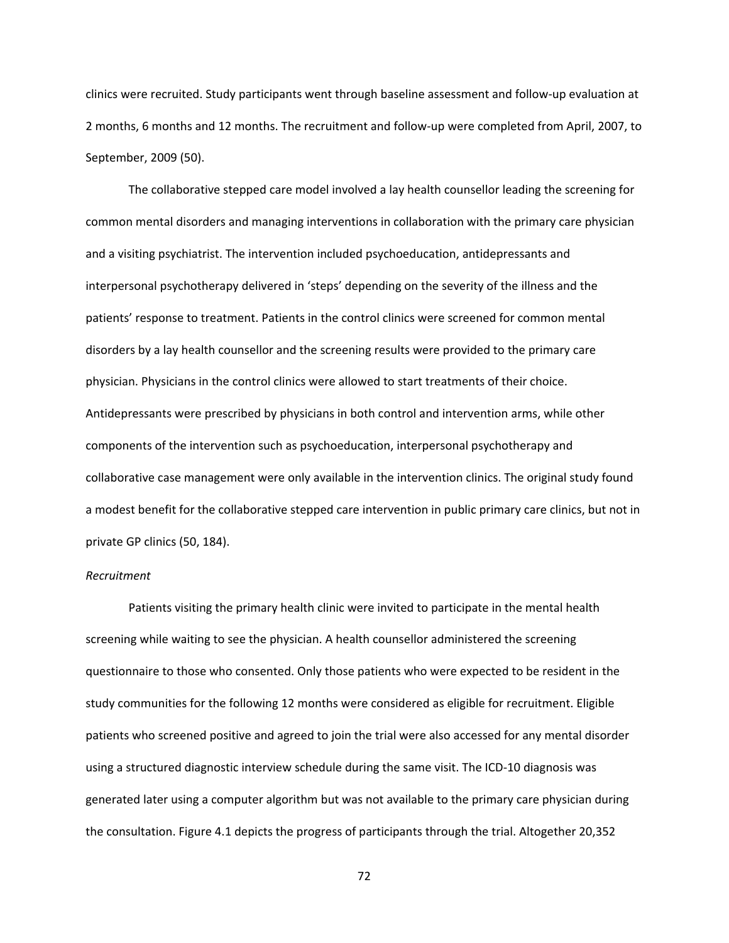clinics were recruited. Study participants went through baseline assessment and follow‐up evaluation at 2 months, 6 months and 12 months. The recruitment and follow‐up were completed from April, 2007, to September, 2009 (50).

The collaborative stepped care model involved a lay health counsellor leading the screening for common mental disorders and managing interventions in collaboration with the primary care physician and a visiting psychiatrist. The intervention included psychoeducation, antidepressants and interpersonal psychotherapy delivered in 'steps' depending on the severity of the illness and the patients' response to treatment. Patients in the control clinics were screened for common mental disorders by a lay health counsellor and the screening results were provided to the primary care physician. Physicians in the control clinics were allowed to start treatments of their choice. Antidepressants were prescribed by physicians in both control and intervention arms, while other components of the intervention such as psychoeducation, interpersonal psychotherapy and collaborative case management were only available in the intervention clinics. The original study found a modest benefit for the collaborative stepped care intervention in public primary care clinics, but not in private GP clinics (50, 184).

# *Recruitment*

Patients visiting the primary health clinic were invited to participate in the mental health screening while waiting to see the physician. A health counsellor administered the screening questionnaire to those who consented. Only those patients who were expected to be resident in the study communities for the following 12 months were considered as eligible for recruitment. Eligible patients who screened positive and agreed to join the trial were also accessed for any mental disorder using a structured diagnostic interview schedule during the same visit. The ICD‐10 diagnosis was generated later using a computer algorithm but was not available to the primary care physician during the consultation. Figure 4.1 depicts the progress of participants through the trial. Altogether 20,352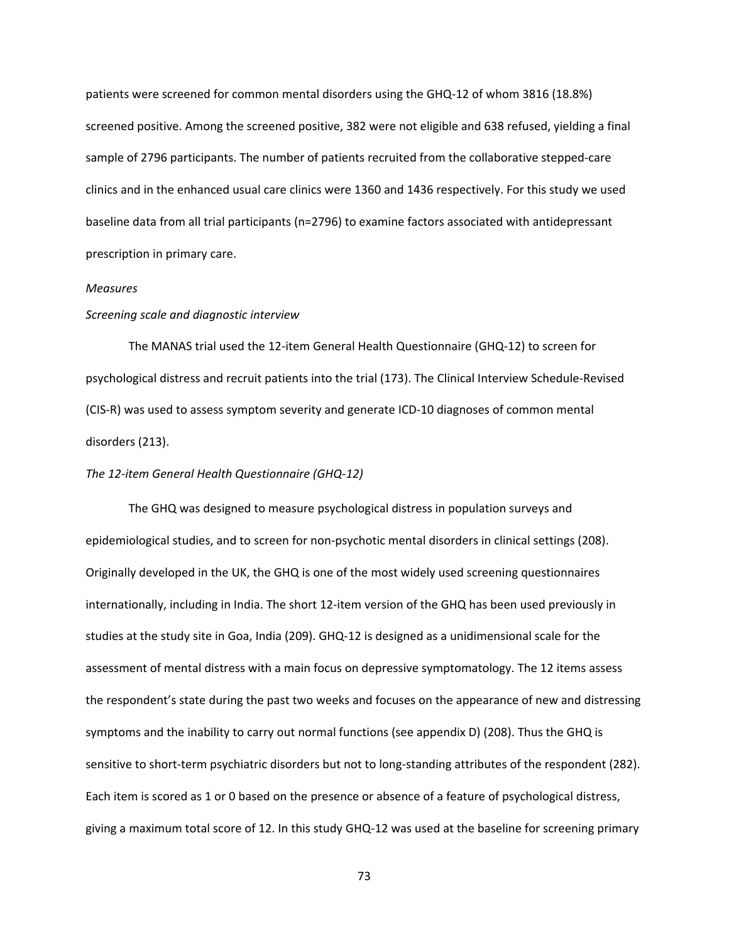patients were screened for common mental disorders using the GHQ‐12 of whom 3816 (18.8%) screened positive. Among the screened positive, 382 were not eligible and 638 refused, yielding a final sample of 2796 participants. The number of patients recruited from the collaborative stepped‐care clinics and in the enhanced usual care clinics were 1360 and 1436 respectively. For this study we used baseline data from all trial participants (n=2796) to examine factors associated with antidepressant prescription in primary care.

# *Measures*

# *Screening scale and diagnostic interview*

The MANAS trial used the 12‐item General Health Questionnaire (GHQ‐12) to screen for psychological distress and recruit patients into the trial (173). The Clinical Interview Schedule‐Revised (CIS‐R) was used to assess symptom severity and generate ICD‐10 diagnoses of common mental disorders (213).

### *The 12‐item General Health Questionnaire (GHQ‐12)*

The GHQ was designed to measure psychological distress in population surveys and epidemiological studies, and to screen for non‐psychotic mental disorders in clinical settings (208). Originally developed in the UK, the GHQ is one of the most widely used screening questionnaires internationally, including in India. The short 12-item version of the GHQ has been used previously in studies at the study site in Goa, India (209). GHQ-12 is designed as a unidimensional scale for the assessment of mental distress with a main focus on depressive symptomatology. The 12 items assess the respondent's state during the past two weeks and focuses on the appearance of new and distressing symptoms and the inability to carry out normal functions (see appendix D) (208). Thus the GHQ is sensitive to short-term psychiatric disorders but not to long-standing attributes of the respondent (282). Each item is scored as 1 or 0 based on the presence or absence of a feature of psychological distress, giving a maximum total score of 12. In this study GHQ‐12 was used at the baseline for screening primary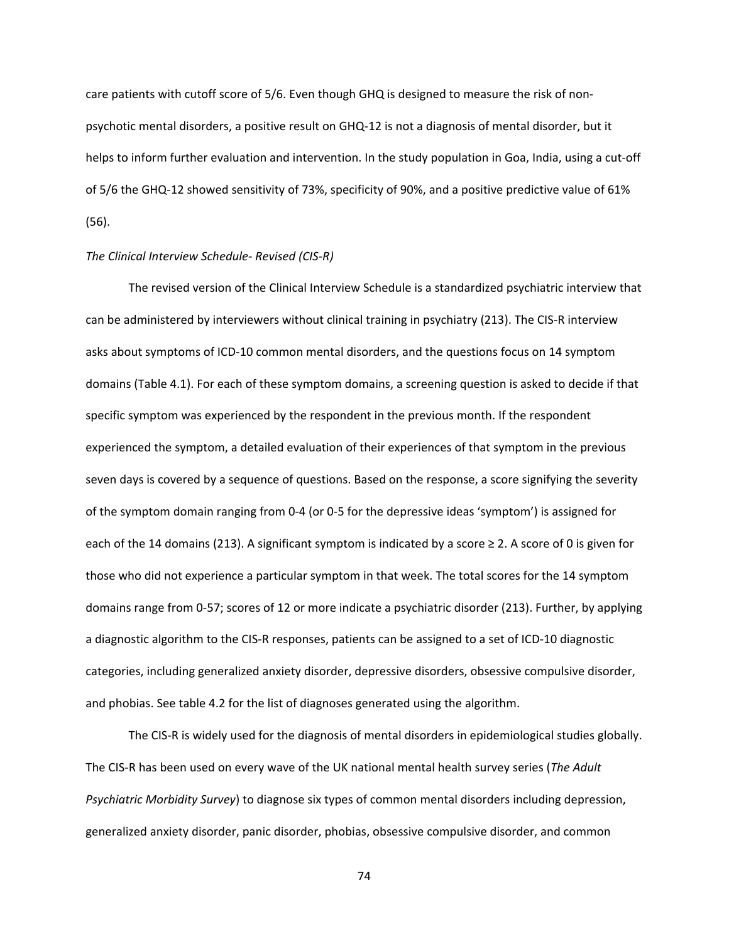care patients with cutoff score of 5/6. Even though GHQ is designed to measure the risk of non‐ psychotic mental disorders, a positive result on GHQ‐12 is not a diagnosis of mental disorder, but it helps to inform further evaluation and intervention. In the study population in Goa, India, using a cut-off of 5/6 the GHQ‐12 showed sensitivity of 73%, specificity of 90%, and a positive predictive value of 61% (56).

# *The Clinical Interview Schedule‐ Revised (CIS‐R)*

The revised version of the Clinical Interview Schedule is a standardized psychiatric interview that can be administered by interviewers without clinical training in psychiatry (213). The CIS‐R interview asks about symptoms of ICD‐10 common mental disorders, and the questions focus on 14 symptom domains (Table 4.1). For each of these symptom domains, a screening question is asked to decide if that specific symptom was experienced by the respondent in the previous month. If the respondent experienced the symptom, a detailed evaluation of their experiences of that symptom in the previous seven days is covered by a sequence of questions. Based on the response, a score signifying the severity of the symptom domain ranging from 0‐4 (or 0‐5 for the depressive ideas 'symptom') is assigned for each of the 14 domains (213). A significant symptom is indicated by a score  $\geq 2$ . A score of 0 is given for those who did not experience a particular symptom in that week. The total scores for the 14 symptom domains range from 0‐57; scores of 12 or more indicate a psychiatric disorder (213). Further, by applying a diagnostic algorithm to the CIS‐R responses, patients can be assigned to a set of ICD‐10 diagnostic categories, including generalized anxiety disorder, depressive disorders, obsessive compulsive disorder, and phobias. See table 4.2 for the list of diagnoses generated using the algorithm.

The CIS‐R is widely used for the diagnosis of mental disorders in epidemiological studies globally. The CIS‐R has been used on every wave of the UK national mental health survey series (*The Adult Psychiatric Morbidity Survey*) to diagnose six types of common mental disorders including depression, generalized anxiety disorder, panic disorder, phobias, obsessive compulsive disorder, and common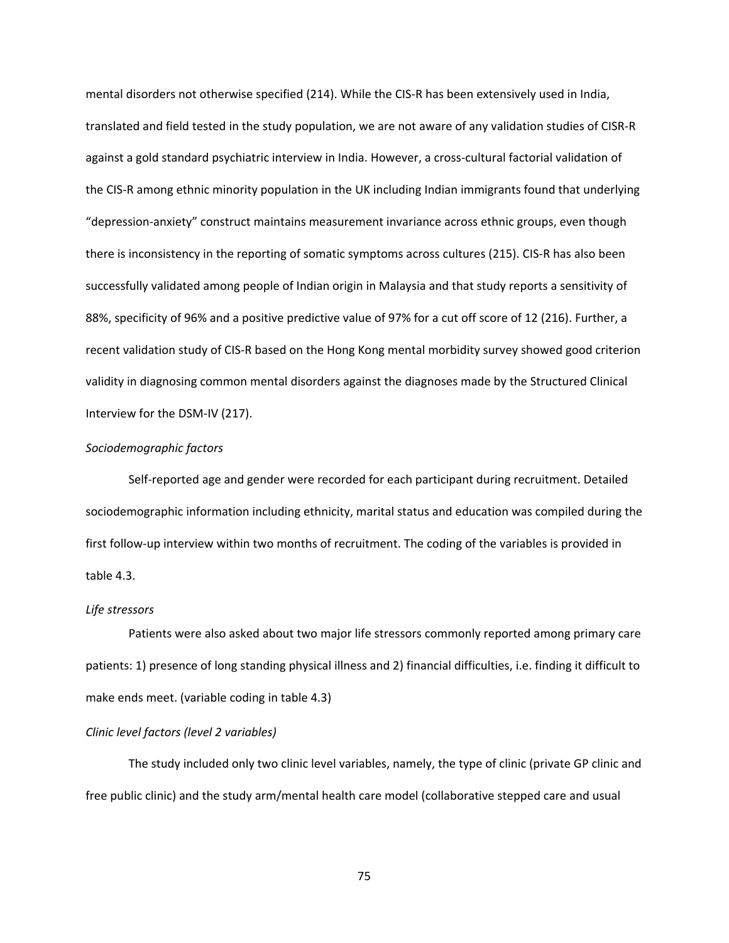mental disorders not otherwise specified (214). While the CIS‐R has been extensively used in India, translated and field tested in the study population, we are not aware of any validation studies of CISR‐R against a gold standard psychiatric interview in India. However, a cross-cultural factorial validation of the CIS‐R among ethnic minority population in the UK including Indian immigrants found that underlying "depression‐anxiety" construct maintains measurement invariance across ethnic groups, even though there is inconsistency in the reporting of somatic symptoms across cultures (215). CIS‐R has also been successfully validated among people of Indian origin in Malaysia and that study reports a sensitivity of 88%, specificity of 96% and a positive predictive value of 97% for a cut off score of 12 (216). Further, a recent validation study of CIS‐R based on the Hong Kong mental morbidity survey showed good criterion validity in diagnosing common mental disorders against the diagnoses made by the Structured Clinical Interview for the DSM‐IV (217).

# *Sociodemographic factors*

Self-reported age and gender were recorded for each participant during recruitment. Detailed sociodemographic information including ethnicity, marital status and education was compiled during the first follow‐up interview within two months of recruitment. The coding of the variables is provided in table 4.3.

## *Life stressors*

Patients were also asked about two major life stressors commonly reported among primary care patients: 1) presence of long standing physical illness and 2) financial difficulties, i.e. finding it difficult to make ends meet. (variable coding in table 4.3)

## *Clinic level factors (level 2 variables)*

The study included only two clinic level variables, namely, the type of clinic (private GP clinic and free public clinic) and the study arm/mental health care model (collaborative stepped care and usual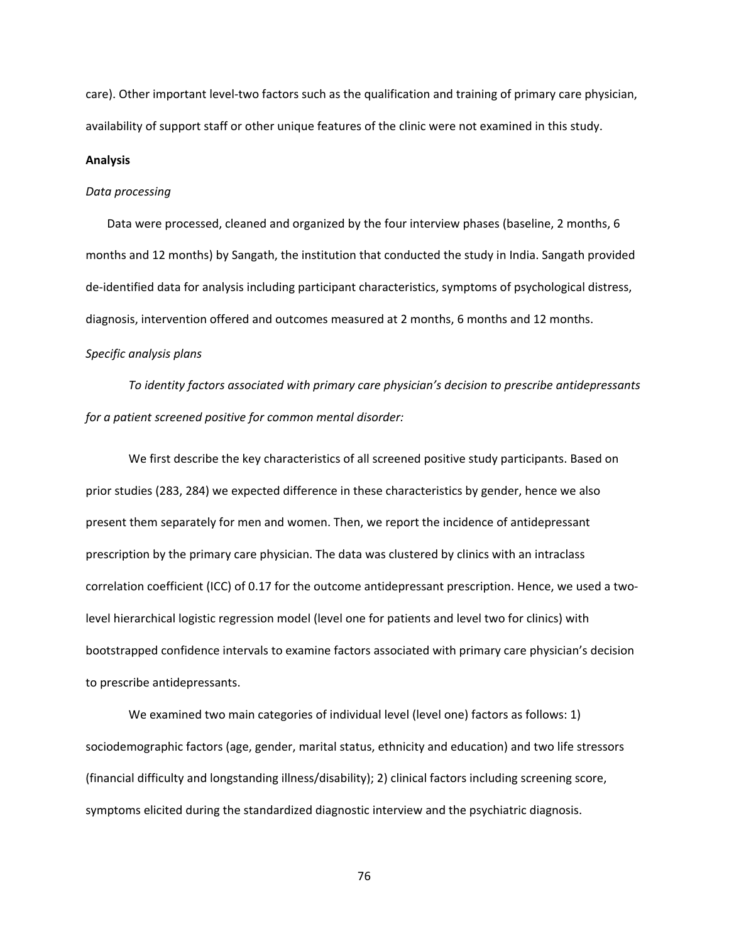care). Other important level‐two factors such as the qualification and training of primary care physician, availability of support staff or other unique features of the clinic were not examined in this study.

### **Analysis**

# *Data processing*

Data were processed, cleaned and organized by the four interview phases (baseline, 2 months, 6 months and 12 months) by Sangath, the institution that conducted the study in India. Sangath provided de-identified data for analysis including participant characteristics, symptoms of psychological distress, diagnosis, intervention offered and outcomes measured at 2 months, 6 months and 12 months.

# *Specific analysis plans*

*To identity factors associated with primary care physician's decision to prescribe antidepressants for a patient screened positive for common mental disorder:* 

We first describe the key characteristics of all screened positive study participants. Based on prior studies (283, 284) we expected difference in these characteristics by gender, hence we also present them separately for men and women. Then, we report the incidence of antidepressant prescription by the primary care physician. The data was clustered by clinics with an intraclass correlation coefficient (ICC) of 0.17 for the outcome antidepressant prescription. Hence, we used a twolevel hierarchical logistic regression model (level one for patients and level two for clinics) with bootstrapped confidence intervals to examine factors associated with primary care physician's decision to prescribe antidepressants.

We examined two main categories of individual level (level one) factors as follows: 1) sociodemographic factors (age, gender, marital status, ethnicity and education) and two life stressors (financial difficulty and longstanding illness/disability); 2) clinical factors including screening score, symptoms elicited during the standardized diagnostic interview and the psychiatric diagnosis.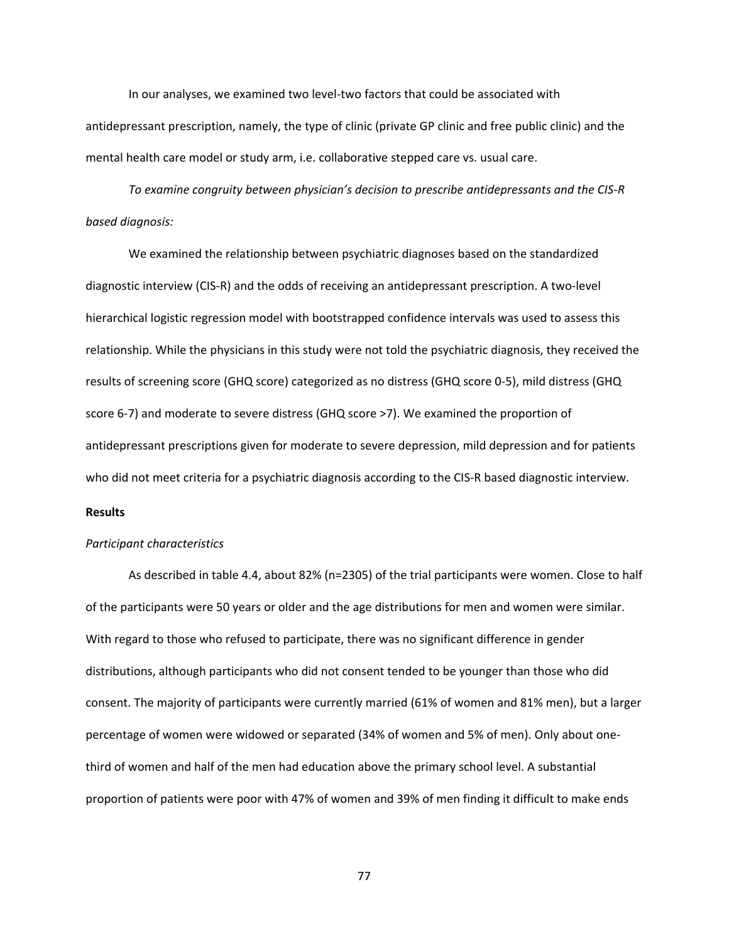In our analyses, we examined two level‐two factors that could be associated with antidepressant prescription, namely, the type of clinic (private GP clinic and free public clinic) and the mental health care model or study arm, i.e. collaborative stepped care vs. usual care.

*To examine congruity between physician's decision to prescribe antidepressants and the CIS‐R based diagnosis:* 

We examined the relationship between psychiatric diagnoses based on the standardized diagnostic interview (CIS‐R) and the odds of receiving an antidepressant prescription. A two‐level hierarchical logistic regression model with bootstrapped confidence intervals was used to assess this relationship. While the physicians in this study were not told the psychiatric diagnosis, they received the results of screening score (GHQ score) categorized as no distress (GHQ score 0‐5), mild distress (GHQ score 6-7) and moderate to severe distress (GHQ score >7). We examined the proportion of antidepressant prescriptions given for moderate to severe depression, mild depression and for patients who did not meet criteria for a psychiatric diagnosis according to the CIS-R based diagnostic interview.

# **Results**

#### *Participant characteristics*

As described in table 4.4, about 82% (n=2305) of the trial participants were women. Close to half of the participants were 50 years or older and the age distributions for men and women were similar. With regard to those who refused to participate, there was no significant difference in gender distributions, although participants who did not consent tended to be younger than those who did consent. The majority of participants were currently married (61% of women and 81% men), but a larger percentage of women were widowed or separated (34% of women and 5% of men). Only about one‐ third of women and half of the men had education above the primary school level. A substantial proportion of patients were poor with 47% of women and 39% of men finding it difficult to make ends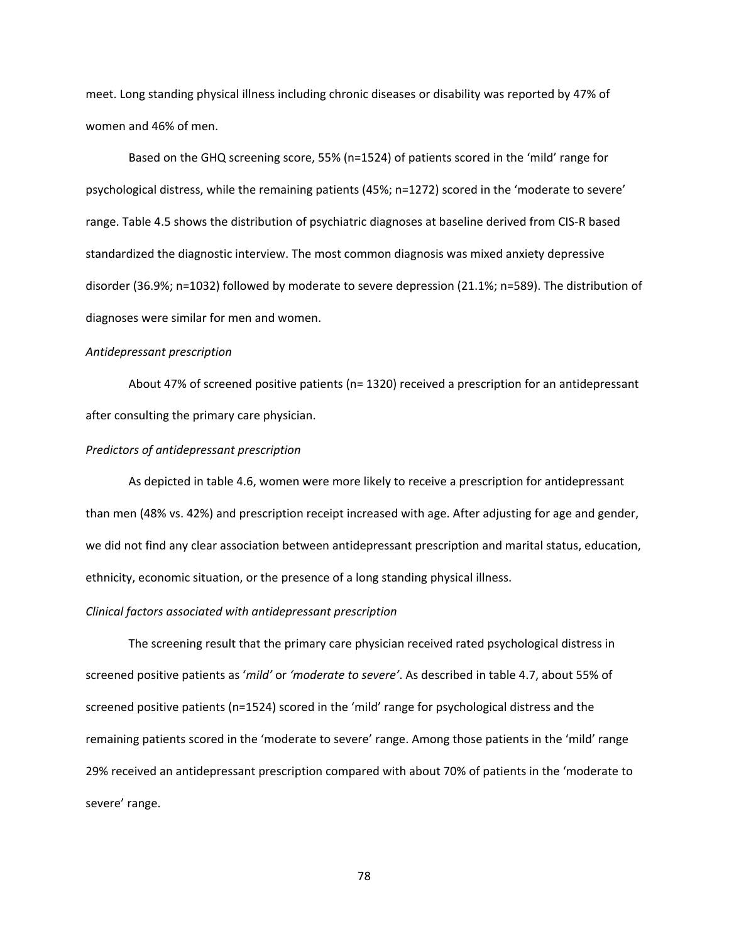meet. Long standing physical illness including chronic diseases or disability was reported by 47% of women and 46% of men.

Based on the GHQ screening score, 55% (n=1524) of patients scored in the 'mild' range for psychological distress, while the remaining patients (45%; n=1272) scored in the 'moderate to severe' range. Table 4.5 shows the distribution of psychiatric diagnoses at baseline derived from CIS‐R based standardized the diagnostic interview. The most common diagnosis was mixed anxiety depressive disorder (36.9%; n=1032) followed by moderate to severe depression (21.1%; n=589). The distribution of diagnoses were similar for men and women.

# *Antidepressant prescription*

About 47% of screened positive patients (n= 1320) received a prescription for an antidepressant after consulting the primary care physician.

# *Predictors of antidepressant prescription*

 As depicted in table 4.6, women were more likely to receive a prescription for antidepressant than men (48% vs. 42%) and prescription receipt increased with age. After adjusting for age and gender, we did not find any clear association between antidepressant prescription and marital status, education, ethnicity, economic situation, or the presence of a long standing physical illness.

# *Clinical factors associated with antidepressant prescription*

The screening result that the primary care physician received rated psychological distress in screened positive patients as '*mild'* or *'moderate to severe'*. As described in table 4.7, about 55% of screened positive patients (n=1524) scored in the 'mild' range for psychological distress and the remaining patients scored in the 'moderate to severe' range. Among those patients in the 'mild' range 29% received an antidepressant prescription compared with about 70% of patients in the 'moderate to severe' range.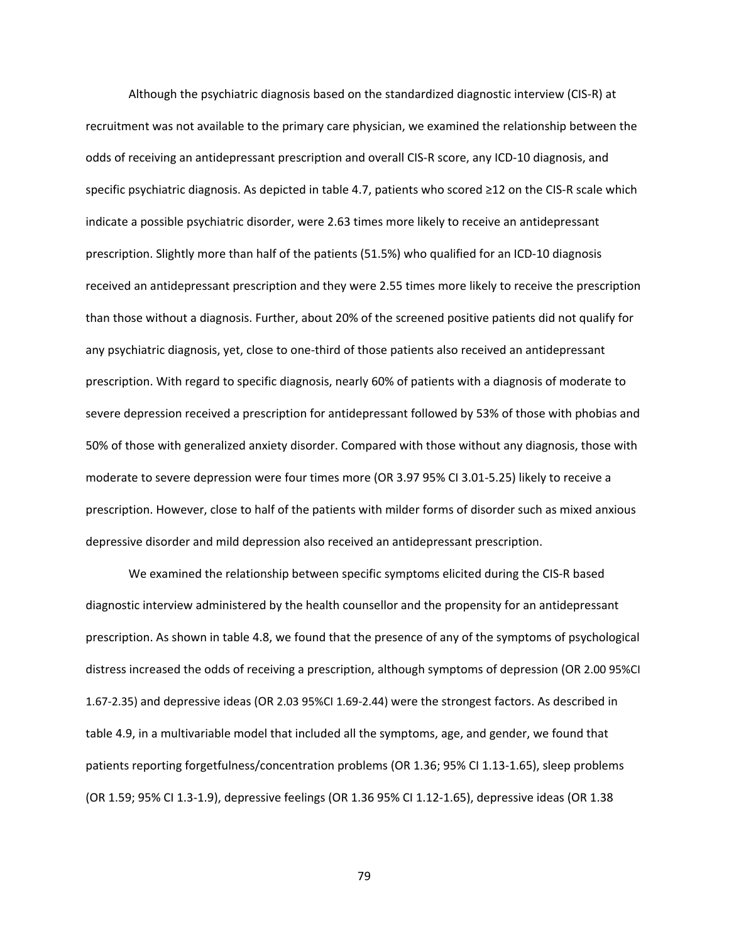Although the psychiatric diagnosis based on the standardized diagnostic interview (CIS‐R) at recruitment was not available to the primary care physician, we examined the relationship between the odds of receiving an antidepressant prescription and overall CIS‐R score, any ICD‐10 diagnosis, and specific psychiatric diagnosis. As depicted in table 4.7, patients who scored ≥12 on the CIS‐R scale which indicate a possible psychiatric disorder, were 2.63 times more likely to receive an antidepressant prescription. Slightly more than half of the patients (51.5%) who qualified for an ICD‐10 diagnosis received an antidepressant prescription and they were 2.55 times more likely to receive the prescription than those without a diagnosis. Further, about 20% of the screened positive patients did not qualify for any psychiatric diagnosis, yet, close to one-third of those patients also received an antidepressant prescription. With regard to specific diagnosis, nearly 60% of patients with a diagnosis of moderate to severe depression received a prescription for antidepressant followed by 53% of those with phobias and 50% of those with generalized anxiety disorder. Compared with those without any diagnosis, those with moderate to severe depression were four times more (OR 3.97 95% CI 3.01‐5.25) likely to receive a prescription. However, close to half of the patients with milder forms of disorder such as mixed anxious depressive disorder and mild depression also received an antidepressant prescription.

We examined the relationship between specific symptoms elicited during the CIS‐R based diagnostic interview administered by the health counsellor and the propensity for an antidepressant prescription. As shown in table 4.8, we found that the presence of any of the symptoms of psychological distress increased the odds of receiving a prescription, although symptoms of depression (OR 2.00 95%CI 1.67‐2.35) and depressive ideas (OR 2.03 95%CI 1.69‐2.44) were the strongest factors. As described in table 4.9, in a multivariable model that included all the symptoms, age, and gender, we found that patients reporting forgetfulness/concentration problems (OR 1.36; 95% CI 1.13-1.65), sleep problems (OR 1.59; 95% CI 1.3‐1.9), depressive feelings (OR 1.36 95% CI 1.12‐1.65), depressive ideas (OR 1.38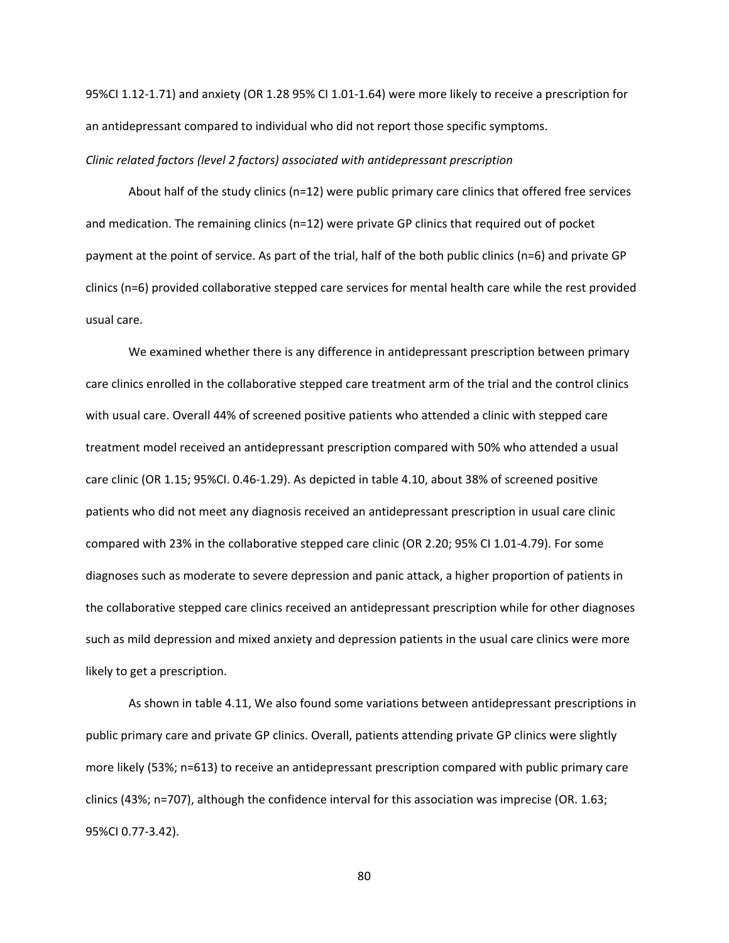95%CI 1.12‐1.71) and anxiety (OR 1.28 95% CI 1.01‐1.64) were more likely to receive a prescription for an antidepressant compared to individual who did not report those specific symptoms.

# *Clinic related factors (level 2 factors) associated with antidepressant prescription*

About half of the study clinics (n=12) were public primary care clinics that offered free services and medication. The remaining clinics (n=12) were private GP clinics that required out of pocket payment at the point of service. As part of the trial, half of the both public clinics (n=6) and private GP clinics (n=6) provided collaborative stepped care services for mental health care while the rest provided usual care.

 We examined whether there is any difference in antidepressant prescription between primary care clinics enrolled in the collaborative stepped care treatment arm of the trial and the control clinics with usual care. Overall 44% of screened positive patients who attended a clinic with stepped care treatment model received an antidepressant prescription compared with 50% who attended a usual care clinic (OR 1.15; 95%CI. 0.46‐1.29). As depicted in table 4.10, about 38% of screened positive patients who did not meet any diagnosis received an antidepressant prescription in usual care clinic compared with 23% in the collaborative stepped care clinic (OR 2.20; 95% CI 1.01‐4.79). For some diagnoses such as moderate to severe depression and panic attack, a higher proportion of patients in the collaborative stepped care clinics received an antidepressant prescription while for other diagnoses such as mild depression and mixed anxiety and depression patients in the usual care clinics were more likely to get a prescription.

 As shown in table 4.11, We also found some variations between antidepressant prescriptions in public primary care and private GP clinics. Overall, patients attending private GP clinics were slightly more likely (53%; n=613) to receive an antidepressant prescription compared with public primary care clinics (43%; n=707), although the confidence interval for this association was imprecise (OR. 1.63; 95%CI 0.77‐3.42).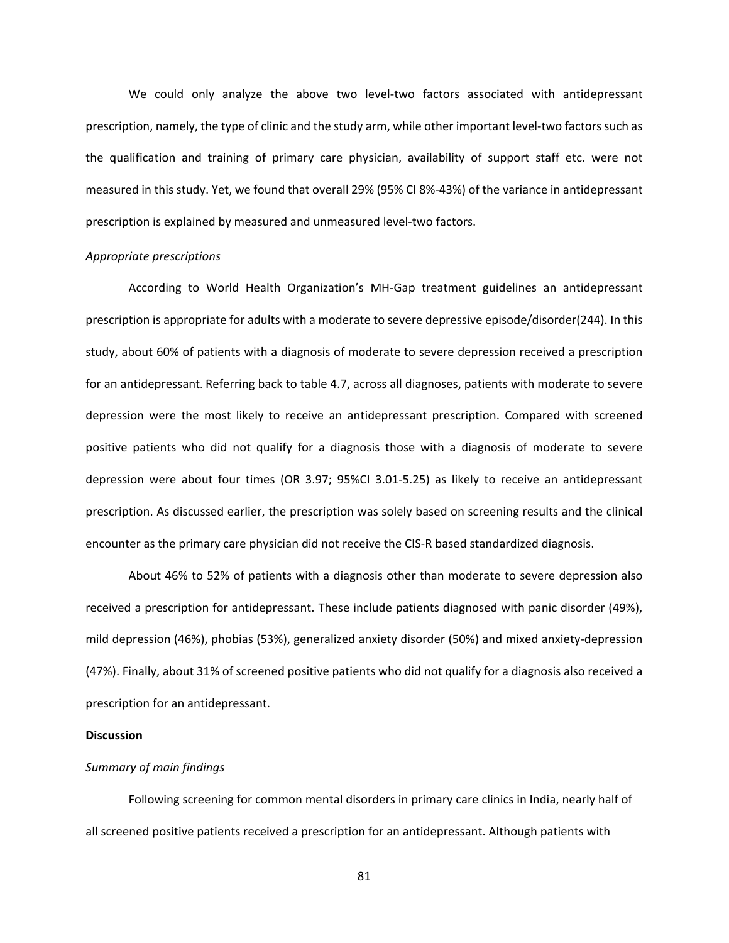We could only analyze the above two level-two factors associated with antidepressant prescription, namely, the type of clinic and the study arm, while other important level‐two factors such as the qualification and training of primary care physician, availability of support staff etc. were not measured in this study. Yet, we found that overall 29% (95% CI 8%‐43%) of the variance in antidepressant prescription is explained by measured and unmeasured level-two factors.

## *Appropriate prescriptions*

According to World Health Organization's MH‐Gap treatment guidelines an antidepressant prescription is appropriate for adults with a moderate to severe depressive episode/disorder(244). In this study, about 60% of patients with a diagnosis of moderate to severe depression received a prescription for an antidepressant. Referring back to table 4.7, across all diagnoses, patients with moderate to severe depression were the most likely to receive an antidepressant prescription. Compared with screened positive patients who did not qualify for a diagnosis those with a diagnosis of moderate to severe depression were about four times (OR 3.97; 95%CI 3.01‐5.25) as likely to receive an antidepressant prescription. As discussed earlier, the prescription was solely based on screening results and the clinical encounter as the primary care physician did not receive the CIS-R based standardized diagnosis.

About 46% to 52% of patients with a diagnosis other than moderate to severe depression also received a prescription for antidepressant. These include patients diagnosed with panic disorder (49%), mild depression (46%), phobias (53%), generalized anxiety disorder (50%) and mixed anxiety‐depression (47%). Finally, about 31% of screened positive patients who did not qualify for a diagnosis also received a prescription for an antidepressant.

# **Discussion**

# *Summary of main findings*

Following screening for common mental disorders in primary care clinics in India, nearly half of all screened positive patients received a prescription for an antidepressant. Although patients with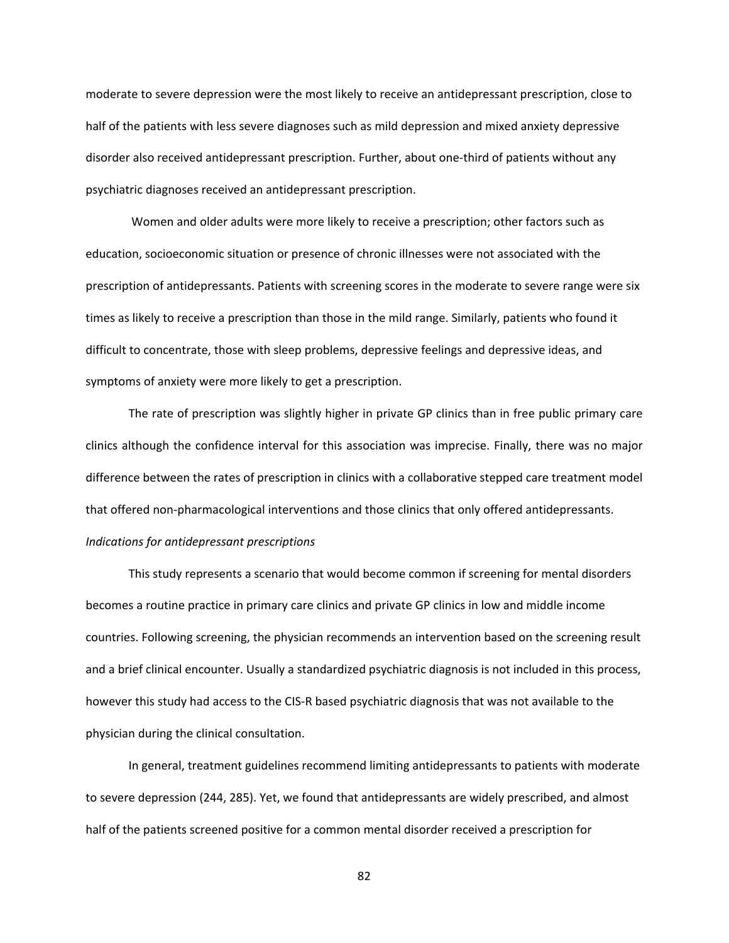moderate to severe depression were the most likely to receive an antidepressant prescription, close to half of the patients with less severe diagnoses such as mild depression and mixed anxiety depressive disorder also received antidepressant prescription. Further, about one‐third of patients without any psychiatric diagnoses received an antidepressant prescription.

 Women and older adults were more likely to receive a prescription; other factors such as education, socioeconomic situation or presence of chronic illnesses were not associated with the prescription of antidepressants. Patients with screening scores in the moderate to severe range were six times as likely to receive a prescription than those in the mild range. Similarly, patients who found it difficult to concentrate, those with sleep problems, depressive feelings and depressive ideas, and symptoms of anxiety were more likely to get a prescription.

The rate of prescription was slightly higher in private GP clinics than in free public primary care clinics although the confidence interval for this association was imprecise. Finally, there was no major difference between the rates of prescription in clinics with a collaborative stepped care treatment model that offered non‐pharmacological interventions and those clinics that only offered antidepressants. *Indications for antidepressant prescriptions* 

 This study represents a scenario that would become common if screening for mental disorders becomes a routine practice in primary care clinics and private GP clinics in low and middle income countries. Following screening, the physician recommends an intervention based on the screening result and a brief clinical encounter. Usually a standardized psychiatric diagnosis is not included in this process, however this study had access to the CIS-R based psychiatric diagnosis that was not available to the physician during the clinical consultation.

In general, treatment guidelines recommend limiting antidepressants to patients with moderate to severe depression (244, 285). Yet, we found that antidepressants are widely prescribed, and almost half of the patients screened positive for a common mental disorder received a prescription for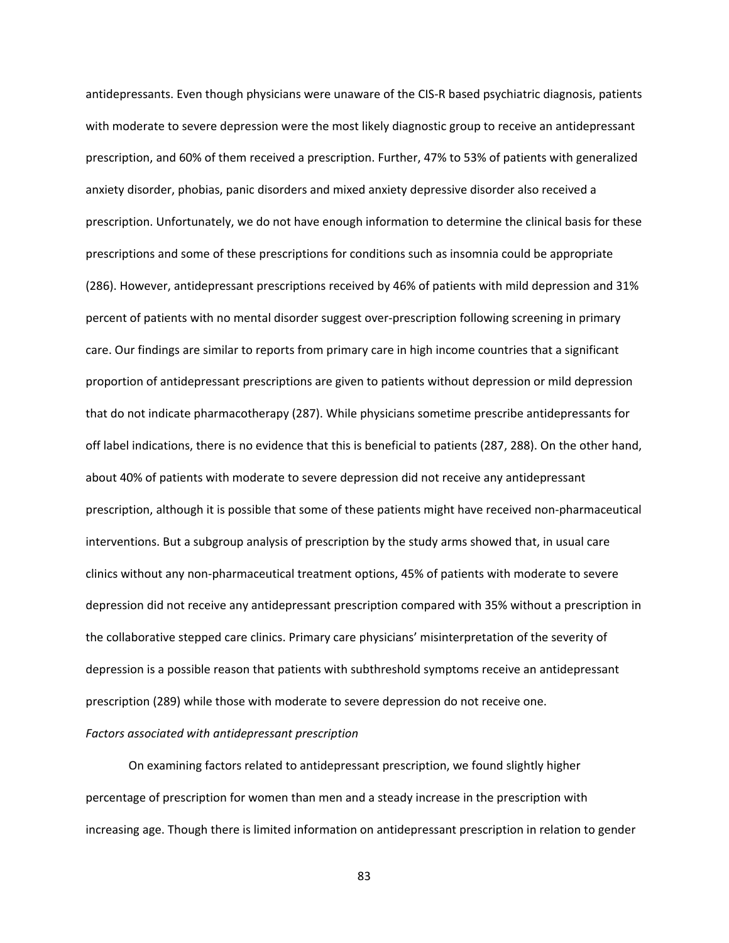antidepressants. Even though physicians were unaware of the CIS‐R based psychiatric diagnosis, patients with moderate to severe depression were the most likely diagnostic group to receive an antidepressant prescription, and 60% of them received a prescription. Further, 47% to 53% of patients with generalized anxiety disorder, phobias, panic disorders and mixed anxiety depressive disorder also received a prescription. Unfortunately, we do not have enough information to determine the clinical basis for these prescriptions and some of these prescriptions for conditions such as insomnia could be appropriate (286). However, antidepressant prescriptions received by 46% of patients with mild depression and 31% percent of patients with no mental disorder suggest over-prescription following screening in primary care. Our findings are similar to reports from primary care in high income countries that a significant proportion of antidepressant prescriptions are given to patients without depression or mild depression that do not indicate pharmacotherapy (287). While physicians sometime prescribe antidepressants for off label indications, there is no evidence that this is beneficial to patients (287, 288). On the other hand, about 40% of patients with moderate to severe depression did not receive any antidepressant prescription, although it is possible that some of these patients might have received non‐pharmaceutical interventions. But a subgroup analysis of prescription by the study arms showed that, in usual care clinics without any non‐pharmaceutical treatment options, 45% of patients with moderate to severe depression did not receive any antidepressant prescription compared with 35% without a prescription in the collaborative stepped care clinics. Primary care physicians' misinterpretation of the severity of depression is a possible reason that patients with subthreshold symptoms receive an antidepressant prescription (289) while those with moderate to severe depression do not receive one.

# *Factors associated with antidepressant prescription*

On examining factors related to antidepressant prescription, we found slightly higher percentage of prescription for women than men and a steady increase in the prescription with increasing age. Though there is limited information on antidepressant prescription in relation to gender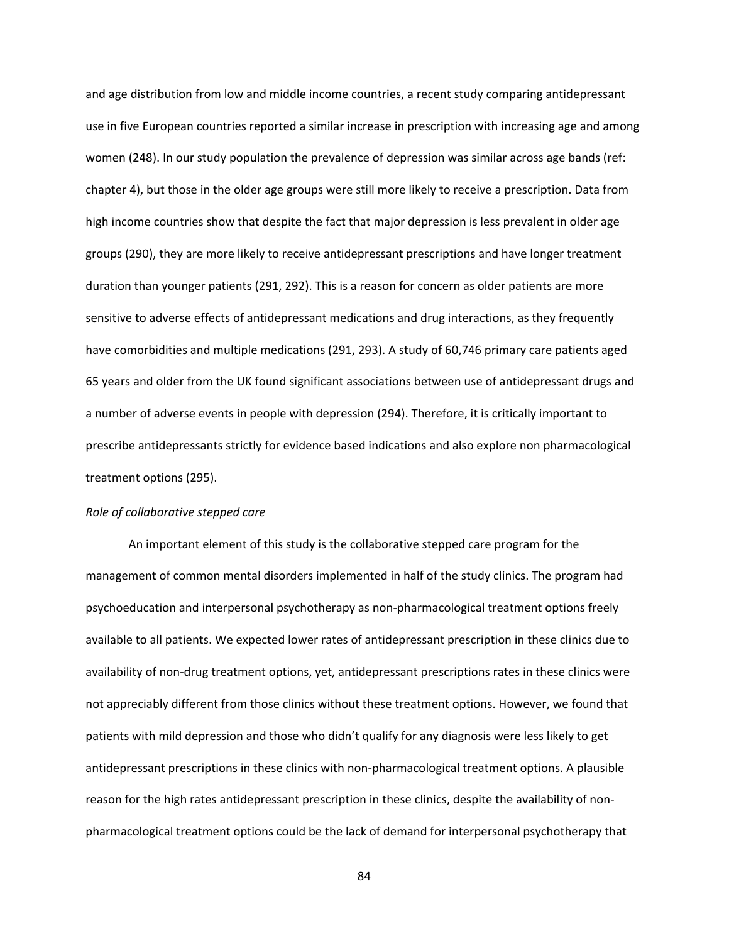and age distribution from low and middle income countries, a recent study comparing antidepressant use in five European countries reported a similar increase in prescription with increasing age and among women (248). In our study population the prevalence of depression was similar across age bands (ref: chapter 4), but those in the older age groups were still more likely to receive a prescription. Data from high income countries show that despite the fact that major depression is less prevalent in older age groups (290), they are more likely to receive antidepressant prescriptions and have longer treatment duration than younger patients (291, 292). This is a reason for concern as older patients are more sensitive to adverse effects of antidepressant medications and drug interactions, as they frequently have comorbidities and multiple medications (291, 293). A study of 60,746 primary care patients aged 65 years and older from the UK found significant associations between use of antidepressant drugs and a number of adverse events in people with depression (294). Therefore, it is critically important to prescribe antidepressants strictly for evidence based indications and also explore non pharmacological treatment options (295).

# *Role of collaborative stepped care*

An important element of this study is the collaborative stepped care program for the management of common mental disorders implemented in half of the study clinics. The program had psychoeducation and interpersonal psychotherapy as non‐pharmacological treatment options freely available to all patients. We expected lower rates of antidepressant prescription in these clinics due to availability of non‐drug treatment options, yet, antidepressant prescriptions rates in these clinics were not appreciably different from those clinics without these treatment options. However, we found that patients with mild depression and those who didn't qualify for any diagnosis were less likely to get antidepressant prescriptions in these clinics with non‐pharmacological treatment options. A plausible reason for the high rates antidepressant prescription in these clinics, despite the availability of nonpharmacological treatment options could be the lack of demand for interpersonal psychotherapy that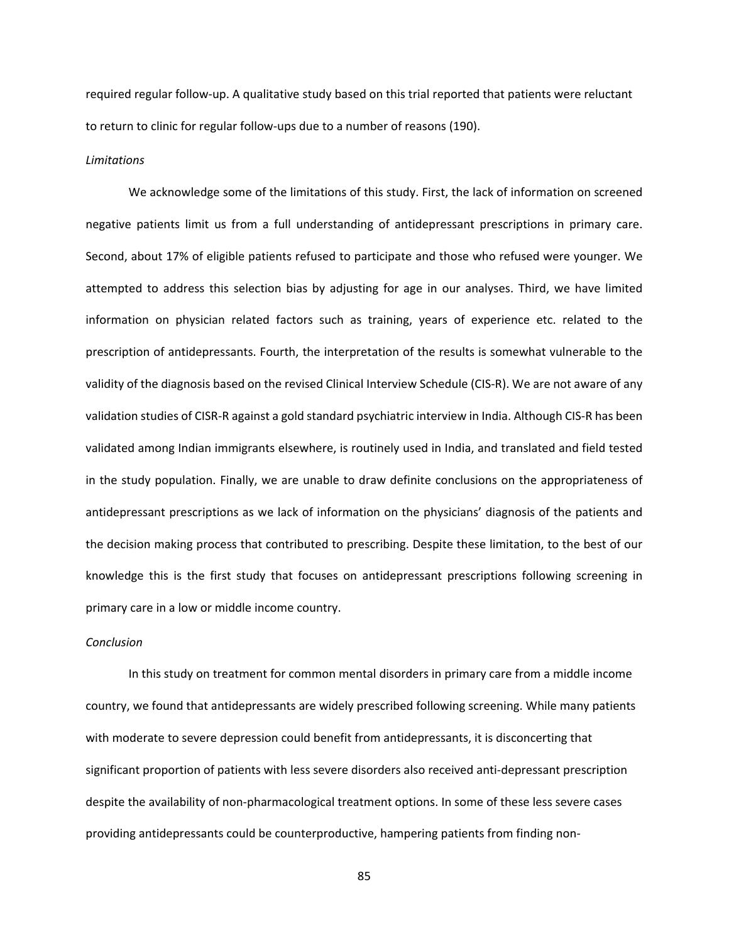required regular follow‐up. A qualitative study based on this trial reported that patients were reluctant to return to clinic for regular follow‐ups due to a number of reasons (190).

### *Limitations*

We acknowledge some of the limitations of this study. First, the lack of information on screened negative patients limit us from a full understanding of antidepressant prescriptions in primary care. Second, about 17% of eligible patients refused to participate and those who refused were younger. We attempted to address this selection bias by adjusting for age in our analyses. Third, we have limited information on physician related factors such as training, years of experience etc. related to the prescription of antidepressants. Fourth, the interpretation of the results is somewhat vulnerable to the validity of the diagnosis based on the revised Clinical Interview Schedule (CIS‐R). We are not aware of any validation studies of CISR‐R against a gold standard psychiatric interview in India. Although CIS‐R has been validated among Indian immigrants elsewhere, is routinely used in India, and translated and field tested in the study population. Finally, we are unable to draw definite conclusions on the appropriateness of antidepressant prescriptions as we lack of information on the physicians' diagnosis of the patients and the decision making process that contributed to prescribing. Despite these limitation, to the best of our knowledge this is the first study that focuses on antidepressant prescriptions following screening in primary care in a low or middle income country.

# *Conclusion*

In this study on treatment for common mental disorders in primary care from a middle income country, we found that antidepressants are widely prescribed following screening. While many patients with moderate to severe depression could benefit from antidepressants, it is disconcerting that significant proportion of patients with less severe disorders also received anti‐depressant prescription despite the availability of non‐pharmacological treatment options. In some of these less severe cases providing antidepressants could be counterproductive, hampering patients from finding non‐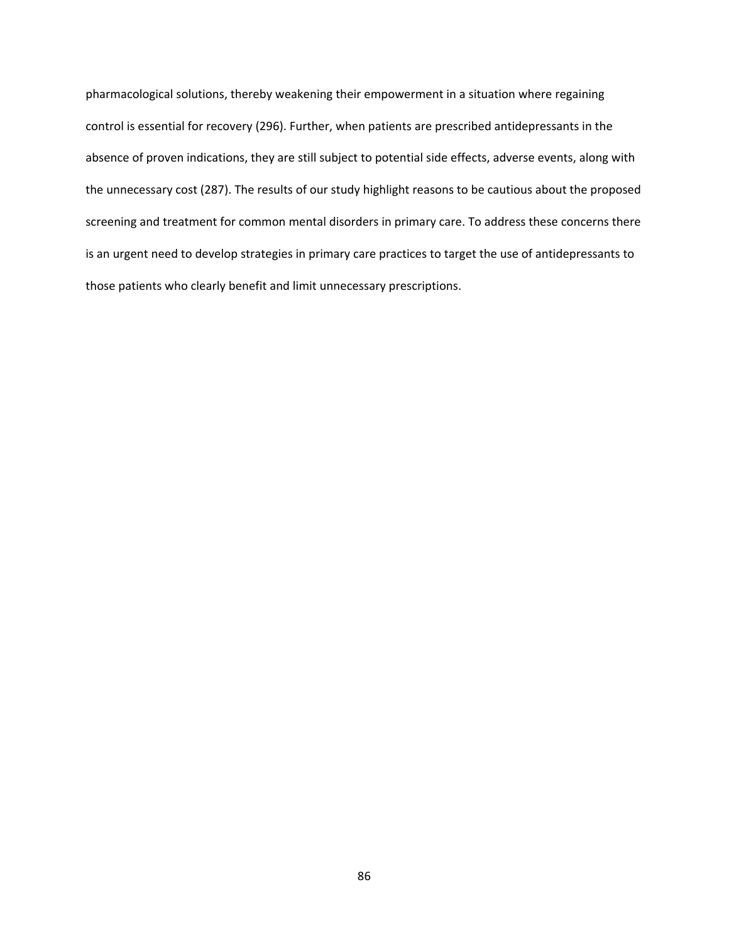pharmacological solutions, thereby weakening their empowerment in a situation where regaining control is essential for recovery (296). Further, when patients are prescribed antidepressants in the absence of proven indications, they are still subject to potential side effects, adverse events, along with the unnecessary cost (287). The results of our study highlight reasons to be cautious about the proposed screening and treatment for common mental disorders in primary care. To address these concerns there is an urgent need to develop strategies in primary care practices to target the use of antidepressants to those patients who clearly benefit and limit unnecessary prescriptions.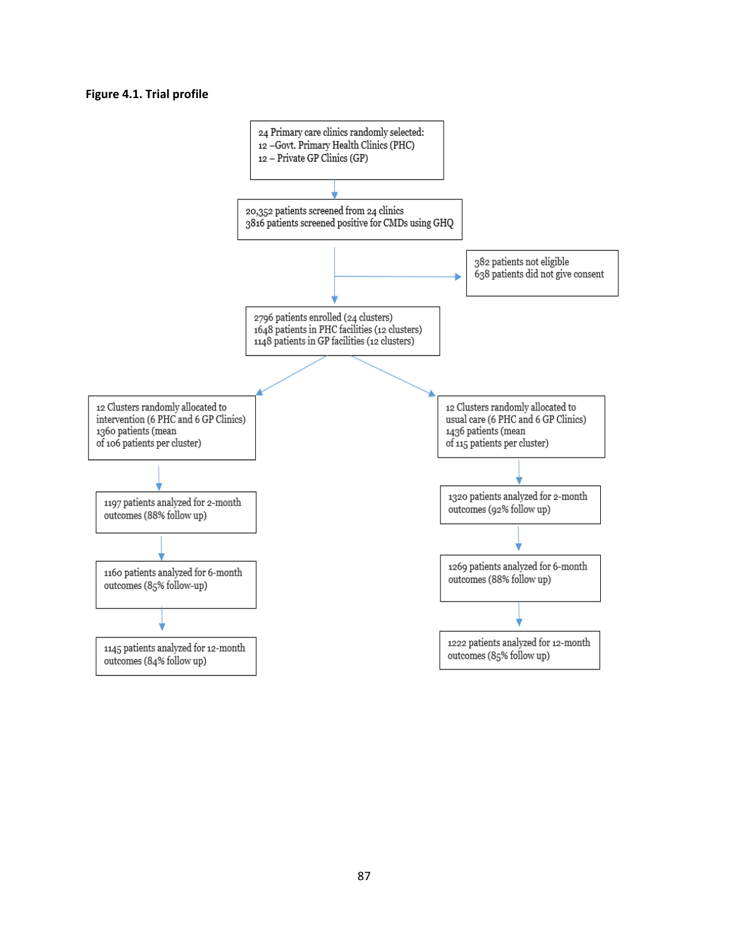# **Figure 4.1. Trial profile**

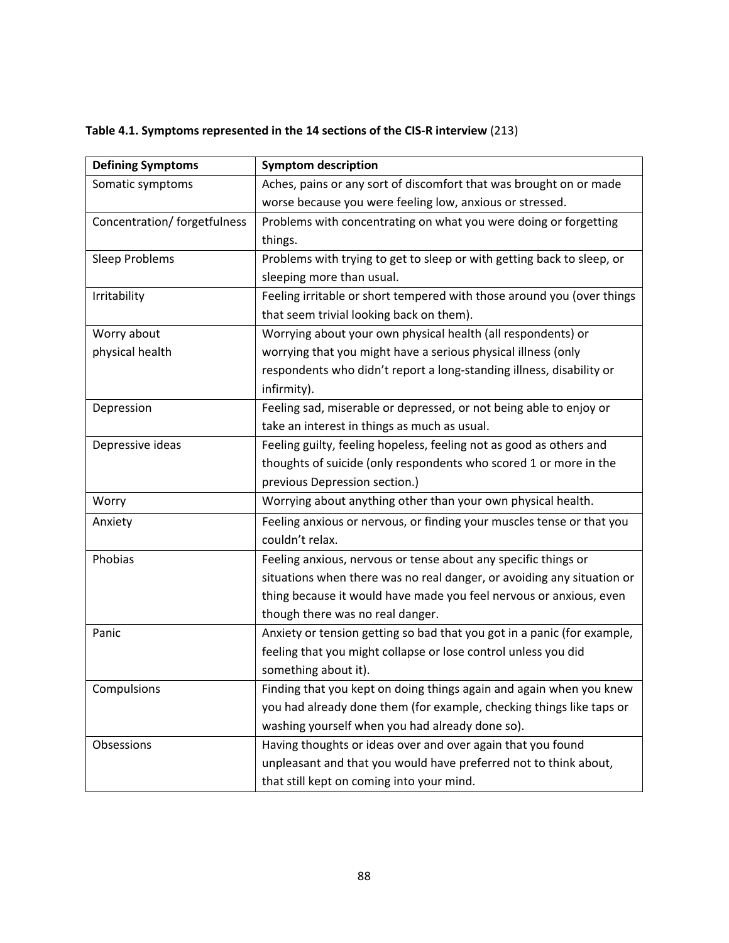|  |  | Table 4.1. Symptoms represented in the 14 sections of the CIS-R interview (213) |  |  |  |  |  |  |
|--|--|---------------------------------------------------------------------------------|--|--|--|--|--|--|
|--|--|---------------------------------------------------------------------------------|--|--|--|--|--|--|

| <b>Defining Symptoms</b>     | <b>Symptom description</b>                                              |  |  |
|------------------------------|-------------------------------------------------------------------------|--|--|
| Somatic symptoms             | Aches, pains or any sort of discomfort that was brought on or made      |  |  |
|                              | worse because you were feeling low, anxious or stressed.                |  |  |
| Concentration/ forgetfulness | Problems with concentrating on what you were doing or forgetting        |  |  |
|                              | things.                                                                 |  |  |
| Sleep Problems               | Problems with trying to get to sleep or with getting back to sleep, or  |  |  |
|                              | sleeping more than usual.                                               |  |  |
| Irritability                 | Feeling irritable or short tempered with those around you (over things  |  |  |
|                              | that seem trivial looking back on them).                                |  |  |
| Worry about                  | Worrying about your own physical health (all respondents) or            |  |  |
| physical health              | worrying that you might have a serious physical illness (only           |  |  |
|                              | respondents who didn't report a long-standing illness, disability or    |  |  |
|                              | infirmity).                                                             |  |  |
| Depression                   | Feeling sad, miserable or depressed, or not being able to enjoy or      |  |  |
|                              | take an interest in things as much as usual.                            |  |  |
| Depressive ideas             | Feeling guilty, feeling hopeless, feeling not as good as others and     |  |  |
|                              | thoughts of suicide (only respondents who scored 1 or more in the       |  |  |
|                              | previous Depression section.)                                           |  |  |
| Worry                        | Worrying about anything other than your own physical health.            |  |  |
| Anxiety                      | Feeling anxious or nervous, or finding your muscles tense or that you   |  |  |
|                              | couldn't relax.                                                         |  |  |
| Phobias                      | Feeling anxious, nervous or tense about any specific things or          |  |  |
|                              | situations when there was no real danger, or avoiding any situation or  |  |  |
|                              | thing because it would have made you feel nervous or anxious, even      |  |  |
|                              | though there was no real danger.                                        |  |  |
| Panic                        | Anxiety or tension getting so bad that you got in a panic (for example, |  |  |
|                              | feeling that you might collapse or lose control unless you did          |  |  |
|                              | something about it).                                                    |  |  |
| Compulsions                  | Finding that you kept on doing things again and again when you knew     |  |  |
|                              | you had already done them (for example, checking things like taps or    |  |  |
|                              | washing yourself when you had already done so).                         |  |  |
| Obsessions                   | Having thoughts or ideas over and over again that you found             |  |  |
|                              | unpleasant and that you would have preferred not to think about,        |  |  |
|                              | that still kept on coming into your mind.                               |  |  |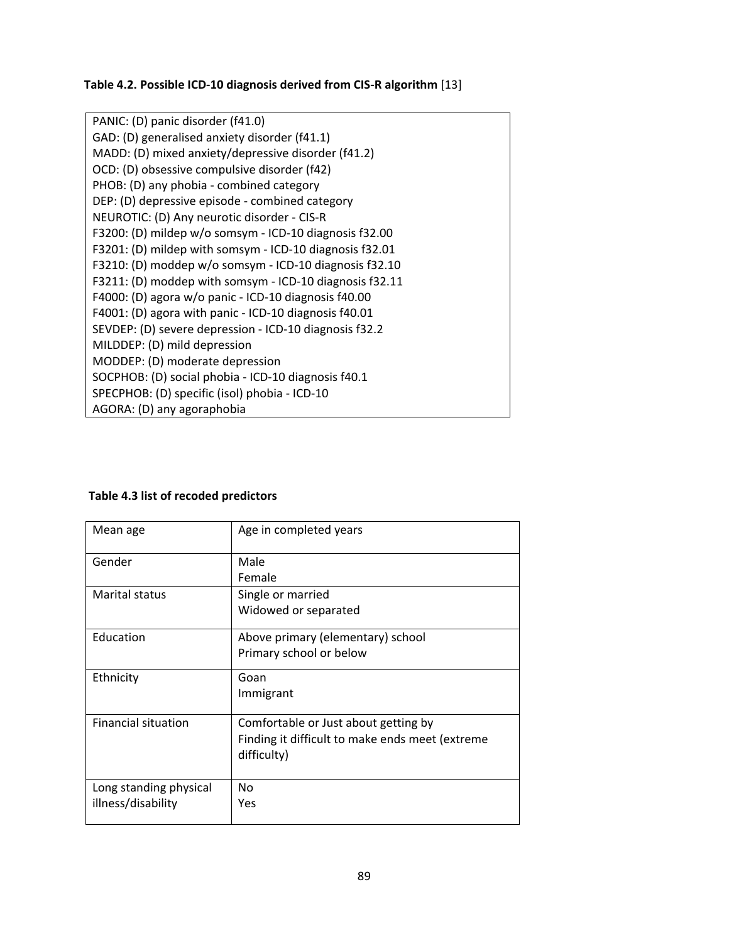# **Table 4.2. Possible ICD‐10 diagnosis derived from CIS‐R algorithm** [13]

| PANIC: (D) panic disorder (f41.0)                       |
|---------------------------------------------------------|
| GAD: (D) generalised anxiety disorder (f41.1)           |
| MADD: (D) mixed anxiety/depressive disorder (f41.2)     |
| OCD: (D) obsessive compulsive disorder (f42)            |
| PHOB: (D) any phobia - combined category                |
| DEP: (D) depressive episode - combined category         |
| NEUROTIC: (D) Any neurotic disorder - CIS-R             |
| F3200: (D) mildep w/o somsym - ICD-10 diagnosis f32.00  |
| F3201: (D) mildep with somsym - ICD-10 diagnosis f32.01 |
| F3210: (D) moddep w/o somsym - ICD-10 diagnosis f32.10  |
| F3211: (D) moddep with somsym - ICD-10 diagnosis f32.11 |
| F4000: (D) agora w/o panic - ICD-10 diagnosis f40.00    |
| F4001: (D) agora with panic - ICD-10 diagnosis f40.01   |
| SEVDEP: (D) severe depression - ICD-10 diagnosis f32.2  |
| MILDDEP: (D) mild depression                            |
| MODDEP: (D) moderate depression                         |
| SOCPHOB: (D) social phobia - ICD-10 diagnosis f40.1     |
| SPECPHOB: (D) specific (isol) phobia - ICD-10           |
| AGORA: (D) any agoraphobia                              |

# **Table 4.3 list of recoded predictors**

| Mean age                                     | Age in completed years                                                                                 |
|----------------------------------------------|--------------------------------------------------------------------------------------------------------|
| Gender                                       | Male<br>Female                                                                                         |
| Marital status                               | Single or married<br>Widowed or separated                                                              |
| Education                                    | Above primary (elementary) school<br>Primary school or below                                           |
| Ethnicity                                    | Goan<br>Immigrant                                                                                      |
| <b>Financial situation</b>                   | Comfortable or Just about getting by<br>Finding it difficult to make ends meet (extreme<br>difficulty) |
| Long standing physical<br>illness/disability | No<br>Yes                                                                                              |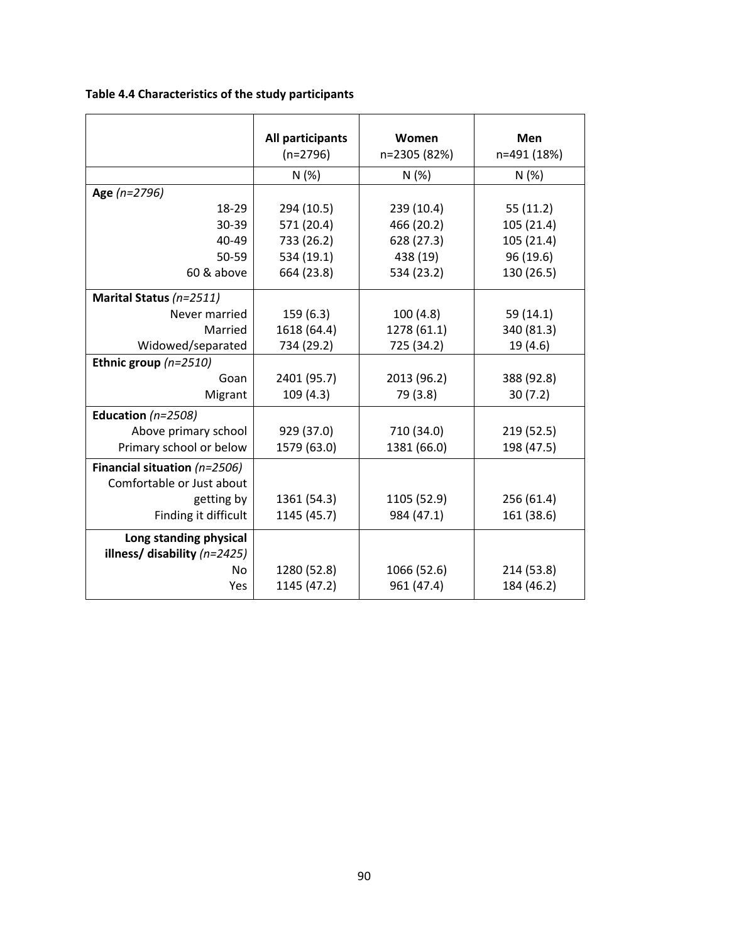**Table 4.4 Characteristics of the study participants** 

|                                | All participants | Women        | Men         |
|--------------------------------|------------------|--------------|-------------|
|                                | $(n=2796)$       | n=2305 (82%) | n=491 (18%) |
|                                | N(%)             | N(%)         | N(%)        |
| Age (n=2796)                   |                  |              |             |
| 18-29                          | 294 (10.5)       | 239 (10.4)   | 55(11.2)    |
| 30-39                          | 571 (20.4)       | 466 (20.2)   | 105 (21.4)  |
| 40-49                          | 733 (26.2)       | 628 (27.3)   | 105 (21.4)  |
| 50-59                          | 534 (19.1)       | 438 (19)     | 96 (19.6)   |
| 60 & above                     | 664 (23.8)       | 534 (23.2)   | 130 (26.5)  |
| Marital Status (n=2511)        |                  |              |             |
| Never married                  | 159(6.3)         | 100(4.8)     | 59 (14.1)   |
| Married                        | 1618 (64.4)      | 1278 (61.1)  | 340 (81.3)  |
| Widowed/separated              | 734 (29.2)       | 725 (34.2)   | 19 (4.6)    |
| Ethnic group $(n=2510)$        |                  |              |             |
| Goan                           | 2401 (95.7)      | 2013 (96.2)  | 388 (92.8)  |
| Migrant                        | 109(4.3)         | 79 (3.8)     | 30(7.2)     |
| Education ( $n=2508$ )         |                  |              |             |
| Above primary school           | 929 (37.0)       | 710 (34.0)   | 219 (52.5)  |
| Primary school or below        | 1579 (63.0)      | 1381 (66.0)  | 198 (47.5)  |
| Financial situation $(n=2506)$ |                  |              |             |
| Comfortable or Just about      |                  |              |             |
| getting by                     | 1361 (54.3)      | 1105 (52.9)  | 256 (61.4)  |
| Finding it difficult           | 1145 (45.7)      | 984 (47.1)   | 161 (38.6)  |
| Long standing physical         |                  |              |             |
| illness/ disability $(n=2425)$ |                  |              |             |
| <b>No</b>                      | 1280 (52.8)      | 1066 (52.6)  | 214 (53.8)  |
| Yes                            | 1145 (47.2)      | 961 (47.4)   | 184 (46.2)  |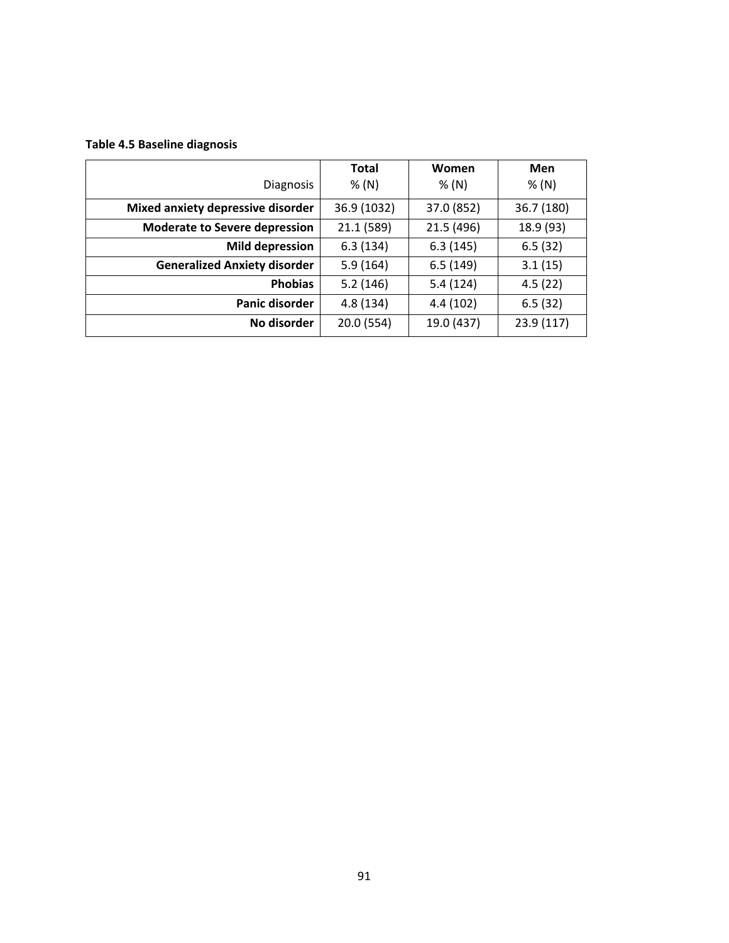# **Table 4.5 Baseline diagnosis**

|                                      | <b>Total</b> | Women      | Men        |
|--------------------------------------|--------------|------------|------------|
| <b>Diagnosis</b>                     | % (N)        | % (N)      | % (N)      |
| Mixed anxiety depressive disorder    | 36.9 (1032)  | 37.0 (852) | 36.7 (180) |
| <b>Moderate to Severe depression</b> | 21.1 (589)   | 21.5 (496) | 18.9 (93)  |
| <b>Mild depression</b>               | 6.3(134)     | 6.3(145)   | 6.5(32)    |
| <b>Generalized Anxiety disorder</b>  | 5.9(164)     | 6.5(149)   | 3.1(15)    |
| <b>Phobias</b>                       | 5.2(146)     | 5.4(124)   | 4.5(22)    |
| Panic disorder                       | 4.8(134)     | 4.4 (102)  | 6.5(32)    |
| No disorder                          | 20.0 (554)   | 19.0 (437) | 23.9 (117) |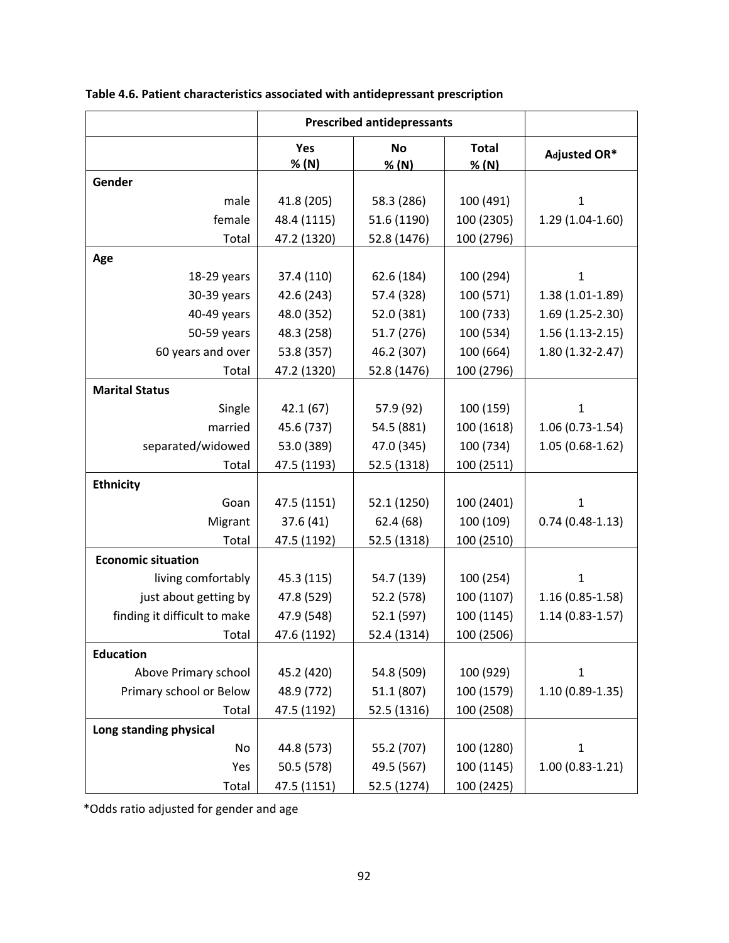|                              | <b>Prescribed antidepressants</b> |                    |                       |                     |
|------------------------------|-----------------------------------|--------------------|-----------------------|---------------------|
|                              | Yes<br>% (N)                      | <b>No</b><br>% (N) | <b>Total</b><br>% (N) | Adjusted OR*        |
| Gender                       |                                   |                    |                       |                     |
| male                         | 41.8 (205)                        | 58.3 (286)         | 100 (491)             | 1                   |
| female                       | 48.4 (1115)                       | 51.6 (1190)        | 100 (2305)            | $1.29(1.04-1.60)$   |
| Total                        | 47.2 (1320)                       | 52.8 (1476)        | 100 (2796)            |                     |
| Age                          |                                   |                    |                       |                     |
| 18-29 years                  | 37.4 (110)                        | 62.6 (184)         | 100 (294)             | $\mathbf{1}$        |
| 30-39 years                  | 42.6 (243)                        | 57.4 (328)         | 100 (571)             | $1.38(1.01-1.89)$   |
| 40-49 years                  | 48.0 (352)                        | 52.0 (381)         | 100 (733)             | $1.69(1.25-2.30)$   |
| 50-59 years                  | 48.3 (258)                        | 51.7 (276)         | 100 (534)             | $1.56(1.13-2.15)$   |
| 60 years and over            | 53.8 (357)                        | 46.2 (307)         | 100 (664)             | 1.80 (1.32-2.47)    |
| Total                        | 47.2 (1320)                       | 52.8 (1476)        | 100 (2796)            |                     |
| <b>Marital Status</b>        |                                   |                    |                       |                     |
| Single                       | 42.1(67)                          | 57.9 (92)          | 100 (159)             | $\mathbf 1$         |
| married                      | 45.6 (737)                        | 54.5 (881)         | 100 (1618)            | $1.06(0.73-1.54)$   |
| separated/widowed            | 53.0 (389)                        | 47.0 (345)         | 100 (734)             | $1.05(0.68-1.62)$   |
| Total                        | 47.5 (1193)                       | 52.5 (1318)        | 100 (2511)            |                     |
| <b>Ethnicity</b>             |                                   |                    |                       |                     |
| Goan                         | 47.5 (1151)                       | 52.1 (1250)        | 100 (2401)            | $\mathbf{1}$        |
| Migrant                      | 37.6(41)                          | 62.4 (68)          | 100 (109)             | $0.74(0.48-1.13)$   |
| Total                        | 47.5 (1192)                       | 52.5 (1318)        | 100 (2510)            |                     |
| <b>Economic situation</b>    |                                   |                    |                       |                     |
| living comfortably           | 45.3 (115)                        | 54.7 (139)         | 100 (254)             | $\mathbf{1}$        |
| just about getting by        | 47.8 (529)                        | 52.2 (578)         | 100 (1107)            | $1.16(0.85 - 1.58)$ |
| finding it difficult to make | 47.9 (548)                        | 52.1 (597)         | 100 (1145)            | $1.14(0.83 - 1.57)$ |
| Total                        | 47.6 (1192)                       | 52.4 (1314)        | 100 (2506)            |                     |
| <b>Education</b>             |                                   |                    |                       |                     |
| Above Primary school         | 45.2 (420)                        | 54.8 (509)         | 100 (929)             | $\mathbf 1$         |
| Primary school or Below      | 48.9 (772)                        | 51.1 (807)         | 100 (1579)            | $1.10(0.89-1.35)$   |
| Total                        | 47.5 (1192)                       | 52.5 (1316)        | 100 (2508)            |                     |
| Long standing physical       |                                   |                    |                       |                     |
| No                           | 44.8 (573)                        | 55.2 (707)         | 100 (1280)            | $\mathbf{1}$        |
| Yes                          | 50.5 (578)                        | 49.5 (567)         | 100 (1145)            | $1.00(0.83-1.21)$   |
| Total                        | 47.5 (1151)                       | 52.5 (1274)        | 100 (2425)            |                     |

|  | Table 4.6. Patient characteristics associated with antidepressant prescription |  |  |  |
|--|--------------------------------------------------------------------------------|--|--|--|
|--|--------------------------------------------------------------------------------|--|--|--|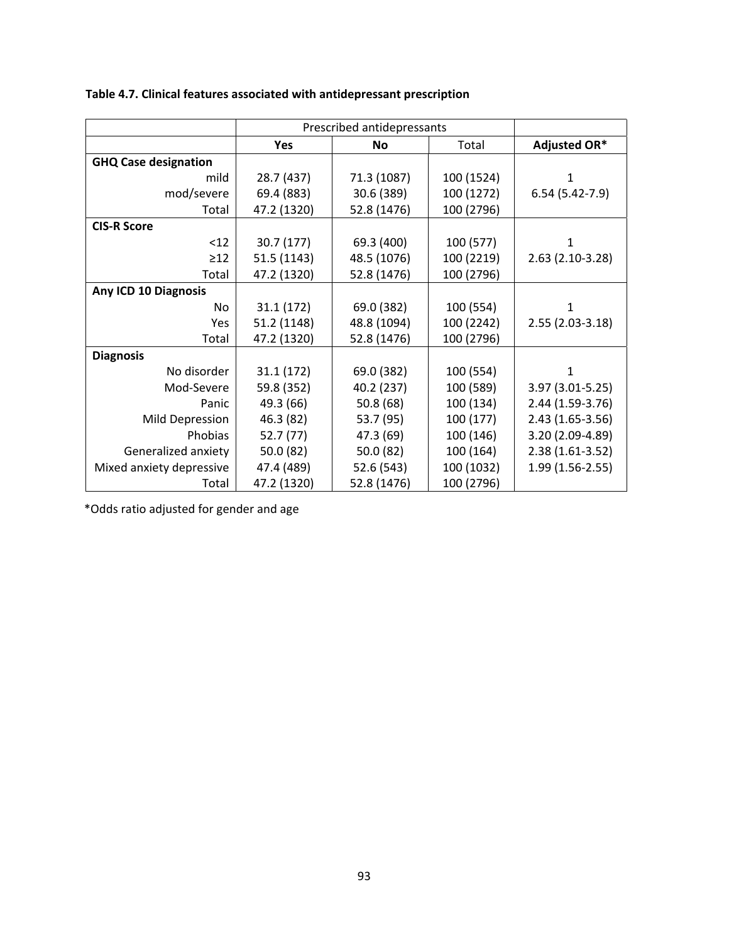|                             | Prescribed antidepressants |             |            |                   |
|-----------------------------|----------------------------|-------------|------------|-------------------|
|                             | <b>Yes</b>                 | <b>No</b>   | Total      | Adjusted OR*      |
| <b>GHQ Case designation</b> |                            |             |            |                   |
| mild                        | 28.7 (437)                 | 71.3 (1087) | 100 (1524) | 1                 |
| mod/severe                  | 69.4 (883)                 | 30.6 (389)  | 100 (1272) | $6.54(5.42-7.9)$  |
| Total                       | 47.2 (1320)                | 52.8 (1476) | 100 (2796) |                   |
| <b>CIS-R Score</b>          |                            |             |            |                   |
| < 12                        | 30.7 (177)                 | 69.3 (400)  | 100 (577)  | 1                 |
| $\geq$ 12                   | 51.5 (1143)                | 48.5 (1076) | 100 (2219) | 2.63 (2.10-3.28)  |
| Total                       | 47.2 (1320)                | 52.8 (1476) | 100 (2796) |                   |
| Any ICD 10 Diagnosis        |                            |             |            |                   |
| No                          | 31.1(172)                  | 69.0 (382)  | 100 (554)  | 1                 |
| Yes                         | 51.2 (1148)                | 48.8 (1094) | 100 (2242) | 2.55 (2.03-3.18)  |
| Total                       | 47.2 (1320)                | 52.8 (1476) | 100 (2796) |                   |
| <b>Diagnosis</b>            |                            |             |            |                   |
| No disorder                 | 31.1 (172)                 | 69.0 (382)  | 100 (554)  | 1                 |
| Mod-Severe                  | 59.8 (352)                 | 40.2 (237)  | 100 (589)  | 3.97 (3.01-5.25)  |
| Panic                       | 49.3 (66)                  | 50.8(68)    | 100 (134)  | 2.44 (1.59-3.76)  |
| Mild Depression             | 46.3 (82)                  | 53.7 (95)   | 100 (177)  | $2.43(1.65-3.56)$ |
| Phobias                     | 52.7(77)                   | 47.3 (69)   | 100 (146)  | 3.20 (2.09-4.89)  |
| Generalized anxiety         | 50.0 (82)                  | 50.0 (82)   | 100 (164)  | $2.38(1.61-3.52)$ |
| Mixed anxiety depressive    | 47.4 (489)                 | 52.6 (543)  | 100 (1032) | 1.99 (1.56-2.55)  |
| Total                       | 47.2 (1320)                | 52.8 (1476) | 100 (2796) |                   |

# **Table 4.7. Clinical features associated with antidepressant prescription**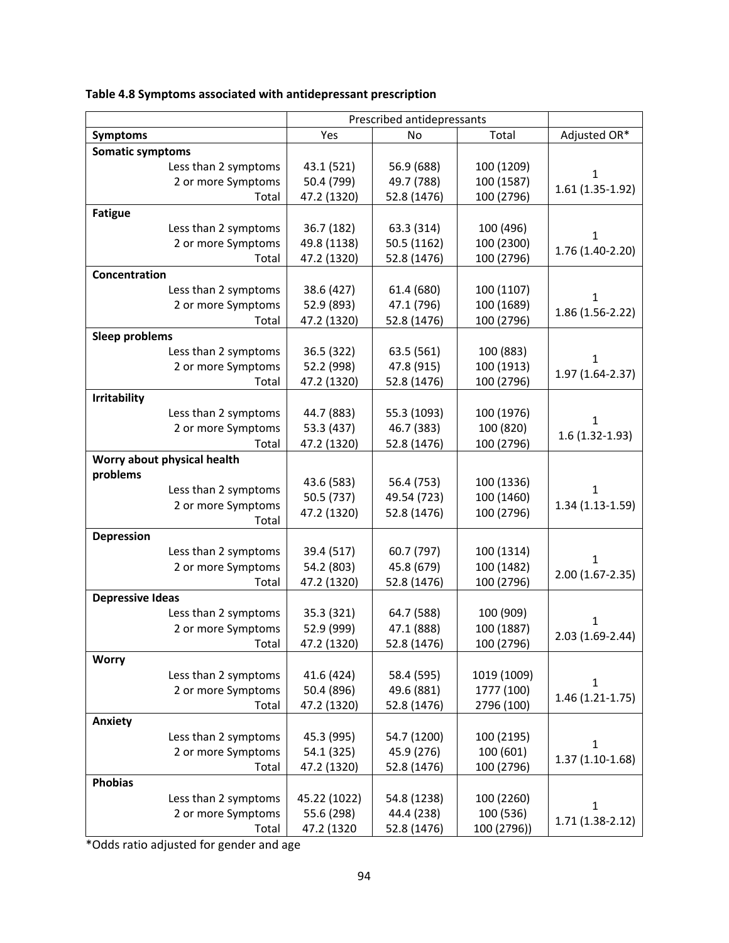|                             | Prescribed antidepressants |             |              |                   |
|-----------------------------|----------------------------|-------------|--------------|-------------------|
| <b>Symptoms</b>             | Yes<br>No<br>Total         |             | Adjusted OR* |                   |
| <b>Somatic symptoms</b>     |                            |             |              |                   |
| Less than 2 symptoms        | 43.1 (521)                 | 56.9 (688)  | 100 (1209)   |                   |
| 2 or more Symptoms          | 50.4 (799)                 | 49.7 (788)  | 100 (1587)   | 1                 |
| Total                       | 47.2 (1320)                | 52.8 (1476) | 100 (2796)   | 1.61 (1.35-1.92)  |
| <b>Fatigue</b>              |                            |             |              |                   |
| Less than 2 symptoms        | 36.7 (182)                 | 63.3 (314)  | 100 (496)    |                   |
| 2 or more Symptoms          | 49.8 (1138)                | 50.5 (1162) | 100 (2300)   | 1                 |
| Total                       | 47.2 (1320)                | 52.8 (1476) | 100 (2796)   | 1.76 (1.40-2.20)  |
| Concentration               |                            |             |              |                   |
| Less than 2 symptoms        | 38.6 (427)                 | 61.4 (680)  | 100 (1107)   |                   |
| 2 or more Symptoms          | 52.9 (893)                 | 47.1 (796)  | 100 (1689)   | 1                 |
| Total                       | 47.2 (1320)                | 52.8 (1476) | 100 (2796)   | 1.86 (1.56-2.22)  |
| <b>Sleep problems</b>       |                            |             |              |                   |
| Less than 2 symptoms        | 36.5 (322)                 | 63.5 (561)  | 100 (883)    |                   |
| 2 or more Symptoms          | 52.2 (998)                 | 47.8 (915)  | 100 (1913)   | $\mathbf 1$       |
| Total                       | 47.2 (1320)                | 52.8 (1476) | 100 (2796)   | 1.97 (1.64-2.37)  |
|                             |                            |             |              |                   |
| <b>Irritability</b>         |                            |             |              |                   |
| Less than 2 symptoms        | 44.7 (883)                 | 55.3 (1093) | 100 (1976)   | 1                 |
| 2 or more Symptoms          | 53.3 (437)                 | 46.7 (383)  | 100 (820)    | $1.6(1.32-1.93)$  |
| Total                       | 47.2 (1320)                | 52.8 (1476) | 100 (2796)   |                   |
| Worry about physical health |                            |             |              |                   |
| problems                    | 43.6 (583)                 | 56.4 (753)  | 100 (1336)   |                   |
| Less than 2 symptoms        | 50.5 (737)                 | 49.54 (723) | 100 (1460)   | 1                 |
| 2 or more Symptoms          | 47.2 (1320)                | 52.8 (1476) | 100 (2796)   | 1.34 (1.13-1.59)  |
| Total                       |                            |             |              |                   |
| <b>Depression</b>           |                            |             |              |                   |
| Less than 2 symptoms        | 39.4 (517)                 | 60.7 (797)  | 100 (1314)   | 1                 |
| 2 or more Symptoms          | 54.2 (803)                 | 45.8 (679)  | 100 (1482)   | 2.00 (1.67-2.35)  |
| Total                       | 47.2 (1320)                | 52.8 (1476) | 100 (2796)   |                   |
| <b>Depressive Ideas</b>     |                            |             |              |                   |
| Less than 2 symptoms        | 35.3 (321)                 | 64.7 (588)  | 100 (909)    | 1                 |
| 2 or more Symptoms          | 52.9 (999)                 | 47.1 (888)  | 100 (1887)   | 2.03 (1.69-2.44)  |
| Total                       | 47.2 (1320)                | 52.8 (1476) | 100 (2796)   |                   |
| <b>Worry</b>                |                            |             |              |                   |
| Less than 2 symptoms        | 41.6 (424)                 | 58.4 (595)  | 1019 (1009)  | 1                 |
| 2 or more Symptoms          | 50.4 (896)                 | 49.6 (881)  | 1777 (100)   | 1.46 (1.21-1.75)  |
| Total                       | 47.2 (1320)                | 52.8 (1476) | 2796 (100)   |                   |
| Anxiety                     |                            |             |              |                   |
| Less than 2 symptoms        | 45.3 (995)                 | 54.7 (1200) | 100 (2195)   | $\mathbf{1}$      |
| 2 or more Symptoms          | 54.1 (325)                 | 45.9 (276)  | 100 (601)    | $1.37(1.10-1.68)$ |
| Total                       | 47.2 (1320)                | 52.8 (1476) | 100 (2796)   |                   |
| <b>Phobias</b>              |                            |             |              |                   |
| Less than 2 symptoms        | 45.22 (1022)               | 54.8 (1238) | 100 (2260)   |                   |
| 2 or more Symptoms          | 55.6 (298)                 | 44.4 (238)  | 100 (536)    | 1                 |
| Total                       | 47.2 (1320                 | 52.8 (1476) | 100 (2796))  | $1.71(1.38-2.12)$ |

**Table 4.8 Symptoms associated with antidepressant prescription**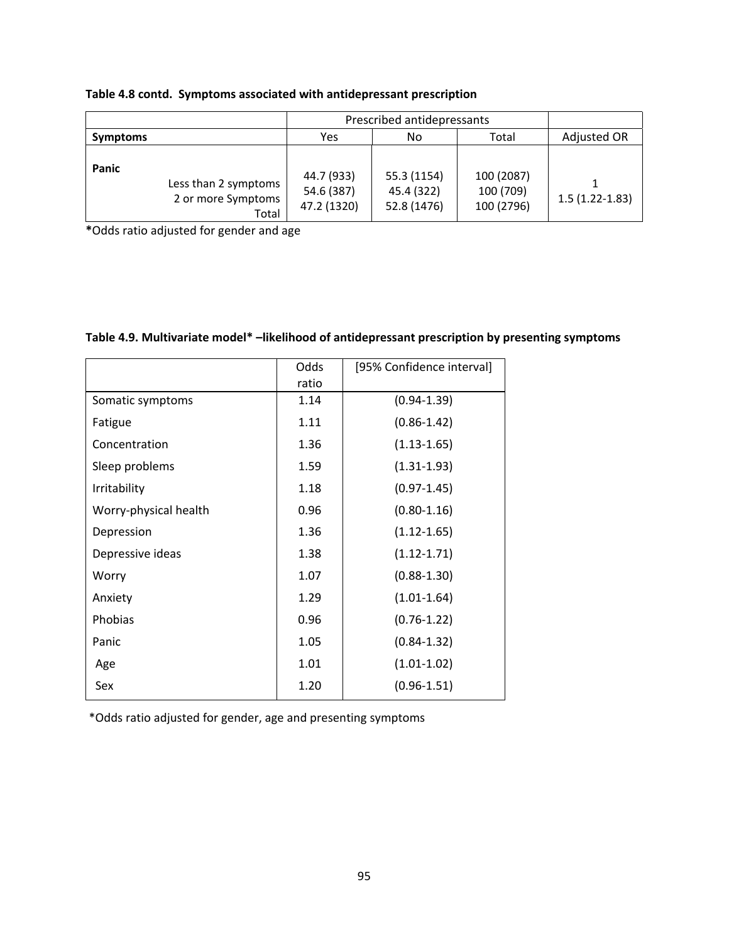|                 |                                                     | Prescribed antidepressants              |                                          |                                       |                  |
|-----------------|-----------------------------------------------------|-----------------------------------------|------------------------------------------|---------------------------------------|------------------|
| <b>Symptoms</b> |                                                     | Yes<br>Total<br>No                      |                                          |                                       | Adjusted OR      |
| Panic           | Less than 2 symptoms<br>2 or more Symptoms<br>Total | 44.7 (933)<br>54.6 (387)<br>47.2 (1320) | 55.3 (1154)<br>45.4 (322)<br>52.8 (1476) | 100 (2087)<br>100 (709)<br>100 (2796) | $1.5(1.22-1.83)$ |

|  | Table 4.8 contd. Symptoms associated with antidepressant prescription |  |  |
|--|-----------------------------------------------------------------------|--|--|
|--|-----------------------------------------------------------------------|--|--|

**\***Odds ratio adjusted for gender and age

| Table 4.9. Multivariate model* -likelihood of antidepressant prescription by presenting symptoms |  |  |  |  |
|--------------------------------------------------------------------------------------------------|--|--|--|--|
|--------------------------------------------------------------------------------------------------|--|--|--|--|

|                       | Odds<br>ratio | [95% Confidence interval] |
|-----------------------|---------------|---------------------------|
| Somatic symptoms      | 1.14          | $(0.94 - 1.39)$           |
| Fatigue               | 1.11          | $(0.86 - 1.42)$           |
| Concentration         | 1.36          | $(1.13 - 1.65)$           |
| Sleep problems        | 1.59          | $(1.31 - 1.93)$           |
| Irritability          | 1.18          | $(0.97 - 1.45)$           |
| Worry-physical health | 0.96          | $(0.80 - 1.16)$           |
| Depression            | 1.36          | $(1.12 - 1.65)$           |
| Depressive ideas      | 1.38          | $(1.12 - 1.71)$           |
| Worry                 | 1.07          | $(0.88 - 1.30)$           |
| Anxiety               | 1.29          | $(1.01 - 1.64)$           |
| Phobias               | 0.96          | $(0.76 - 1.22)$           |
| Panic                 | 1.05          | $(0.84 - 1.32)$           |
| Age                   | 1.01          | $(1.01 - 1.02)$           |
| Sex                   | 1.20          | $(0.96 - 1.51)$           |

\*Odds ratio adjusted for gender, age and presenting symptoms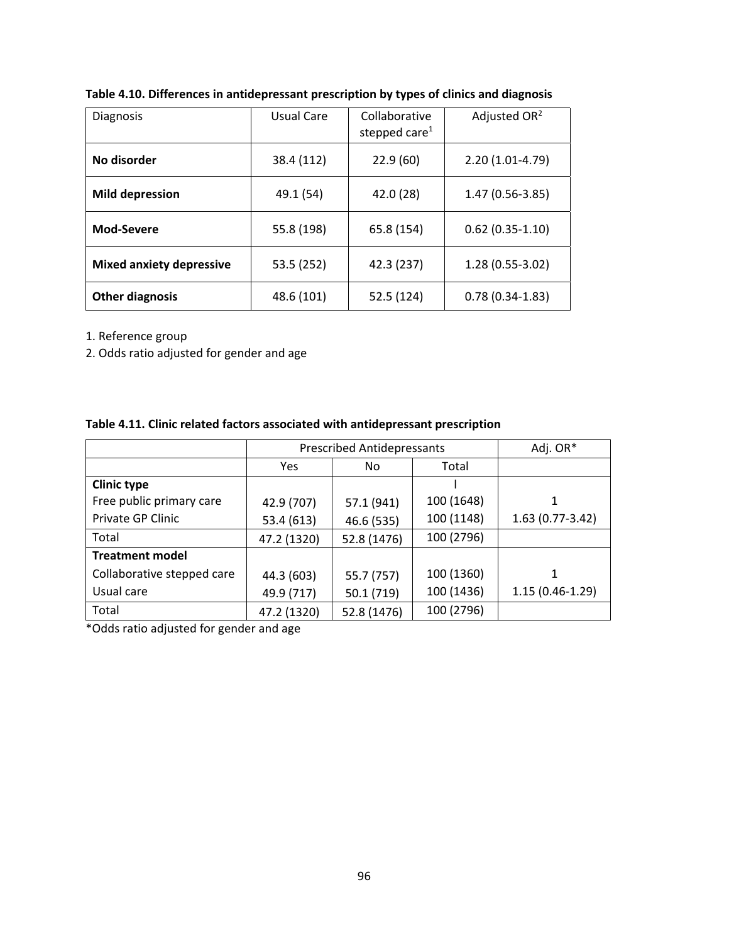| <b>Diagnosis</b>                | Usual Care | Collaborative<br>stepped care $1$ | Adjusted $OR2$     |
|---------------------------------|------------|-----------------------------------|--------------------|
| No disorder                     | 38.4 (112) | 22.9(60)                          | $2.20(1.01-4.79)$  |
| <b>Mild depression</b>          | 49.1 (54)  | 42.0 (28)                         | 1.47 (0.56-3.85)   |
| Mod-Severe                      | 55.8 (198) | 65.8 (154)                        | $0.62$ (0.35-1.10) |
| <b>Mixed anxiety depressive</b> | 53.5 (252) | 42.3 (237)                        | $1.28(0.55-3.02)$  |
| <b>Other diagnosis</b>          | 48.6 (101) | 52.5 (124)                        | $0.78(0.34-1.83)$  |

**Table 4.10. Differences in antidepressant prescription by types of clinics and diagnosis** 

1. Reference group

2. Odds ratio adjusted for gender and age

|  |  |  |  | Table 4.11. Clinic related factors associated with antidepressant prescription |  |
|--|--|--|--|--------------------------------------------------------------------------------|--|
|--|--|--|--|--------------------------------------------------------------------------------|--|

|                            | <b>Prescribed Antidepressants</b> | Adj. OR*    |            |                   |
|----------------------------|-----------------------------------|-------------|------------|-------------------|
|                            | Yes                               | No          | Total      |                   |
| <b>Clinic type</b>         |                                   |             |            |                   |
| Free public primary care   | 42.9 (707)                        | 57.1 (941)  | 100 (1648) |                   |
| Private GP Clinic          | 53.4 (613)                        | 46.6 (535)  | 100 (1148) | $1.63(0.77-3.42)$ |
| Total                      | 47.2 (1320)                       | 52.8 (1476) | 100 (2796) |                   |
| <b>Treatment model</b>     |                                   |             |            |                   |
| Collaborative stepped care | 44.3 (603)                        | 55.7 (757)  | 100 (1360) | 1                 |
| Usual care                 | 49.9 (717)                        | 50.1 (719)  | 100 (1436) | $1.15(0.46-1.29)$ |
| Total                      | 47.2 (1320)                       | 52.8 (1476) | 100 (2796) |                   |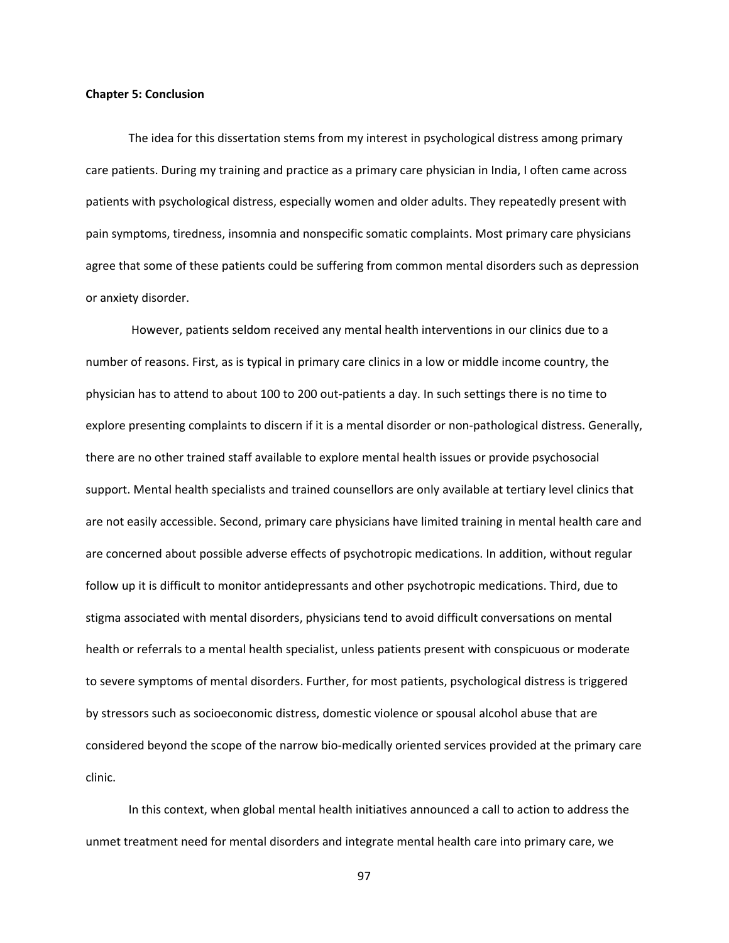#### **Chapter 5: Conclusion**

The idea for this dissertation stems from my interest in psychological distress among primary care patients. During my training and practice as a primary care physician in India, I often came across patients with psychological distress, especially women and older adults. They repeatedly present with pain symptoms, tiredness, insomnia and nonspecific somatic complaints. Most primary care physicians agree that some of these patients could be suffering from common mental disorders such as depression or anxiety disorder.

 However, patients seldom received any mental health interventions in our clinics due to a number of reasons. First, as is typical in primary care clinics in a low or middle income country, the physician has to attend to about 100 to 200 out‐patients a day. In such settings there is no time to explore presenting complaints to discern if it is a mental disorder or non-pathological distress. Generally, there are no other trained staff available to explore mental health issues or provide psychosocial support. Mental health specialists and trained counsellors are only available at tertiary level clinics that are not easily accessible. Second, primary care physicians have limited training in mental health care and are concerned about possible adverse effects of psychotropic medications. In addition, without regular follow up it is difficult to monitor antidepressants and other psychotropic medications. Third, due to stigma associated with mental disorders, physicians tend to avoid difficult conversations on mental health or referrals to a mental health specialist, unless patients present with conspicuous or moderate to severe symptoms of mental disorders. Further, for most patients, psychological distress is triggered by stressors such as socioeconomic distress, domestic violence or spousal alcohol abuse that are considered beyond the scope of the narrow bio‐medically oriented services provided at the primary care clinic.

In this context, when global mental health initiatives announced a call to action to address the unmet treatment need for mental disorders and integrate mental health care into primary care, we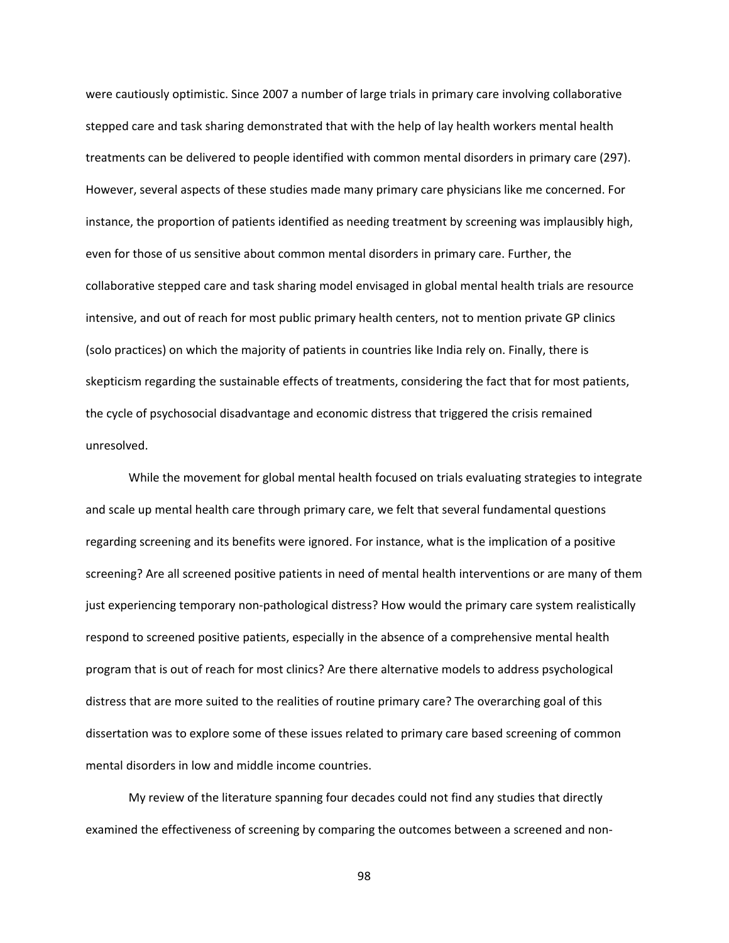were cautiously optimistic. Since 2007 a number of large trials in primary care involving collaborative stepped care and task sharing demonstrated that with the help of lay health workers mental health treatments can be delivered to people identified with common mental disorders in primary care (297). However, several aspects of these studies made many primary care physicians like me concerned. For instance, the proportion of patients identified as needing treatment by screening was implausibly high, even for those of us sensitive about common mental disorders in primary care. Further, the collaborative stepped care and task sharing model envisaged in global mental health trials are resource intensive, and out of reach for most public primary health centers, not to mention private GP clinics (solo practices) on which the majority of patients in countries like India rely on. Finally, there is skepticism regarding the sustainable effects of treatments, considering the fact that for most patients, the cycle of psychosocial disadvantage and economic distress that triggered the crisis remained unresolved.

While the movement for global mental health focused on trials evaluating strategies to integrate and scale up mental health care through primary care, we felt that several fundamental questions regarding screening and its benefits were ignored. For instance, what is the implication of a positive screening? Are all screened positive patients in need of mental health interventions or are many of them just experiencing temporary non‐pathological distress? How would the primary care system realistically respond to screened positive patients, especially in the absence of a comprehensive mental health program that is out of reach for most clinics? Are there alternative models to address psychological distress that are more suited to the realities of routine primary care? The overarching goal of this dissertation was to explore some of these issues related to primary care based screening of common mental disorders in low and middle income countries.

My review of the literature spanning four decades could not find any studies that directly examined the effectiveness of screening by comparing the outcomes between a screened and non‐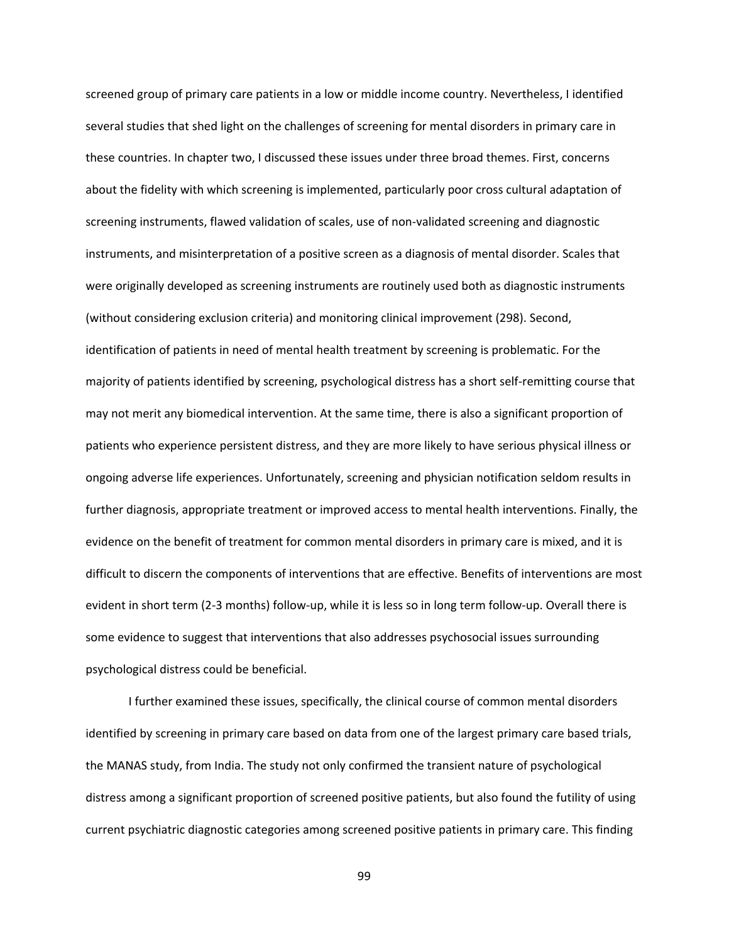screened group of primary care patients in a low or middle income country. Nevertheless, I identified several studies that shed light on the challenges of screening for mental disorders in primary care in these countries. In chapter two, I discussed these issues under three broad themes. First, concerns about the fidelity with which screening is implemented, particularly poor cross cultural adaptation of screening instruments, flawed validation of scales, use of non‐validated screening and diagnostic instruments, and misinterpretation of a positive screen as a diagnosis of mental disorder. Scales that were originally developed as screening instruments are routinely used both as diagnostic instruments (without considering exclusion criteria) and monitoring clinical improvement (298). Second, identification of patients in need of mental health treatment by screening is problematic. For the majority of patients identified by screening, psychological distress has a short self‐remitting course that may not merit any biomedical intervention. At the same time, there is also a significant proportion of patients who experience persistent distress, and they are more likely to have serious physical illness or ongoing adverse life experiences. Unfortunately, screening and physician notification seldom results in further diagnosis, appropriate treatment or improved access to mental health interventions. Finally, the evidence on the benefit of treatment for common mental disorders in primary care is mixed, and it is difficult to discern the components of interventions that are effective. Benefits of interventions are most evident in short term (2‐3 months) follow‐up, while it is less so in long term follow‐up. Overall there is some evidence to suggest that interventions that also addresses psychosocial issues surrounding psychological distress could be beneficial.

I further examined these issues, specifically, the clinical course of common mental disorders identified by screening in primary care based on data from one of the largest primary care based trials, the MANAS study, from India. The study not only confirmed the transient nature of psychological distress among a significant proportion of screened positive patients, but also found the futility of using current psychiatric diagnostic categories among screened positive patients in primary care. This finding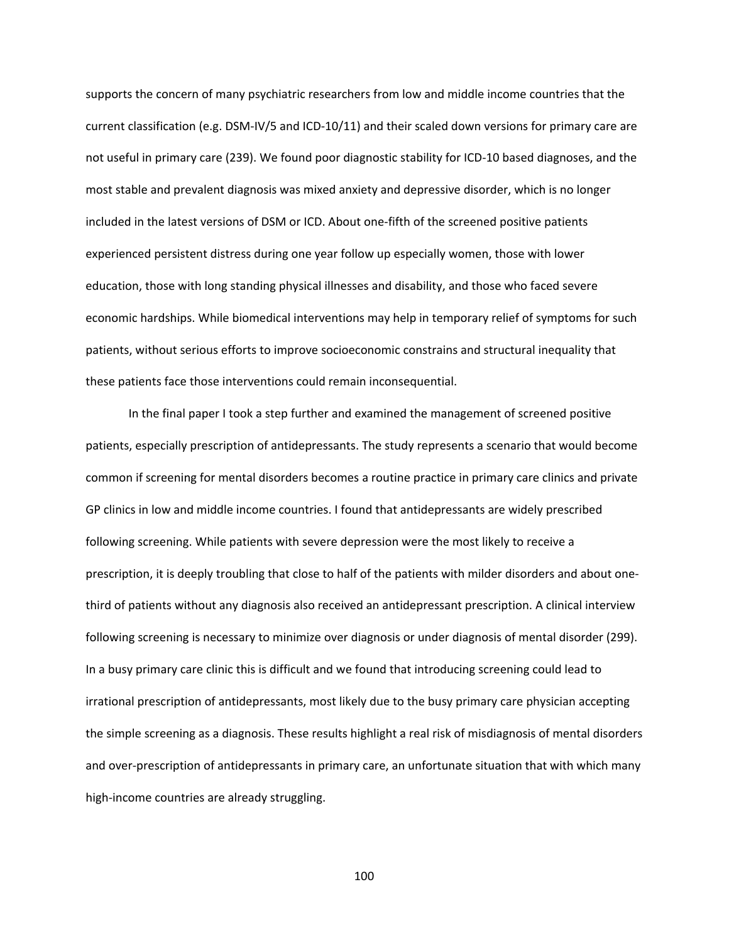supports the concern of many psychiatric researchers from low and middle income countries that the current classification (e.g. DSM‐IV/5 and ICD‐10/11) and their scaled down versions for primary care are not useful in primary care (239). We found poor diagnostic stability for ICD‐10 based diagnoses, and the most stable and prevalent diagnosis was mixed anxiety and depressive disorder, which is no longer included in the latest versions of DSM or ICD. About one‐fifth of the screened positive patients experienced persistent distress during one year follow up especially women, those with lower education, those with long standing physical illnesses and disability, and those who faced severe economic hardships. While biomedical interventions may help in temporary relief of symptoms for such patients, without serious efforts to improve socioeconomic constrains and structural inequality that these patients face those interventions could remain inconsequential.

In the final paper I took a step further and examined the management of screened positive patients, especially prescription of antidepressants. The study represents a scenario that would become common if screening for mental disorders becomes a routine practice in primary care clinics and private GP clinics in low and middle income countries. I found that antidepressants are widely prescribed following screening. While patients with severe depression were the most likely to receive a prescription, it is deeply troubling that close to half of the patients with milder disorders and about one‐ third of patients without any diagnosis also received an antidepressant prescription. A clinical interview following screening is necessary to minimize over diagnosis or under diagnosis of mental disorder (299). In a busy primary care clinic this is difficult and we found that introducing screening could lead to irrational prescription of antidepressants, most likely due to the busy primary care physician accepting the simple screening as a diagnosis. These results highlight a real risk of misdiagnosis of mental disorders and over-prescription of antidepressants in primary care, an unfortunate situation that with which many high-income countries are already struggling.

100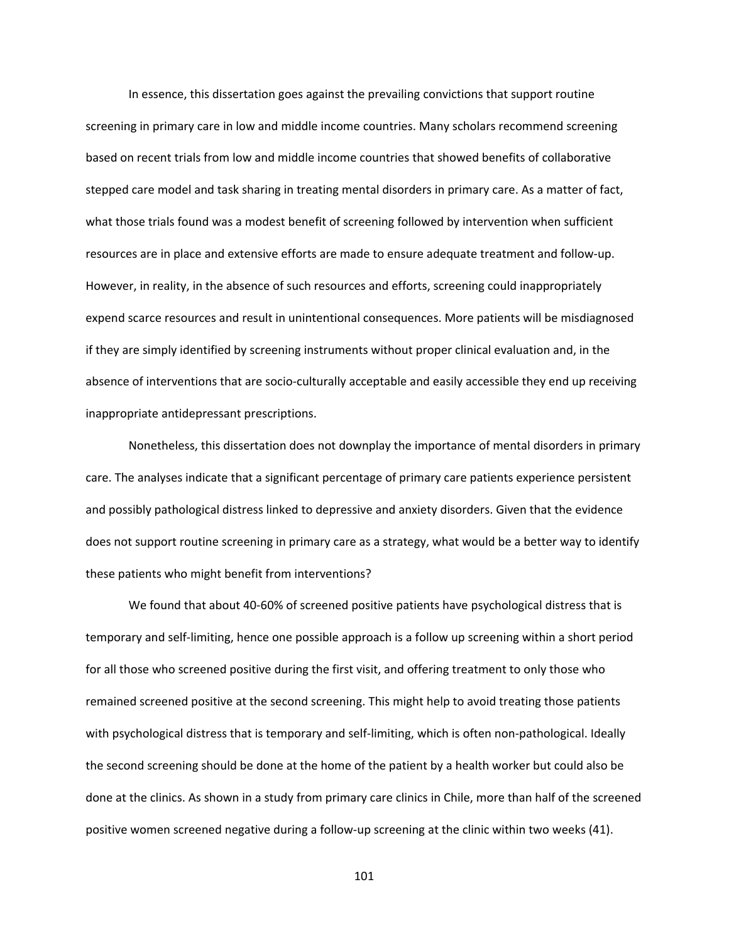In essence, this dissertation goes against the prevailing convictions that support routine screening in primary care in low and middle income countries. Many scholars recommend screening based on recent trials from low and middle income countries that showed benefits of collaborative stepped care model and task sharing in treating mental disorders in primary care. As a matter of fact, what those trials found was a modest benefit of screening followed by intervention when sufficient resources are in place and extensive efforts are made to ensure adequate treatment and follow‐up. However, in reality, in the absence of such resources and efforts, screening could inappropriately expend scarce resources and result in unintentional consequences. More patients will be misdiagnosed if they are simply identified by screening instruments without proper clinical evaluation and, in the absence of interventions that are socio-culturally acceptable and easily accessible they end up receiving inappropriate antidepressant prescriptions.

Nonetheless, this dissertation does not downplay the importance of mental disorders in primary care. The analyses indicate that a significant percentage of primary care patients experience persistent and possibly pathological distress linked to depressive and anxiety disorders. Given that the evidence does not support routine screening in primary care as a strategy, what would be a better way to identify these patients who might benefit from interventions?

We found that about 40‐60% of screened positive patients have psychological distress that is temporary and self‐limiting, hence one possible approach is a follow up screening within a short period for all those who screened positive during the first visit, and offering treatment to only those who remained screened positive at the second screening. This might help to avoid treating those patients with psychological distress that is temporary and self-limiting, which is often non-pathological. Ideally the second screening should be done at the home of the patient by a health worker but could also be done at the clinics. As shown in a study from primary care clinics in Chile, more than half of the screened positive women screened negative during a follow‐up screening at the clinic within two weeks (41).

101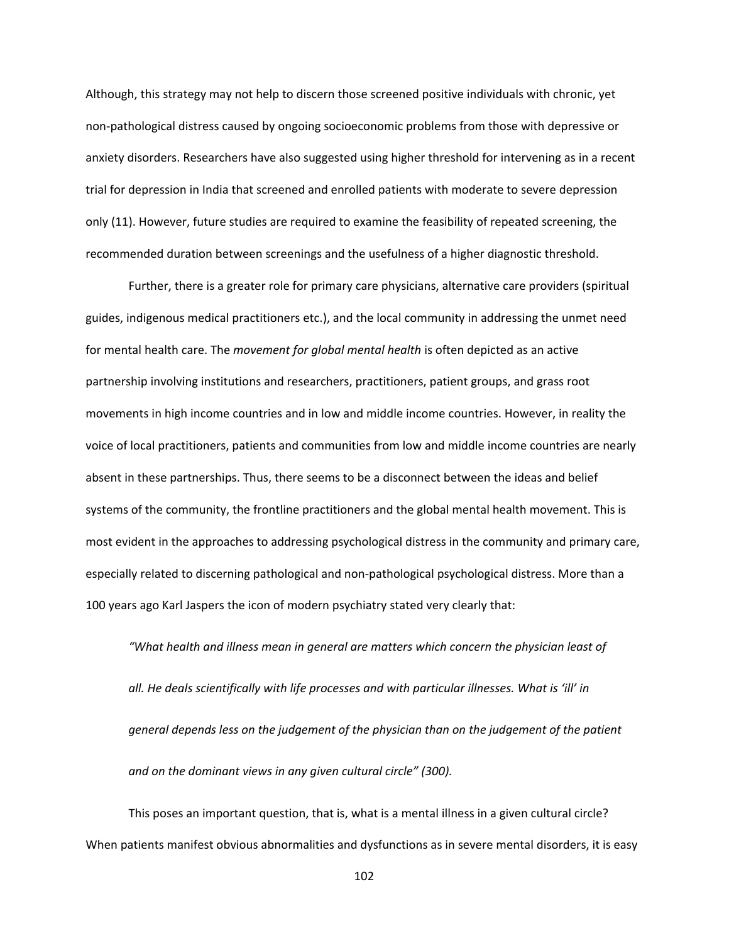Although, this strategy may not help to discern those screened positive individuals with chronic, yet non‐pathological distress caused by ongoing socioeconomic problems from those with depressive or anxiety disorders. Researchers have also suggested using higher threshold for intervening as in a recent trial for depression in India that screened and enrolled patients with moderate to severe depression only (11). However, future studies are required to examine the feasibility of repeated screening, the recommended duration between screenings and the usefulness of a higher diagnostic threshold.

Further, there is a greater role for primary care physicians, alternative care providers (spiritual guides, indigenous medical practitioners etc.), and the local community in addressing the unmet need for mental health care. The *movement for global mental health* is often depicted as an active partnership involving institutions and researchers, practitioners, patient groups, and grass root movements in high income countries and in low and middle income countries. However, in reality the voice of local practitioners, patients and communities from low and middle income countries are nearly absent in these partnerships. Thus, there seems to be a disconnect between the ideas and belief systems of the community, the frontline practitioners and the global mental health movement. This is most evident in the approaches to addressing psychological distress in the community and primary care, especially related to discerning pathological and non‐pathological psychological distress. More than a 100 years ago Karl Jaspers the icon of modern psychiatry stated very clearly that:

*"What health and illness mean in general are matters which concern the physician least of all. He deals scientifically with life processes and with particular illnesses. What is 'ill' in general depends less on the judgement of the physician than on the judgement of the patient and on the dominant views in any given cultural circle" (300).* 

This poses an important question, that is, what is a mental illness in a given cultural circle? When patients manifest obvious abnormalities and dysfunctions as in severe mental disorders, it is easy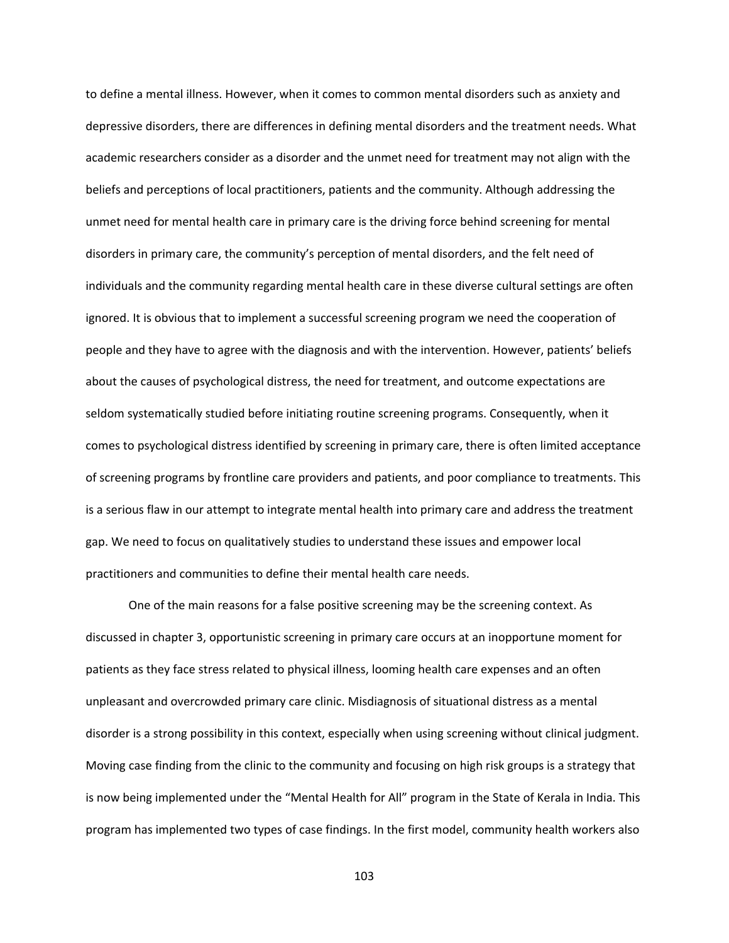to define a mental illness. However, when it comes to common mental disorders such as anxiety and depressive disorders, there are differences in defining mental disorders and the treatment needs. What academic researchers consider as a disorder and the unmet need for treatment may not align with the beliefs and perceptions of local practitioners, patients and the community. Although addressing the unmet need for mental health care in primary care is the driving force behind screening for mental disorders in primary care, the community's perception of mental disorders, and the felt need of individuals and the community regarding mental health care in these diverse cultural settings are often ignored. It is obvious that to implement a successful screening program we need the cooperation of people and they have to agree with the diagnosis and with the intervention. However, patients' beliefs about the causes of psychological distress, the need for treatment, and outcome expectations are seldom systematically studied before initiating routine screening programs. Consequently, when it comes to psychological distress identified by screening in primary care, there is often limited acceptance of screening programs by frontline care providers and patients, and poor compliance to treatments. This is a serious flaw in our attempt to integrate mental health into primary care and address the treatment gap. We need to focus on qualitatively studies to understand these issues and empower local practitioners and communities to define their mental health care needs.

One of the main reasons for a false positive screening may be the screening context. As discussed in chapter 3, opportunistic screening in primary care occurs at an inopportune moment for patients as they face stress related to physical illness, looming health care expenses and an often unpleasant and overcrowded primary care clinic. Misdiagnosis of situational distress as a mental disorder is a strong possibility in this context, especially when using screening without clinical judgment. Moving case finding from the clinic to the community and focusing on high risk groups is a strategy that is now being implemented under the "Mental Health for All" program in the State of Kerala in India. This program has implemented two types of case findings. In the first model, community health workers also

103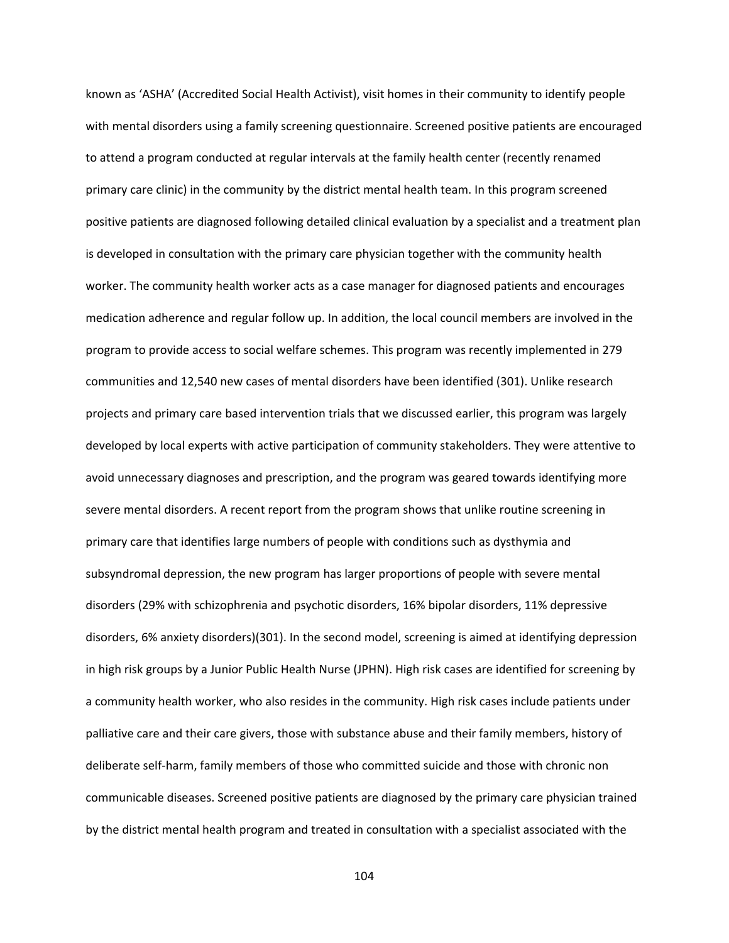known as 'ASHA' (Accredited Social Health Activist), visit homes in their community to identify people with mental disorders using a family screening questionnaire. Screened positive patients are encouraged to attend a program conducted at regular intervals at the family health center (recently renamed primary care clinic) in the community by the district mental health team. In this program screened positive patients are diagnosed following detailed clinical evaluation by a specialist and a treatment plan is developed in consultation with the primary care physician together with the community health worker. The community health worker acts as a case manager for diagnosed patients and encourages medication adherence and regular follow up. In addition, the local council members are involved in the program to provide access to social welfare schemes. This program was recently implemented in 279 communities and 12,540 new cases of mental disorders have been identified (301). Unlike research projects and primary care based intervention trials that we discussed earlier, this program was largely developed by local experts with active participation of community stakeholders. They were attentive to avoid unnecessary diagnoses and prescription, and the program was geared towards identifying more severe mental disorders. A recent report from the program shows that unlike routine screening in primary care that identifies large numbers of people with conditions such as dysthymia and subsyndromal depression, the new program has larger proportions of people with severe mental disorders (29% with schizophrenia and psychotic disorders, 16% bipolar disorders, 11% depressive disorders, 6% anxiety disorders)(301). In the second model, screening is aimed at identifying depression in high risk groups by a Junior Public Health Nurse (JPHN). High risk cases are identified for screening by a community health worker, who also resides in the community. High risk cases include patients under palliative care and their care givers, those with substance abuse and their family members, history of deliberate self‐harm, family members of those who committed suicide and those with chronic non communicable diseases. Screened positive patients are diagnosed by the primary care physician trained by the district mental health program and treated in consultation with a specialist associated with the

104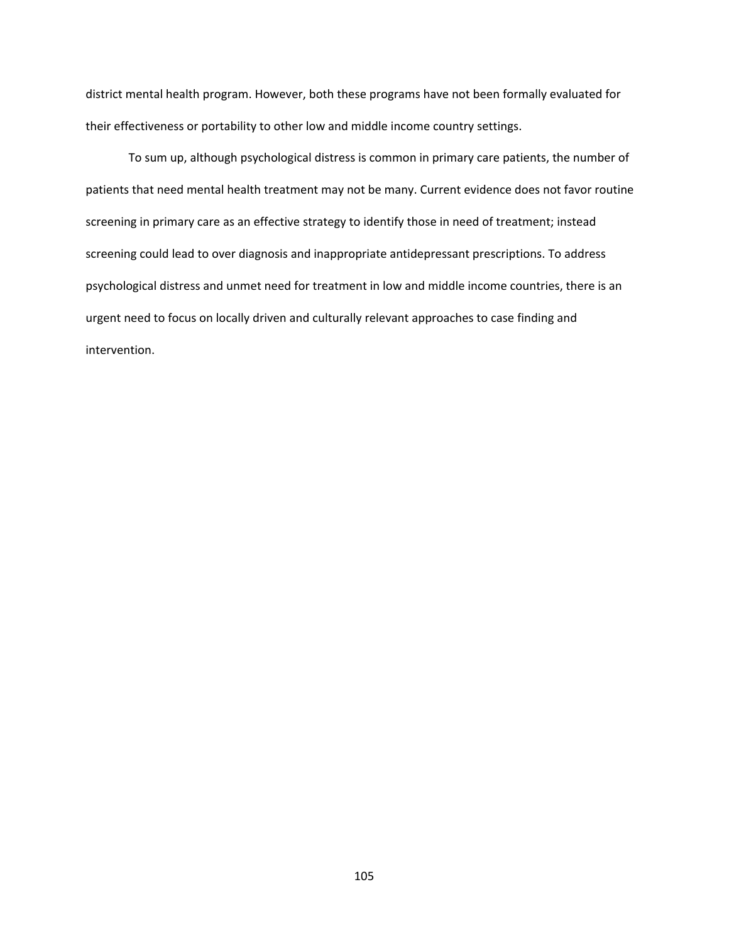district mental health program. However, both these programs have not been formally evaluated for their effectiveness or portability to other low and middle income country settings.

To sum up, although psychological distress is common in primary care patients, the number of patients that need mental health treatment may not be many. Current evidence does not favor routine screening in primary care as an effective strategy to identify those in need of treatment; instead screening could lead to over diagnosis and inappropriate antidepressant prescriptions. To address psychological distress and unmet need for treatment in low and middle income countries, there is an urgent need to focus on locally driven and culturally relevant approaches to case finding and intervention.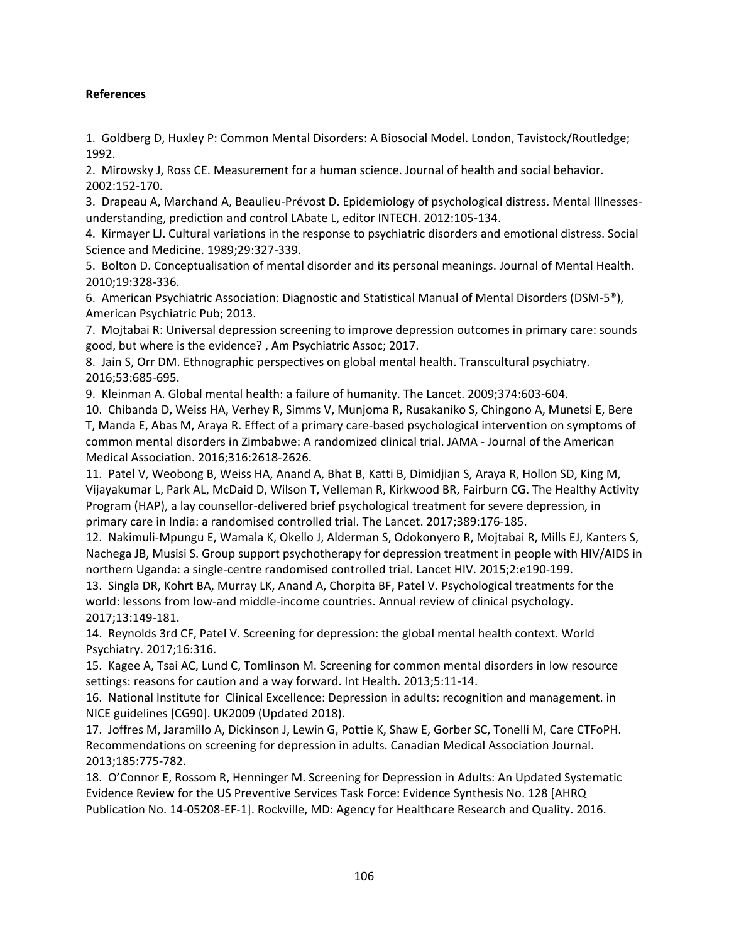## **References**

1. Goldberg D, Huxley P: Common Mental Disorders: A Biosocial Model. London, Tavistock/Routledge; 1992.

2. Mirowsky J, Ross CE. Measurement for a human science. Journal of health and social behavior. 2002:152‐170.

3. Drapeau A, Marchand A, Beaulieu‐Prévost D. Epidemiology of psychological distress. Mental Illnesses‐ understanding, prediction and control LAbate L, editor INTECH. 2012:105‐134.

4. Kirmayer LJ. Cultural variations in the response to psychiatric disorders and emotional distress. Social Science and Medicine. 1989;29:327‐339.

5. Bolton D. Conceptualisation of mental disorder and its personal meanings. Journal of Mental Health. 2010;19:328‐336.

6. American Psychiatric Association: Diagnostic and Statistical Manual of Mental Disorders (DSM‐5®), American Psychiatric Pub; 2013.

7. Mojtabai R: Universal depression screening to improve depression outcomes in primary care: sounds good, but where is the evidence? , Am Psychiatric Assoc; 2017.

8. Jain S, Orr DM. Ethnographic perspectives on global mental health. Transcultural psychiatry. 2016;53:685‐695.

9. Kleinman A. Global mental health: a failure of humanity. The Lancet. 2009;374:603‐604.

10. Chibanda D, Weiss HA, Verhey R, Simms V, Munjoma R, Rusakaniko S, Chingono A, Munetsi E, Bere T, Manda E, Abas M, Araya R. Effect of a primary care‐based psychological intervention on symptoms of common mental disorders in Zimbabwe: A randomized clinical trial. JAMA ‐ Journal of the American Medical Association. 2016;316:2618‐2626.

11. Patel V, Weobong B, Weiss HA, Anand A, Bhat B, Katti B, Dimidjian S, Araya R, Hollon SD, King M, Vijayakumar L, Park AL, McDaid D, Wilson T, Velleman R, Kirkwood BR, Fairburn CG. The Healthy Activity Program (HAP), a lay counsellor‐delivered brief psychological treatment for severe depression, in primary care in India: a randomised controlled trial. The Lancet. 2017;389:176‐185.

12. Nakimuli‐Mpungu E, Wamala K, Okello J, Alderman S, Odokonyero R, Mojtabai R, Mills EJ, Kanters S, Nachega JB, Musisi S. Group support psychotherapy for depression treatment in people with HIV/AIDS in northern Uganda: a single-centre randomised controlled trial. Lancet HIV. 2015;2:e190-199.

13. Singla DR, Kohrt BA, Murray LK, Anand A, Chorpita BF, Patel V. Psychological treatments for the world: lessons from low-and middle-income countries. Annual review of clinical psychology. 2017;13:149‐181.

14. Reynolds 3rd CF, Patel V. Screening for depression: the global mental health context. World Psychiatry. 2017;16:316.

15. Kagee A, Tsai AC, Lund C, Tomlinson M. Screening for common mental disorders in low resource settings: reasons for caution and a way forward. Int Health. 2013;5:11‐14.

16. National Institute for Clinical Excellence: Depression in adults: recognition and management. in NICE guidelines [CG90]. UK2009 (Updated 2018).

17. Joffres M, Jaramillo A, Dickinson J, Lewin G, Pottie K, Shaw E, Gorber SC, Tonelli M, Care CTFoPH. Recommendations on screening for depression in adults. Canadian Medical Association Journal. 2013;185:775‐782.

18. O'Connor E, Rossom R, Henninger M. Screening for Depression in Adults: An Updated Systematic Evidence Review for the US Preventive Services Task Force: Evidence Synthesis No. 128 [AHRQ Publication No. 14‐05208‐EF‐1]. Rockville, MD: Agency for Healthcare Research and Quality. 2016.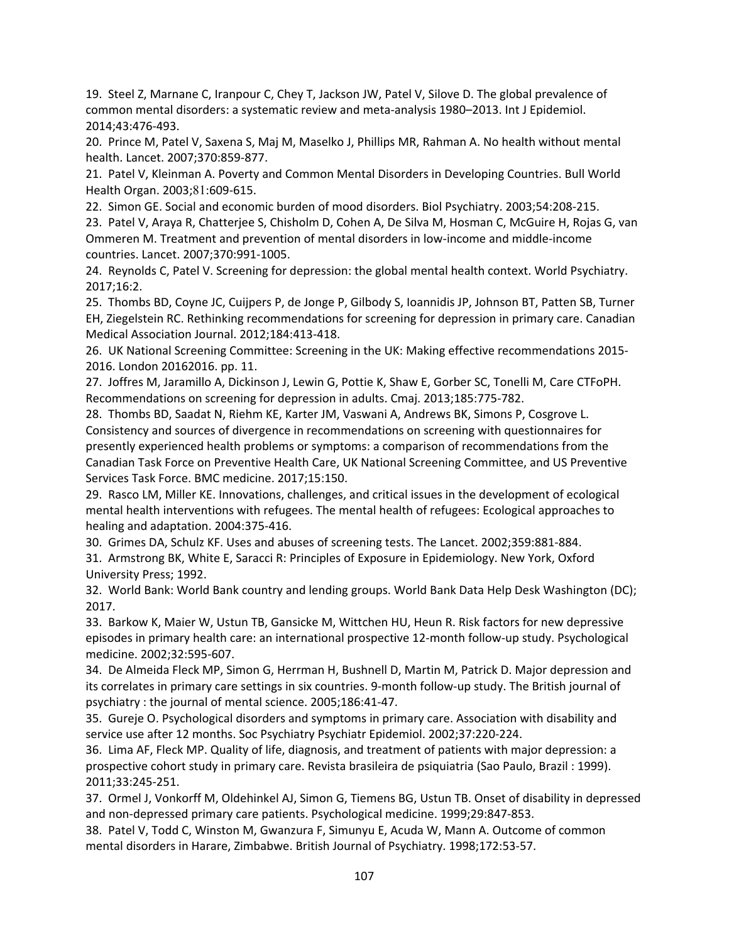19. Steel Z, Marnane C, Iranpour C, Chey T, Jackson JW, Patel V, Silove D. The global prevalence of common mental disorders: a systematic review and meta-analysis 1980–2013. Int J Epidemiol. 2014;43:476‐493.

20. Prince M, Patel V, Saxena S, Maj M, Maselko J, Phillips MR, Rahman A. No health without mental health. Lancet. 2007;370:859‐877.

21. Patel V, Kleinman A. Poverty and Common Mental Disorders in Developing Countries. Bull World Health Organ. 2003;81:609-615.

22. Simon GE. Social and economic burden of mood disorders. Biol Psychiatry. 2003;54:208‐215.

23. Patel V, Araya R, Chatterjee S, Chisholm D, Cohen A, De Silva M, Hosman C, McGuire H, Rojas G, van Ommeren M. Treatment and prevention of mental disorders in low‐income and middle‐income countries. Lancet. 2007;370:991‐1005.

24. Reynolds C, Patel V. Screening for depression: the global mental health context. World Psychiatry. 2017;16:2.

25. Thombs BD, Coyne JC, Cuijpers P, de Jonge P, Gilbody S, Ioannidis JP, Johnson BT, Patten SB, Turner EH, Ziegelstein RC. Rethinking recommendations for screening for depression in primary care. Canadian Medical Association Journal. 2012;184:413‐418.

26. UK National Screening Committee: Screening in the UK: Making effective recommendations 2015‐ 2016. London 20162016. pp. 11.

27. Joffres M, Jaramillo A, Dickinson J, Lewin G, Pottie K, Shaw E, Gorber SC, Tonelli M, Care CTFoPH. Recommendations on screening for depression in adults. Cmaj. 2013;185:775‐782.

28. Thombs BD, Saadat N, Riehm KE, Karter JM, Vaswani A, Andrews BK, Simons P, Cosgrove L. Consistency and sources of divergence in recommendations on screening with questionnaires for presently experienced health problems or symptoms: a comparison of recommendations from the Canadian Task Force on Preventive Health Care, UK National Screening Committee, and US Preventive Services Task Force. BMC medicine. 2017;15:150.

29. Rasco LM, Miller KE. Innovations, challenges, and critical issues in the development of ecological mental health interventions with refugees. The mental health of refugees: Ecological approaches to healing and adaptation. 2004:375‐416.

30. Grimes DA, Schulz KF. Uses and abuses of screening tests. The Lancet. 2002;359:881‐884.

31. Armstrong BK, White E, Saracci R: Principles of Exposure in Epidemiology. New York, Oxford University Press; 1992.

32. World Bank: World Bank country and lending groups. World Bank Data Help Desk Washington (DC); 2017.

33. Barkow K, Maier W, Ustun TB, Gansicke M, Wittchen HU, Heun R. Risk factors for new depressive episodes in primary health care: an international prospective 12‐month follow‐up study. Psychological medicine. 2002;32:595‐607.

34. De Almeida Fleck MP, Simon G, Herrman H, Bushnell D, Martin M, Patrick D. Major depression and its correlates in primary care settings in six countries. 9-month follow-up study. The British journal of psychiatry : the journal of mental science. 2005;186:41‐47.

35. Gureje O. Psychological disorders and symptoms in primary care. Association with disability and service use after 12 months. Soc Psychiatry Psychiatr Epidemiol. 2002;37:220‐224.

36. Lima AF, Fleck MP. Quality of life, diagnosis, and treatment of patients with major depression: a prospective cohort study in primary care. Revista brasileira de psiquiatria (Sao Paulo, Brazil : 1999). 2011;33:245‐251.

37. Ormel J, Vonkorff M, Oldehinkel AJ, Simon G, Tiemens BG, Ustun TB. Onset of disability in depressed and non‐depressed primary care patients. Psychological medicine. 1999;29:847‐853.

38. Patel V, Todd C, Winston M, Gwanzura F, Simunyu E, Acuda W, Mann A. Outcome of common mental disorders in Harare, Zimbabwe. British Journal of Psychiatry. 1998;172:53‐57.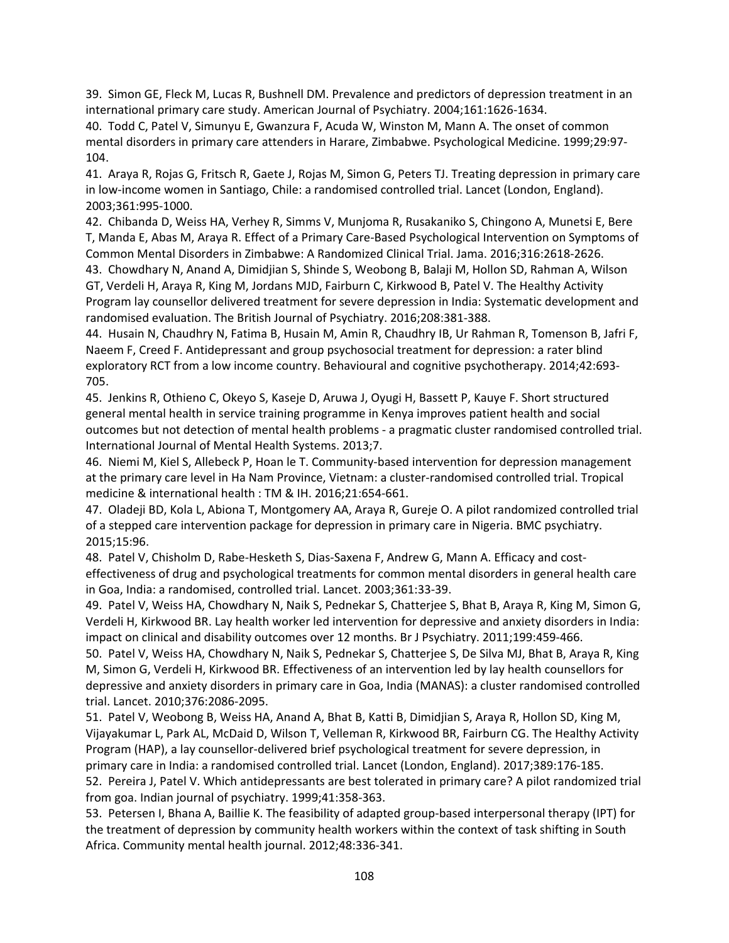39. Simon GE, Fleck M, Lucas R, Bushnell DM. Prevalence and predictors of depression treatment in an international primary care study. American Journal of Psychiatry. 2004;161:1626‐1634.

40. Todd C, Patel V, Simunyu E, Gwanzura F, Acuda W, Winston M, Mann A. The onset of common mental disorders in primary care attenders in Harare, Zimbabwe. Psychological Medicine. 1999;29:97‐ 104.

41. Araya R, Rojas G, Fritsch R, Gaete J, Rojas M, Simon G, Peters TJ. Treating depression in primary care in low‐income women in Santiago, Chile: a randomised controlled trial. Lancet (London, England). 2003;361:995‐1000.

42. Chibanda D, Weiss HA, Verhey R, Simms V, Munjoma R, Rusakaniko S, Chingono A, Munetsi E, Bere T, Manda E, Abas M, Araya R. Effect of a Primary Care‐Based Psychological Intervention on Symptoms of Common Mental Disorders in Zimbabwe: A Randomized Clinical Trial. Jama. 2016;316:2618‐2626.

43. Chowdhary N, Anand A, Dimidjian S, Shinde S, Weobong B, Balaji M, Hollon SD, Rahman A, Wilson GT, Verdeli H, Araya R, King M, Jordans MJD, Fairburn C, Kirkwood B, Patel V. The Healthy Activity Program lay counsellor delivered treatment for severe depression in India: Systematic development and randomised evaluation. The British Journal of Psychiatry. 2016;208:381‐388.

44. Husain N, Chaudhry N, Fatima B, Husain M, Amin R, Chaudhry IB, Ur Rahman R, Tomenson B, Jafri F, Naeem F, Creed F. Antidepressant and group psychosocial treatment for depression: a rater blind exploratory RCT from a low income country. Behavioural and cognitive psychotherapy. 2014;42:693-705.

45. Jenkins R, Othieno C, Okeyo S, Kaseje D, Aruwa J, Oyugi H, Bassett P, Kauye F. Short structured general mental health in service training programme in Kenya improves patient health and social outcomes but not detection of mental health problems ‐ a pragmatic cluster randomised controlled trial. International Journal of Mental Health Systems. 2013;7.

46. Niemi M, Kiel S, Allebeck P, Hoan le T. Community‐based intervention for depression management at the primary care level in Ha Nam Province, Vietnam: a cluster‐randomised controlled trial. Tropical medicine & international health : TM & IH. 2016;21:654‐661.

47. Oladeji BD, Kola L, Abiona T, Montgomery AA, Araya R, Gureje O. A pilot randomized controlled trial of a stepped care intervention package for depression in primary care in Nigeria. BMC psychiatry. 2015;15:96.

48. Patel V, Chisholm D, Rabe‐Hesketh S, Dias‐Saxena F, Andrew G, Mann A. Efficacy and cost‐ effectiveness of drug and psychological treatments for common mental disorders in general health care in Goa, India: a randomised, controlled trial. Lancet. 2003;361:33‐39.

49. Patel V, Weiss HA, Chowdhary N, Naik S, Pednekar S, Chatterjee S, Bhat B, Araya R, King M, Simon G, Verdeli H, Kirkwood BR. Lay health worker led intervention for depressive and anxiety disorders in India: impact on clinical and disability outcomes over 12 months. Br J Psychiatry. 2011;199:459‐466.

50. Patel V, Weiss HA, Chowdhary N, Naik S, Pednekar S, Chatterjee S, De Silva MJ, Bhat B, Araya R, King M, Simon G, Verdeli H, Kirkwood BR. Effectiveness of an intervention led by lay health counsellors for depressive and anxiety disorders in primary care in Goa, India (MANAS): a cluster randomised controlled trial. Lancet. 2010;376:2086‐2095.

51. Patel V, Weobong B, Weiss HA, Anand A, Bhat B, Katti B, Dimidjian S, Araya R, Hollon SD, King M, Vijayakumar L, Park AL, McDaid D, Wilson T, Velleman R, Kirkwood BR, Fairburn CG. The Healthy Activity Program (HAP), a lay counsellor‐delivered brief psychological treatment for severe depression, in primary care in India: a randomised controlled trial. Lancet (London, England). 2017;389:176‐185.

52. Pereira J, Patel V. Which antidepressants are best tolerated in primary care? A pilot randomized trial from goa. Indian journal of psychiatry. 1999;41:358‐363.

53. Petersen I, Bhana A, Baillie K. The feasibility of adapted group‐based interpersonal therapy (IPT) for the treatment of depression by community health workers within the context of task shifting in South Africa. Community mental health journal. 2012;48:336‐341.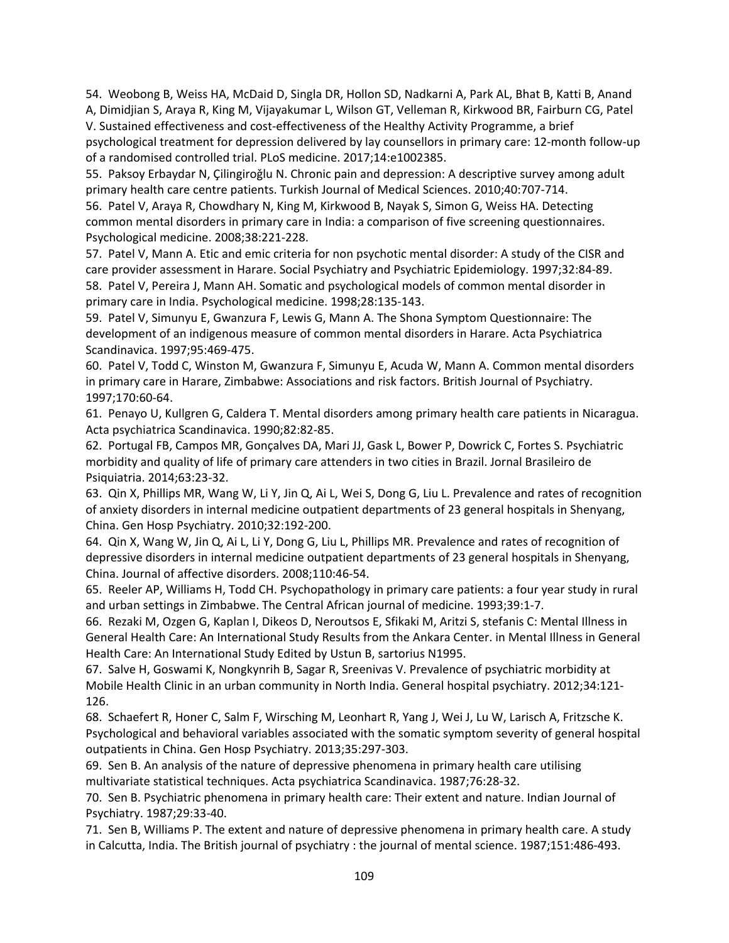54. Weobong B, Weiss HA, McDaid D, Singla DR, Hollon SD, Nadkarni A, Park AL, Bhat B, Katti B, Anand A, Dimidjian S, Araya R, King M, Vijayakumar L, Wilson GT, Velleman R, Kirkwood BR, Fairburn CG, Patel V. Sustained effectiveness and cost‐effectiveness of the Healthy Activity Programme, a brief

psychological treatment for depression delivered by lay counsellors in primary care: 12‐month follow‐up of a randomised controlled trial. PLoS medicine. 2017;14:e1002385.

55. Paksoy Erbaydar N, Çilingiroǧlu N. Chronic pain and depression: A descriptive survey among adult primary health care centre patients. Turkish Journal of Medical Sciences. 2010;40:707‐714.

56. Patel V, Araya R, Chowdhary N, King M, Kirkwood B, Nayak S, Simon G, Weiss HA. Detecting common mental disorders in primary care in India: a comparison of five screening questionnaires. Psychological medicine. 2008;38:221‐228.

57. Patel V, Mann A. Etic and emic criteria for non psychotic mental disorder: A study of the CISR and care provider assessment in Harare. Social Psychiatry and Psychiatric Epidemiology. 1997;32:84‐89. 58. Patel V, Pereira J, Mann AH. Somatic and psychological models of common mental disorder in

primary care in India. Psychological medicine. 1998;28:135‐143.

59. Patel V, Simunyu E, Gwanzura F, Lewis G, Mann A. The Shona Symptom Questionnaire: The development of an indigenous measure of common mental disorders in Harare. Acta Psychiatrica Scandinavica. 1997;95:469‐475.

60. Patel V, Todd C, Winston M, Gwanzura F, Simunyu E, Acuda W, Mann A. Common mental disorders in primary care in Harare, Zimbabwe: Associations and risk factors. British Journal of Psychiatry. 1997;170:60‐64.

61. Penayo U, Kullgren G, Caldera T. Mental disorders among primary health care patients in Nicaragua. Acta psychiatrica Scandinavica. 1990;82:82‐85.

62. Portugal FB, Campos MR, Gonçalves DA, Mari JJ, Gask L, Bower P, Dowrick C, Fortes S. Psychiatric morbidity and quality of life of primary care attenders in two cities in Brazil. Jornal Brasileiro de Psiquiatria. 2014;63:23‐32.

63. Qin X, Phillips MR, Wang W, Li Y, Jin Q, Ai L, Wei S, Dong G, Liu L. Prevalence and rates of recognition of anxiety disorders in internal medicine outpatient departments of 23 general hospitals in Shenyang, China. Gen Hosp Psychiatry. 2010;32:192‐200.

64. Qin X, Wang W, Jin Q, Ai L, Li Y, Dong G, Liu L, Phillips MR. Prevalence and rates of recognition of depressive disorders in internal medicine outpatient departments of 23 general hospitals in Shenyang, China. Journal of affective disorders. 2008;110:46‐54.

65. Reeler AP, Williams H, Todd CH. Psychopathology in primary care patients: a four year study in rural and urban settings in Zimbabwe. The Central African journal of medicine. 1993;39:1‐7.

66. Rezaki M, Ozgen G, Kaplan I, Dikeos D, Neroutsos E, Sfikaki M, Aritzi S, stefanis C: Mental Illness in General Health Care: An International Study Results from the Ankara Center. in Mental Illness in General Health Care: An International Study Edited by Ustun B, sartorius N1995.

67. Salve H, Goswami K, Nongkynrih B, Sagar R, Sreenivas V. Prevalence of psychiatric morbidity at Mobile Health Clinic in an urban community in North India. General hospital psychiatry. 2012;34:121-126.

68. Schaefert R, Honer C, Salm F, Wirsching M, Leonhart R, Yang J, Wei J, Lu W, Larisch A, Fritzsche K. Psychological and behavioral variables associated with the somatic symptom severity of general hospital outpatients in China. Gen Hosp Psychiatry. 2013;35:297‐303.

69. Sen B. An analysis of the nature of depressive phenomena in primary health care utilising multivariate statistical techniques. Acta psychiatrica Scandinavica. 1987;76:28‐32.

70. Sen B. Psychiatric phenomena in primary health care: Their extent and nature. Indian Journal of Psychiatry. 1987;29:33‐40.

71. Sen B, Williams P. The extent and nature of depressive phenomena in primary health care. A study in Calcutta, India. The British journal of psychiatry : the journal of mental science. 1987;151:486‐493.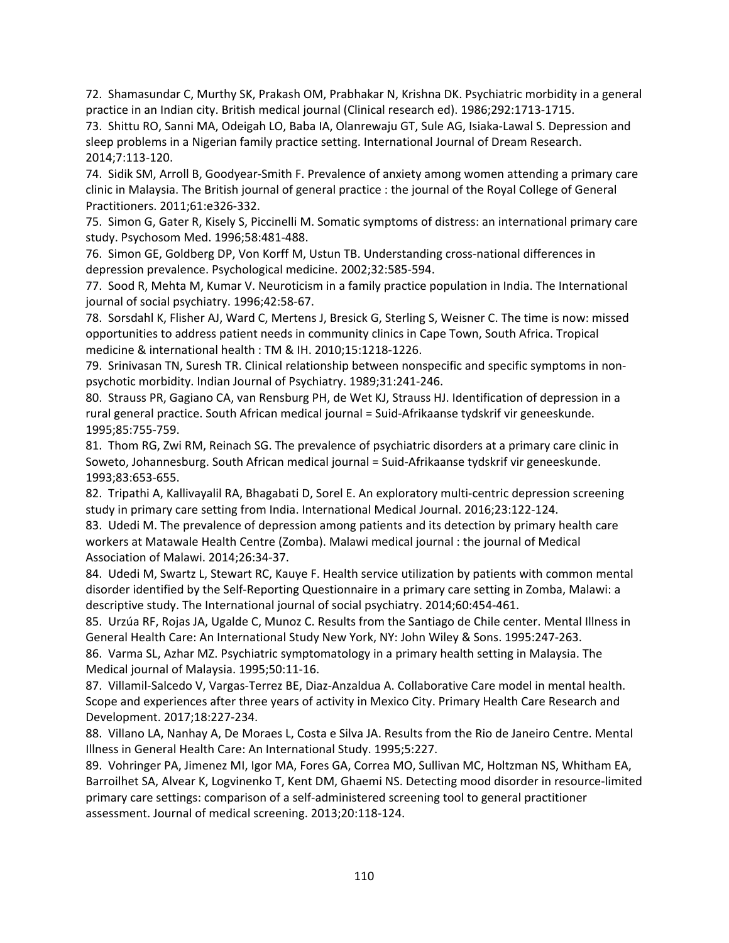72. Shamasundar C, Murthy SK, Prakash OM, Prabhakar N, Krishna DK. Psychiatric morbidity in a general practice in an Indian city. British medical journal (Clinical research ed). 1986;292:1713-1715.

73. Shittu RO, Sanni MA, Odeigah LO, Baba IA, Olanrewaju GT, Sule AG, Isiaka‐Lawal S. Depression and sleep problems in a Nigerian family practice setting. International Journal of Dream Research. 2014;7:113‐120.

74. Sidik SM, Arroll B, Goodyear‐Smith F. Prevalence of anxiety among women attending a primary care clinic in Malaysia. The British journal of general practice : the journal of the Royal College of General Practitioners. 2011;61:e326‐332.

75. Simon G, Gater R, Kisely S, Piccinelli M. Somatic symptoms of distress: an international primary care study. Psychosom Med. 1996;58:481‐488.

76. Simon GE, Goldberg DP, Von Korff M, Ustun TB. Understanding cross-national differences in depression prevalence. Psychological medicine. 2002;32:585‐594.

77. Sood R, Mehta M, Kumar V. Neuroticism in a family practice population in India. The International journal of social psychiatry. 1996;42:58‐67.

78. Sorsdahl K, Flisher AJ, Ward C, Mertens J, Bresick G, Sterling S, Weisner C. The time is now: missed opportunities to address patient needs in community clinics in Cape Town, South Africa. Tropical medicine & international health : TM & IH. 2010;15:1218‐1226.

79. Srinivasan TN, Suresh TR. Clinical relationship between nonspecific and specific symptoms in non‐ psychotic morbidity. Indian Journal of Psychiatry. 1989;31:241‐246.

80. Strauss PR, Gagiano CA, van Rensburg PH, de Wet KJ, Strauss HJ. Identification of depression in a rural general practice. South African medical journal = Suid‐Afrikaanse tydskrif vir geneeskunde. 1995;85:755‐759.

81. Thom RG, Zwi RM, Reinach SG. The prevalence of psychiatric disorders at a primary care clinic in Soweto, Johannesburg. South African medical journal = Suid‐Afrikaanse tydskrif vir geneeskunde. 1993;83:653‐655.

82. Tripathi A, Kallivayalil RA, Bhagabati D, Sorel E. An exploratory multi-centric depression screening study in primary care setting from India. International Medical Journal. 2016;23:122‐124.

83. Udedi M. The prevalence of depression among patients and its detection by primary health care workers at Matawale Health Centre (Zomba). Malawi medical journal : the journal of Medical Association of Malawi. 2014;26:34‐37.

84. Udedi M, Swartz L, Stewart RC, Kauye F. Health service utilization by patients with common mental disorder identified by the Self‐Reporting Questionnaire in a primary care setting in Zomba, Malawi: a descriptive study. The International journal of social psychiatry. 2014;60:454‐461.

85. Urzúa RF, Rojas JA, Ugalde C, Munoz C. Results from the Santiago de Chile center. Mental Illness in General Health Care: An International Study New York, NY: John Wiley & Sons. 1995:247‐263.

86. Varma SL, Azhar MZ. Psychiatric symptomatology in a primary health setting in Malaysia. The Medical journal of Malaysia. 1995;50:11‐16.

87. Villamil-Salcedo V, Vargas-Terrez BE, Diaz-Anzaldua A. Collaborative Care model in mental health. Scope and experiences after three years of activity in Mexico City. Primary Health Care Research and Development. 2017;18:227‐234.

88. Villano LA, Nanhay A, De Moraes L, Costa e Silva JA. Results from the Rio de Janeiro Centre. Mental Illness in General Health Care: An International Study. 1995;5:227.

89. Vohringer PA, Jimenez MI, Igor MA, Fores GA, Correa MO, Sullivan MC, Holtzman NS, Whitham EA, Barroilhet SA, Alvear K, Logvinenko T, Kent DM, Ghaemi NS. Detecting mood disorder in resource‐limited primary care settings: comparison of a self‐administered screening tool to general practitioner assessment. Journal of medical screening. 2013;20:118‐124.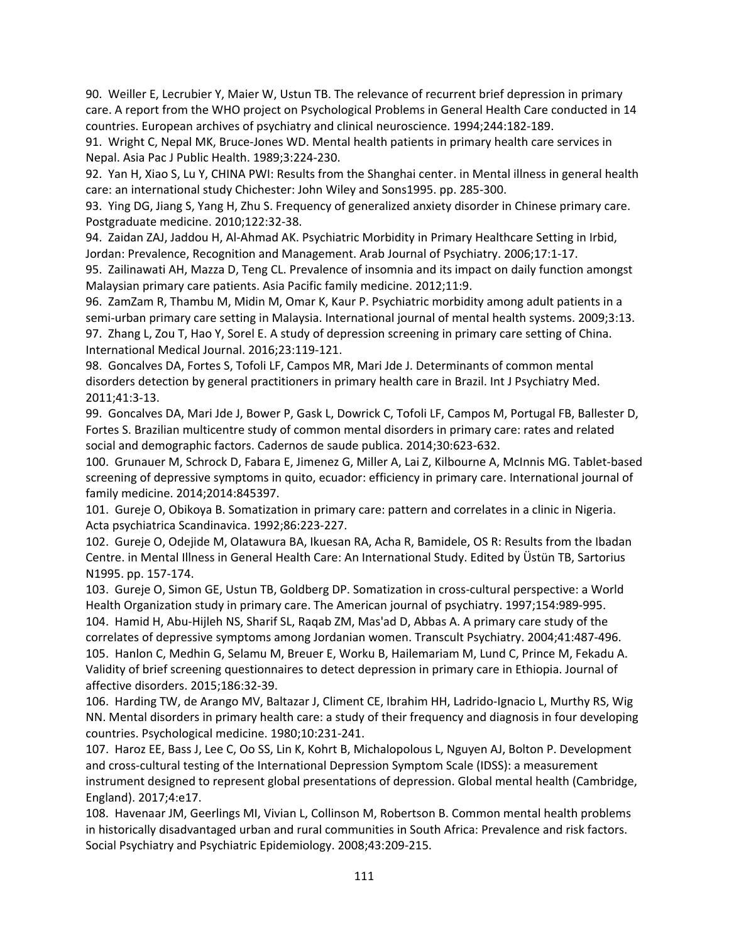90. Weiller E, Lecrubier Y, Maier W, Ustun TB. The relevance of recurrent brief depression in primary care. A report from the WHO project on Psychological Problems in General Health Care conducted in 14 countries. European archives of psychiatry and clinical neuroscience. 1994;244:182‐189.

91. Wright C, Nepal MK, Bruce‐Jones WD. Mental health patients in primary health care services in Nepal. Asia Pac J Public Health. 1989;3:224‐230.

92. Yan H, Xiao S, Lu Y, CHINA PWI: Results from the Shanghai center. in Mental illness in general health care: an international study Chichester: John Wiley and Sons1995. pp. 285‐300.

93. Ying DG, Jiang S, Yang H, Zhu S. Frequency of generalized anxiety disorder in Chinese primary care. Postgraduate medicine. 2010;122:32‐38.

94. Zaidan ZAJ, Jaddou H, Al-Ahmad AK. Psychiatric Morbidity in Primary Healthcare Setting in Irbid, Jordan: Prevalence, Recognition and Management. Arab Journal of Psychiatry. 2006;17:1‐17.

95. Zailinawati AH, Mazza D, Teng CL. Prevalence of insomnia and its impact on daily function amongst Malaysian primary care patients. Asia Pacific family medicine. 2012;11:9.

96. ZamZam R, Thambu M, Midin M, Omar K, Kaur P. Psychiatric morbidity among adult patients in a semi-urban primary care setting in Malaysia. International journal of mental health systems. 2009;3:13. 97. Zhang L, Zou T, Hao Y, Sorel E. A study of depression screening in primary care setting of China. International Medical Journal. 2016;23:119‐121.

98. Goncalves DA, Fortes S, Tofoli LF, Campos MR, Mari Jde J. Determinants of common mental disorders detection by general practitioners in primary health care in Brazil. Int J Psychiatry Med. 2011;41:3‐13.

99. Goncalves DA, Mari Jde J, Bower P, Gask L, Dowrick C, Tofoli LF, Campos M, Portugal FB, Ballester D, Fortes S. Brazilian multicentre study of common mental disorders in primary care: rates and related social and demographic factors. Cadernos de saude publica. 2014;30:623‐632.

100. Grunauer M, Schrock D, Fabara E, Jimenez G, Miller A, Lai Z, Kilbourne A, McInnis MG. Tablet‐based screening of depressive symptoms in quito, ecuador: efficiency in primary care. International journal of family medicine. 2014;2014:845397.

101. Gureje O, Obikoya B. Somatization in primary care: pattern and correlates in a clinic in Nigeria. Acta psychiatrica Scandinavica. 1992;86:223‐227.

102. Gureje O, Odejide M, Olatawura BA, Ikuesan RA, Acha R, Bamidele, OS R: Results from the Ibadan Centre. in Mental Illness in General Health Care: An International Study. Edited by Üstün TB, Sartorius N1995. pp. 157‐174.

103. Gureje O, Simon GE, Ustun TB, Goldberg DP. Somatization in cross-cultural perspective: a World Health Organization study in primary care. The American journal of psychiatry. 1997;154:989‐995. 104. Hamid H, Abu‐Hijleh NS, Sharif SL, Raqab ZM, Mas'ad D, Abbas A. A primary care study of the correlates of depressive symptoms among Jordanian women. Transcult Psychiatry. 2004;41:487‐496. 105. Hanlon C, Medhin G, Selamu M, Breuer E, Worku B, Hailemariam M, Lund C, Prince M, Fekadu A. Validity of brief screening questionnaires to detect depression in primary care in Ethiopia. Journal of affective disorders. 2015;186:32‐39.

106. Harding TW, de Arango MV, Baltazar J, Climent CE, Ibrahim HH, Ladrido-Ignacio L, Murthy RS, Wig NN. Mental disorders in primary health care: a study of their frequency and diagnosis in four developing countries. Psychological medicine. 1980;10:231‐241.

107. Haroz EE, Bass J, Lee C, Oo SS, Lin K, Kohrt B, Michalopolous L, Nguyen AJ, Bolton P. Development and cross-cultural testing of the International Depression Symptom Scale (IDSS): a measurement instrument designed to represent global presentations of depression. Global mental health (Cambridge, England). 2017;4:e17.

108. Havenaar JM, Geerlings MI, Vivian L, Collinson M, Robertson B. Common mental health problems in historically disadvantaged urban and rural communities in South Africa: Prevalence and risk factors. Social Psychiatry and Psychiatric Epidemiology. 2008;43:209‐215.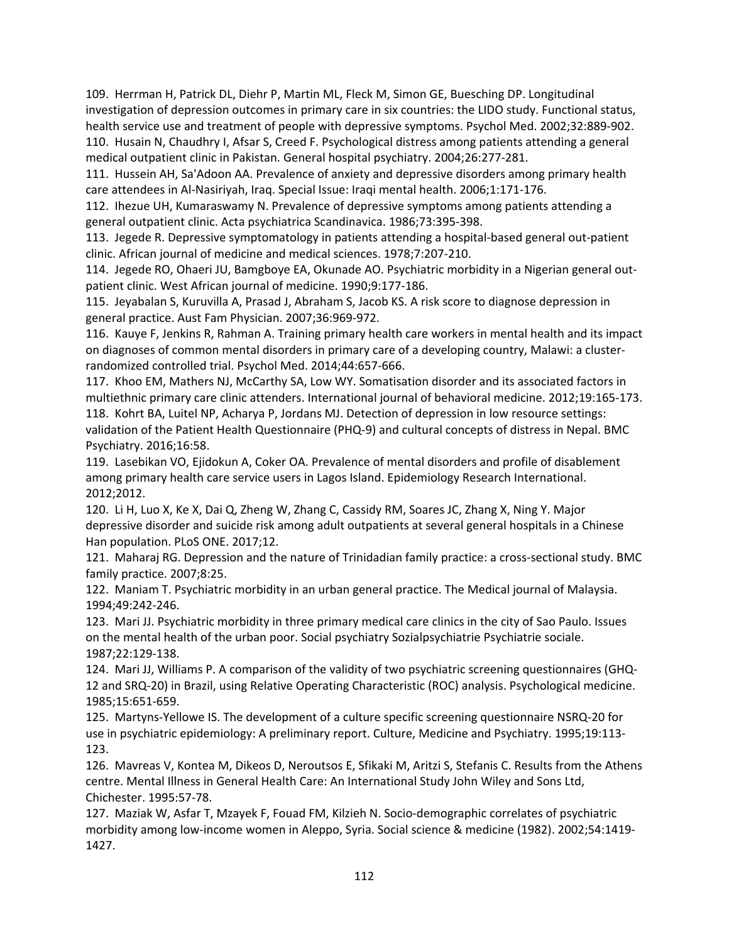109. Herrman H, Patrick DL, Diehr P, Martin ML, Fleck M, Simon GE, Buesching DP. Longitudinal investigation of depression outcomes in primary care in six countries: the LIDO study. Functional status, health service use and treatment of people with depressive symptoms. Psychol Med. 2002;32:889‐902. 110. Husain N, Chaudhry I, Afsar S, Creed F. Psychological distress among patients attending a general medical outpatient clinic in Pakistan. General hospital psychiatry. 2004;26:277‐281.

111. Hussein AH, Sa'Adoon AA. Prevalence of anxiety and depressive disorders among primary health care attendees in Al‐Nasiriyah, Iraq. Special Issue: Iraqi mental health. 2006;1:171‐176.

112. Ihezue UH, Kumaraswamy N. Prevalence of depressive symptoms among patients attending a general outpatient clinic. Acta psychiatrica Scandinavica. 1986;73:395‐398.

113. Jegede R. Depressive symptomatology in patients attending a hospital‐based general out‐patient clinic. African journal of medicine and medical sciences. 1978;7:207‐210.

114. Jegede RO, Ohaeri JU, Bamgboye EA, Okunade AO. Psychiatric morbidity in a Nigerian general out‐ patient clinic. West African journal of medicine. 1990;9:177‐186.

115. Jeyabalan S, Kuruvilla A, Prasad J, Abraham S, Jacob KS. A risk score to diagnose depression in general practice. Aust Fam Physician. 2007;36:969‐972.

116. Kauye F, Jenkins R, Rahman A. Training primary health care workers in mental health and its impact on diagnoses of common mental disorders in primary care of a developing country, Malawi: a cluster‐ randomized controlled trial. Psychol Med. 2014;44:657‐666.

117. Khoo EM, Mathers NJ, McCarthy SA, Low WY. Somatisation disorder and its associated factors in multiethnic primary care clinic attenders. International journal of behavioral medicine. 2012;19:165‐173. 118. Kohrt BA, Luitel NP, Acharya P, Jordans MJ. Detection of depression in low resource settings: validation of the Patient Health Questionnaire (PHQ‐9) and cultural concepts of distress in Nepal. BMC Psychiatry. 2016;16:58.

119. Lasebikan VO, Ejidokun A, Coker OA. Prevalence of mental disorders and profile of disablement among primary health care service users in Lagos Island. Epidemiology Research International. 2012;2012.

120. Li H, Luo X, Ke X, Dai Q, Zheng W, Zhang C, Cassidy RM, Soares JC, Zhang X, Ning Y. Major depressive disorder and suicide risk among adult outpatients at several general hospitals in a Chinese Han population. PLoS ONE. 2017;12.

121. Maharaj RG. Depression and the nature of Trinidadian family practice: a cross-sectional study. BMC family practice. 2007;8:25.

122. Maniam T. Psychiatric morbidity in an urban general practice. The Medical journal of Malaysia. 1994;49:242‐246.

123. Mari JJ. Psychiatric morbidity in three primary medical care clinics in the city of Sao Paulo. Issues on the mental health of the urban poor. Social psychiatry Sozialpsychiatrie Psychiatrie sociale. 1987;22:129‐138.

124. Mari JJ, Williams P. A comparison of the validity of two psychiatric screening questionnaires (GHQ‐ 12 and SRQ-20) in Brazil, using Relative Operating Characteristic (ROC) analysis. Psychological medicine. 1985;15:651‐659.

125. Martyns-Yellowe IS. The development of a culture specific screening questionnaire NSRQ-20 for use in psychiatric epidemiology: A preliminary report. Culture, Medicine and Psychiatry. 1995;19:113-123.

126. Mavreas V, Kontea M, Dikeos D, Neroutsos E, Sfikaki M, Aritzi S, Stefanis C. Results from the Athens centre. Mental Illness in General Health Care: An International Study John Wiley and Sons Ltd, Chichester. 1995:57‐78.

127. Maziak W, Asfar T, Mzayek F, Fouad FM, Kilzieh N. Socio‐demographic correlates of psychiatric morbidity among low‐income women in Aleppo, Syria. Social science & medicine (1982). 2002;54:1419‐ 1427.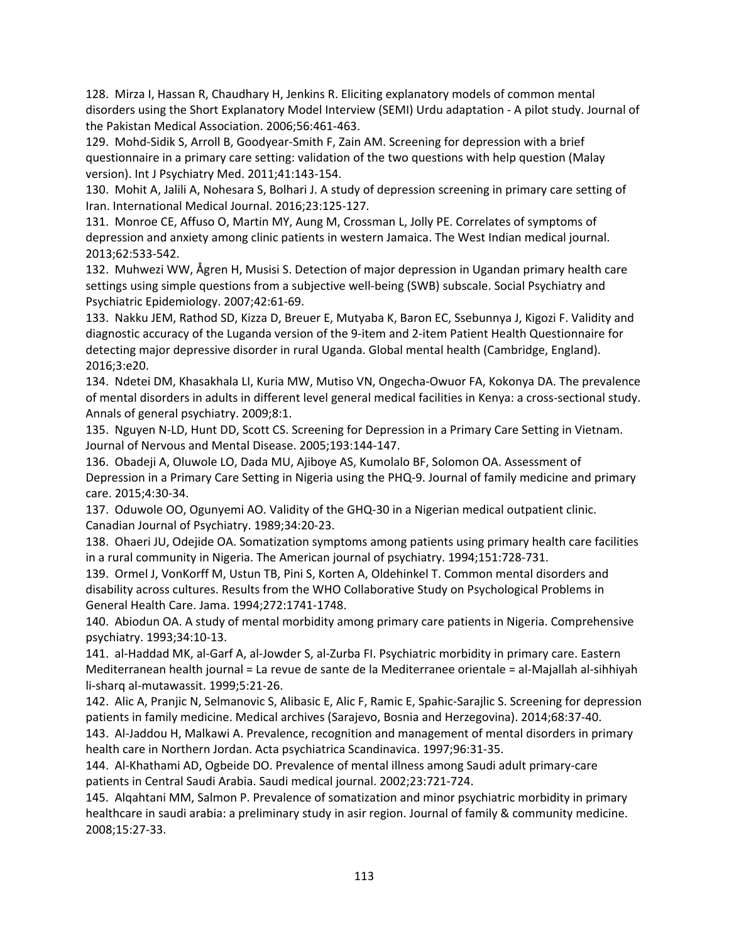128. Mirza I, Hassan R, Chaudhary H, Jenkins R. Eliciting explanatory models of common mental disorders using the Short Explanatory Model Interview (SEMI) Urdu adaptation ‐ A pilot study. Journal of the Pakistan Medical Association. 2006;56:461‐463.

129. Mohd-Sidik S, Arroll B, Goodyear-Smith F, Zain AM. Screening for depression with a brief questionnaire in a primary care setting: validation of the two questions with help question (Malay version). Int J Psychiatry Med. 2011;41:143‐154.

130. Mohit A, Jalili A, Nohesara S, Bolhari J. A study of depression screening in primary care setting of Iran. International Medical Journal. 2016;23:125‐127.

131. Monroe CE, Affuso O, Martin MY, Aung M, Crossman L, Jolly PE. Correlates of symptoms of depression and anxiety among clinic patients in western Jamaica. The West Indian medical journal. 2013;62:533‐542.

132. Muhwezi WW, Ågren H, Musisi S. Detection of major depression in Ugandan primary health care settings using simple questions from a subjective well-being (SWB) subscale. Social Psychiatry and Psychiatric Epidemiology. 2007;42:61‐69.

133. Nakku JEM, Rathod SD, Kizza D, Breuer E, Mutyaba K, Baron EC, Ssebunnya J, Kigozi F. Validity and diagnostic accuracy of the Luganda version of the 9‐item and 2‐item Patient Health Questionnaire for detecting major depressive disorder in rural Uganda. Global mental health (Cambridge, England). 2016;3:e20.

134. Ndetei DM, Khasakhala LI, Kuria MW, Mutiso VN, Ongecha‐Owuor FA, Kokonya DA. The prevalence of mental disorders in adults in different level general medical facilities in Kenya: a cross‐sectional study. Annals of general psychiatry. 2009;8:1.

135. Nguyen N‐LD, Hunt DD, Scott CS. Screening for Depression in a Primary Care Setting in Vietnam. Journal of Nervous and Mental Disease. 2005;193:144‐147.

136. Obadeji A, Oluwole LO, Dada MU, Ajiboye AS, Kumolalo BF, Solomon OA. Assessment of Depression in a Primary Care Setting in Nigeria using the PHQ‐9. Journal of family medicine and primary care. 2015;4:30‐34.

137. Oduwole OO, Ogunyemi AO. Validity of the GHQ‐30 in a Nigerian medical outpatient clinic. Canadian Journal of Psychiatry. 1989;34:20‐23.

138. Ohaeri JU, Odejide OA. Somatization symptoms among patients using primary health care facilities in a rural community in Nigeria. The American journal of psychiatry. 1994;151:728‐731.

139. Ormel J, VonKorff M, Ustun TB, Pini S, Korten A, Oldehinkel T. Common mental disorders and disability across cultures. Results from the WHO Collaborative Study on Psychological Problems in General Health Care. Jama. 1994;272:1741‐1748.

140. Abiodun OA. A study of mental morbidity among primary care patients in Nigeria. Comprehensive psychiatry. 1993;34:10‐13.

141. al‐Haddad MK, al‐Garf A, al‐Jowder S, al‐Zurba FI. Psychiatric morbidity in primary care. Eastern Mediterranean health journal = La revue de sante de la Mediterranee orientale = al‐Majallah al‐sihhiyah li‐sharq al‐mutawassit. 1999;5:21‐26.

142. Alic A, Pranjic N, Selmanovic S, Alibasic E, Alic F, Ramic E, Spahic‐Sarajlic S. Screening for depression patients in family medicine. Medical archives (Sarajevo, Bosnia and Herzegovina). 2014;68:37‐40.

143. Al‐Jaddou H, Malkawi A. Prevalence, recognition and management of mental disorders in primary health care in Northern Jordan. Acta psychiatrica Scandinavica. 1997;96:31‐35.

144. Al‐Khathami AD, Ogbeide DO. Prevalence of mental illness among Saudi adult primary‐care patients in Central Saudi Arabia. Saudi medical journal. 2002;23:721‐724.

145. Alqahtani MM, Salmon P. Prevalence of somatization and minor psychiatric morbidity in primary healthcare in saudi arabia: a preliminary study in asir region. Journal of family & community medicine. 2008;15:27‐33.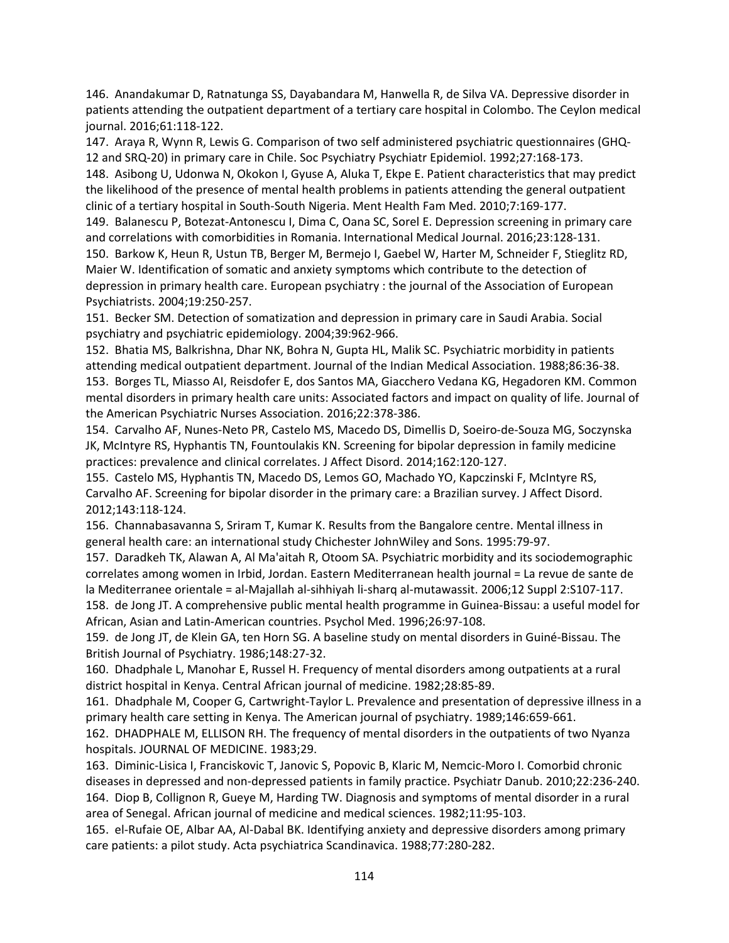146. Anandakumar D, Ratnatunga SS, Dayabandara M, Hanwella R, de Silva VA. Depressive disorder in patients attending the outpatient department of a tertiary care hospital in Colombo. The Ceylon medical journal. 2016;61:118‐122.

147. Araya R, Wynn R, Lewis G. Comparison of two self administered psychiatric questionnaires (GHQ‐ 12 and SRQ‐20) in primary care in Chile. Soc Psychiatry Psychiatr Epidemiol. 1992;27:168‐173.

148. Asibong U, Udonwa N, Okokon I, Gyuse A, Aluka T, Ekpe E. Patient characteristics that may predict the likelihood of the presence of mental health problems in patients attending the general outpatient clinic of a tertiary hospital in South‐South Nigeria. Ment Health Fam Med. 2010;7:169‐177.

149. Balanescu P, Botezat‐Antonescu I, Dima C, Oana SC, Sorel E. Depression screening in primary care and correlations with comorbidities in Romania. International Medical Journal. 2016;23:128‐131.

150. Barkow K, Heun R, Ustun TB, Berger M, Bermejo I, Gaebel W, Harter M, Schneider F, Stieglitz RD, Maier W. Identification of somatic and anxiety symptoms which contribute to the detection of depression in primary health care. European psychiatry : the journal of the Association of European Psychiatrists. 2004;19:250‐257.

151. Becker SM. Detection of somatization and depression in primary care in Saudi Arabia. Social psychiatry and psychiatric epidemiology. 2004;39:962‐966.

152. Bhatia MS, Balkrishna, Dhar NK, Bohra N, Gupta HL, Malik SC. Psychiatric morbidity in patients attending medical outpatient department. Journal of the Indian Medical Association. 1988;86:36‐38. 153. Borges TL, Miasso AI, Reisdofer E, dos Santos MA, Giacchero Vedana KG, Hegadoren KM. Common mental disorders in primary health care units: Associated factors and impact on quality of life. Journal of the American Psychiatric Nurses Association. 2016;22:378‐386.

154. Carvalho AF, Nunes‐Neto PR, Castelo MS, Macedo DS, Dimellis D, Soeiro‐de‐Souza MG, Soczynska JK, McIntyre RS, Hyphantis TN, Fountoulakis KN. Screening for bipolar depression in family medicine practices: prevalence and clinical correlates. J Affect Disord. 2014;162:120‐127.

155. Castelo MS, Hyphantis TN, Macedo DS, Lemos GO, Machado YO, Kapczinski F, McIntyre RS, Carvalho AF. Screening for bipolar disorder in the primary care: a Brazilian survey. J Affect Disord. 2012;143:118‐124.

156. Channabasavanna S, Sriram T, Kumar K. Results from the Bangalore centre. Mental illness in general health care: an international study Chichester JohnWiley and Sons. 1995:79‐97.

157. Daradkeh TK, Alawan A, Al Ma'aitah R, Otoom SA. Psychiatric morbidity and its sociodemographic correlates among women in Irbid, Jordan. Eastern Mediterranean health journal = La revue de sante de la Mediterranee orientale = al‐Majallah al‐sihhiyah li‐sharq al‐mutawassit. 2006;12 Suppl 2:S107‐117. 158. de Jong JT. A comprehensive public mental health programme in Guinea‐Bissau: a useful model for African, Asian and Latin‐American countries. Psychol Med. 1996;26:97‐108.

159. de Jong JT, de Klein GA, ten Horn SG. A baseline study on mental disorders in Guiné‐Bissau. The British Journal of Psychiatry. 1986;148:27‐32.

160. Dhadphale L, Manohar E, Russel H. Frequency of mental disorders among outpatients at a rural district hospital in Kenya. Central African journal of medicine. 1982;28:85‐89.

161. Dhadphale M, Cooper G, Cartwright‐Taylor L. Prevalence and presentation of depressive illness in a primary health care setting in Kenya. The American journal of psychiatry. 1989;146:659‐661.

162. DHADPHALE M, ELLISON RH. The frequency of mental disorders in the outpatients of two Nyanza hospitals. JOURNAL OF MEDICINE. 1983;29.

163. Diminic‐Lisica I, Franciskovic T, Janovic S, Popovic B, Klaric M, Nemcic‐Moro I. Comorbid chronic diseases in depressed and non‐depressed patients in family practice. Psychiatr Danub. 2010;22:236‐240. 164. Diop B, Collignon R, Gueye M, Harding TW. Diagnosis and symptoms of mental disorder in a rural area of Senegal. African journal of medicine and medical sciences. 1982;11:95‐103.

165. el‐Rufaie OE, Albar AA, Al‐Dabal BK. Identifying anxiety and depressive disorders among primary care patients: a pilot study. Acta psychiatrica Scandinavica. 1988;77:280‐282.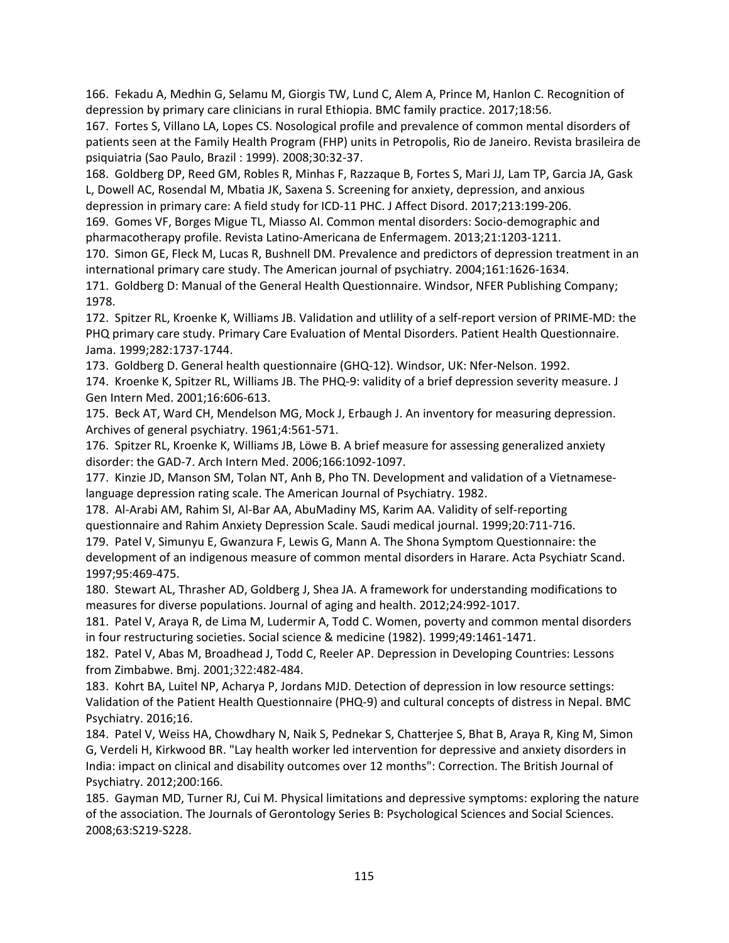166. Fekadu A, Medhin G, Selamu M, Giorgis TW, Lund C, Alem A, Prince M, Hanlon C. Recognition of depression by primary care clinicians in rural Ethiopia. BMC family practice. 2017;18:56.

167. Fortes S, Villano LA, Lopes CS. Nosological profile and prevalence of common mental disorders of patients seen at the Family Health Program (FHP) units in Petropolis, Rio de Janeiro. Revista brasileira de psiquiatria (Sao Paulo, Brazil : 1999). 2008;30:32‐37.

168. Goldberg DP, Reed GM, Robles R, Minhas F, Razzaque B, Fortes S, Mari JJ, Lam TP, Garcia JA, Gask L, Dowell AC, Rosendal M, Mbatia JK, Saxena S. Screening for anxiety, depression, and anxious depression in primary care: A field study for ICD-11 PHC. J Affect Disord. 2017;213:199-206.

169. Gomes VF, Borges Migue TL, Miasso AI. Common mental disorders: Socio‐demographic and pharmacotherapy profile. Revista Latino‐Americana de Enfermagem. 2013;21:1203‐1211.

170. Simon GE, Fleck M, Lucas R, Bushnell DM. Prevalence and predictors of depression treatment in an international primary care study. The American journal of psychiatry. 2004;161:1626‐1634.

171. Goldberg D: Manual of the General Health Questionnaire. Windsor, NFER Publishing Company; 1978.

172. Spitzer RL, Kroenke K, Williams JB. Validation and utlility of a self-report version of PRIME-MD: the PHQ primary care study. Primary Care Evaluation of Mental Disorders. Patient Health Questionnaire. Jama. 1999;282:1737‐1744.

173. Goldberg D. General health questionnaire (GHQ‐12). Windsor, UK: Nfer‐Nelson. 1992.

174. Kroenke K, Spitzer RL, Williams JB. The PHQ‐9: validity of a brief depression severity measure. J Gen Intern Med. 2001;16:606‐613.

175. Beck AT, Ward CH, Mendelson MG, Mock J, Erbaugh J. An inventory for measuring depression. Archives of general psychiatry. 1961;4:561‐571.

176. Spitzer RL, Kroenke K, Williams JB, Löwe B. A brief measure for assessing generalized anxiety disorder: the GAD‐7. Arch Intern Med. 2006;166:1092‐1097.

177. Kinzie JD, Manson SM, Tolan NT, Anh B, Pho TN. Development and validation of a Vietnamese‐ language depression rating scale. The American Journal of Psychiatry. 1982.

178. Al‐Arabi AM, Rahim SI, Al‐Bar AA, AbuMadiny MS, Karim AA. Validity of self‐reporting questionnaire and Rahim Anxiety Depression Scale. Saudi medical journal. 1999;20:711‐716.

179. Patel V, Simunyu E, Gwanzura F, Lewis G, Mann A. The Shona Symptom Questionnaire: the development of an indigenous measure of common mental disorders in Harare. Acta Psychiatr Scand. 1997;95:469‐475.

180. Stewart AL, Thrasher AD, Goldberg J, Shea JA. A framework for understanding modifications to measures for diverse populations. Journal of aging and health. 2012;24:992‐1017.

181. Patel V, Araya R, de Lima M, Ludermir A, Todd C. Women, poverty and common mental disorders in four restructuring societies. Social science & medicine (1982). 1999;49:1461‐1471.

182. Patel V, Abas M, Broadhead J, Todd C, Reeler AP. Depression in Developing Countries: Lessons from Zimbabwe. Bmj. 2001;322:482-484.

183. Kohrt BA, Luitel NP, Acharya P, Jordans MJD. Detection of depression in low resource settings: Validation of the Patient Health Questionnaire (PHQ‐9) and cultural concepts of distress in Nepal. BMC Psychiatry. 2016;16.

184. Patel V, Weiss HA, Chowdhary N, Naik S, Pednekar S, Chatterjee S, Bhat B, Araya R, King M, Simon G, Verdeli H, Kirkwood BR. "Lay health worker led intervention for depressive and anxiety disorders in India: impact on clinical and disability outcomes over 12 months": Correction. The British Journal of Psychiatry. 2012;200:166.

185. Gayman MD, Turner RJ, Cui M. Physical limitations and depressive symptoms: exploring the nature of the association. The Journals of Gerontology Series B: Psychological Sciences and Social Sciences. 2008;63:S219‐S228.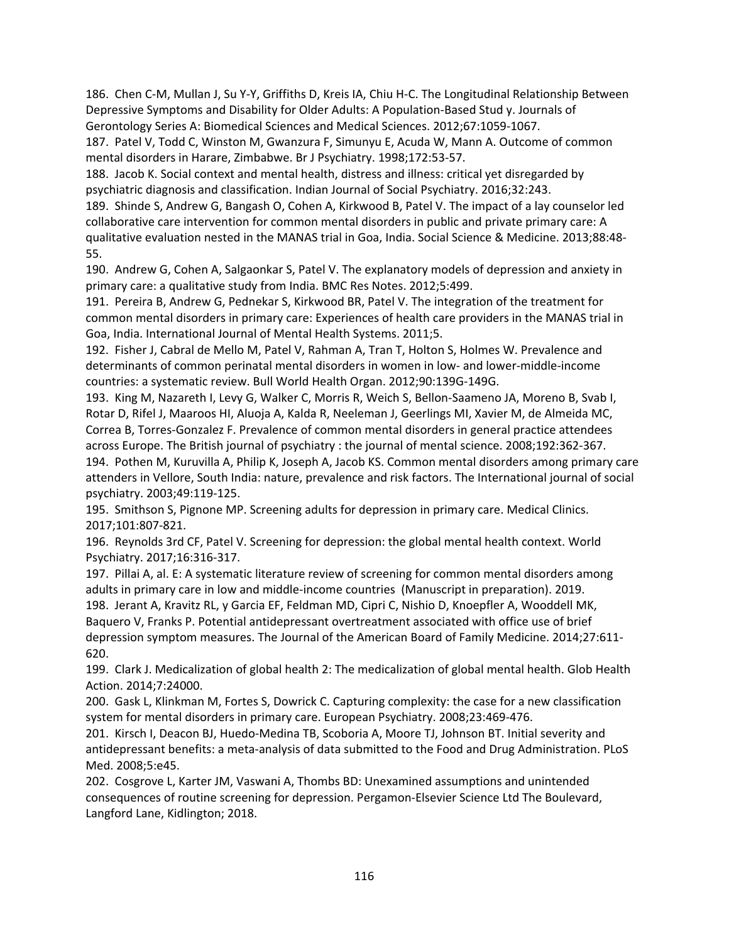186. Chen C‐M, Mullan J, Su Y‐Y, Griffiths D, Kreis IA, Chiu H‐C. The Longitudinal Relationship Between Depressive Symptoms and Disability for Older Adults: A Population‐Based Stud y. Journals of Gerontology Series A: Biomedical Sciences and Medical Sciences. 2012;67:1059‐1067.

187. Patel V, Todd C, Winston M, Gwanzura F, Simunyu E, Acuda W, Mann A. Outcome of common mental disorders in Harare, Zimbabwe. Br J Psychiatry. 1998;172:53‐57.

188. Jacob K. Social context and mental health, distress and illness: critical yet disregarded by psychiatric diagnosis and classification. Indian Journal of Social Psychiatry. 2016;32:243.

189. Shinde S, Andrew G, Bangash O, Cohen A, Kirkwood B, Patel V. The impact of a lay counselor led collaborative care intervention for common mental disorders in public and private primary care: A qualitative evaluation nested in the MANAS trial in Goa, India. Social Science & Medicine. 2013;88:48‐ 55.

190. Andrew G, Cohen A, Salgaonkar S, Patel V. The explanatory models of depression and anxiety in primary care: a qualitative study from India. BMC Res Notes. 2012;5:499.

191. Pereira B, Andrew G, Pednekar S, Kirkwood BR, Patel V. The integration of the treatment for common mental disorders in primary care: Experiences of health care providers in the MANAS trial in Goa, India. International Journal of Mental Health Systems. 2011;5.

192. Fisher J, Cabral de Mello M, Patel V, Rahman A, Tran T, Holton S, Holmes W. Prevalence and determinants of common perinatal mental disorders in women in low- and lower-middle-income countries: a systematic review. Bull World Health Organ. 2012;90:139G‐149G.

193. King M, Nazareth I, Levy G, Walker C, Morris R, Weich S, Bellon‐Saameno JA, Moreno B, Svab I, Rotar D, Rifel J, Maaroos HI, Aluoja A, Kalda R, Neeleman J, Geerlings MI, Xavier M, de Almeida MC, Correa B, Torres‐Gonzalez F. Prevalence of common mental disorders in general practice attendees across Europe. The British journal of psychiatry : the journal of mental science. 2008;192:362‐367. 194. Pothen M, Kuruvilla A, Philip K, Joseph A, Jacob KS. Common mental disorders among primary care attenders in Vellore, South India: nature, prevalence and risk factors. The International journal of social psychiatry. 2003;49:119‐125.

195. Smithson S, Pignone MP. Screening adults for depression in primary care. Medical Clinics. 2017;101:807‐821.

196. Reynolds 3rd CF, Patel V. Screening for depression: the global mental health context. World Psychiatry. 2017;16:316‐317.

197. Pillai A, al. E: A systematic literature review of screening for common mental disorders among adults in primary care in low and middle‐income countries (Manuscript in preparation). 2019. 198. Jerant A, Kravitz RL, y Garcia EF, Feldman MD, Cipri C, Nishio D, Knoepfler A, Wooddell MK, Baquero V, Franks P. Potential antidepressant overtreatment associated with office use of brief depression symptom measures. The Journal of the American Board of Family Medicine. 2014;27:611‐ 620.

199. Clark J. Medicalization of global health 2: The medicalization of global mental health. Glob Health Action. 2014;7:24000.

200. Gask L, Klinkman M, Fortes S, Dowrick C. Capturing complexity: the case for a new classification system for mental disorders in primary care. European Psychiatry. 2008;23:469‐476.

201. Kirsch I, Deacon BJ, Huedo‐Medina TB, Scoboria A, Moore TJ, Johnson BT. Initial severity and antidepressant benefits: a meta‐analysis of data submitted to the Food and Drug Administration. PLoS Med. 2008;5:e45.

202. Cosgrove L, Karter JM, Vaswani A, Thombs BD: Unexamined assumptions and unintended consequences of routine screening for depression. Pergamon‐Elsevier Science Ltd The Boulevard, Langford Lane, Kidlington; 2018.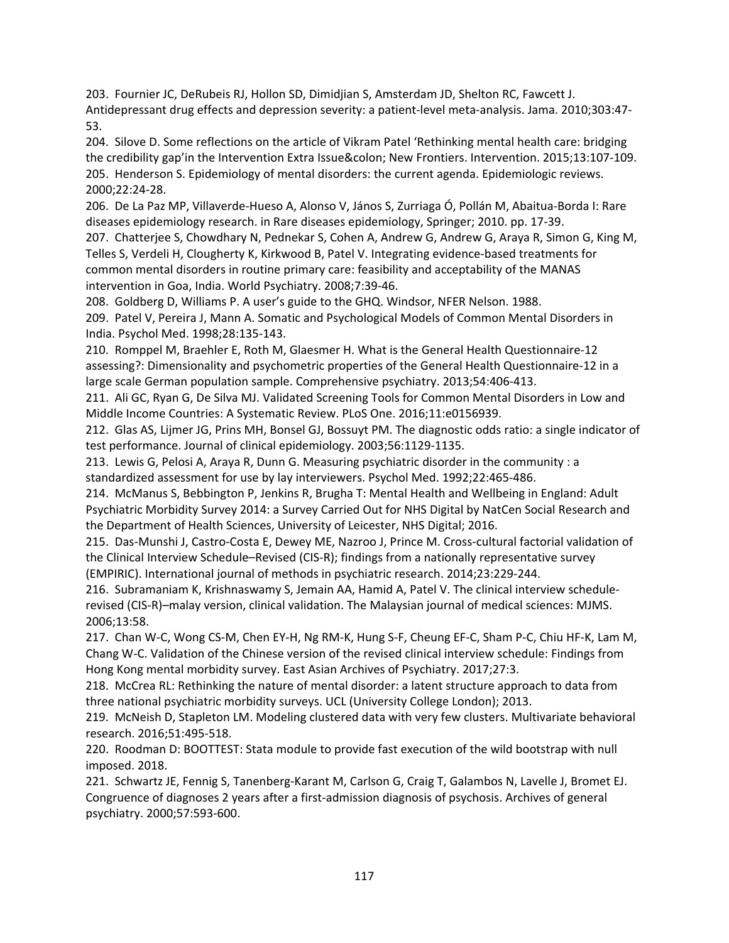203. Fournier JC, DeRubeis RJ, Hollon SD, Dimidjian S, Amsterdam JD, Shelton RC, Fawcett J. Antidepressant drug effects and depression severity: a patient‐level meta‐analysis. Jama. 2010;303:47‐ 53.

204. Silove D. Some reflections on the article of Vikram Patel 'Rethinking mental health care: bridging the credibility gap'in the Intervention Extra Issue: New Frontiers. Intervention. 2015;13:107-109. 205. Henderson S. Epidemiology of mental disorders: the current agenda. Epidemiologic reviews. 2000;22:24‐28.

206. De La Paz MP, Villaverde‐Hueso A, Alonso V, János S, Zurriaga Ó, Pollán M, Abaitua‐Borda I: Rare diseases epidemiology research. in Rare diseases epidemiology, Springer; 2010. pp. 17‐39.

207. Chatterjee S, Chowdhary N, Pednekar S, Cohen A, Andrew G, Andrew G, Araya R, Simon G, King M, Telles S, Verdeli H, Clougherty K, Kirkwood B, Patel V. Integrating evidence‐based treatments for common mental disorders in routine primary care: feasibility and acceptability of the MANAS intervention in Goa, India. World Psychiatry. 2008;7:39‐46.

208. Goldberg D, Williams P. A user's guide to the GHQ. Windsor, NFER Nelson. 1988.

209. Patel V, Pereira J, Mann A. Somatic and Psychological Models of Common Mental Disorders in India. Psychol Med. 1998;28:135‐143.

210. Romppel M, Braehler E, Roth M, Glaesmer H. What is the General Health Questionnaire‐12 assessing?: Dimensionality and psychometric properties of the General Health Questionnaire‐12 in a large scale German population sample. Comprehensive psychiatry. 2013;54:406‐413.

211. Ali GC, Ryan G, De Silva MJ. Validated Screening Tools for Common Mental Disorders in Low and Middle Income Countries: A Systematic Review. PLoS One. 2016;11:e0156939.

212. Glas AS, Lijmer JG, Prins MH, Bonsel GJ, Bossuyt PM. The diagnostic odds ratio: a single indicator of test performance. Journal of clinical epidemiology. 2003;56:1129‐1135.

213. Lewis G, Pelosi A, Araya R, Dunn G. Measuring psychiatric disorder in the community : a standardized assessment for use by lay interviewers. Psychol Med. 1992;22:465‐486.

214. McManus S, Bebbington P, Jenkins R, Brugha T: Mental Health and Wellbeing in England: Adult Psychiatric Morbidity Survey 2014: a Survey Carried Out for NHS Digital by NatCen Social Research and the Department of Health Sciences, University of Leicester, NHS Digital; 2016.

215. Das‐Munshi J, Castro‐Costa E, Dewey ME, Nazroo J, Prince M. Cross‐cultural factorial validation of the Clinical Interview Schedule–Revised (CIS‐R); findings from a nationally representative survey (EMPIRIC). International journal of methods in psychiatric research. 2014;23:229‐244.

216. Subramaniam K, Krishnaswamy S, Jemain AA, Hamid A, Patel V. The clinical interview schedule‐ revised (CIS‐R)–malay version, clinical validation. The Malaysian journal of medical sciences: MJMS. 2006;13:58.

217. Chan W‐C, Wong CS‐M, Chen EY‐H, Ng RM‐K, Hung S‐F, Cheung EF‐C, Sham P‐C, Chiu HF‐K, Lam M, Chang W‐C. Validation of the Chinese version of the revised clinical interview schedule: Findings from Hong Kong mental morbidity survey. East Asian Archives of Psychiatry. 2017;27:3.

218. McCrea RL: Rethinking the nature of mental disorder: a latent structure approach to data from three national psychiatric morbidity surveys. UCL (University College London); 2013.

219. McNeish D, Stapleton LM. Modeling clustered data with very few clusters. Multivariate behavioral research. 2016;51:495‐518.

220. Roodman D: BOOTTEST: Stata module to provide fast execution of the wild bootstrap with null imposed. 2018.

221. Schwartz JE, Fennig S, Tanenberg‐Karant M, Carlson G, Craig T, Galambos N, Lavelle J, Bromet EJ. Congruence of diagnoses 2 years after a first‐admission diagnosis of psychosis. Archives of general psychiatry. 2000;57:593‐600.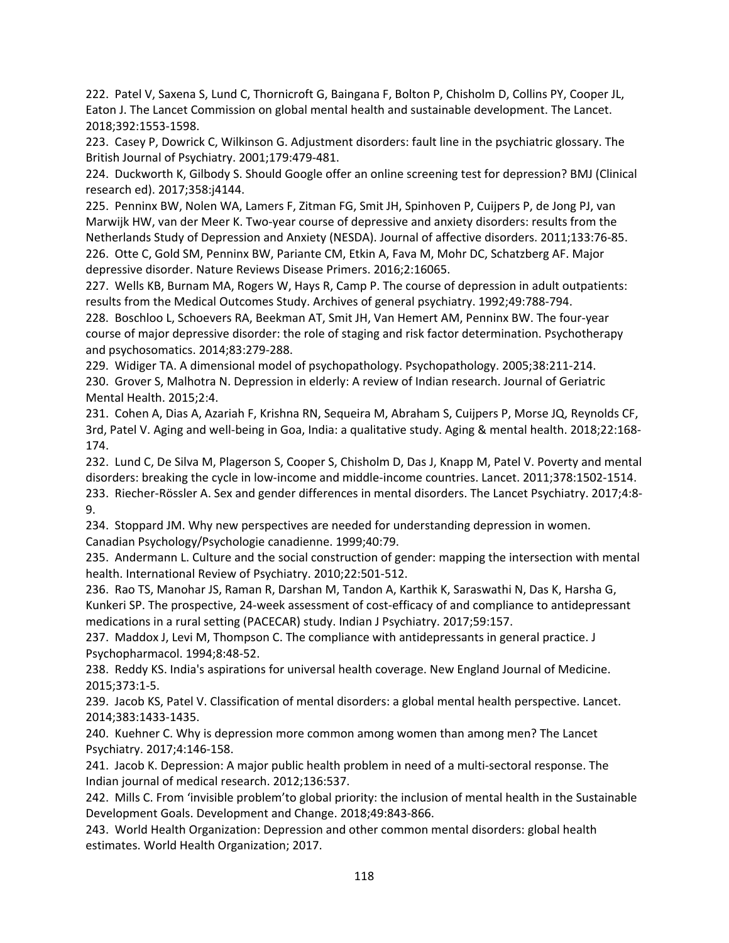222. Patel V, Saxena S, Lund C, Thornicroft G, Baingana F, Bolton P, Chisholm D, Collins PY, Cooper JL, Eaton J. The Lancet Commission on global mental health and sustainable development. The Lancet. 2018;392:1553‐1598.

223. Casey P, Dowrick C, Wilkinson G. Adjustment disorders: fault line in the psychiatric glossary. The British Journal of Psychiatry. 2001;179:479‐481.

224. Duckworth K, Gilbody S. Should Google offer an online screening test for depression? BMJ (Clinical research ed). 2017;358:j4144.

225. Penninx BW, Nolen WA, Lamers F, Zitman FG, Smit JH, Spinhoven P, Cuijpers P, de Jong PJ, van Marwijk HW, van der Meer K. Two‐year course of depressive and anxiety disorders: results from the Netherlands Study of Depression and Anxiety (NESDA). Journal of affective disorders. 2011;133:76‐85. 226. Otte C, Gold SM, Penninx BW, Pariante CM, Etkin A, Fava M, Mohr DC, Schatzberg AF. Major depressive disorder. Nature Reviews Disease Primers. 2016;2:16065.

227. Wells KB, Burnam MA, Rogers W, Hays R, Camp P. The course of depression in adult outpatients: results from the Medical Outcomes Study. Archives of general psychiatry. 1992;49:788‐794.

228. Boschloo L, Schoevers RA, Beekman AT, Smit JH, Van Hemert AM, Penninx BW. The four‐year course of major depressive disorder: the role of staging and risk factor determination. Psychotherapy and psychosomatics. 2014;83:279‐288.

229. Widiger TA. A dimensional model of psychopathology. Psychopathology. 2005;38:211‐214.

230. Grover S, Malhotra N. Depression in elderly: A review of Indian research. Journal of Geriatric Mental Health. 2015;2:4.

231. Cohen A, Dias A, Azariah F, Krishna RN, Sequeira M, Abraham S, Cuijpers P, Morse JQ, Reynolds CF, 3rd, Patel V. Aging and well‐being in Goa, India: a qualitative study. Aging & mental health. 2018;22:168‐ 174.

232. Lund C, De Silva M, Plagerson S, Cooper S, Chisholm D, Das J, Knapp M, Patel V. Poverty and mental disorders: breaking the cycle in low‐income and middle‐income countries. Lancet. 2011;378:1502‐1514. 233. Riecher‐Rössler A. Sex and gender differences in mental disorders. The Lancet Psychiatry. 2017;4:8‐ 9.

234. Stoppard JM. Why new perspectives are needed for understanding depression in women. Canadian Psychology/Psychologie canadienne. 1999;40:79.

235. Andermann L. Culture and the social construction of gender: mapping the intersection with mental health. International Review of Psychiatry. 2010;22:501‐512.

236. Rao TS, Manohar JS, Raman R, Darshan M, Tandon A, Karthik K, Saraswathi N, Das K, Harsha G, Kunkeri SP. The prospective, 24‐week assessment of cost‐efficacy of and compliance to antidepressant medications in a rural setting (PACECAR) study. Indian J Psychiatry. 2017;59:157.

237. Maddox J, Levi M, Thompson C. The compliance with antidepressants in general practice. J Psychopharmacol. 1994;8:48‐52.

238. Reddy KS. India's aspirations for universal health coverage. New England Journal of Medicine. 2015;373:1‐5.

239. Jacob KS, Patel V. Classification of mental disorders: a global mental health perspective. Lancet. 2014;383:1433‐1435.

240. Kuehner C. Why is depression more common among women than among men? The Lancet Psychiatry. 2017;4:146‐158.

241. Jacob K. Depression: A major public health problem in need of a multi-sectoral response. The Indian journal of medical research. 2012;136:537.

242. Mills C. From 'invisible problem'to global priority: the inclusion of mental health in the Sustainable Development Goals. Development and Change. 2018;49:843‐866.

243. World Health Organization: Depression and other common mental disorders: global health estimates. World Health Organization; 2017.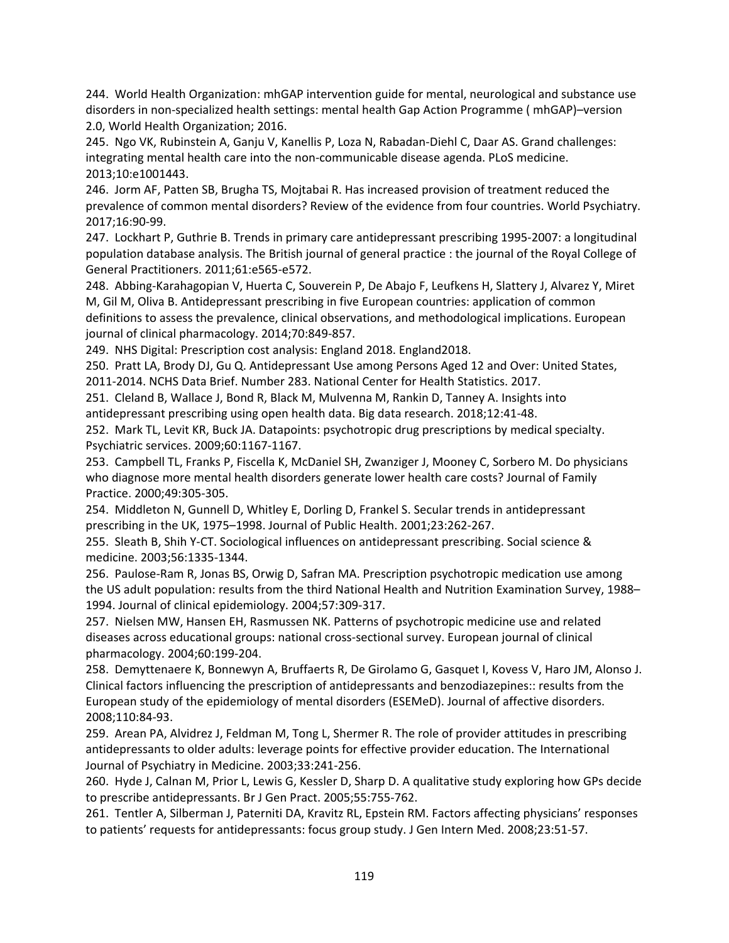244. World Health Organization: mhGAP intervention guide for mental, neurological and substance use disorders in non‐specialized health settings: mental health Gap Action Programme ( mhGAP)–version 2.0, World Health Organization; 2016.

245. Ngo VK, Rubinstein A, Ganju V, Kanellis P, Loza N, Rabadan‐Diehl C, Daar AS. Grand challenges: integrating mental health care into the non‐communicable disease agenda. PLoS medicine. 2013;10:e1001443.

246. Jorm AF, Patten SB, Brugha TS, Mojtabai R. Has increased provision of treatment reduced the prevalence of common mental disorders? Review of the evidence from four countries. World Psychiatry. 2017;16:90‐99.

247. Lockhart P, Guthrie B. Trends in primary care antidepressant prescribing 1995‐2007: a longitudinal population database analysis. The British journal of general practice : the journal of the Royal College of General Practitioners. 2011;61:e565‐e572.

248. Abbing‐Karahagopian V, Huerta C, Souverein P, De Abajo F, Leufkens H, Slattery J, Alvarez Y, Miret M, Gil M, Oliva B. Antidepressant prescribing in five European countries: application of common definitions to assess the prevalence, clinical observations, and methodological implications. European journal of clinical pharmacology. 2014;70:849‐857.

249. NHS Digital: Prescription cost analysis: England 2018. England2018.

250. Pratt LA, Brody DJ, Gu Q. Antidepressant Use among Persons Aged 12 and Over: United States, 2011‐2014. NCHS Data Brief. Number 283. National Center for Health Statistics. 2017.

251. Cleland B, Wallace J, Bond R, Black M, Mulvenna M, Rankin D, Tanney A. Insights into antidepressant prescribing using open health data. Big data research. 2018;12:41‐48.

252. Mark TL, Levit KR, Buck JA. Datapoints: psychotropic drug prescriptions by medical specialty. Psychiatric services. 2009;60:1167‐1167.

253. Campbell TL, Franks P, Fiscella K, McDaniel SH, Zwanziger J, Mooney C, Sorbero M. Do physicians who diagnose more mental health disorders generate lower health care costs? Journal of Family Practice. 2000;49:305‐305.

254. Middleton N, Gunnell D, Whitley E, Dorling D, Frankel S. Secular trends in antidepressant prescribing in the UK, 1975–1998. Journal of Public Health. 2001;23:262‐267.

255. Sleath B, Shih Y‐CT. Sociological influences on antidepressant prescribing. Social science & medicine. 2003;56:1335‐1344.

256. Paulose‐Ram R, Jonas BS, Orwig D, Safran MA. Prescription psychotropic medication use among the US adult population: results from the third National Health and Nutrition Examination Survey, 1988– 1994. Journal of clinical epidemiology. 2004;57:309‐317.

257. Nielsen MW, Hansen EH, Rasmussen NK. Patterns of psychotropic medicine use and related diseases across educational groups: national cross‐sectional survey. European journal of clinical pharmacology. 2004;60:199‐204.

258. Demyttenaere K, Bonnewyn A, Bruffaerts R, De Girolamo G, Gasquet I, Kovess V, Haro JM, Alonso J. Clinical factors influencing the prescription of antidepressants and benzodiazepines:: results from the European study of the epidemiology of mental disorders (ESEMeD). Journal of affective disorders. 2008;110:84‐93.

259. Arean PA, Alvidrez J, Feldman M, Tong L, Shermer R. The role of provider attitudes in prescribing antidepressants to older adults: leverage points for effective provider education. The International Journal of Psychiatry in Medicine. 2003;33:241‐256.

260. Hyde J, Calnan M, Prior L, Lewis G, Kessler D, Sharp D. A qualitative study exploring how GPs decide to prescribe antidepressants. Br J Gen Pract. 2005;55:755‐762.

261. Tentler A, Silberman J, Paterniti DA, Kravitz RL, Epstein RM. Factors affecting physicians' responses to patients' requests for antidepressants: focus group study. J Gen Intern Med. 2008;23:51‐57.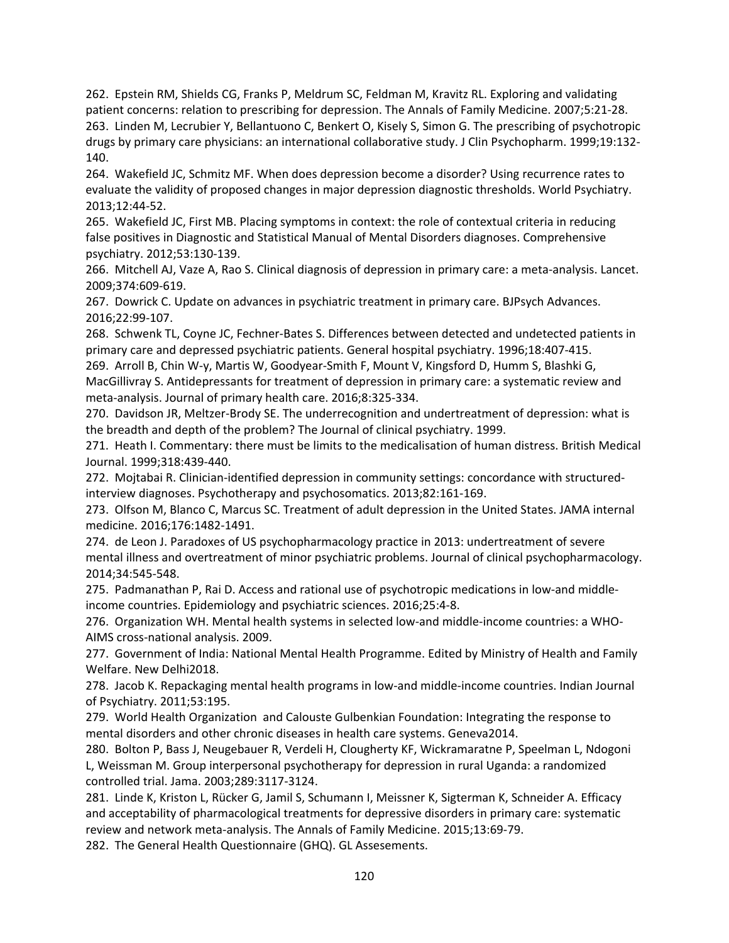262. Epstein RM, Shields CG, Franks P, Meldrum SC, Feldman M, Kravitz RL. Exploring and validating patient concerns: relation to prescribing for depression. The Annals of Family Medicine. 2007;5:21‐28. 263. Linden M, Lecrubier Y, Bellantuono C, Benkert O, Kisely S, Simon G. The prescribing of psychotropic drugs by primary care physicians: an international collaborative study. J Clin Psychopharm. 1999;19:132‐ 140.

264. Wakefield JC, Schmitz MF. When does depression become a disorder? Using recurrence rates to evaluate the validity of proposed changes in major depression diagnostic thresholds. World Psychiatry. 2013;12:44‐52.

265. Wakefield JC, First MB. Placing symptoms in context: the role of contextual criteria in reducing false positives in Diagnostic and Statistical Manual of Mental Disorders diagnoses. Comprehensive psychiatry. 2012;53:130‐139.

266. Mitchell AJ, Vaze A, Rao S. Clinical diagnosis of depression in primary care: a meta‐analysis. Lancet. 2009;374:609‐619.

267. Dowrick C. Update on advances in psychiatric treatment in primary care. BJPsych Advances. 2016;22:99‐107.

268. Schwenk TL, Coyne JC, Fechner‐Bates S. Differences between detected and undetected patients in primary care and depressed psychiatric patients. General hospital psychiatry. 1996;18:407‐415.

269. Arroll B, Chin W‐y, Martis W, Goodyear‐Smith F, Mount V, Kingsford D, Humm S, Blashki G, MacGillivray S. Antidepressants for treatment of depression in primary care: a systematic review and meta‐analysis. Journal of primary health care. 2016;8:325‐334.

270. Davidson JR, Meltzer‐Brody SE. The underrecognition and undertreatment of depression: what is the breadth and depth of the problem? The Journal of clinical psychiatry. 1999.

271. Heath I. Commentary: there must be limits to the medicalisation of human distress. British Medical Journal. 1999;318:439‐440.

272. Mojtabai R. Clinician‐identified depression in community settings: concordance with structured‐ interview diagnoses. Psychotherapy and psychosomatics. 2013;82:161‐169.

273. Olfson M, Blanco C, Marcus SC. Treatment of adult depression in the United States. JAMA internal medicine. 2016;176:1482‐1491.

274. de Leon J. Paradoxes of US psychopharmacology practice in 2013: undertreatment of severe mental illness and overtreatment of minor psychiatric problems. Journal of clinical psychopharmacology. 2014;34:545‐548.

275. Padmanathan P, Rai D. Access and rational use of psychotropic medications in low‐and middle‐ income countries. Epidemiology and psychiatric sciences. 2016;25:4‐8.

276. Organization WH. Mental health systems in selected low-and middle-income countries: a WHO-AIMS cross‐national analysis. 2009.

277. Government of India: National Mental Health Programme. Edited by Ministry of Health and Family Welfare. New Delhi2018.

278. Jacob K. Repackaging mental health programs in low‐and middle‐income countries. Indian Journal of Psychiatry. 2011;53:195.

279. World Health Organization and Calouste Gulbenkian Foundation: Integrating the response to mental disorders and other chronic diseases in health care systems. Geneva2014.

280. Bolton P, Bass J, Neugebauer R, Verdeli H, Clougherty KF, Wickramaratne P, Speelman L, Ndogoni L, Weissman M. Group interpersonal psychotherapy for depression in rural Uganda: a randomized controlled trial. Jama. 2003;289:3117‐3124.

281. Linde K, Kriston L, Rücker G, Jamil S, Schumann I, Meissner K, Sigterman K, Schneider A. Efficacy and acceptability of pharmacological treatments for depressive disorders in primary care: systematic review and network meta‐analysis. The Annals of Family Medicine. 2015;13:69‐79.

282. The General Health Questionnaire (GHQ). GL Assesements.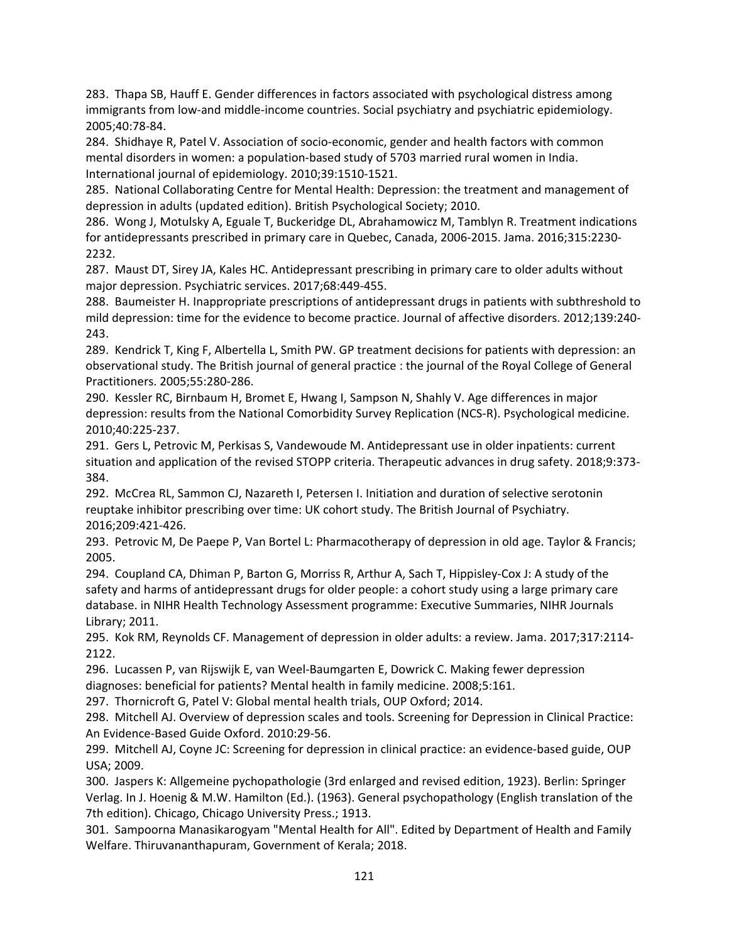283. Thapa SB, Hauff E. Gender differences in factors associated with psychological distress among immigrants from low-and middle-income countries. Social psychiatry and psychiatric epidemiology. 2005;40:78‐84.

284. Shidhaye R, Patel V. Association of socio‐economic, gender and health factors with common mental disorders in women: a population‐based study of 5703 married rural women in India. International journal of epidemiology. 2010;39:1510‐1521.

285. National Collaborating Centre for Mental Health: Depression: the treatment and management of depression in adults (updated edition). British Psychological Society; 2010.

286. Wong J, Motulsky A, Eguale T, Buckeridge DL, Abrahamowicz M, Tamblyn R. Treatment indications for antidepressants prescribed in primary care in Quebec, Canada, 2006‐2015. Jama. 2016;315:2230‐ 2232.

287. Maust DT, Sirey JA, Kales HC. Antidepressant prescribing in primary care to older adults without major depression. Psychiatric services. 2017;68:449‐455.

288. Baumeister H. Inappropriate prescriptions of antidepressant drugs in patients with subthreshold to mild depression: time for the evidence to become practice. Journal of affective disorders. 2012;139:240‐ 243.

289. Kendrick T, King F, Albertella L, Smith PW. GP treatment decisions for patients with depression: an observational study. The British journal of general practice : the journal of the Royal College of General Practitioners. 2005;55:280‐286.

290. Kessler RC, Birnbaum H, Bromet E, Hwang I, Sampson N, Shahly V. Age differences in major depression: results from the National Comorbidity Survey Replication (NCS‐R). Psychological medicine. 2010;40:225‐237.

291. Gers L, Petrovic M, Perkisas S, Vandewoude M. Antidepressant use in older inpatients: current situation and application of the revised STOPP criteria. Therapeutic advances in drug safety. 2018;9:373‐ 384.

292. McCrea RL, Sammon CJ, Nazareth I, Petersen I. Initiation and duration of selective serotonin reuptake inhibitor prescribing over time: UK cohort study. The British Journal of Psychiatry. 2016;209:421‐426.

293. Petrovic M, De Paepe P, Van Bortel L: Pharmacotherapy of depression in old age. Taylor & Francis; 2005.

294. Coupland CA, Dhiman P, Barton G, Morriss R, Arthur A, Sach T, Hippisley‐Cox J: A study of the safety and harms of antidepressant drugs for older people: a cohort study using a large primary care database. in NIHR Health Technology Assessment programme: Executive Summaries, NIHR Journals Library; 2011.

295. Kok RM, Reynolds CF. Management of depression in older adults: a review. Jama. 2017;317:2114‐ 2122.

296. Lucassen P, van Rijswijk E, van Weel‐Baumgarten E, Dowrick C. Making fewer depression diagnoses: beneficial for patients? Mental health in family medicine. 2008;5:161.

297. Thornicroft G, Patel V: Global mental health trials, OUP Oxford; 2014.

298. Mitchell AJ. Overview of depression scales and tools. Screening for Depression in Clinical Practice: An Evidence‐Based Guide Oxford. 2010:29‐56.

299. Mitchell AJ, Coyne JC: Screening for depression in clinical practice: an evidence-based guide, OUP USA; 2009.

300. Jaspers K: Allgemeine pychopathologie (3rd enlarged and revised edition, 1923). Berlin: Springer Verlag. In J. Hoenig & M.W. Hamilton (Ed.). (1963). General psychopathology (English translation of the 7th edition). Chicago, Chicago University Press.; 1913.

301. Sampoorna Manasikarogyam "Mental Health for All". Edited by Department of Health and Family Welfare. Thiruvananthapuram, Government of Kerala; 2018.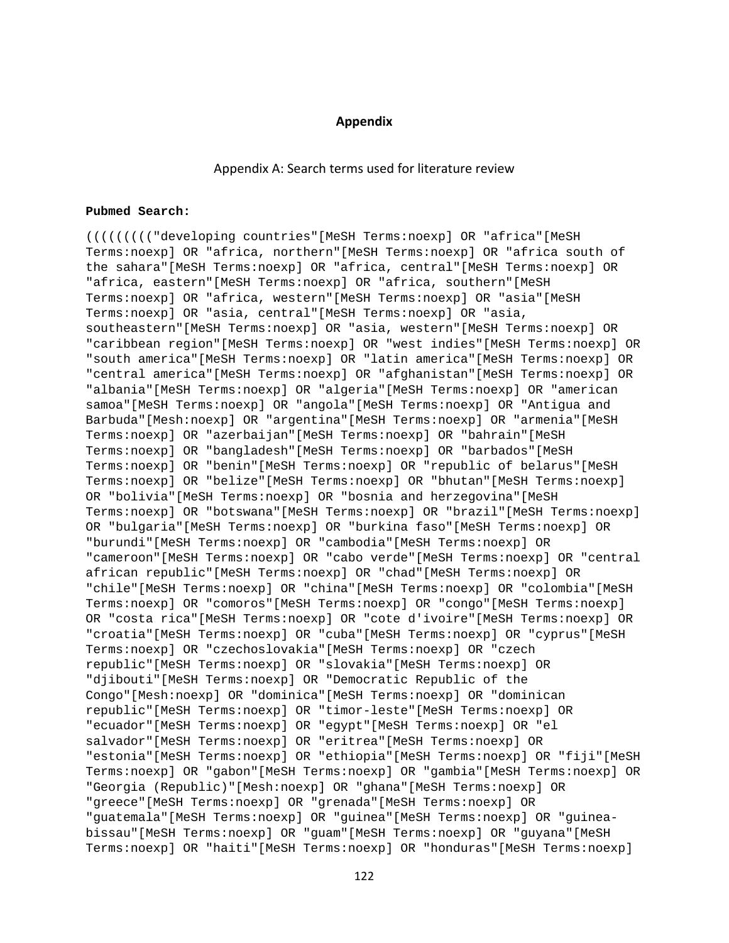### **Appendix**

### Appendix A: Search terms used for literature review

#### **Pubmed Search:**

((((((((("developing countries"[MeSH Terms:noexp] OR "africa"[MeSH Terms:noexp] OR "africa, northern"[MeSH Terms:noexp] OR "africa south of the sahara"[MeSH Terms:noexp] OR "africa, central"[MeSH Terms:noexp] OR "africa, eastern"[MeSH Terms:noexp] OR "africa, southern"[MeSH Terms:noexp] OR "africa, western"[MeSH Terms:noexp] OR "asia"[MeSH Terms:noexp] OR "asia, central"[MeSH Terms:noexp] OR "asia, southeastern"[MeSH Terms:noexp] OR "asia, western"[MeSH Terms:noexp] OR "caribbean region"[MeSH Terms:noexp] OR "west indies"[MeSH Terms:noexp] OR "south america"[MeSH Terms:noexp] OR "latin america"[MeSH Terms:noexp] OR "central america"[MeSH Terms:noexp] OR "afghanistan"[MeSH Terms:noexp] OR "albania"[MeSH Terms:noexp] OR "algeria"[MeSH Terms:noexp] OR "american samoa"[MeSH Terms:noexp] OR "angola"[MeSH Terms:noexp] OR "Antigua and Barbuda"[Mesh:noexp] OR "argentina"[MeSH Terms:noexp] OR "armenia"[MeSH Terms:noexp] OR "azerbaijan"[MeSH Terms:noexp] OR "bahrain"[MeSH Terms:noexp] OR "bangladesh"[MeSH Terms:noexp] OR "barbados"[MeSH Terms:noexp] OR "benin"[MeSH Terms:noexp] OR "republic of belarus"[MeSH Terms:noexp] OR "belize"[MeSH Terms:noexp] OR "bhutan"[MeSH Terms:noexp] OR "bolivia"[MeSH Terms:noexp] OR "bosnia and herzegovina"[MeSH Terms:noexp] OR "botswana"[MeSH Terms:noexp] OR "brazil"[MeSH Terms:noexp] OR "bulgaria"[MeSH Terms:noexp] OR "burkina faso"[MeSH Terms:noexp] OR "burundi"[MeSH Terms:noexp] OR "cambodia"[MeSH Terms:noexp] OR "cameroon"[MeSH Terms:noexp] OR "cabo verde"[MeSH Terms:noexp] OR "central african republic"[MeSH Terms:noexp] OR "chad"[MeSH Terms:noexp] OR "chile"[MeSH Terms:noexp] OR "china"[MeSH Terms:noexp] OR "colombia"[MeSH Terms:noexp] OR "comoros"[MeSH Terms:noexp] OR "congo"[MeSH Terms:noexp] OR "costa rica"[MeSH Terms:noexp] OR "cote d'ivoire"[MeSH Terms:noexp] OR "croatia"[MeSH Terms:noexp] OR "cuba"[MeSH Terms:noexp] OR "cyprus"[MeSH Terms:noexp] OR "czechoslovakia"[MeSH Terms:noexp] OR "czech republic"[MeSH Terms:noexp] OR "slovakia"[MeSH Terms:noexp] OR "djibouti"[MeSH Terms:noexp] OR "Democratic Republic of the Congo"[Mesh:noexp] OR "dominica"[MeSH Terms:noexp] OR "dominican republic"[MeSH Terms:noexp] OR "timor-leste"[MeSH Terms:noexp] OR "ecuador"[MeSH Terms:noexp] OR "egypt"[MeSH Terms:noexp] OR "el salvador"[MeSH Terms:noexp] OR "eritrea"[MeSH Terms:noexp] OR "estonia"[MeSH Terms:noexp] OR "ethiopia"[MeSH Terms:noexp] OR "fiji"[MeSH Terms:noexp] OR "gabon"[MeSH Terms:noexp] OR "gambia"[MeSH Terms:noexp] OR "Georgia (Republic)"[Mesh:noexp] OR "ghana"[MeSH Terms:noexp] OR "greece"[MeSH Terms:noexp] OR "grenada"[MeSH Terms:noexp] OR "guatemala"[MeSH Terms:noexp] OR "guinea"[MeSH Terms:noexp] OR "guineabissau"[MeSH Terms:noexp] OR "guam"[MeSH Terms:noexp] OR "guyana"[MeSH Terms:noexp] OR "haiti"[MeSH Terms:noexp] OR "honduras"[MeSH Terms:noexp]

122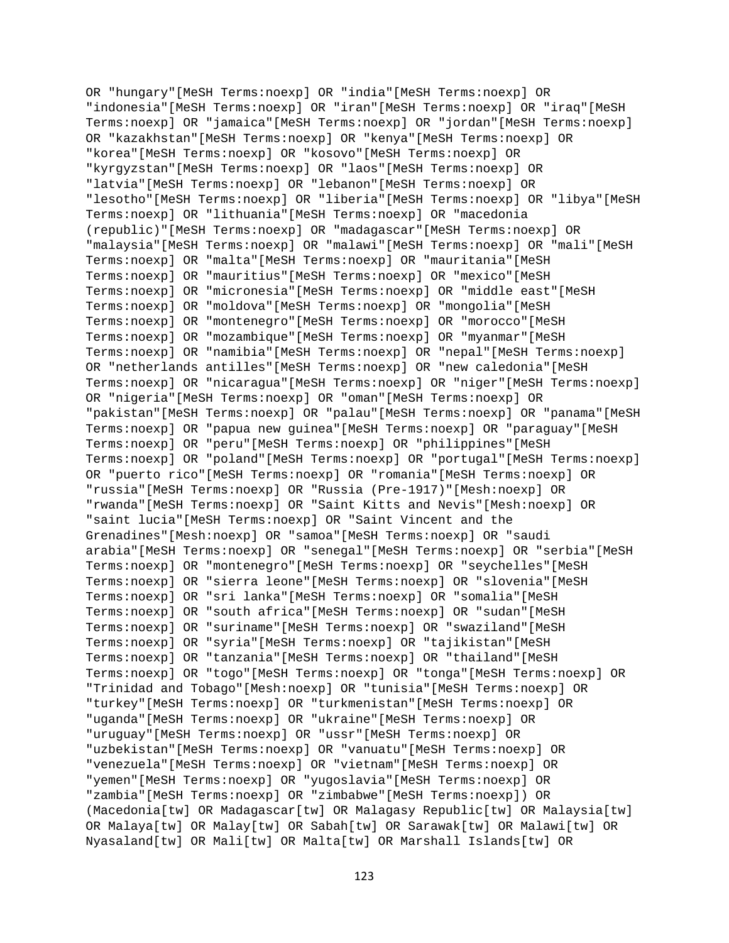OR "hungary"[MeSH Terms:noexp] OR "india"[MeSH Terms:noexp] OR "indonesia"[MeSH Terms:noexp] OR "iran"[MeSH Terms:noexp] OR "iraq"[MeSH Terms:noexp] OR "jamaica"[MeSH Terms:noexp] OR "jordan"[MeSH Terms:noexp] OR "kazakhstan"[MeSH Terms:noexp] OR "kenya"[MeSH Terms:noexp] OR "korea"[MeSH Terms:noexp] OR "kosovo"[MeSH Terms:noexp] OR "kyrgyzstan"[MeSH Terms:noexp] OR "laos"[MeSH Terms:noexp] OR "latvia"[MeSH Terms:noexp] OR "lebanon"[MeSH Terms:noexp] OR "lesotho"[MeSH Terms:noexp] OR "liberia"[MeSH Terms:noexp] OR "libya"[MeSH Terms:noexp] OR "lithuania"[MeSH Terms:noexp] OR "macedonia (republic)"[MeSH Terms:noexp] OR "madagascar"[MeSH Terms:noexp] OR "malaysia"[MeSH Terms:noexp] OR "malawi"[MeSH Terms:noexp] OR "mali"[MeSH Terms:noexp] OR "malta"[MeSH Terms:noexp] OR "mauritania"[MeSH Terms:noexp] OR "mauritius"[MeSH Terms:noexp] OR "mexico"[MeSH Terms:noexp] OR "micronesia"[MeSH Terms:noexp] OR "middle east"[MeSH Terms:noexp] OR "moldova"[MeSH Terms:noexp] OR "mongolia"[MeSH Terms:noexp] OR "montenegro"[MeSH Terms:noexp] OR "morocco"[MeSH Terms:noexp] OR "mozambique"[MeSH Terms:noexp] OR "myanmar"[MeSH Terms:noexp] OR "namibia"[MeSH Terms:noexp] OR "nepal"[MeSH Terms:noexp] OR "netherlands antilles"[MeSH Terms:noexp] OR "new caledonia"[MeSH Terms:noexp] OR "nicaragua"[MeSH Terms:noexp] OR "niger"[MeSH Terms:noexp] OR "nigeria"[MeSH Terms:noexp] OR "oman"[MeSH Terms:noexp] OR "pakistan"[MeSH Terms:noexp] OR "palau"[MeSH Terms:noexp] OR "panama"[MeSH Terms:noexp] OR "papua new guinea"[MeSH Terms:noexp] OR "paraguay"[MeSH Terms:noexp] OR "peru"[MeSH Terms:noexp] OR "philippines"[MeSH Terms:noexp] OR "poland"[MeSH Terms:noexp] OR "portugal"[MeSH Terms:noexp] OR "puerto rico"[MeSH Terms:noexp] OR "romania"[MeSH Terms:noexp] OR "russia"[MeSH Terms:noexp] OR "Russia (Pre-1917)"[Mesh:noexp] OR "rwanda"[MeSH Terms:noexp] OR "Saint Kitts and Nevis"[Mesh:noexp] OR "saint lucia"[MeSH Terms:noexp] OR "Saint Vincent and the Grenadines"[Mesh:noexp] OR "samoa"[MeSH Terms:noexp] OR "saudi arabia"[MeSH Terms:noexp] OR "senegal"[MeSH Terms:noexp] OR "serbia"[MeSH Terms:noexp] OR "montenegro"[MeSH Terms:noexp] OR "seychelles"[MeSH Terms:noexp] OR "sierra leone"[MeSH Terms:noexp] OR "slovenia"[MeSH Terms:noexp] OR "sri lanka"[MeSH Terms:noexp] OR "somalia"[MeSH Terms:noexp] OR "south africa"[MeSH Terms:noexp] OR "sudan"[MeSH Terms:noexp] OR "suriname"[MeSH Terms:noexp] OR "swaziland"[MeSH Terms:noexp] OR "syria"[MeSH Terms:noexp] OR "tajikistan"[MeSH Terms:noexp] OR "tanzania"[MeSH Terms:noexp] OR "thailand"[MeSH Terms:noexp] OR "togo"[MeSH Terms:noexp] OR "tonga"[MeSH Terms:noexp] OR "Trinidad and Tobago"[Mesh:noexp] OR "tunisia"[MeSH Terms:noexp] OR "turkey"[MeSH Terms:noexp] OR "turkmenistan"[MeSH Terms:noexp] OR "uganda"[MeSH Terms:noexp] OR "ukraine"[MeSH Terms:noexp] OR "uruguay"[MeSH Terms:noexp] OR "ussr"[MeSH Terms:noexp] OR "uzbekistan"[MeSH Terms:noexp] OR "vanuatu"[MeSH Terms:noexp] OR "venezuela"[MeSH Terms:noexp] OR "vietnam"[MeSH Terms:noexp] OR "yemen"[MeSH Terms:noexp] OR "yugoslavia"[MeSH Terms:noexp] OR "zambia"[MeSH Terms:noexp] OR "zimbabwe"[MeSH Terms:noexp]) OR (Macedonia[tw] OR Madagascar[tw] OR Malagasy Republic[tw] OR Malaysia[tw] OR Malaya[tw] OR Malay[tw] OR Sabah[tw] OR Sarawak[tw] OR Malawi[tw] OR Nyasaland[tw] OR Mali[tw] OR Malta[tw] OR Marshall Islands[tw] OR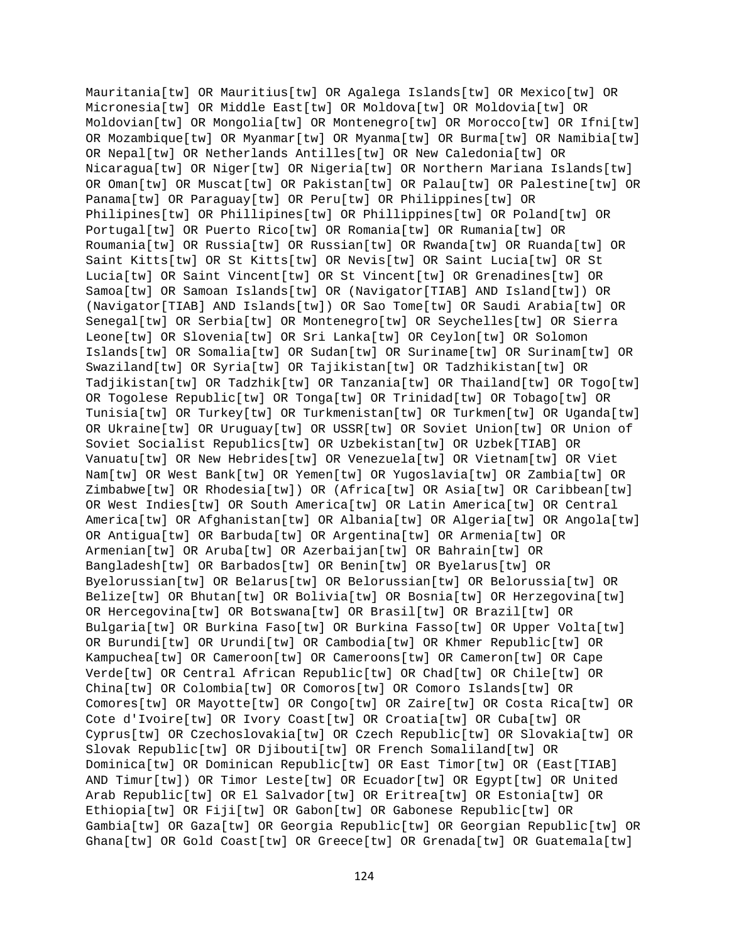Mauritania[tw] OR Mauritius[tw] OR Agalega Islands[tw] OR Mexico[tw] OR Micronesia[tw] OR Middle East[tw] OR Moldova[tw] OR Moldovia[tw] OR Moldovian[tw] OR Mongolia[tw] OR Montenegro[tw] OR Morocco[tw] OR Ifni[tw] OR Mozambique[tw] OR Myanmar[tw] OR Myanma[tw] OR Burma[tw] OR Namibia[tw] OR Nepal[tw] OR Netherlands Antilles[tw] OR New Caledonia[tw] OR Nicaragua[tw] OR Niger[tw] OR Nigeria[tw] OR Northern Mariana Islands[tw] OR Oman[tw] OR Muscat[tw] OR Pakistan[tw] OR Palau[tw] OR Palestine[tw] OR Panama[tw] OR Paraguay[tw] OR Peru[tw] OR Philippines[tw] OR Philipines[tw] OR Phillipines[tw] OR Phillippines[tw] OR Poland[tw] OR Portugal[tw] OR Puerto Rico[tw] OR Romania[tw] OR Rumania[tw] OR Roumania[tw] OR Russia[tw] OR Russian[tw] OR Rwanda[tw] OR Ruanda[tw] OR Saint Kitts[tw] OR St Kitts[tw] OR Nevis[tw] OR Saint Lucia[tw] OR St Lucia[tw] OR Saint Vincent[tw] OR St Vincent[tw] OR Grenadines[tw] OR Samoa[tw] OR Samoan Islands[tw] OR (Navigator[TIAB] AND Island[tw]) OR (Navigator[TIAB] AND Islands[tw]) OR Sao Tome[tw] OR Saudi Arabia[tw] OR Senegal[tw] OR Serbia[tw] OR Montenegro[tw] OR Seychelles[tw] OR Sierra Leone[tw] OR Slovenia[tw] OR Sri Lanka[tw] OR Ceylon[tw] OR Solomon Islands[tw] OR Somalia[tw] OR Sudan[tw] OR Suriname[tw] OR Surinam[tw] OR Swaziland[tw] OR Syria[tw] OR Tajikistan[tw] OR Tadzhikistan[tw] OR Tadjikistan[tw] OR Tadzhik[tw] OR Tanzania[tw] OR Thailand[tw] OR Togo[tw] OR Togolese Republic[tw] OR Tonga[tw] OR Trinidad[tw] OR Tobago[tw] OR Tunisia[tw] OR Turkey[tw] OR Turkmenistan[tw] OR Turkmen[tw] OR Uganda[tw] OR Ukraine[tw] OR Uruguay[tw] OR USSR[tw] OR Soviet Union[tw] OR Union of Soviet Socialist Republics[tw] OR Uzbekistan[tw] OR Uzbek[TIAB] OR Vanuatu[tw] OR New Hebrides[tw] OR Venezuela[tw] OR Vietnam[tw] OR Viet Nam[tw] OR West Bank[tw] OR Yemen[tw] OR Yugoslavia[tw] OR Zambia[tw] OR Zimbabwe[tw] OR Rhodesia[tw]) OR (Africa[tw] OR Asia[tw] OR Caribbean[tw] OR West Indies[tw] OR South America[tw] OR Latin America[tw] OR Central America[tw] OR Afghanistan[tw] OR Albania[tw] OR Algeria[tw] OR Angola[tw] OR Antigua[tw] OR Barbuda[tw] OR Argentina[tw] OR Armenia[tw] OR Armenian[tw] OR Aruba[tw] OR Azerbaijan[tw] OR Bahrain[tw] OR Bangladesh[tw] OR Barbados[tw] OR Benin[tw] OR Byelarus[tw] OR Byelorussian[tw] OR Belarus[tw] OR Belorussian[tw] OR Belorussia[tw] OR Belize[tw] OR Bhutan[tw] OR Bolivia[tw] OR Bosnia[tw] OR Herzegovina[tw] OR Hercegovina[tw] OR Botswana[tw] OR Brasil[tw] OR Brazil[tw] OR Bulgaria[tw] OR Burkina Faso[tw] OR Burkina Fasso[tw] OR Upper Volta[tw] OR Burundi[tw] OR Urundi[tw] OR Cambodia[tw] OR Khmer Republic[tw] OR Kampuchea[tw] OR Cameroon[tw] OR Cameroons[tw] OR Cameron[tw] OR Cape Verde[tw] OR Central African Republic[tw] OR Chad[tw] OR Chile[tw] OR China[tw] OR Colombia[tw] OR Comoros[tw] OR Comoro Islands[tw] OR Comores[tw] OR Mayotte[tw] OR Congo[tw] OR Zaire[tw] OR Costa Rica[tw] OR Cote d'Ivoire[tw] OR Ivory Coast[tw] OR Croatia[tw] OR Cuba[tw] OR Cyprus[tw] OR Czechoslovakia[tw] OR Czech Republic[tw] OR Slovakia[tw] OR Slovak Republic[tw] OR Djibouti[tw] OR French Somaliland[tw] OR Dominica[tw] OR Dominican Republic[tw] OR East Timor[tw] OR (East[TIAB] AND Timur[tw]) OR Timor Leste[tw] OR Ecuador[tw] OR Egypt[tw] OR United Arab Republic[tw] OR El Salvador[tw] OR Eritrea[tw] OR Estonia[tw] OR Ethiopia[tw] OR Fiji[tw] OR Gabon[tw] OR Gabonese Republic[tw] OR Gambia[tw] OR Gaza[tw] OR Georgia Republic[tw] OR Georgian Republic[tw] OR Ghana[tw] OR Gold Coast[tw] OR Greece[tw] OR Grenada[tw] OR Guatemala[tw]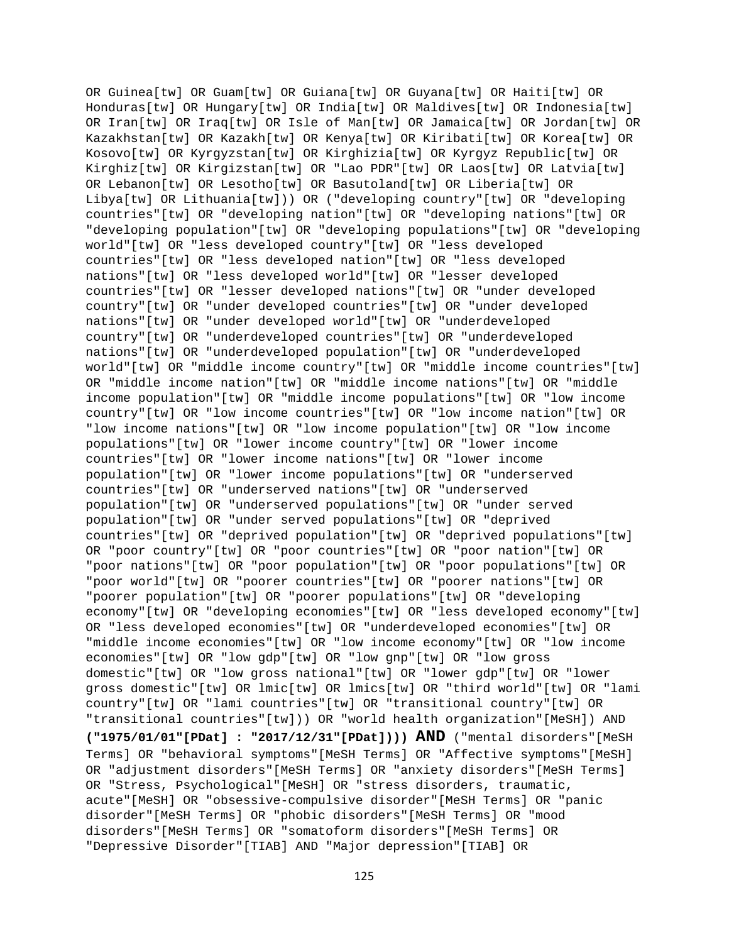OR Guinea[tw] OR Guam[tw] OR Guiana[tw] OR Guyana[tw] OR Haiti[tw] OR Honduras[tw] OR Hungary[tw] OR India[tw] OR Maldives[tw] OR Indonesia[tw] OR Iran[tw] OR Iraq[tw] OR Isle of Man[tw] OR Jamaica[tw] OR Jordan[tw] OR Kazakhstan[tw] OR Kazakh[tw] OR Kenya[tw] OR Kiribati[tw] OR Korea[tw] OR Kosovo[tw] OR Kyrgyzstan[tw] OR Kirghizia[tw] OR Kyrgyz Republic[tw] OR Kirghiz[tw] OR Kirgizstan[tw] OR "Lao PDR"[tw] OR Laos[tw] OR Latvia[tw] OR Lebanon[tw] OR Lesotho[tw] OR Basutoland[tw] OR Liberia[tw] OR Libya[tw] OR Lithuania[tw])) OR ("developing country"[tw] OR "developing countries"[tw] OR "developing nation"[tw] OR "developing nations"[tw] OR "developing population"[tw] OR "developing populations"[tw] OR "developing world"[tw] OR "less developed country"[tw] OR "less developed countries"[tw] OR "less developed nation"[tw] OR "less developed nations"[tw] OR "less developed world"[tw] OR "lesser developed countries"[tw] OR "lesser developed nations"[tw] OR "under developed country"[tw] OR "under developed countries"[tw] OR "under developed nations"[tw] OR "under developed world"[tw] OR "underdeveloped country"[tw] OR "underdeveloped countries"[tw] OR "underdeveloped nations"[tw] OR "underdeveloped population"[tw] OR "underdeveloped world"[tw] OR "middle income country"[tw] OR "middle income countries"[tw] OR "middle income nation"[tw] OR "middle income nations"[tw] OR "middle income population"[tw] OR "middle income populations"[tw] OR "low income country"[tw] OR "low income countries"[tw] OR "low income nation"[tw] OR "low income nations"[tw] OR "low income population"[tw] OR "low income populations"[tw] OR "lower income country"[tw] OR "lower income countries"[tw] OR "lower income nations"[tw] OR "lower income population"[tw] OR "lower income populations"[tw] OR "underserved countries"[tw] OR "underserved nations"[tw] OR "underserved population"[tw] OR "underserved populations"[tw] OR "under served population"[tw] OR "under served populations"[tw] OR "deprived countries"[tw] OR "deprived population"[tw] OR "deprived populations"[tw] OR "poor country"[tw] OR "poor countries"[tw] OR "poor nation"[tw] OR "poor nations"[tw] OR "poor population"[tw] OR "poor populations"[tw] OR "poor world"[tw] OR "poorer countries"[tw] OR "poorer nations"[tw] OR "poorer population"[tw] OR "poorer populations"[tw] OR "developing economy"[tw] OR "developing economies"[tw] OR "less developed economy"[tw] OR "less developed economies"[tw] OR "underdeveloped economies"[tw] OR "middle income economies"[tw] OR "low income economy"[tw] OR "low income economies"[tw] OR "low gdp"[tw] OR "low gnp"[tw] OR "low gross domestic"[tw] OR "low gross national"[tw] OR "lower gdp"[tw] OR "lower gross domestic"[tw] OR lmic[tw] OR lmics[tw] OR "third world"[tw] OR "lami country"[tw] OR "lami countries"[tw] OR "transitional country"[tw] OR "transitional countries"[tw])) OR "world health organization"[MeSH]) AND **("1975/01/01"[PDat] : "2017/12/31"[PDat]))) AND** ("mental disorders"[MeSH Terms] OR "behavioral symptoms"[MeSH Terms] OR "Affective symptoms"[MeSH] OR "adjustment disorders"[MeSH Terms] OR "anxiety disorders"[MeSH Terms] OR "Stress, Psychological"[MeSH] OR "stress disorders, traumatic, acute"[MeSH] OR "obsessive-compulsive disorder"[MeSH Terms] OR "panic disorder"[MeSH Terms] OR "phobic disorders"[MeSH Terms] OR "mood disorders"[MeSH Terms] OR "somatoform disorders"[MeSH Terms] OR "Depressive Disorder"[TIAB] AND "Major depression"[TIAB] OR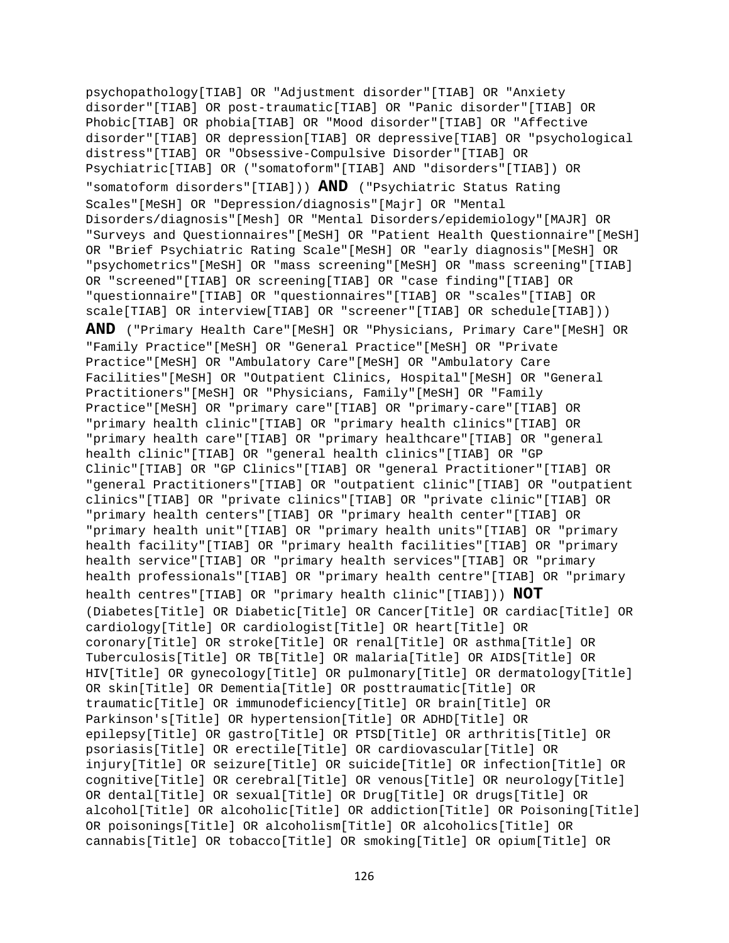psychopathology[TIAB] OR "Adjustment disorder"[TIAB] OR "Anxiety disorder"[TIAB] OR post-traumatic[TIAB] OR "Panic disorder"[TIAB] OR Phobic[TIAB] OR phobia[TIAB] OR "Mood disorder"[TIAB] OR "Affective disorder"[TIAB] OR depression[TIAB] OR depressive[TIAB] OR "psychological distress"[TIAB] OR "Obsessive-Compulsive Disorder"[TIAB] OR Psychiatric[TIAB] OR ("somatoform"[TIAB] AND "disorders"[TIAB]) OR "somatoform disorders"[TIAB])) **AND** ("Psychiatric Status Rating Scales"[MeSH] OR "Depression/diagnosis"[Majr] OR "Mental Disorders/diagnosis"[Mesh] OR "Mental Disorders/epidemiology"[MAJR] OR "Surveys and Questionnaires"[MeSH] OR "Patient Health Questionnaire"[MeSH] OR "Brief Psychiatric Rating Scale"[MeSH] OR "early diagnosis"[MeSH] OR "psychometrics"[MeSH] OR "mass screening"[MeSH] OR "mass screening"[TIAB] OR "screened"[TIAB] OR screening[TIAB] OR "case finding"[TIAB] OR "questionnaire"[TIAB] OR "questionnaires"[TIAB] OR "scales"[TIAB] OR scale[TIAB] OR interview[TIAB] OR "screener"[TIAB] OR schedule[TIAB]))

**AND** ("Primary Health Care"[MeSH] OR "Physicians, Primary Care"[MeSH] OR "Family Practice"[MeSH] OR "General Practice"[MeSH] OR "Private Practice"[MeSH] OR "Ambulatory Care"[MeSH] OR "Ambulatory Care Facilities"[MeSH] OR "Outpatient Clinics, Hospital"[MeSH] OR "General Practitioners"[MeSH] OR "Physicians, Family"[MeSH] OR "Family Practice"[MeSH] OR "primary care"[TIAB] OR "primary-care"[TIAB] OR "primary health clinic"[TIAB] OR "primary health clinics"[TIAB] OR "primary health care"[TIAB] OR "primary healthcare"[TIAB] OR "general health clinic"[TIAB] OR "general health clinics"[TIAB] OR "GP Clinic"[TIAB] OR "GP Clinics"[TIAB] OR "general Practitioner"[TIAB] OR "general Practitioners"[TIAB] OR "outpatient clinic"[TIAB] OR "outpatient clinics"[TIAB] OR "private clinics"[TIAB] OR "private clinic"[TIAB] OR "primary health centers"[TIAB] OR "primary health center"[TIAB] OR "primary health unit"[TIAB] OR "primary health units"[TIAB] OR "primary health facility"[TIAB] OR "primary health facilities"[TIAB] OR "primary health service"[TIAB] OR "primary health services"[TIAB] OR "primary health professionals"[TIAB] OR "primary health centre"[TIAB] OR "primary health centres"[TIAB] OR "primary health clinic"[TIAB])) **NOT** (Diabetes[Title] OR Diabetic[Title] OR Cancer[Title] OR cardiac[Title] OR cardiology[Title] OR cardiologist[Title] OR heart[Title] OR coronary[Title] OR stroke[Title] OR renal[Title] OR asthma[Title] OR Tuberculosis[Title] OR TB[Title] OR malaria[Title] OR AIDS[Title] OR HIV[Title] OR gynecology[Title] OR pulmonary[Title] OR dermatology[Title] OR skin[Title] OR Dementia[Title] OR posttraumatic[Title] OR traumatic[Title] OR immunodeficiency[Title] OR brain[Title] OR Parkinson's[Title] OR hypertension[Title] OR ADHD[Title] OR epilepsy[Title] OR gastro[Title] OR PTSD[Title] OR arthritis[Title] OR psoriasis[Title] OR erectile[Title] OR cardiovascular[Title] OR injury[Title] OR seizure[Title] OR suicide[Title] OR infection[Title] OR cognitive[Title] OR cerebral[Title] OR venous[Title] OR neurology[Title] OR dental[Title] OR sexual[Title] OR Drug[Title] OR drugs[Title] OR alcohol[Title] OR alcoholic[Title] OR addiction[Title] OR Poisoning[Title] OR poisonings[Title] OR alcoholism[Title] OR alcoholics[Title] OR cannabis[Title] OR tobacco[Title] OR smoking[Title] OR opium[Title] OR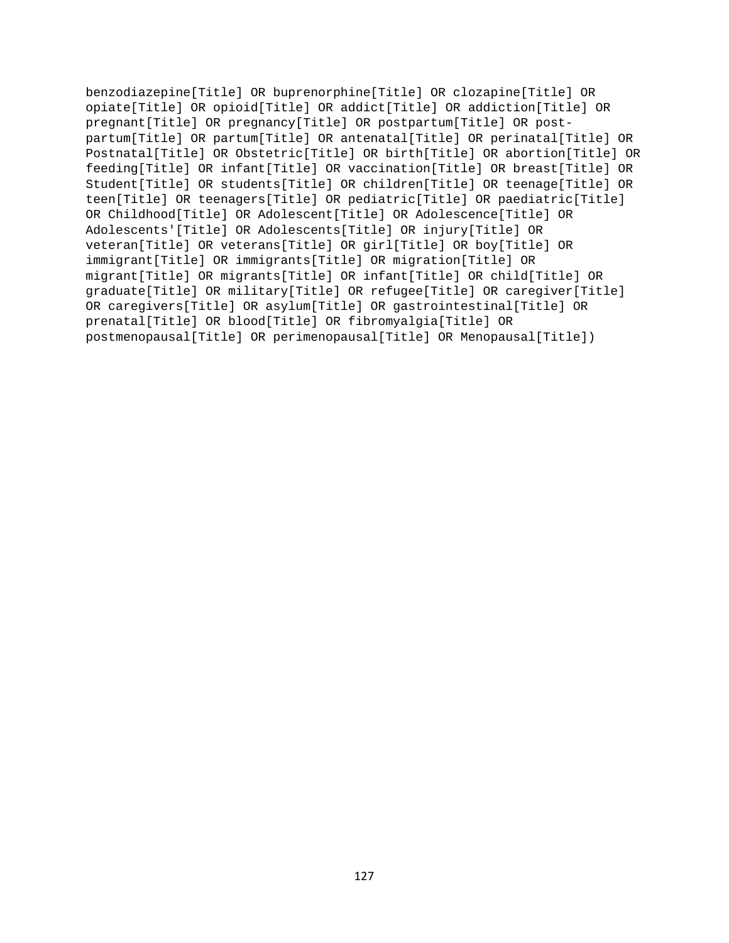benzodiazepine[Title] OR buprenorphine[Title] OR clozapine[Title] OR opiate[Title] OR opioid[Title] OR addict[Title] OR addiction[Title] OR pregnant[Title] OR pregnancy[Title] OR postpartum[Title] OR postpartum[Title] OR partum[Title] OR antenatal[Title] OR perinatal[Title] OR Postnatal[Title] OR Obstetric[Title] OR birth[Title] OR abortion[Title] OR feeding[Title] OR infant[Title] OR vaccination[Title] OR breast[Title] OR Student[Title] OR students[Title] OR children[Title] OR teenage[Title] OR teen[Title] OR teenagers[Title] OR pediatric[Title] OR paediatric[Title] OR Childhood[Title] OR Adolescent[Title] OR Adolescence[Title] OR Adolescents'[Title] OR Adolescents[Title] OR injury[Title] OR veteran[Title] OR veterans[Title] OR girl[Title] OR boy[Title] OR immigrant[Title] OR immigrants[Title] OR migration[Title] OR migrant[Title] OR migrants[Title] OR infant[Title] OR child[Title] OR graduate[Title] OR military[Title] OR refugee[Title] OR caregiver[Title] OR caregivers[Title] OR asylum[Title] OR gastrointestinal[Title] OR prenatal[Title] OR blood[Title] OR fibromyalgia[Title] OR postmenopausal[Title] OR perimenopausal[Title] OR Menopausal[Title])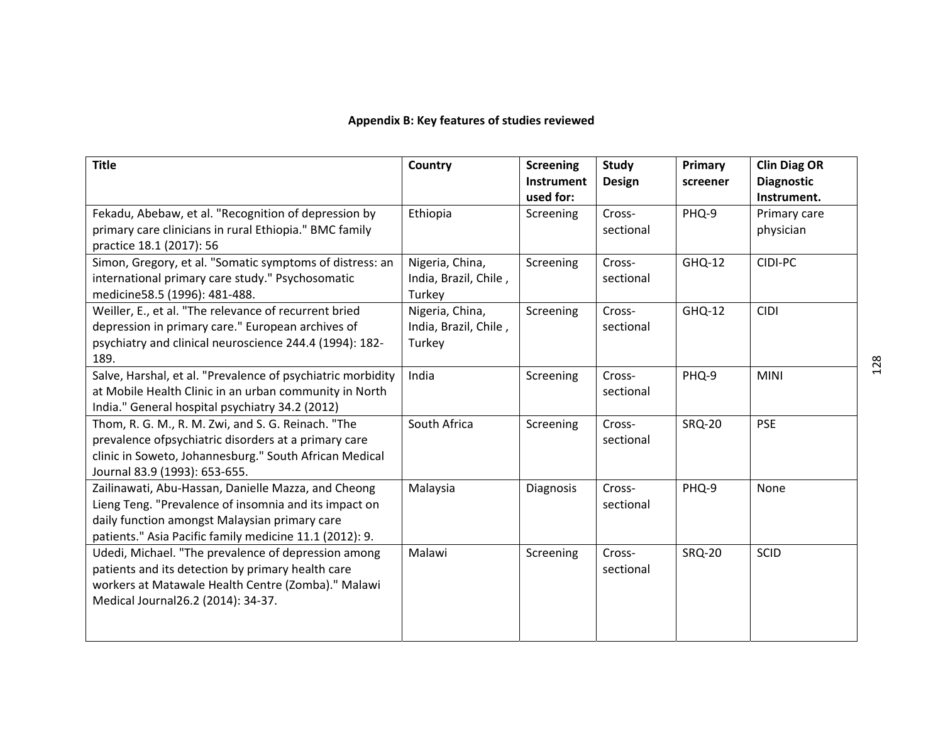# **Appendix B: Key features of studies reviewed**

| <b>Title</b>                                                                                                                                                                                                             | Country                                            | <b>Screening</b><br>Instrument<br>used for: | <b>Study</b><br><b>Design</b> | Primary<br>screener | <b>Clin Diag OR</b><br><b>Diagnostic</b><br>Instrument. |
|--------------------------------------------------------------------------------------------------------------------------------------------------------------------------------------------------------------------------|----------------------------------------------------|---------------------------------------------|-------------------------------|---------------------|---------------------------------------------------------|
| Fekadu, Abebaw, et al. "Recognition of depression by<br>primary care clinicians in rural Ethiopia." BMC family<br>practice 18.1 (2017): 56                                                                               | Ethiopia                                           | Screening                                   | Cross-<br>sectional           | PHQ-9               | Primary care<br>physician                               |
| Simon, Gregory, et al. "Somatic symptoms of distress: an<br>international primary care study." Psychosomatic<br>medicine58.5 (1996): 481-488.                                                                            | Nigeria, China,<br>India, Brazil, Chile,<br>Turkey | Screening                                   | Cross-<br>sectional           | GHQ-12              | CIDI-PC                                                 |
| Weiller, E., et al. "The relevance of recurrent bried<br>depression in primary care." European archives of<br>psychiatry and clinical neuroscience 244.4 (1994): 182-<br>189.                                            | Nigeria, China,<br>India, Brazil, Chile,<br>Turkey | Screening                                   | Cross-<br>sectional           | GHQ-12              | <b>CIDI</b>                                             |
| Salve, Harshal, et al. "Prevalence of psychiatric morbidity<br>at Mobile Health Clinic in an urban community in North<br>India." General hospital psychiatry 34.2 (2012)                                                 | India                                              | Screening                                   | Cross-<br>sectional           | PHQ-9               | <b>MINI</b>                                             |
| Thom, R. G. M., R. M. Zwi, and S. G. Reinach. "The<br>prevalence ofpsychiatric disorders at a primary care<br>clinic in Soweto, Johannesburg." South African Medical<br>Journal 83.9 (1993): 653-655.                    | South Africa                                       | Screening                                   | Cross-<br>sectional           | <b>SRQ-20</b>       | <b>PSE</b>                                              |
| Zailinawati, Abu-Hassan, Danielle Mazza, and Cheong<br>Lieng Teng. "Prevalence of insomnia and its impact on<br>daily function amongst Malaysian primary care<br>patients." Asia Pacific family medicine 11.1 (2012): 9. | Malaysia                                           | Diagnosis                                   | Cross-<br>sectional           | PHQ-9               | None                                                    |
| Udedi, Michael. "The prevalence of depression among<br>patients and its detection by primary health care<br>workers at Matawale Health Centre (Zomba)." Malawi<br>Medical Journal26.2 (2014): 34-37.                     | Malawi                                             | Screening                                   | Cross-<br>sectional           | <b>SRQ-20</b>       | <b>SCID</b>                                             |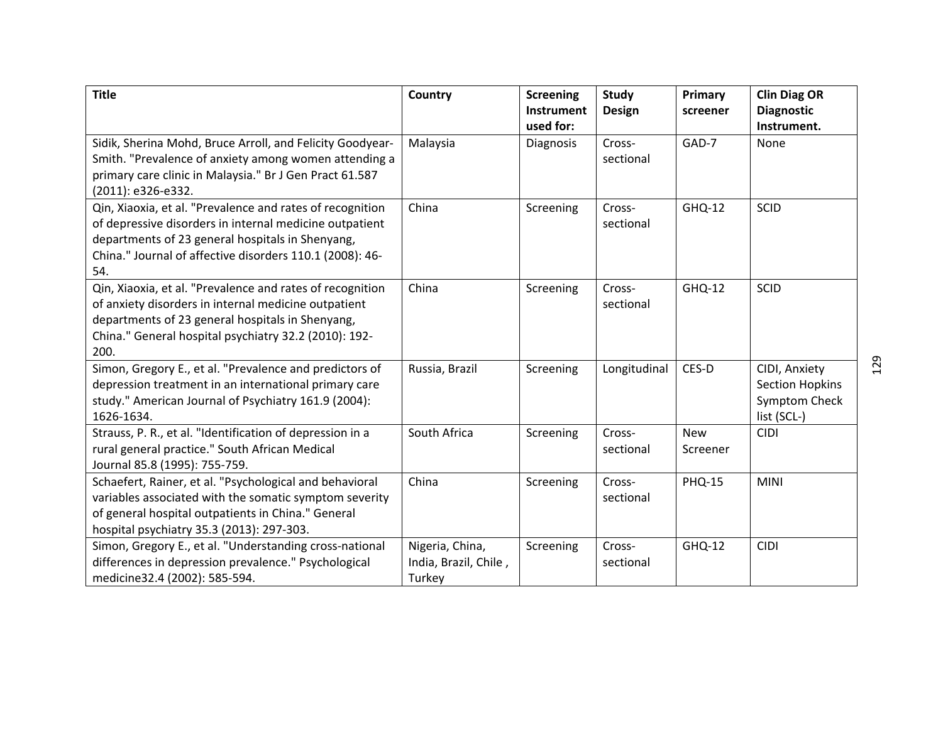| <b>Title</b>                                                                                                                                                                                                                                | Country                                            | <b>Screening</b><br><b>Instrument</b><br>used for: | <b>Study</b><br><b>Design</b> | Primary<br>screener    | <b>Clin Diag OR</b><br><b>Diagnostic</b><br>Instrument.                 |
|---------------------------------------------------------------------------------------------------------------------------------------------------------------------------------------------------------------------------------------------|----------------------------------------------------|----------------------------------------------------|-------------------------------|------------------------|-------------------------------------------------------------------------|
| Sidik, Sherina Mohd, Bruce Arroll, and Felicity Goodyear-<br>Smith. "Prevalence of anxiety among women attending a<br>primary care clinic in Malaysia." Br J Gen Pract 61.587<br>(2011): e326-e332.                                         | Malaysia                                           | Diagnosis                                          | Cross-<br>sectional           | GAD-7                  | None                                                                    |
| Qin, Xiaoxia, et al. "Prevalence and rates of recognition<br>of depressive disorders in internal medicine outpatient<br>departments of 23 general hospitals in Shenyang,<br>China." Journal of affective disorders 110.1 (2008): 46-<br>54. | China                                              | Screening                                          | Cross-<br>sectional           | <b>GHQ-12</b>          | <b>SCID</b>                                                             |
| Qin, Xiaoxia, et al. "Prevalence and rates of recognition<br>of anxiety disorders in internal medicine outpatient<br>departments of 23 general hospitals in Shenyang,<br>China." General hospital psychiatry 32.2 (2010): 192-<br>200.      | China                                              | Screening                                          | Cross-<br>sectional           | <b>GHQ-12</b>          | <b>SCID</b>                                                             |
| Simon, Gregory E., et al. "Prevalence and predictors of<br>depression treatment in an international primary care<br>study." American Journal of Psychiatry 161.9 (2004):<br>1626-1634.                                                      | Russia, Brazil                                     | Screening                                          | Longitudinal                  | CES-D                  | CIDI, Anxiety<br><b>Section Hopkins</b><br>Symptom Check<br>list (SCL-) |
| Strauss, P. R., et al. "Identification of depression in a<br>rural general practice." South African Medical<br>Journal 85.8 (1995): 755-759.                                                                                                | South Africa                                       | Screening                                          | Cross-<br>sectional           | <b>New</b><br>Screener | <b>CIDI</b>                                                             |
| Schaefert, Rainer, et al. "Psychological and behavioral<br>variables associated with the somatic symptom severity<br>of general hospital outpatients in China." General<br>hospital psychiatry 35.3 (2013): 297-303.                        | China                                              | Screening                                          | Cross-<br>sectional           | <b>PHQ-15</b>          | <b>MINI</b>                                                             |
| Simon, Gregory E., et al. "Understanding cross-national<br>differences in depression prevalence." Psychological<br>medicine32.4 (2002): 585-594.                                                                                            | Nigeria, China,<br>India, Brazil, Chile,<br>Turkey | Screening                                          | Cross-<br>sectional           | GHQ-12                 | <b>CIDI</b>                                                             |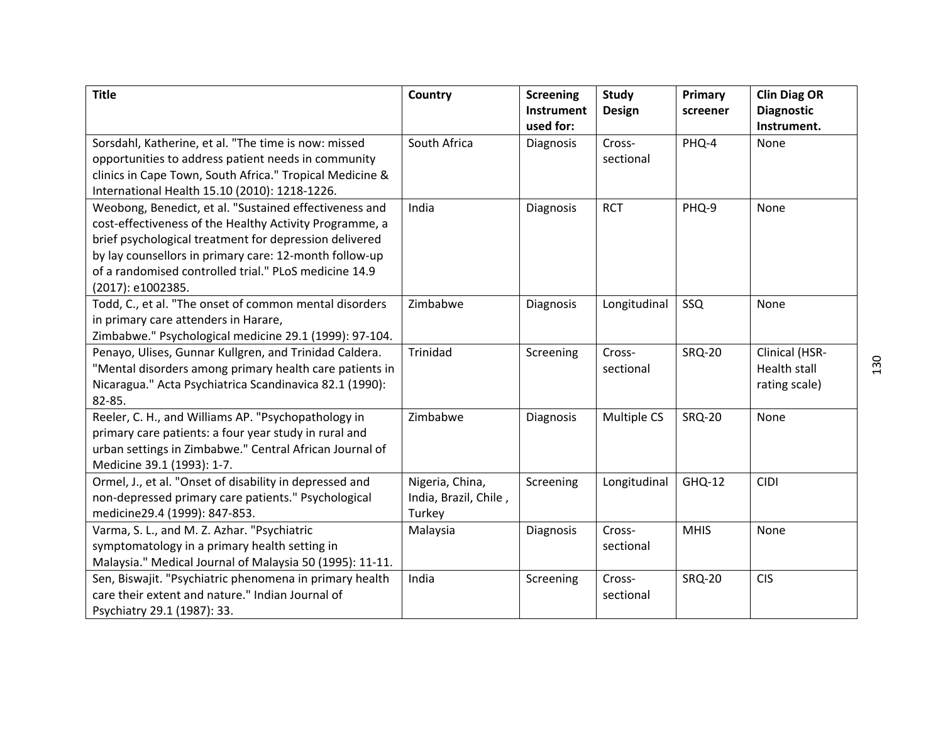| <b>Title</b>                                                                                                                                                                                                                                                                                                        | Country                                            | <b>Screening</b><br><b>Instrument</b><br>used for: | Study<br><b>Design</b> | Primary<br>screener | <b>Clin Diag OR</b><br><b>Diagnostic</b><br>Instrument. |
|---------------------------------------------------------------------------------------------------------------------------------------------------------------------------------------------------------------------------------------------------------------------------------------------------------------------|----------------------------------------------------|----------------------------------------------------|------------------------|---------------------|---------------------------------------------------------|
| Sorsdahl, Katherine, et al. "The time is now: missed<br>opportunities to address patient needs in community<br>clinics in Cape Town, South Africa." Tropical Medicine &<br>International Health 15.10 (2010): 1218-1226.                                                                                            | South Africa                                       | Diagnosis                                          | Cross-<br>sectional    | PHQ-4               | None                                                    |
| Weobong, Benedict, et al. "Sustained effectiveness and<br>cost-effectiveness of the Healthy Activity Programme, a<br>brief psychological treatment for depression delivered<br>by lay counsellors in primary care: 12-month follow-up<br>of a randomised controlled trial." PLoS medicine 14.9<br>(2017): e1002385. | India                                              | Diagnosis                                          | <b>RCT</b>             | PHQ-9               | None                                                    |
| Todd, C., et al. "The onset of common mental disorders<br>in primary care attenders in Harare,<br>Zimbabwe." Psychological medicine 29.1 (1999): 97-104.                                                                                                                                                            | Zimbabwe                                           | Diagnosis                                          | Longitudinal           | SSQ                 | None                                                    |
| Penayo, Ulises, Gunnar Kullgren, and Trinidad Caldera.<br>"Mental disorders among primary health care patients in<br>Nicaragua." Acta Psychiatrica Scandinavica 82.1 (1990):<br>82-85.                                                                                                                              | Trinidad                                           | Screening                                          | Cross-<br>sectional    | <b>SRQ-20</b>       | Clinical (HSR-<br><b>Health stall</b><br>rating scale)  |
| Reeler, C. H., and Williams AP. "Psychopathology in<br>primary care patients: a four year study in rural and<br>urban settings in Zimbabwe." Central African Journal of<br>Medicine 39.1 (1993): 1-7.                                                                                                               | Zimbabwe                                           | Diagnosis                                          | Multiple CS            | <b>SRQ-20</b>       | None                                                    |
| Ormel, J., et al. "Onset of disability in depressed and<br>non-depressed primary care patients." Psychological<br>medicine29.4 (1999): 847-853.                                                                                                                                                                     | Nigeria, China,<br>India, Brazil, Chile,<br>Turkey | Screening                                          | Longitudinal           | GHQ-12              | <b>CIDI</b>                                             |
| Varma, S. L., and M. Z. Azhar. "Psychiatric<br>symptomatology in a primary health setting in<br>Malaysia." Medical Journal of Malaysia 50 (1995): 11-11.                                                                                                                                                            | Malaysia                                           | Diagnosis                                          | Cross-<br>sectional    | <b>MHIS</b>         | None                                                    |
| Sen, Biswajit. "Psychiatric phenomena in primary health<br>care their extent and nature." Indian Journal of<br>Psychiatry 29.1 (1987): 33.                                                                                                                                                                          | India                                              | Screening                                          | Cross-<br>sectional    | <b>SRQ-20</b>       | <b>CIS</b>                                              |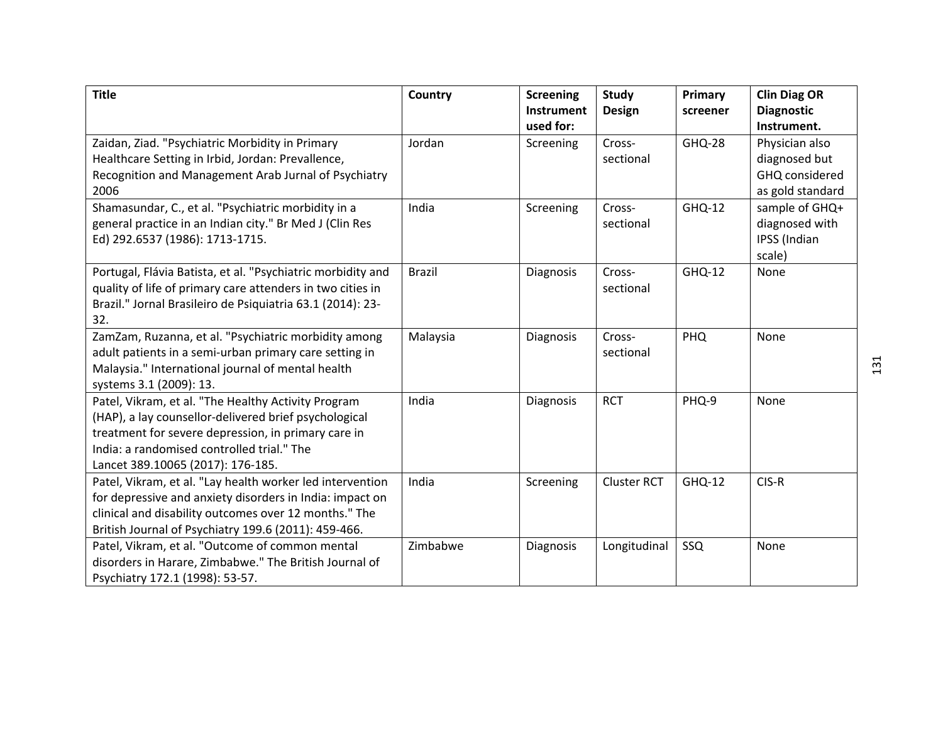| <b>Title</b>                                                                   | Country       | <b>Screening</b><br><b>Instrument</b> | <b>Study</b><br><b>Design</b> | Primary<br>screener | <b>Clin Diag OR</b><br><b>Diagnostic</b> |
|--------------------------------------------------------------------------------|---------------|---------------------------------------|-------------------------------|---------------------|------------------------------------------|
|                                                                                |               | used for:                             |                               |                     | Instrument.                              |
| Zaidan, Ziad. "Psychiatric Morbidity in Primary                                | Jordan        | Screening                             | Cross-                        | <b>GHQ-28</b>       | Physician also                           |
| Healthcare Setting in Irbid, Jordan: Prevallence,                              |               |                                       | sectional                     |                     | diagnosed but                            |
| Recognition and Management Arab Jurnal of Psychiatry                           |               |                                       |                               |                     | GHQ considered                           |
| 2006                                                                           |               |                                       |                               |                     | as gold standard                         |
| Shamasundar, C., et al. "Psychiatric morbidity in a                            | India         | Screening                             | Cross-                        | <b>GHQ-12</b>       | sample of GHQ+                           |
| general practice in an Indian city." Br Med J (Clin Res                        |               |                                       | sectional                     |                     | diagnosed with                           |
| Ed) 292.6537 (1986): 1713-1715.                                                |               |                                       |                               |                     | IPSS (Indian                             |
|                                                                                |               |                                       |                               |                     | scale)                                   |
| Portugal, Flávia Batista, et al. "Psychiatric morbidity and                    | <b>Brazil</b> | Diagnosis                             | Cross-                        | GHQ-12              | None                                     |
| quality of life of primary care attenders in two cities in                     |               |                                       | sectional                     |                     |                                          |
| Brazil." Jornal Brasileiro de Psiquiatria 63.1 (2014): 23-                     |               |                                       |                               |                     |                                          |
| 32.                                                                            |               |                                       |                               |                     |                                          |
| ZamZam, Ruzanna, et al. "Psychiatric morbidity among                           | Malaysia      | Diagnosis                             | Cross-                        | PHQ                 | None                                     |
| adult patients in a semi-urban primary care setting in                         |               |                                       | sectional                     |                     |                                          |
| Malaysia." International journal of mental health                              |               |                                       |                               |                     |                                          |
| systems 3.1 (2009): 13.<br>Patel, Vikram, et al. "The Healthy Activity Program | India         |                                       | <b>RCT</b>                    | PHQ-9               | None                                     |
| (HAP), a lay counsellor-delivered brief psychological                          |               | Diagnosis                             |                               |                     |                                          |
| treatment for severe depression, in primary care in                            |               |                                       |                               |                     |                                          |
| India: a randomised controlled trial." The                                     |               |                                       |                               |                     |                                          |
| Lancet 389.10065 (2017): 176-185.                                              |               |                                       |                               |                     |                                          |
| Patel, Vikram, et al. "Lay health worker led intervention                      | India         | Screening                             | <b>Cluster RCT</b>            | GHQ-12              | CIS-R                                    |
| for depressive and anxiety disorders in India: impact on                       |               |                                       |                               |                     |                                          |
| clinical and disability outcomes over 12 months." The                          |               |                                       |                               |                     |                                          |
| British Journal of Psychiatry 199.6 (2011): 459-466.                           |               |                                       |                               |                     |                                          |
| Patel, Vikram, et al. "Outcome of common mental                                | Zimbabwe      | Diagnosis                             | Longitudinal                  | SSQ                 | None                                     |
| disorders in Harare, Zimbabwe." The British Journal of                         |               |                                       |                               |                     |                                          |
| Psychiatry 172.1 (1998): 53-57.                                                |               |                                       |                               |                     |                                          |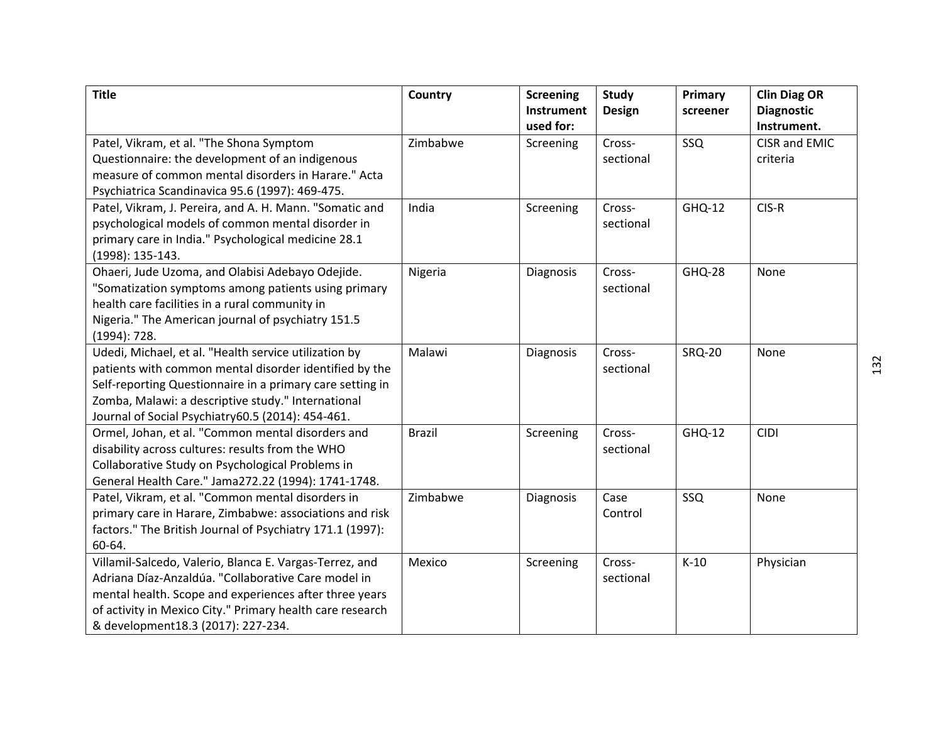| <b>Title</b>                                                                                                                                                                                                                                                                            | Country       | <b>Screening</b><br>Instrument | Study<br><b>Design</b> | Primary<br>screener | <b>Clin Diag OR</b><br><b>Diagnostic</b> |
|-----------------------------------------------------------------------------------------------------------------------------------------------------------------------------------------------------------------------------------------------------------------------------------------|---------------|--------------------------------|------------------------|---------------------|------------------------------------------|
| Patel, Vikram, et al. "The Shona Symptom<br>Questionnaire: the development of an indigenous                                                                                                                                                                                             | Zimbabwe      | used for:<br>Screening         | Cross-<br>sectional    | SSQ                 | Instrument.<br>CISR and EMIC<br>criteria |
| measure of common mental disorders in Harare." Acta<br>Psychiatrica Scandinavica 95.6 (1997): 469-475.                                                                                                                                                                                  |               |                                |                        |                     |                                          |
| Patel, Vikram, J. Pereira, and A. H. Mann. "Somatic and<br>psychological models of common mental disorder in<br>primary care in India." Psychological medicine 28.1<br>(1998): 135-143.                                                                                                 | India         | Screening                      | Cross-<br>sectional    | <b>GHQ-12</b>       | CIS-R                                    |
| Ohaeri, Jude Uzoma, and Olabisi Adebayo Odejide.<br>"Somatization symptoms among patients using primary<br>health care facilities in a rural community in<br>Nigeria." The American journal of psychiatry 151.5<br>(1994): 728.                                                         | Nigeria       | Diagnosis                      | Cross-<br>sectional    | <b>GHQ-28</b>       | None                                     |
| Udedi, Michael, et al. "Health service utilization by<br>patients with common mental disorder identified by the<br>Self-reporting Questionnaire in a primary care setting in<br>Zomba, Malawi: a descriptive study." International<br>Journal of Social Psychiatry60.5 (2014): 454-461. | Malawi        | Diagnosis                      | Cross-<br>sectional    | <b>SRQ-20</b>       | None                                     |
| Ormel, Johan, et al. "Common mental disorders and<br>disability across cultures: results from the WHO<br>Collaborative Study on Psychological Problems in<br>General Health Care." Jama272.22 (1994): 1741-1748.                                                                        | <b>Brazil</b> | Screening                      | Cross-<br>sectional    | <b>GHQ-12</b>       | <b>CIDI</b>                              |
| Patel, Vikram, et al. "Common mental disorders in<br>primary care in Harare, Zimbabwe: associations and risk<br>factors." The British Journal of Psychiatry 171.1 (1997):<br>60-64.                                                                                                     | Zimbabwe      | Diagnosis                      | Case<br>Control        | SSQ                 | None                                     |
| Villamil-Salcedo, Valerio, Blanca E. Vargas-Terrez, and<br>Adriana Díaz-Anzaldúa. "Collaborative Care model in<br>mental health. Scope and experiences after three years<br>of activity in Mexico City." Primary health care research<br>& development18.3 (2017): 227-234.             | Mexico        | Screening                      | Cross-<br>sectional    | $K-10$              | Physician                                |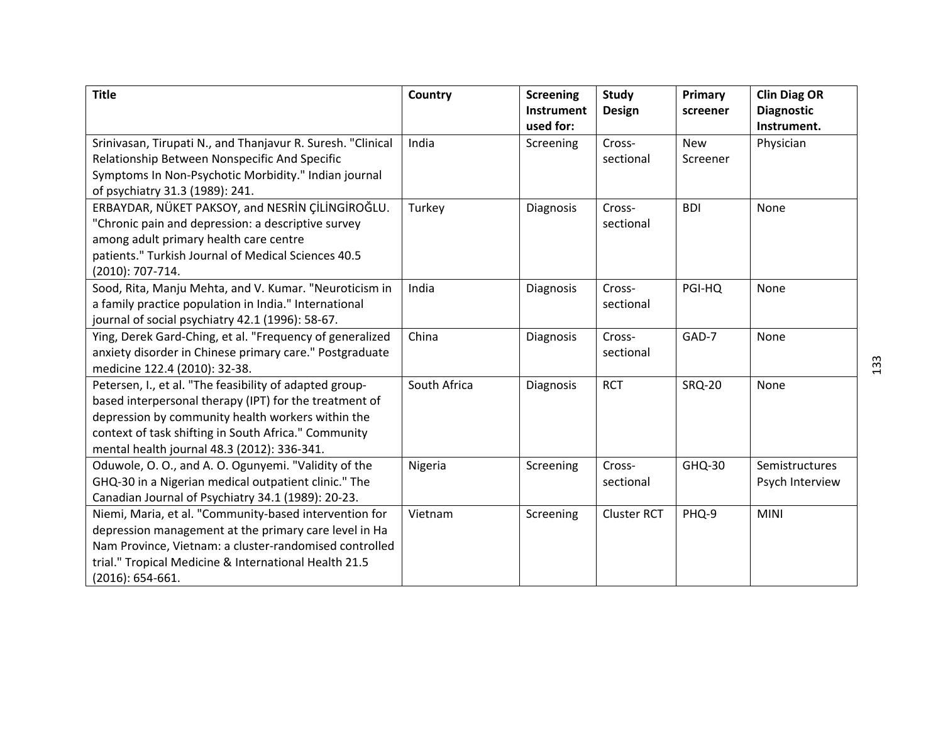| <b>Title</b>                                                | Country      | <b>Screening</b><br><b>Instrument</b> | <b>Study</b><br><b>Design</b> | Primary<br>screener | <b>Clin Diag OR</b><br><b>Diagnostic</b> |
|-------------------------------------------------------------|--------------|---------------------------------------|-------------------------------|---------------------|------------------------------------------|
|                                                             |              | used for:                             |                               |                     | Instrument.                              |
| Srinivasan, Tirupati N., and Thanjavur R. Suresh. "Clinical | India        | Screening                             | Cross-                        | <b>New</b>          | Physician                                |
| Relationship Between Nonspecific And Specific               |              |                                       | sectional                     | Screener            |                                          |
| Symptoms In Non-Psychotic Morbidity." Indian journal        |              |                                       |                               |                     |                                          |
| of psychiatry 31.3 (1989): 241.                             |              |                                       |                               |                     |                                          |
| ERBAYDAR, NÜKET PAKSOY, and NESRİN ÇİLİNGİROĞLU.            | Turkey       | Diagnosis                             | Cross-                        | <b>BDI</b>          | None                                     |
| "Chronic pain and depression: a descriptive survey          |              |                                       | sectional                     |                     |                                          |
| among adult primary health care centre                      |              |                                       |                               |                     |                                          |
| patients." Turkish Journal of Medical Sciences 40.5         |              |                                       |                               |                     |                                          |
| (2010): 707-714.                                            |              |                                       |                               |                     |                                          |
| Sood, Rita, Manju Mehta, and V. Kumar. "Neuroticism in      | India        | Diagnosis                             | Cross-                        | PGI-HQ              | None                                     |
| a family practice population in India." International       |              |                                       | sectional                     |                     |                                          |
| journal of social psychiatry 42.1 (1996): 58-67.            |              |                                       |                               |                     |                                          |
| Ying, Derek Gard-Ching, et al. "Frequency of generalized    | China        | Diagnosis                             | Cross-                        | GAD-7               | None                                     |
| anxiety disorder in Chinese primary care." Postgraduate     |              |                                       | sectional                     |                     |                                          |
| medicine 122.4 (2010): 32-38.                               |              |                                       |                               |                     |                                          |
| Petersen, I., et al. "The feasibility of adapted group-     | South Africa | Diagnosis                             | <b>RCT</b>                    | <b>SRQ-20</b>       | None                                     |
| based interpersonal therapy (IPT) for the treatment of      |              |                                       |                               |                     |                                          |
| depression by community health workers within the           |              |                                       |                               |                     |                                          |
| context of task shifting in South Africa." Community        |              |                                       |                               |                     |                                          |
| mental health journal 48.3 (2012): 336-341.                 |              |                                       |                               |                     |                                          |
| Oduwole, O. O., and A. O. Ogunyemi. "Validity of the        | Nigeria      | Screening                             | Cross-                        | GHQ-30              | Semistructures                           |
| GHQ-30 in a Nigerian medical outpatient clinic." The        |              |                                       | sectional                     |                     | Psych Interview                          |
| Canadian Journal of Psychiatry 34.1 (1989): 20-23.          |              |                                       |                               |                     |                                          |
| Niemi, Maria, et al. "Community-based intervention for      | Vietnam      | Screening                             | <b>Cluster RCT</b>            | PHQ-9               | <b>MINI</b>                              |
| depression management at the primary care level in Ha       |              |                                       |                               |                     |                                          |
| Nam Province, Vietnam: a cluster-randomised controlled      |              |                                       |                               |                     |                                          |
| trial." Tropical Medicine & International Health 21.5       |              |                                       |                               |                     |                                          |
| $(2016): 654-661.$                                          |              |                                       |                               |                     |                                          |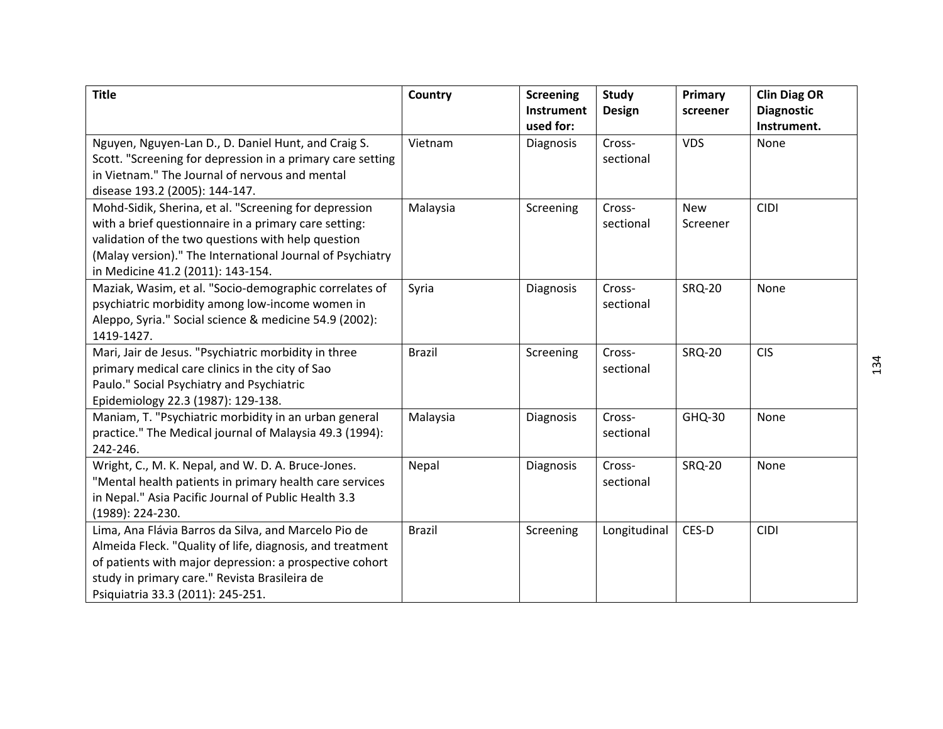| <b>Title</b>                                                                                                                                                                                                                                                           | Country       | <b>Screening</b><br>Instrument | Study<br><b>Design</b> | Primary<br>screener    | <b>Clin Diag OR</b><br><b>Diagnostic</b> |
|------------------------------------------------------------------------------------------------------------------------------------------------------------------------------------------------------------------------------------------------------------------------|---------------|--------------------------------|------------------------|------------------------|------------------------------------------|
| Nguyen, Nguyen-Lan D., D. Daniel Hunt, and Craig S.<br>Scott. "Screening for depression in a primary care setting<br>in Vietnam." The Journal of nervous and mental<br>disease 193.2 (2005): 144-147.                                                                  | Vietnam       | used for:<br>Diagnosis         | Cross-<br>sectional    | <b>VDS</b>             | Instrument.<br>None                      |
| Mohd-Sidik, Sherina, et al. "Screening for depression<br>with a brief questionnaire in a primary care setting:<br>validation of the two questions with help question<br>(Malay version)." The International Journal of Psychiatry<br>in Medicine 41.2 (2011): 143-154. | Malaysia      | Screening                      | Cross-<br>sectional    | <b>New</b><br>Screener | <b>CIDI</b>                              |
| Maziak, Wasim, et al. "Socio-demographic correlates of<br>psychiatric morbidity among low-income women in<br>Aleppo, Syria." Social science & medicine 54.9 (2002):<br>1419-1427.                                                                                      | Syria         | Diagnosis                      | Cross-<br>sectional    | <b>SRQ-20</b>          | None                                     |
| Mari, Jair de Jesus. "Psychiatric morbidity in three<br>primary medical care clinics in the city of Sao<br>Paulo." Social Psychiatry and Psychiatric<br>Epidemiology 22.3 (1987): 129-138.                                                                             | <b>Brazil</b> | Screening                      | Cross-<br>sectional    | <b>SRQ-20</b>          | <b>CIS</b>                               |
| Maniam, T. "Psychiatric morbidity in an urban general<br>practice." The Medical journal of Malaysia 49.3 (1994):<br>242-246.                                                                                                                                           | Malaysia      | Diagnosis                      | Cross-<br>sectional    | GHQ-30                 | None                                     |
| Wright, C., M. K. Nepal, and W. D. A. Bruce-Jones.<br>"Mental health patients in primary health care services<br>in Nepal." Asia Pacific Journal of Public Health 3.3<br>(1989): 224-230.                                                                              | Nepal         | Diagnosis                      | Cross-<br>sectional    | <b>SRQ-20</b>          | None                                     |
| Lima, Ana Flávia Barros da Silva, and Marcelo Pio de<br>Almeida Fleck. "Quality of life, diagnosis, and treatment<br>of patients with major depression: a prospective cohort<br>study in primary care." Revista Brasileira de<br>Psiquiatria 33.3 (2011): 245-251.     | <b>Brazil</b> | Screening                      | Longitudinal           | CES-D                  | <b>CIDI</b>                              |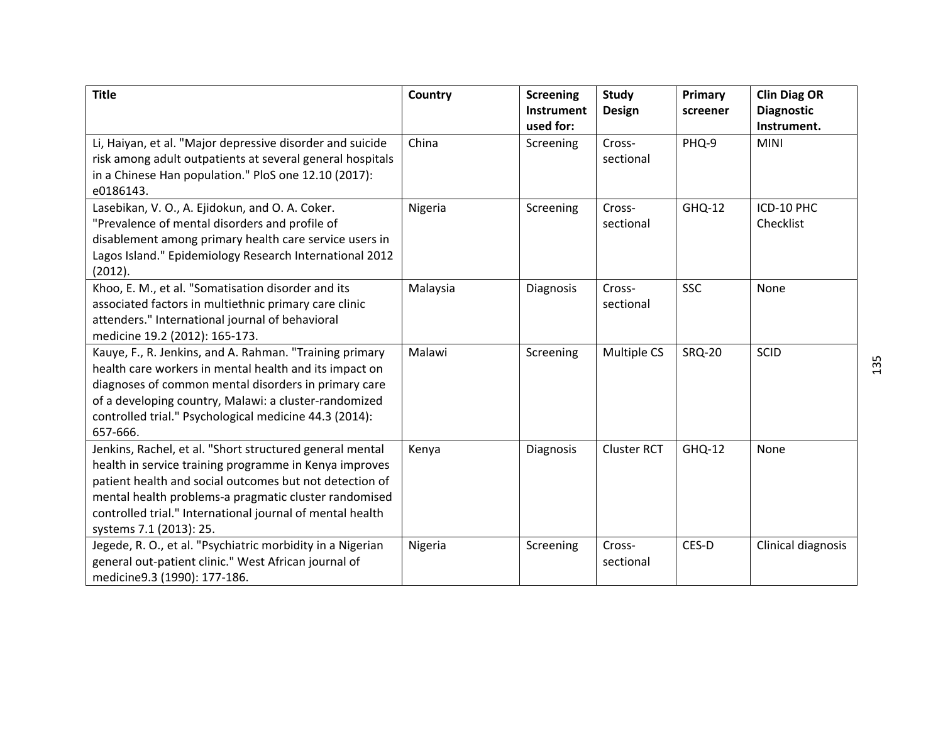| <b>Title</b>                                                                                                                                                                                                                                                                                                                   | Country  | <b>Screening</b><br>Instrument | <b>Study</b><br><b>Design</b> | Primary<br>screener | <b>Clin Diag OR</b><br><b>Diagnostic</b> |
|--------------------------------------------------------------------------------------------------------------------------------------------------------------------------------------------------------------------------------------------------------------------------------------------------------------------------------|----------|--------------------------------|-------------------------------|---------------------|------------------------------------------|
| Li, Haiyan, et al. "Major depressive disorder and suicide<br>risk among adult outpatients at several general hospitals<br>in a Chinese Han population." PloS one 12.10 (2017):<br>e0186143.                                                                                                                                    | China    | used for:<br>Screening         | Cross-<br>sectional           | PHQ-9               | Instrument.<br><b>MINI</b>               |
| Lasebikan, V. O., A. Ejidokun, and O. A. Coker.<br>"Prevalence of mental disorders and profile of<br>disablement among primary health care service users in<br>Lagos Island." Epidemiology Research International 2012<br>(2012).                                                                                              | Nigeria  | Screening                      | Cross-<br>sectional           | GHQ-12              | ICD-10 PHC<br>Checklist                  |
| Khoo, E. M., et al. "Somatisation disorder and its<br>associated factors in multiethnic primary care clinic<br>attenders." International journal of behavioral<br>medicine 19.2 (2012): 165-173.                                                                                                                               | Malaysia | Diagnosis                      | Cross-<br>sectional           | <b>SSC</b>          | None                                     |
| Kauye, F., R. Jenkins, and A. Rahman. "Training primary<br>health care workers in mental health and its impact on<br>diagnoses of common mental disorders in primary care<br>of a developing country, Malawi: a cluster-randomized<br>controlled trial." Psychological medicine 44.3 (2014):<br>657-666.                       | Malawi   | Screening                      | Multiple CS                   | <b>SRQ-20</b>       | SCID                                     |
| Jenkins, Rachel, et al. "Short structured general mental<br>health in service training programme in Kenya improves<br>patient health and social outcomes but not detection of<br>mental health problems-a pragmatic cluster randomised<br>controlled trial." International journal of mental health<br>systems 7.1 (2013): 25. | Kenya    | Diagnosis                      | <b>Cluster RCT</b>            | <b>GHQ-12</b>       | None                                     |
| Jegede, R. O., et al. "Psychiatric morbidity in a Nigerian<br>general out-patient clinic." West African journal of<br>medicine9.3 (1990): 177-186.                                                                                                                                                                             | Nigeria  | Screening                      | Cross-<br>sectional           | CES-D               | Clinical diagnosis                       |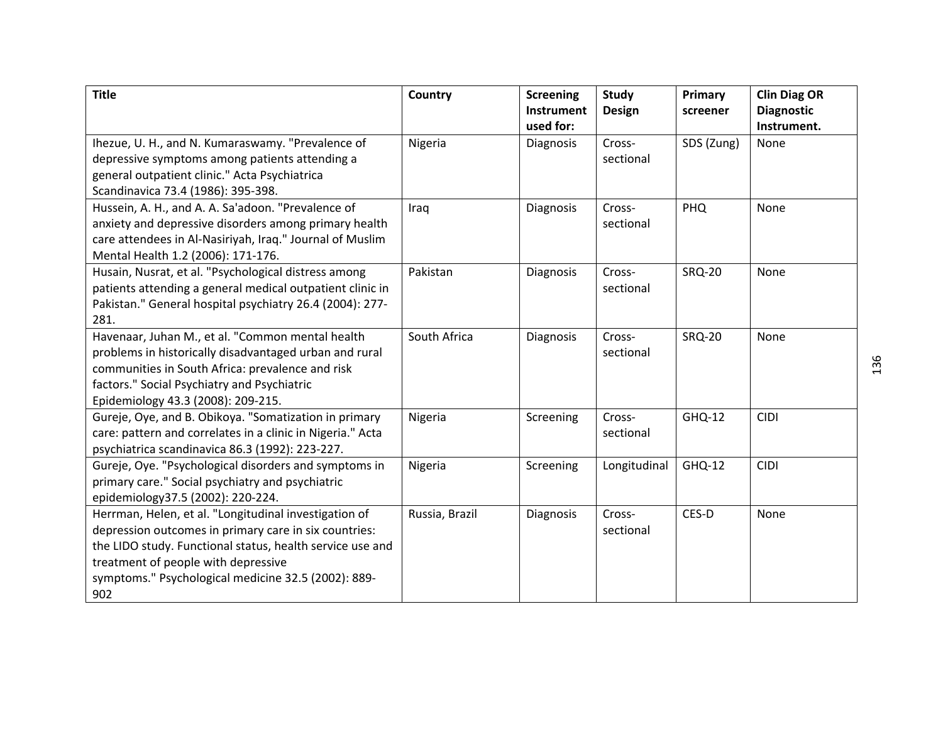| <b>Title</b>                                               | Country        | <b>Screening</b><br><b>Instrument</b> | <b>Study</b><br><b>Design</b> | Primary<br>screener | <b>Clin Diag OR</b><br><b>Diagnostic</b> |
|------------------------------------------------------------|----------------|---------------------------------------|-------------------------------|---------------------|------------------------------------------|
|                                                            |                | used for:                             |                               |                     | Instrument.                              |
| Ihezue, U. H., and N. Kumaraswamy. "Prevalence of          | Nigeria        | Diagnosis                             | Cross-                        | SDS (Zung)          | None                                     |
| depressive symptoms among patients attending a             |                |                                       | sectional                     |                     |                                          |
| general outpatient clinic." Acta Psychiatrica              |                |                                       |                               |                     |                                          |
| Scandinavica 73.4 (1986): 395-398.                         |                |                                       |                               |                     |                                          |
| Hussein, A. H., and A. A. Sa'adoon. "Prevalence of         | Iraq           | Diagnosis                             | Cross-                        | <b>PHQ</b>          | None                                     |
| anxiety and depressive disorders among primary health      |                |                                       | sectional                     |                     |                                          |
| care attendees in Al-Nasiriyah, Iraq." Journal of Muslim   |                |                                       |                               |                     |                                          |
| Mental Health 1.2 (2006): 171-176.                         |                |                                       |                               |                     |                                          |
| Husain, Nusrat, et al. "Psychological distress among       | Pakistan       | Diagnosis                             | Cross-                        | <b>SRQ-20</b>       | None                                     |
| patients attending a general medical outpatient clinic in  |                |                                       | sectional                     |                     |                                          |
| Pakistan." General hospital psychiatry 26.4 (2004): 277-   |                |                                       |                               |                     |                                          |
| 281.                                                       |                |                                       |                               |                     |                                          |
| Havenaar, Juhan M., et al. "Common mental health           | South Africa   | Diagnosis                             | Cross-                        | <b>SRQ-20</b>       | None                                     |
| problems in historically disadvantaged urban and rural     |                |                                       | sectional                     |                     |                                          |
| communities in South Africa: prevalence and risk           |                |                                       |                               |                     |                                          |
| factors." Social Psychiatry and Psychiatric                |                |                                       |                               |                     |                                          |
| Epidemiology 43.3 (2008): 209-215.                         |                |                                       |                               |                     |                                          |
| Gureje, Oye, and B. Obikoya. "Somatization in primary      | Nigeria        | Screening                             | Cross-                        | GHQ-12              | <b>CIDI</b>                              |
| care: pattern and correlates in a clinic in Nigeria." Acta |                |                                       | sectional                     |                     |                                          |
| psychiatrica scandinavica 86.3 (1992): 223-227.            |                |                                       |                               |                     |                                          |
| Gureje, Oye. "Psychological disorders and symptoms in      | Nigeria        | Screening                             | Longitudinal                  | GHQ-12              | <b>CIDI</b>                              |
| primary care." Social psychiatry and psychiatric           |                |                                       |                               |                     |                                          |
| epidemiology37.5 (2002): 220-224.                          |                |                                       |                               |                     |                                          |
| Herrman, Helen, et al. "Longitudinal investigation of      | Russia, Brazil | Diagnosis                             | Cross-                        | CES-D               | None                                     |
| depression outcomes in primary care in six countries:      |                |                                       | sectional                     |                     |                                          |
| the LIDO study. Functional status, health service use and  |                |                                       |                               |                     |                                          |
| treatment of people with depressive                        |                |                                       |                               |                     |                                          |
| symptoms." Psychological medicine 32.5 (2002): 889-        |                |                                       |                               |                     |                                          |
| 902                                                        |                |                                       |                               |                     |                                          |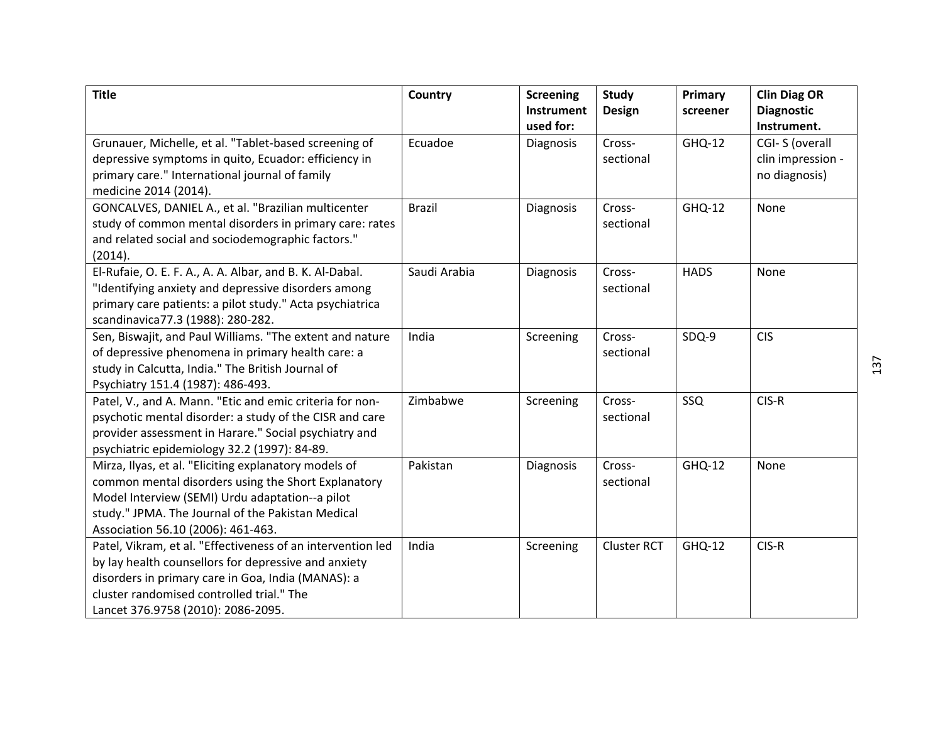| <b>Title</b>                                                | Country       | <b>Screening</b><br><b>Instrument</b> | Study<br><b>Design</b> | Primary<br>screener | <b>Clin Diag OR</b><br><b>Diagnostic</b> |
|-------------------------------------------------------------|---------------|---------------------------------------|------------------------|---------------------|------------------------------------------|
|                                                             |               | used for:                             |                        |                     | Instrument.                              |
| Grunauer, Michelle, et al. "Tablet-based screening of       | Ecuadoe       | Diagnosis                             | Cross-                 | <b>GHQ-12</b>       | CGI-S (overall                           |
| depressive symptoms in quito, Ecuador: efficiency in        |               |                                       | sectional              |                     | clin impression -                        |
| primary care." International journal of family              |               |                                       |                        |                     | no diagnosis)                            |
| medicine 2014 (2014).                                       |               |                                       |                        |                     |                                          |
| GONCALVES, DANIEL A., et al. "Brazilian multicenter         | <b>Brazil</b> | Diagnosis                             | Cross-                 | <b>GHQ-12</b>       | None                                     |
| study of common mental disorders in primary care: rates     |               |                                       | sectional              |                     |                                          |
| and related social and sociodemographic factors."           |               |                                       |                        |                     |                                          |
| (2014).                                                     |               |                                       |                        |                     |                                          |
| El-Rufaie, O. E. F. A., A. A. Albar, and B. K. Al-Dabal.    | Saudi Arabia  | Diagnosis                             | Cross-                 | <b>HADS</b>         | None                                     |
| "Identifying anxiety and depressive disorders among         |               |                                       | sectional              |                     |                                          |
| primary care patients: a pilot study." Acta psychiatrica    |               |                                       |                        |                     |                                          |
| scandinavica77.3 (1988): 280-282.                           |               |                                       |                        |                     |                                          |
| Sen, Biswajit, and Paul Williams. "The extent and nature    | India         | Screening                             | Cross-                 | SDQ-9               | <b>CIS</b>                               |
| of depressive phenomena in primary health care: a           |               |                                       | sectional              |                     |                                          |
| study in Calcutta, India." The British Journal of           |               |                                       |                        |                     |                                          |
| Psychiatry 151.4 (1987): 486-493.                           |               |                                       |                        |                     |                                          |
| Patel, V., and A. Mann. "Etic and emic criteria for non-    | Zimbabwe      | Screening                             | Cross-                 | SSQ                 | CIS-R                                    |
| psychotic mental disorder: a study of the CISR and care     |               |                                       | sectional              |                     |                                          |
| provider assessment in Harare." Social psychiatry and       |               |                                       |                        |                     |                                          |
| psychiatric epidemiology 32.2 (1997): 84-89.                |               |                                       |                        |                     |                                          |
| Mirza, Ilyas, et al. "Eliciting explanatory models of       | Pakistan      | Diagnosis                             | Cross-                 | <b>GHQ-12</b>       | None                                     |
| common mental disorders using the Short Explanatory         |               |                                       | sectional              |                     |                                          |
| Model Interview (SEMI) Urdu adaptation--a pilot             |               |                                       |                        |                     |                                          |
| study." JPMA. The Journal of the Pakistan Medical           |               |                                       |                        |                     |                                          |
| Association 56.10 (2006): 461-463.                          |               |                                       |                        |                     |                                          |
| Patel, Vikram, et al. "Effectiveness of an intervention led | India         | Screening                             | <b>Cluster RCT</b>     | GHQ-12              | CIS-R                                    |
| by lay health counsellors for depressive and anxiety        |               |                                       |                        |                     |                                          |
| disorders in primary care in Goa, India (MANAS): a          |               |                                       |                        |                     |                                          |
| cluster randomised controlled trial." The                   |               |                                       |                        |                     |                                          |
| Lancet 376.9758 (2010): 2086-2095.                          |               |                                       |                        |                     |                                          |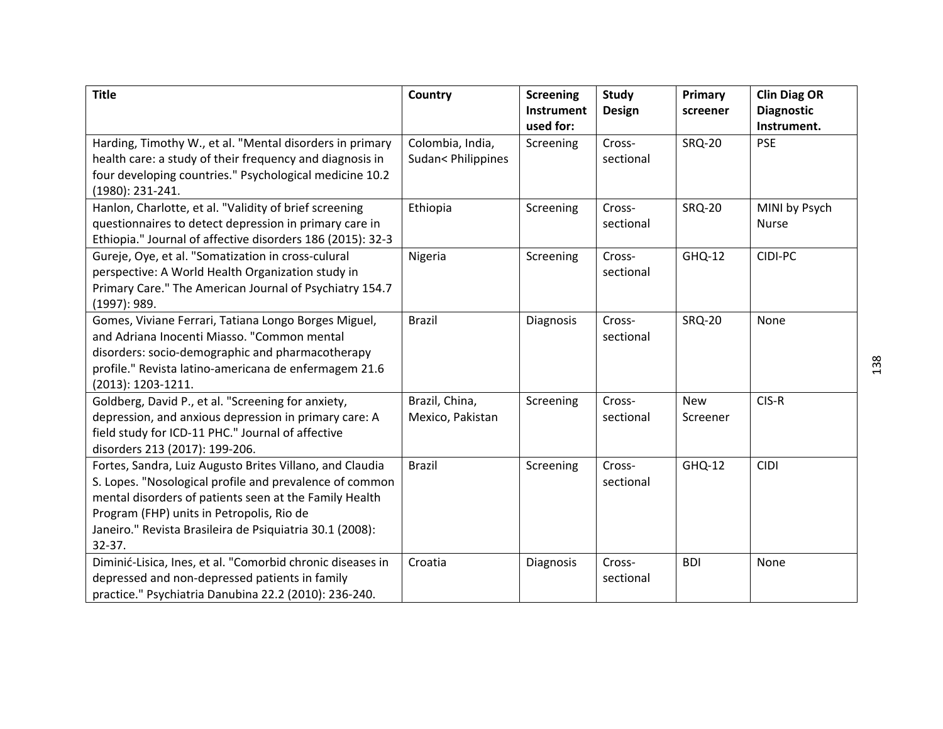| <b>Title</b>                                                                                                                                                                                                                                                                                         | Country                                | <b>Screening</b><br>Instrument<br>used for: | Study<br><b>Design</b> | Primary<br>screener    | <b>Clin Diag OR</b><br><b>Diagnostic</b><br>Instrument. |
|------------------------------------------------------------------------------------------------------------------------------------------------------------------------------------------------------------------------------------------------------------------------------------------------------|----------------------------------------|---------------------------------------------|------------------------|------------------------|---------------------------------------------------------|
| Harding, Timothy W., et al. "Mental disorders in primary<br>health care: a study of their frequency and diagnosis in<br>four developing countries." Psychological medicine 10.2<br>(1980): 231-241.                                                                                                  | Colombia, India,<br>Sudan< Philippines | Screening                                   | Cross-<br>sectional    | <b>SRQ-20</b>          | <b>PSE</b>                                              |
| Hanlon, Charlotte, et al. "Validity of brief screening<br>questionnaires to detect depression in primary care in<br>Ethiopia." Journal of affective disorders 186 (2015): 32-3                                                                                                                       | Ethiopia                               | Screening                                   | Cross-<br>sectional    | <b>SRQ-20</b>          | MINI by Psych<br><b>Nurse</b>                           |
| Gureje, Oye, et al. "Somatization in cross-culural<br>perspective: A World Health Organization study in<br>Primary Care." The American Journal of Psychiatry 154.7<br>(1997): 989.                                                                                                                   | Nigeria                                | Screening                                   | Cross-<br>sectional    | <b>GHQ-12</b>          | CIDI-PC                                                 |
| Gomes, Viviane Ferrari, Tatiana Longo Borges Miguel,<br>and Adriana Inocenti Miasso. "Common mental<br>disorders: socio-demographic and pharmacotherapy<br>profile." Revista latino-americana de enfermagem 21.6<br>(2013): 1203-1211.                                                               | <b>Brazil</b>                          | Diagnosis                                   | Cross-<br>sectional    | <b>SRQ-20</b>          | None                                                    |
| Goldberg, David P., et al. "Screening for anxiety,<br>depression, and anxious depression in primary care: A<br>field study for ICD-11 PHC." Journal of affective<br>disorders 213 (2017): 199-206.                                                                                                   | Brazil, China,<br>Mexico, Pakistan     | Screening                                   | Cross-<br>sectional    | <b>New</b><br>Screener | $CIS-R$                                                 |
| Fortes, Sandra, Luiz Augusto Brites Villano, and Claudia<br>S. Lopes. "Nosological profile and prevalence of common<br>mental disorders of patients seen at the Family Health<br>Program (FHP) units in Petropolis, Rio de<br>Janeiro." Revista Brasileira de Psiquiatria 30.1 (2008):<br>$32 - 37.$ | <b>Brazil</b>                          | Screening                                   | Cross-<br>sectional    | <b>GHQ-12</b>          | <b>CIDI</b>                                             |
| Diminić-Lisica, Ines, et al. "Comorbid chronic diseases in<br>depressed and non-depressed patients in family<br>practice." Psychiatria Danubina 22.2 (2010): 236-240.                                                                                                                                | Croatia                                | Diagnosis                                   | Cross-<br>sectional    | <b>BDI</b>             | None                                                    |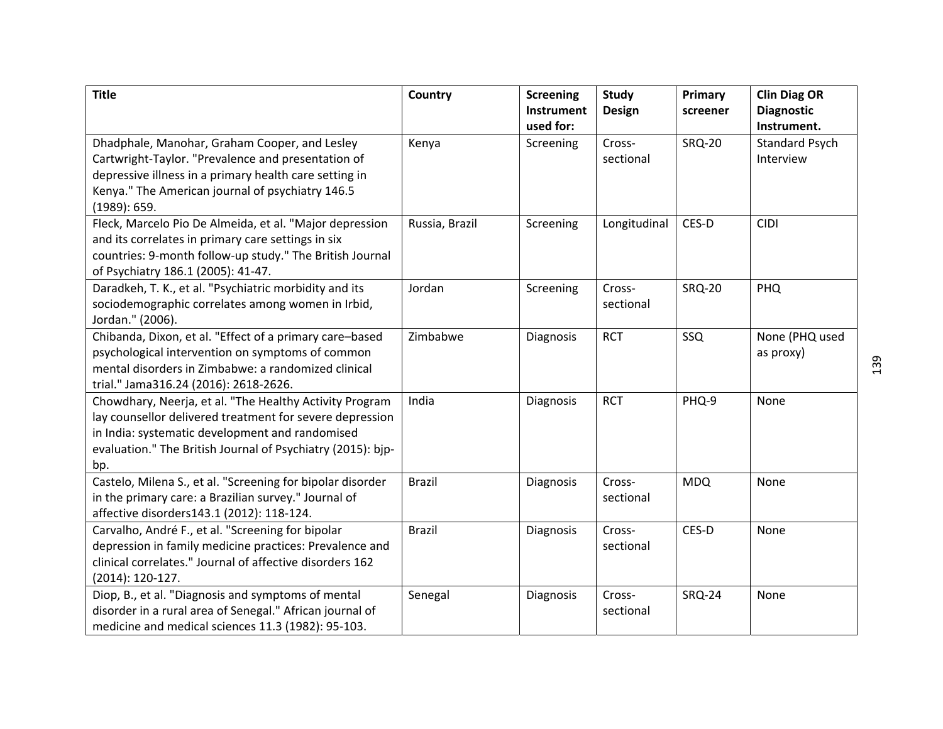| <b>Title</b>                                                                                                                                                                                                                                 | <b>Country</b> | <b>Screening</b><br>Instrument<br>used for: | <b>Study</b><br><b>Design</b> | Primary<br>screener | <b>Clin Diag OR</b><br><b>Diagnostic</b><br>Instrument. |
|----------------------------------------------------------------------------------------------------------------------------------------------------------------------------------------------------------------------------------------------|----------------|---------------------------------------------|-------------------------------|---------------------|---------------------------------------------------------|
| Dhadphale, Manohar, Graham Cooper, and Lesley<br>Cartwright-Taylor. "Prevalence and presentation of<br>depressive illness in a primary health care setting in<br>Kenya." The American journal of psychiatry 146.5<br>(1989): 659.            | Kenya          | Screening                                   | Cross-<br>sectional           | <b>SRQ-20</b>       | <b>Standard Psych</b><br>Interview                      |
| Fleck, Marcelo Pio De Almeida, et al. "Major depression<br>and its correlates in primary care settings in six<br>countries: 9-month follow-up study." The British Journal<br>of Psychiatry 186.1 (2005): 41-47.                              | Russia, Brazil | Screening                                   | Longitudinal                  | CES-D               | <b>CIDI</b>                                             |
| Daradkeh, T. K., et al. "Psychiatric morbidity and its<br>sociodemographic correlates among women in Irbid,<br>Jordan." (2006).                                                                                                              | Jordan         | Screening                                   | Cross-<br>sectional           | <b>SRQ-20</b>       | PHQ                                                     |
| Chibanda, Dixon, et al. "Effect of a primary care-based<br>psychological intervention on symptoms of common<br>mental disorders in Zimbabwe: a randomized clinical<br>trial." Jama316.24 (2016): 2618-2626.                                  | Zimbabwe       | Diagnosis                                   | <b>RCT</b>                    | SSQ                 | None (PHQ used<br>as proxy)                             |
| Chowdhary, Neerja, et al. "The Healthy Activity Program<br>lay counsellor delivered treatment for severe depression<br>in India: systematic development and randomised<br>evaluation." The British Journal of Psychiatry (2015): bip-<br>bp. | India          | Diagnosis                                   | <b>RCT</b>                    | PHQ-9               | None                                                    |
| Castelo, Milena S., et al. "Screening for bipolar disorder<br>in the primary care: a Brazilian survey." Journal of<br>affective disorders143.1 (2012): 118-124.                                                                              | <b>Brazil</b>  | Diagnosis                                   | Cross-<br>sectional           | <b>MDQ</b>          | None                                                    |
| Carvalho, André F., et al. "Screening for bipolar<br>depression in family medicine practices: Prevalence and<br>clinical correlates." Journal of affective disorders 162<br>$(2014): 120-127.$                                               | <b>Brazil</b>  | Diagnosis                                   | Cross-<br>sectional           | CES-D               | None                                                    |
| Diop, B., et al. "Diagnosis and symptoms of mental<br>disorder in a rural area of Senegal." African journal of<br>medicine and medical sciences 11.3 (1982): 95-103.                                                                         | Senegal        | Diagnosis                                   | Cross-<br>sectional           | <b>SRQ-24</b>       | None                                                    |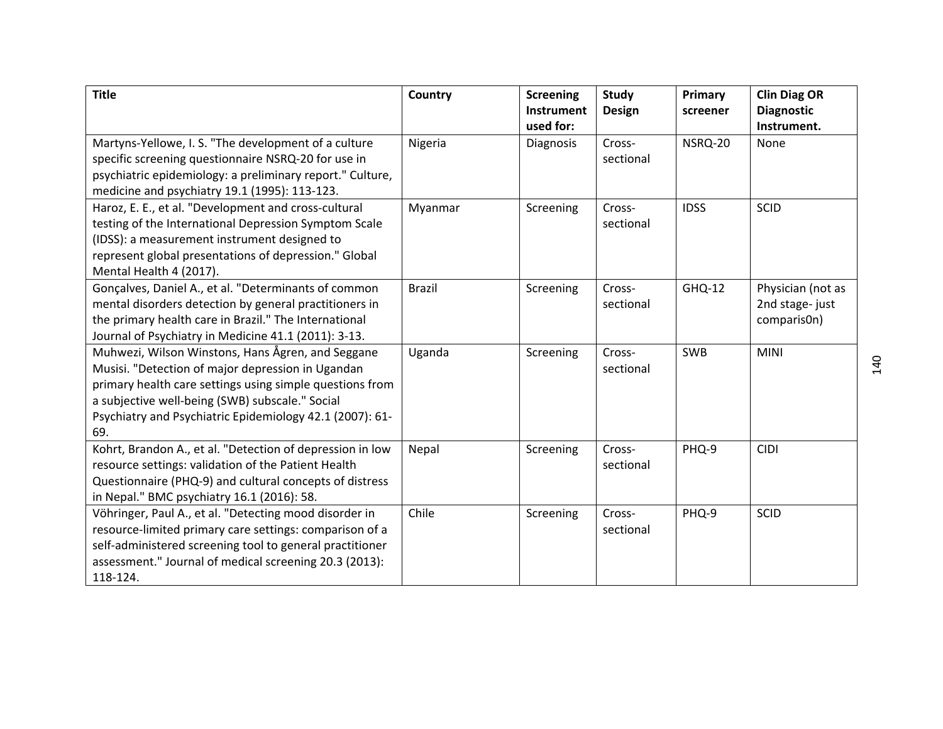| <b>Title</b>                                              | Country       | <b>Screening</b><br><b>Instrument</b> | <b>Study</b><br><b>Design</b> | Primary<br>screener | <b>Clin Diag OR</b><br><b>Diagnostic</b> |
|-----------------------------------------------------------|---------------|---------------------------------------|-------------------------------|---------------------|------------------------------------------|
|                                                           |               | used for:                             |                               |                     | Instrument.                              |
| Martyns-Yellowe, I. S. "The development of a culture      | Nigeria       | Diagnosis                             | Cross-                        | NSRQ-20             | None                                     |
| specific screening questionnaire NSRQ-20 for use in       |               |                                       | sectional                     |                     |                                          |
| psychiatric epidemiology: a preliminary report." Culture, |               |                                       |                               |                     |                                          |
| medicine and psychiatry 19.1 (1995): 113-123.             |               |                                       |                               |                     |                                          |
| Haroz, E. E., et al. "Development and cross-cultural      | Myanmar       | Screening                             | Cross-                        | <b>IDSS</b>         | <b>SCID</b>                              |
| testing of the International Depression Symptom Scale     |               |                                       | sectional                     |                     |                                          |
| (IDSS): a measurement instrument designed to              |               |                                       |                               |                     |                                          |
| represent global presentations of depression." Global     |               |                                       |                               |                     |                                          |
| Mental Health 4 (2017).                                   |               |                                       |                               |                     |                                          |
| Gonçalves, Daniel A., et al. "Determinants of common      | <b>Brazil</b> | Screening                             | Cross-                        | GHQ-12              | Physician (not as                        |
| mental disorders detection by general practitioners in    |               |                                       | sectional                     |                     | 2nd stage-just                           |
| the primary health care in Brazil." The International     |               |                                       |                               |                     | comparis0n)                              |
| Journal of Psychiatry in Medicine 41.1 (2011): 3-13.      |               |                                       |                               |                     |                                          |
| Muhwezi, Wilson Winstons, Hans Ågren, and Seggane         | Uganda        | Screening                             | Cross-                        | <b>SWB</b>          | <b>MINI</b>                              |
| Musisi. "Detection of major depression in Ugandan         |               |                                       | sectional                     |                     |                                          |
| primary health care settings using simple questions from  |               |                                       |                               |                     |                                          |
| a subjective well-being (SWB) subscale." Social           |               |                                       |                               |                     |                                          |
| Psychiatry and Psychiatric Epidemiology 42.1 (2007): 61-  |               |                                       |                               |                     |                                          |
| 69.                                                       |               |                                       |                               |                     |                                          |
| Kohrt, Brandon A., et al. "Detection of depression in low | Nepal         | Screening                             | Cross-                        | PHQ-9               | <b>CIDI</b>                              |
| resource settings: validation of the Patient Health       |               |                                       | sectional                     |                     |                                          |
| Questionnaire (PHQ-9) and cultural concepts of distress   |               |                                       |                               |                     |                                          |
| in Nepal." BMC psychiatry 16.1 (2016): 58.                |               |                                       |                               |                     |                                          |
| Vöhringer, Paul A., et al. "Detecting mood disorder in    | Chile         | Screening                             | Cross-                        | PHQ-9               | <b>SCID</b>                              |
| resource-limited primary care settings: comparison of a   |               |                                       | sectional                     |                     |                                          |
| self-administered screening tool to general practitioner  |               |                                       |                               |                     |                                          |
| assessment." Journal of medical screening 20.3 (2013):    |               |                                       |                               |                     |                                          |
| 118-124.                                                  |               |                                       |                               |                     |                                          |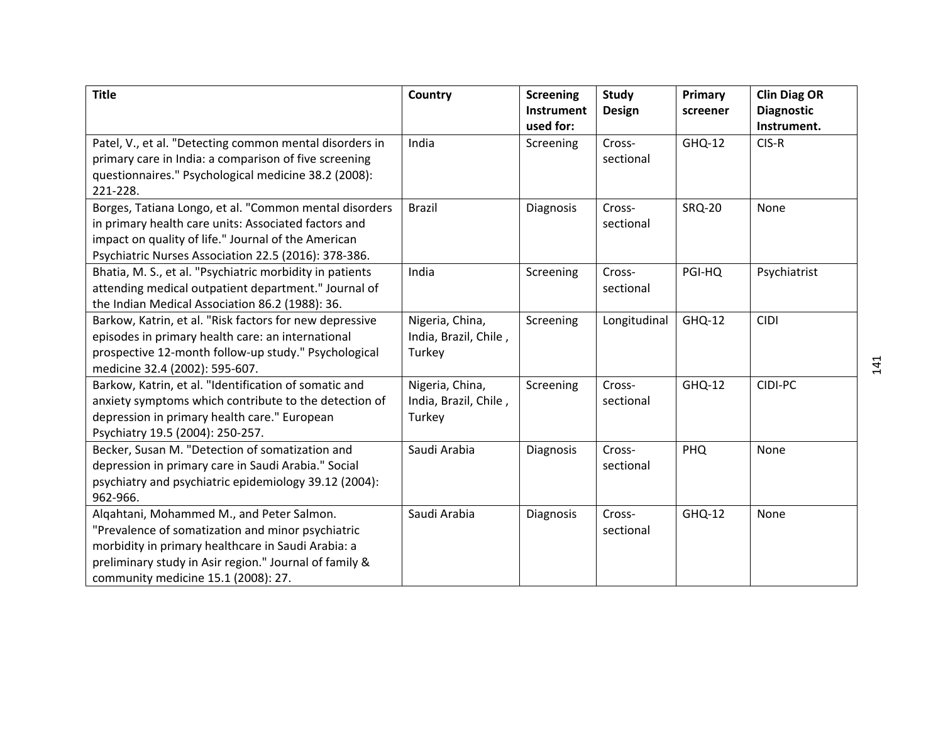| <b>Title</b>                                             | Country               | <b>Screening</b><br>Instrument | <b>Study</b><br><b>Design</b> | Primary<br>screener | <b>Clin Diag OR</b><br><b>Diagnostic</b> |
|----------------------------------------------------------|-----------------------|--------------------------------|-------------------------------|---------------------|------------------------------------------|
|                                                          |                       | used for:                      |                               |                     | Instrument.                              |
| Patel, V., et al. "Detecting common mental disorders in  | India                 | Screening                      | Cross-                        | GHQ-12              | CIS-R                                    |
| primary care in India: a comparison of five screening    |                       |                                | sectional                     |                     |                                          |
| questionnaires." Psychological medicine 38.2 (2008):     |                       |                                |                               |                     |                                          |
| 221-228.                                                 |                       |                                |                               |                     |                                          |
| Borges, Tatiana Longo, et al. "Common mental disorders   | <b>Brazil</b>         | Diagnosis                      | Cross-                        | <b>SRQ-20</b>       | None                                     |
| in primary health care units: Associated factors and     |                       |                                | sectional                     |                     |                                          |
| impact on quality of life." Journal of the American      |                       |                                |                               |                     |                                          |
| Psychiatric Nurses Association 22.5 (2016): 378-386.     |                       |                                |                               |                     |                                          |
| Bhatia, M. S., et al. "Psychiatric morbidity in patients | India                 | Screening                      | Cross-                        | PGI-HQ              | Psychiatrist                             |
| attending medical outpatient department." Journal of     |                       |                                | sectional                     |                     |                                          |
| the Indian Medical Association 86.2 (1988): 36.          |                       |                                |                               |                     |                                          |
| Barkow, Katrin, et al. "Risk factors for new depressive  | Nigeria, China,       | Screening                      | Longitudinal                  | GHQ-12              | <b>CIDI</b>                              |
| episodes in primary health care: an international        | India, Brazil, Chile, |                                |                               |                     |                                          |
| prospective 12-month follow-up study." Psychological     | Turkey                |                                |                               |                     |                                          |
| medicine 32.4 (2002): 595-607.                           |                       |                                |                               |                     |                                          |
| Barkow, Katrin, et al. "Identification of somatic and    | Nigeria, China,       | Screening                      | Cross-                        | GHQ-12              | CIDI-PC                                  |
| anxiety symptoms which contribute to the detection of    | India, Brazil, Chile, |                                | sectional                     |                     |                                          |
| depression in primary health care." European             | Turkey                |                                |                               |                     |                                          |
| Psychiatry 19.5 (2004): 250-257.                         |                       |                                |                               |                     |                                          |
| Becker, Susan M. "Detection of somatization and          | Saudi Arabia          | Diagnosis                      | Cross-                        | PHQ                 | None                                     |
| depression in primary care in Saudi Arabia." Social      |                       |                                | sectional                     |                     |                                          |
| psychiatry and psychiatric epidemiology 39.12 (2004):    |                       |                                |                               |                     |                                          |
| 962-966.                                                 |                       |                                |                               |                     |                                          |
| Algahtani, Mohammed M., and Peter Salmon.                | Saudi Arabia          | Diagnosis                      | Cross-                        | GHQ-12              | None                                     |
| "Prevalence of somatization and minor psychiatric        |                       |                                | sectional                     |                     |                                          |
| morbidity in primary healthcare in Saudi Arabia: a       |                       |                                |                               |                     |                                          |
| preliminary study in Asir region." Journal of family &   |                       |                                |                               |                     |                                          |
| community medicine 15.1 (2008): 27.                      |                       |                                |                               |                     |                                          |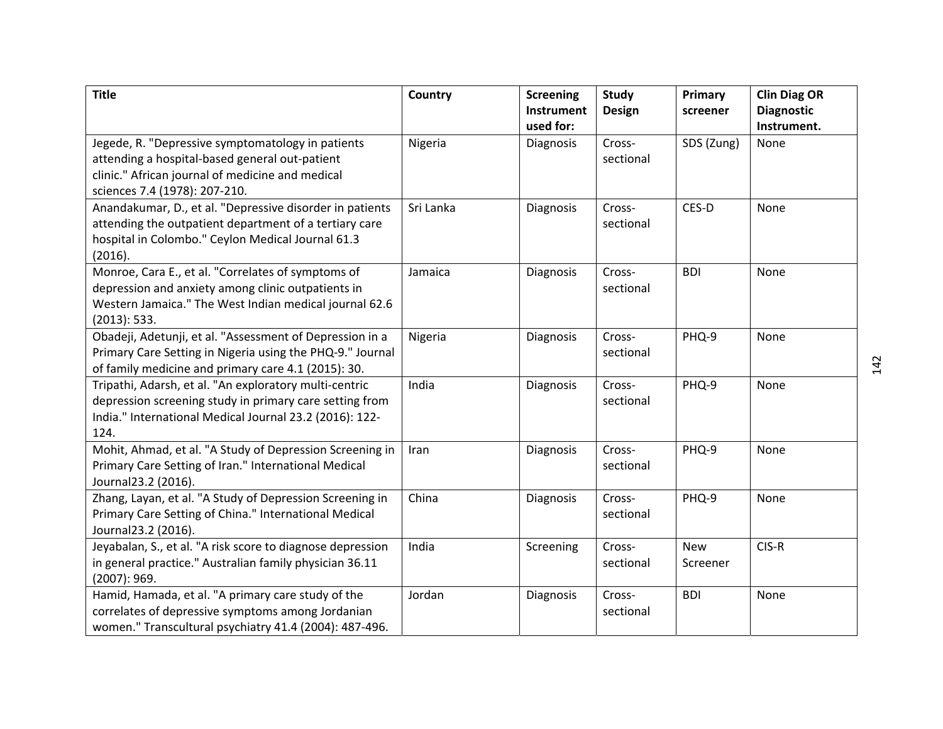| <b>Title</b>                                                                                                                                                                             | Country   | <b>Screening</b><br>Instrument<br>used for: | <b>Study</b><br><b>Design</b> | Primary<br>screener    | <b>Clin Diag OR</b><br><b>Diagnostic</b><br>Instrument. |
|------------------------------------------------------------------------------------------------------------------------------------------------------------------------------------------|-----------|---------------------------------------------|-------------------------------|------------------------|---------------------------------------------------------|
| Jegede, R. "Depressive symptomatology in patients<br>attending a hospital-based general out-patient<br>clinic." African journal of medicine and medical<br>sciences 7.4 (1978): 207-210. | Nigeria   | Diagnosis                                   | Cross-<br>sectional           | SDS (Zung)             | None                                                    |
| Anandakumar, D., et al. "Depressive disorder in patients<br>attending the outpatient department of a tertiary care<br>hospital in Colombo." Ceylon Medical Journal 61.3<br>(2016).       | Sri Lanka | Diagnosis                                   | Cross-<br>sectional           | CES-D                  | None                                                    |
| Monroe, Cara E., et al. "Correlates of symptoms of<br>depression and anxiety among clinic outpatients in<br>Western Jamaica." The West Indian medical journal 62.6<br>(2013): 533.       | Jamaica   | Diagnosis                                   | Cross-<br>sectional           | <b>BDI</b>             | None                                                    |
| Obadeji, Adetunji, et al. "Assessment of Depression in a<br>Primary Care Setting in Nigeria using the PHQ-9." Journal<br>of family medicine and primary care 4.1 (2015): 30.             | Nigeria   | Diagnosis                                   | Cross-<br>sectional           | PHQ-9                  | None                                                    |
| Tripathi, Adarsh, et al. "An exploratory multi-centric<br>depression screening study in primary care setting from<br>India." International Medical Journal 23.2 (2016): 122-<br>124.     | India     | Diagnosis                                   | Cross-<br>sectional           | PHQ-9                  | None                                                    |
| Mohit, Ahmad, et al. "A Study of Depression Screening in<br>Primary Care Setting of Iran." International Medical<br>Journal23.2 (2016).                                                  | Iran      | Diagnosis                                   | Cross-<br>sectional           | PHQ-9                  | None                                                    |
| Zhang, Layan, et al. "A Study of Depression Screening in<br>Primary Care Setting of China." International Medical<br>Journal23.2 (2016).                                                 | China     | Diagnosis                                   | Cross-<br>sectional           | PHQ-9                  | None                                                    |
| Jeyabalan, S., et al. "A risk score to diagnose depression<br>in general practice." Australian family physician 36.11<br>(2007): 969.                                                    | India     | Screening                                   | Cross-<br>sectional           | <b>New</b><br>Screener | CIS-R                                                   |
| Hamid, Hamada, et al. "A primary care study of the<br>correlates of depressive symptoms among Jordanian<br>women." Transcultural psychiatry 41.4 (2004): 487-496.                        | Jordan    | Diagnosis                                   | Cross-<br>sectional           | <b>BDI</b>             | None                                                    |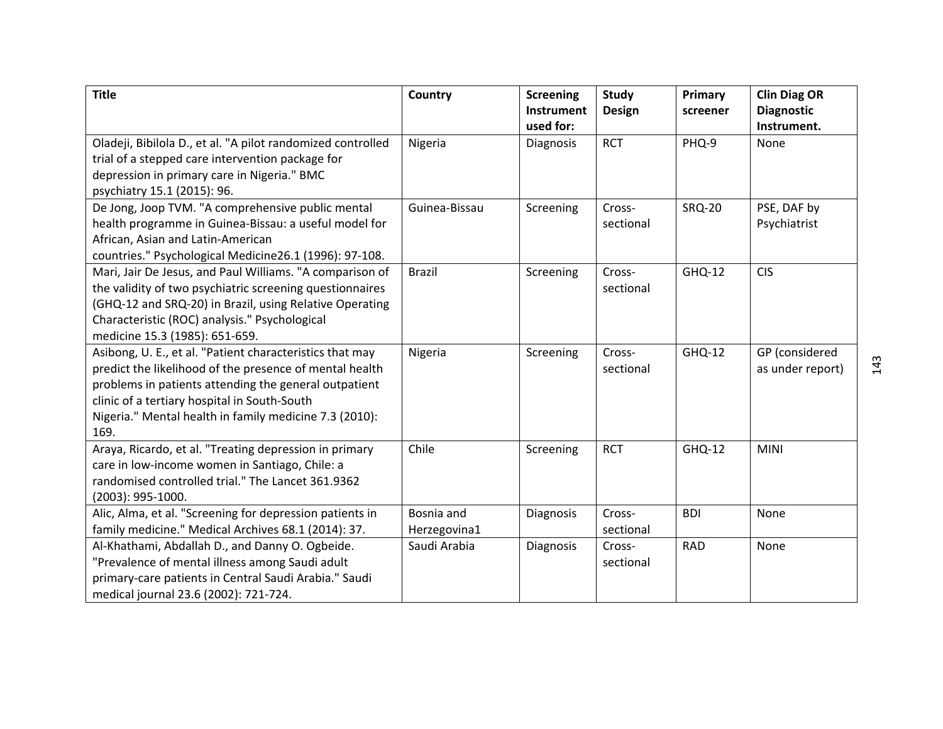| <b>Title</b>                                                | Country       | <b>Screening</b>               | <b>Study</b>  | Primary       | <b>Clin Diag OR</b>              |
|-------------------------------------------------------------|---------------|--------------------------------|---------------|---------------|----------------------------------|
|                                                             |               | <b>Instrument</b><br>used for: | <b>Design</b> | screener      | <b>Diagnostic</b><br>Instrument. |
| Oladeji, Bibilola D., et al. "A pilot randomized controlled | Nigeria       | Diagnosis                      | <b>RCT</b>    | PHQ-9         | None                             |
| trial of a stepped care intervention package for            |               |                                |               |               |                                  |
| depression in primary care in Nigeria." BMC                 |               |                                |               |               |                                  |
| psychiatry 15.1 (2015): 96.                                 |               |                                |               |               |                                  |
| De Jong, Joop TVM. "A comprehensive public mental           | Guinea-Bissau | Screening                      | Cross-        | <b>SRQ-20</b> | PSE, DAF by                      |
| health programme in Guinea-Bissau: a useful model for       |               |                                | sectional     |               | Psychiatrist                     |
| African, Asian and Latin-American                           |               |                                |               |               |                                  |
| countries." Psychological Medicine26.1 (1996): 97-108.      |               |                                |               |               |                                  |
| Mari, Jair De Jesus, and Paul Williams. "A comparison of    | <b>Brazil</b> | Screening                      | Cross-        | <b>GHQ-12</b> | <b>CIS</b>                       |
| the validity of two psychiatric screening questionnaires    |               |                                | sectional     |               |                                  |
| (GHQ-12 and SRQ-20) in Brazil, using Relative Operating     |               |                                |               |               |                                  |
| Characteristic (ROC) analysis." Psychological               |               |                                |               |               |                                  |
| medicine 15.3 (1985): 651-659.                              |               |                                |               |               |                                  |
| Asibong, U. E., et al. "Patient characteristics that may    | Nigeria       | Screening                      | Cross-        | <b>GHQ-12</b> | GP (considered                   |
| predict the likelihood of the presence of mental health     |               |                                | sectional     |               | as under report)                 |
| problems in patients attending the general outpatient       |               |                                |               |               |                                  |
| clinic of a tertiary hospital in South-South                |               |                                |               |               |                                  |
| Nigeria." Mental health in family medicine 7.3 (2010):      |               |                                |               |               |                                  |
| 169.                                                        |               |                                |               |               |                                  |
| Araya, Ricardo, et al. "Treating depression in primary      | Chile         | Screening                      | <b>RCT</b>    | GHQ-12        | <b>MINI</b>                      |
| care in low-income women in Santiago, Chile: a              |               |                                |               |               |                                  |
| randomised controlled trial." The Lancet 361.9362           |               |                                |               |               |                                  |
| (2003): 995-1000.                                           |               |                                |               |               |                                  |
| Alic, Alma, et al. "Screening for depression patients in    | Bosnia and    | Diagnosis                      | Cross-        | <b>BDI</b>    | None                             |
| family medicine." Medical Archives 68.1 (2014): 37.         | Herzegovina1  |                                | sectional     |               |                                  |
| Al-Khathami, Abdallah D., and Danny O. Ogbeide.             | Saudi Arabia  | Diagnosis                      | Cross-        | <b>RAD</b>    | None                             |
| "Prevalence of mental illness among Saudi adult             |               |                                | sectional     |               |                                  |
| primary-care patients in Central Saudi Arabia." Saudi       |               |                                |               |               |                                  |
| medical journal 23.6 (2002): 721-724.                       |               |                                |               |               |                                  |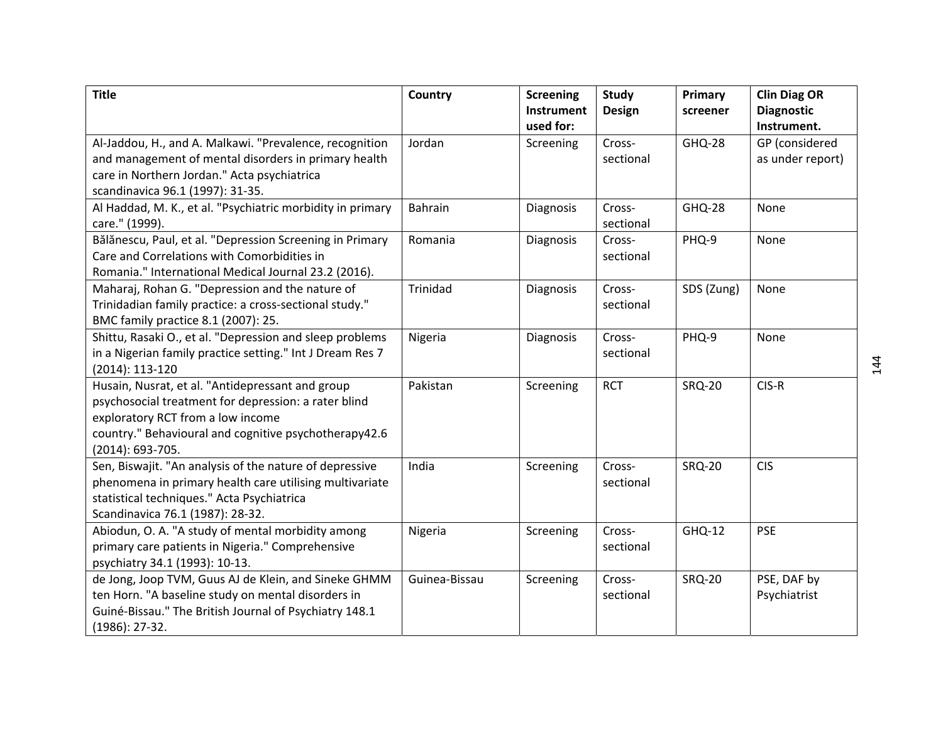| <b>Title</b>                                               | Country       | <b>Screening</b> | Study         | Primary       | <b>Clin Diag OR</b> |
|------------------------------------------------------------|---------------|------------------|---------------|---------------|---------------------|
|                                                            |               | Instrument       | <b>Design</b> | screener      | <b>Diagnostic</b>   |
|                                                            |               | used for:        |               |               | Instrument.         |
| Al-Jaddou, H., and A. Malkawi. "Prevalence, recognition    | Jordan        | Screening        | Cross-        | <b>GHQ-28</b> | GP (considered      |
| and management of mental disorders in primary health       |               |                  | sectional     |               | as under report)    |
| care in Northern Jordan." Acta psychiatrica                |               |                  |               |               |                     |
| scandinavica 96.1 (1997): 31-35.                           |               |                  |               |               |                     |
| Al Haddad, M. K., et al. "Psychiatric morbidity in primary | Bahrain       | Diagnosis        | Cross-        | <b>GHQ-28</b> | None                |
| care." (1999).                                             |               |                  | sectional     |               |                     |
| Bălănescu, Paul, et al. "Depression Screening in Primary   | Romania       | Diagnosis        | Cross-        | PHQ-9         | None                |
| Care and Correlations with Comorbidities in                |               |                  | sectional     |               |                     |
| Romania." International Medical Journal 23.2 (2016).       |               |                  |               |               |                     |
| Maharaj, Rohan G. "Depression and the nature of            | Trinidad      | Diagnosis        | Cross-        | SDS (Zung)    | None                |
| Trinidadian family practice: a cross-sectional study."     |               |                  | sectional     |               |                     |
| BMC family practice 8.1 (2007): 25.                        |               |                  |               |               |                     |
| Shittu, Rasaki O., et al. "Depression and sleep problems   | Nigeria       | Diagnosis        | Cross-        | PHQ-9         | None                |
| in a Nigerian family practice setting." Int J Dream Res 7  |               |                  | sectional     |               |                     |
| (2014): 113-120                                            |               |                  |               |               |                     |
| Husain, Nusrat, et al. "Antidepressant and group           | Pakistan      | Screening        | <b>RCT</b>    | <b>SRQ-20</b> | CIS-R               |
| psychosocial treatment for depression: a rater blind       |               |                  |               |               |                     |
| exploratory RCT from a low income                          |               |                  |               |               |                     |
| country." Behavioural and cognitive psychotherapy42.6      |               |                  |               |               |                     |
| (2014): 693-705.                                           |               |                  |               |               |                     |
| Sen, Biswajit. "An analysis of the nature of depressive    | India         | Screening        | Cross-        | <b>SRQ-20</b> | <b>CIS</b>          |
| phenomena in primary health care utilising multivariate    |               |                  | sectional     |               |                     |
| statistical techniques." Acta Psychiatrica                 |               |                  |               |               |                     |
| Scandinavica 76.1 (1987): 28-32.                           |               |                  |               |               |                     |
| Abiodun, O. A. "A study of mental morbidity among          | Nigeria       | Screening        | Cross-        | <b>GHQ-12</b> | <b>PSE</b>          |
| primary care patients in Nigeria." Comprehensive           |               |                  | sectional     |               |                     |
| psychiatry 34.1 (1993): 10-13.                             |               |                  |               |               |                     |
| de Jong, Joop TVM, Guus AJ de Klein, and Sineke GHMM       | Guinea-Bissau | Screening        | Cross-        | <b>SRQ-20</b> | PSE, DAF by         |
| ten Horn. "A baseline study on mental disorders in         |               |                  | sectional     |               | Psychiatrist        |
| Guiné-Bissau." The British Journal of Psychiatry 148.1     |               |                  |               |               |                     |
| $(1986): 27-32.$                                           |               |                  |               |               |                     |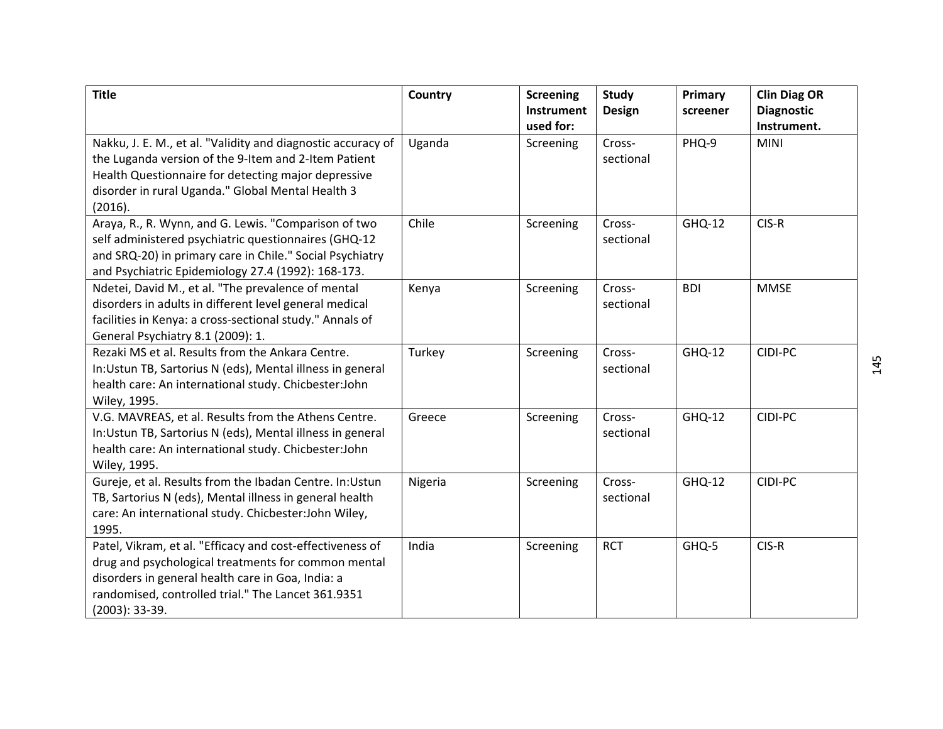| <b>Title</b>                                                                                                                                                                                                                                    | Country | <b>Screening</b><br>Instrument<br>used for: | <b>Study</b><br><b>Design</b> | Primary<br>screener | <b>Clin Diag OR</b><br><b>Diagnostic</b><br>Instrument. |
|-------------------------------------------------------------------------------------------------------------------------------------------------------------------------------------------------------------------------------------------------|---------|---------------------------------------------|-------------------------------|---------------------|---------------------------------------------------------|
| Nakku, J. E. M., et al. "Validity and diagnostic accuracy of<br>the Luganda version of the 9-Item and 2-Item Patient<br>Health Questionnaire for detecting major depressive<br>disorder in rural Uganda." Global Mental Health 3<br>(2016).     | Uganda  | Screening                                   | Cross-<br>sectional           | PHQ-9               | <b>MINI</b>                                             |
| Araya, R., R. Wynn, and G. Lewis. "Comparison of two<br>self administered psychiatric questionnaires (GHQ-12<br>and SRQ-20) in primary care in Chile." Social Psychiatry<br>and Psychiatric Epidemiology 27.4 (1992): 168-173.                  | Chile   | Screening                                   | Cross-<br>sectional           | GHQ-12              | CIS-R                                                   |
| Ndetei, David M., et al. "The prevalence of mental<br>disorders in adults in different level general medical<br>facilities in Kenya: a cross-sectional study." Annals of<br>General Psychiatry 8.1 (2009): 1.                                   | Kenya   | Screening                                   | Cross-<br>sectional           | <b>BDI</b>          | <b>MMSE</b>                                             |
| Rezaki MS et al. Results from the Ankara Centre.<br>In: Ustun TB, Sartorius N (eds), Mental illness in general<br>health care: An international study. Chicbester: John<br>Wiley, 1995.                                                         | Turkey  | Screening                                   | Cross-<br>sectional           | <b>GHQ-12</b>       | CIDI-PC                                                 |
| V.G. MAVREAS, et al. Results from the Athens Centre.<br>In:Ustun TB, Sartorius N (eds), Mental illness in general<br>health care: An international study. Chicbester: John<br>Wiley, 1995.                                                      | Greece  | Screening                                   | Cross-<br>sectional           | <b>GHQ-12</b>       | CIDI-PC                                                 |
| Gureje, et al. Results from the Ibadan Centre. In:Ustun<br>TB, Sartorius N (eds), Mental illness in general health<br>care: An international study. Chicbester: John Wiley,<br>1995.                                                            | Nigeria | Screening                                   | Cross-<br>sectional           | <b>GHQ-12</b>       | CIDI-PC                                                 |
| Patel, Vikram, et al. "Efficacy and cost-effectiveness of<br>drug and psychological treatments for common mental<br>disorders in general health care in Goa, India: a<br>randomised, controlled trial." The Lancet 361.9351<br>$(2003): 33-39.$ | India   | Screening                                   | <b>RCT</b>                    | GHQ-5               | CIS-R                                                   |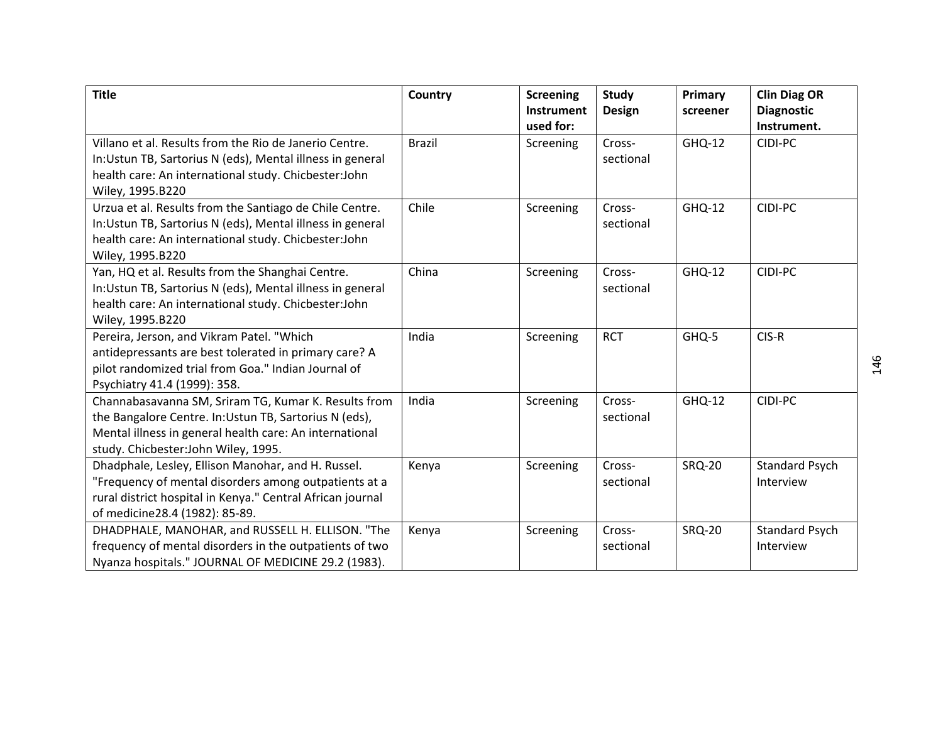| <b>Title</b>                                               | Country       | <b>Screening</b><br>Instrument | <b>Study</b><br><b>Design</b> | Primary<br>screener | <b>Clin Diag OR</b><br><b>Diagnostic</b> |
|------------------------------------------------------------|---------------|--------------------------------|-------------------------------|---------------------|------------------------------------------|
|                                                            |               | used for:                      |                               |                     | Instrument.                              |
| Villano et al. Results from the Rio de Janerio Centre.     | <b>Brazil</b> | Screening                      | Cross-                        | GHQ-12              | CIDI-PC                                  |
| In: Ustun TB, Sartorius N (eds), Mental illness in general |               |                                | sectional                     |                     |                                          |
| health care: An international study. Chicbester: John      |               |                                |                               |                     |                                          |
| Wiley, 1995.B220                                           |               |                                |                               |                     |                                          |
| Urzua et al. Results from the Santiago de Chile Centre.    | Chile         | Screening                      | Cross-                        | GHQ-12              | CIDI-PC                                  |
| In: Ustun TB, Sartorius N (eds), Mental illness in general |               |                                | sectional                     |                     |                                          |
| health care: An international study. Chicbester: John      |               |                                |                               |                     |                                          |
| Wiley, 1995.B220                                           |               |                                |                               |                     |                                          |
| Yan, HQ et al. Results from the Shanghai Centre.           | China         | Screening                      | Cross-                        | GHQ-12              | CIDI-PC                                  |
| In: Ustun TB, Sartorius N (eds), Mental illness in general |               |                                | sectional                     |                     |                                          |
| health care: An international study. Chicbester: John      |               |                                |                               |                     |                                          |
| Wiley, 1995.B220                                           |               |                                |                               |                     |                                          |
| Pereira, Jerson, and Vikram Patel. "Which                  | India         | Screening                      | <b>RCT</b>                    | GHQ-5               | CIS-R                                    |
| antidepressants are best tolerated in primary care? A      |               |                                |                               |                     |                                          |
| pilot randomized trial from Goa." Indian Journal of        |               |                                |                               |                     |                                          |
| Psychiatry 41.4 (1999): 358.                               |               |                                |                               |                     |                                          |
| Channabasavanna SM, Sriram TG, Kumar K. Results from       | India         | Screening                      | Cross-                        | GHQ-12              | CIDI-PC                                  |
| the Bangalore Centre. In: Ustun TB, Sartorius N (eds),     |               |                                | sectional                     |                     |                                          |
| Mental illness in general health care: An international    |               |                                |                               |                     |                                          |
| study. Chicbester: John Wiley, 1995.                       |               |                                |                               |                     |                                          |
| Dhadphale, Lesley, Ellison Manohar, and H. Russel.         | Kenya         | Screening                      | Cross-                        | <b>SRQ-20</b>       | <b>Standard Psych</b>                    |
| "Frequency of mental disorders among outpatients at a      |               |                                | sectional                     |                     | Interview                                |
| rural district hospital in Kenya." Central African journal |               |                                |                               |                     |                                          |
| of medicine28.4 (1982): 85-89.                             |               |                                |                               |                     |                                          |
| DHADPHALE, MANOHAR, and RUSSELL H. ELLISON. "The           | Kenya         | Screening                      | Cross-                        | <b>SRQ-20</b>       | <b>Standard Psych</b>                    |
| frequency of mental disorders in the outpatients of two    |               |                                | sectional                     |                     | Interview                                |
| Nyanza hospitals." JOURNAL OF MEDICINE 29.2 (1983).        |               |                                |                               |                     |                                          |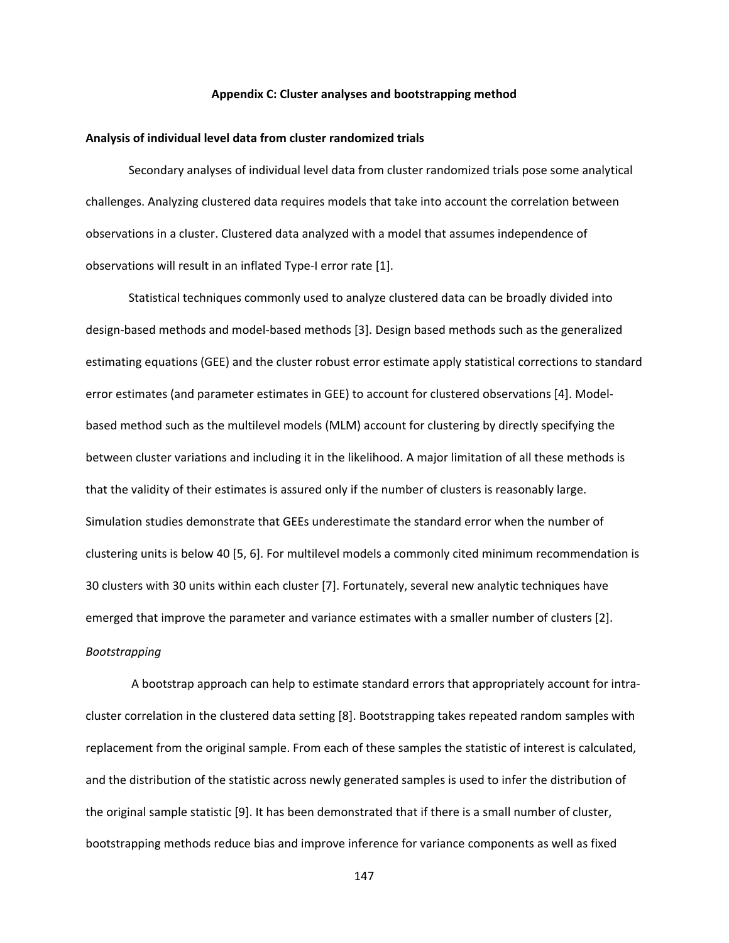#### **Appendix C: Cluster analyses and bootstrapping method**

### **Analysis of individual level data from cluster randomized trials**

Secondary analyses of individual level data from cluster randomized trials pose some analytical challenges. Analyzing clustered data requires models that take into account the correlation between observations in a cluster. Clustered data analyzed with a model that assumes independence of observations will result in an inflated Type‐I error rate [1].

Statistical techniques commonly used to analyze clustered data can be broadly divided into design‐based methods and model‐based methods [3]. Design based methods such as the generalized estimating equations (GEE) and the cluster robust error estimate apply statistical corrections to standard error estimates (and parameter estimates in GEE) to account for clustered observations [4]. Model‐ based method such as the multilevel models (MLM) account for clustering by directly specifying the between cluster variations and including it in the likelihood. A major limitation of all these methods is that the validity of their estimates is assured only if the number of clusters is reasonably large. Simulation studies demonstrate that GEEs underestimate the standard error when the number of clustering units is below 40 [5, 6]. For multilevel models a commonly cited minimum recommendation is 30 clusters with 30 units within each cluster [7]. Fortunately, several new analytic techniques have emerged that improve the parameter and variance estimates with a smaller number of clusters [2]. *Bootstrapping* 

A bootstrap approach can help to estimate standard errors that appropriately account for intra‐ cluster correlation in the clustered data setting [8]. Bootstrapping takes repeated random samples with replacement from the original sample. From each of these samples the statistic of interest is calculated, and the distribution of the statistic across newly generated samples is used to infer the distribution of the original sample statistic [9]. It has been demonstrated that if there is a small number of cluster, bootstrapping methods reduce bias and improve inference for variance components as well as fixed

147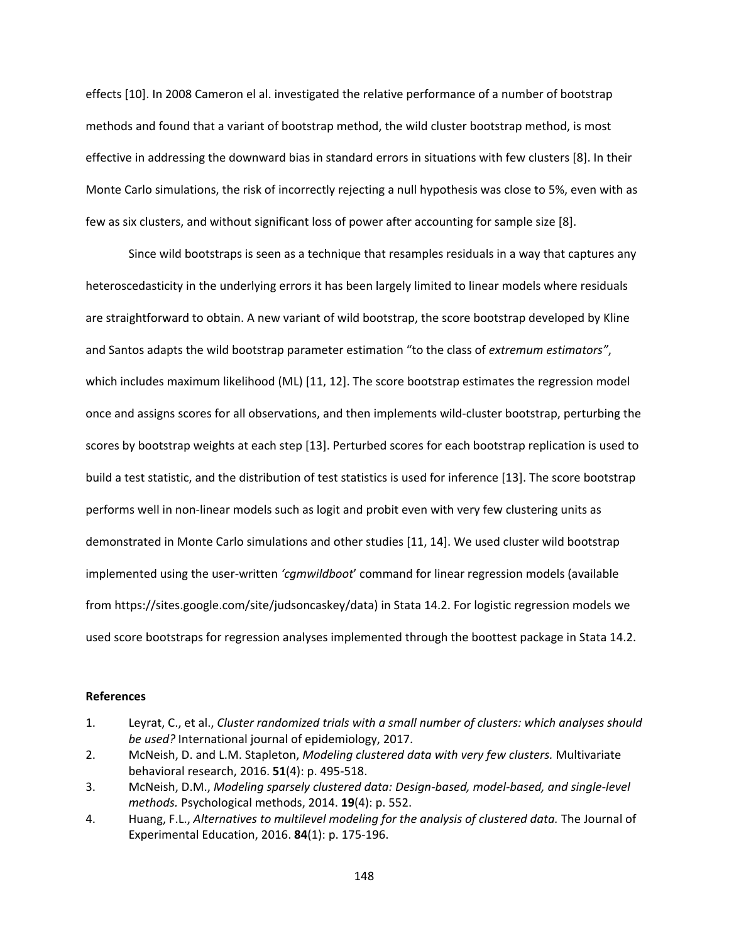effects [10]. In 2008 Cameron el al. investigated the relative performance of a number of bootstrap methods and found that a variant of bootstrap method, the wild cluster bootstrap method, is most effective in addressing the downward bias in standard errors in situations with few clusters [8]. In their Monte Carlo simulations, the risk of incorrectly rejecting a null hypothesis was close to 5%, even with as few as six clusters, and without significant loss of power after accounting for sample size [8].

Since wild bootstraps is seen as a technique that resamples residuals in a way that captures any heteroscedasticity in the underlying errors it has been largely limited to linear models where residuals are straightforward to obtain. A new variant of wild bootstrap, the score bootstrap developed by Kline and Santos adapts the wild bootstrap parameter estimation "to the class of *extremum estimators"*, which includes maximum likelihood (ML) [11, 12]. The score bootstrap estimates the regression model once and assigns scores for all observations, and then implements wild‐cluster bootstrap, perturbing the scores by bootstrap weights at each step [13]. Perturbed scores for each bootstrap replication is used to build a test statistic, and the distribution of test statistics is used for inference [13]. The score bootstrap performs well in non-linear models such as logit and probit even with very few clustering units as demonstrated in Monte Carlo simulations and other studies [11, 14]. We used cluster wild bootstrap implemented using the user‐written *'cgmwildboot*' command for linear regression models (available from https://sites.google.com/site/judsoncaskey/data) in Stata 14.2. For logistic regression models we used score bootstraps for regression analyses implemented through the boottest package in Stata 14.2.

## **References**

- 1. Leyrat, C., et al., *Cluster randomized trials with a small number of clusters: which analyses should be used?* International journal of epidemiology, 2017.
- 2. McNeish, D. and L.M. Stapleton, *Modeling clustered data with very few clusters.* Multivariate behavioral research, 2016. **51**(4): p. 495‐518.
- 3. McNeish, D.M., *Modeling sparsely clustered data: Design‐based, model‐based, and single‐level methods.* Psychological methods, 2014. **19**(4): p. 552.
- 4. Huang, F.L., *Alternatives to multilevel modeling for the analysis of clustered data.* The Journal of Experimental Education, 2016. **84**(1): p. 175‐196.

148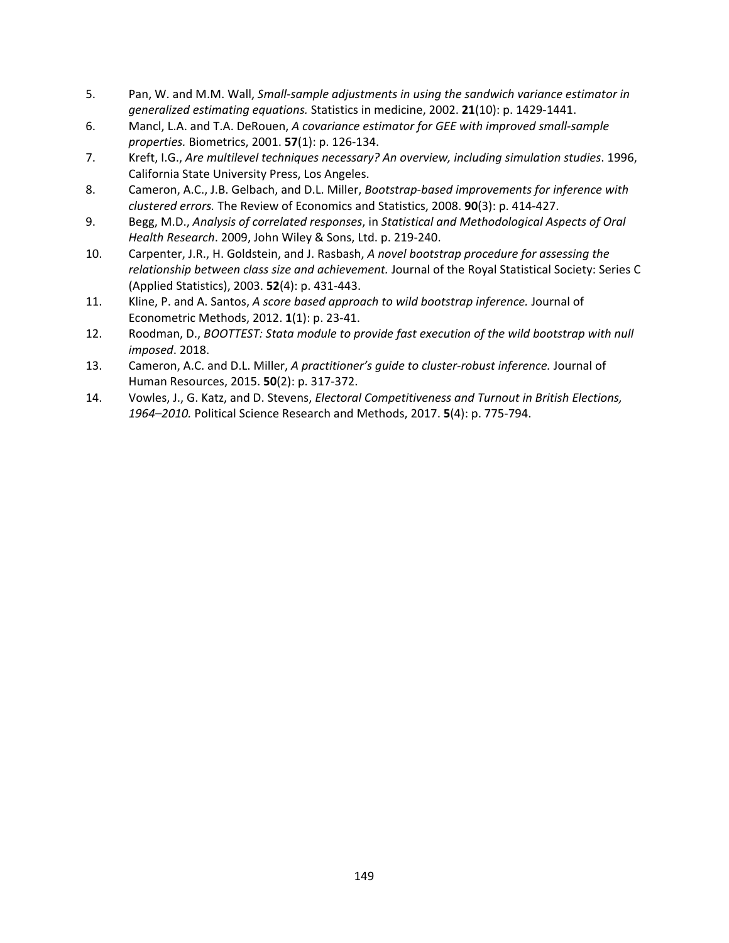- 5. Pan, W. and M.M. Wall, *Small‐sample adjustments in using the sandwich variance estimator in generalized estimating equations.* Statistics in medicine, 2002. **21**(10): p. 1429‐1441.
- 6. Mancl, L.A. and T.A. DeRouen, *A covariance estimator for GEE with improved small‐sample properties.* Biometrics, 2001. **57**(1): p. 126‐134.
- 7. Kreft, I.G., *Are multilevel techniques necessary? An overview, including simulation studies*. 1996, California State University Press, Los Angeles.
- 8. Cameron, A.C., J.B. Gelbach, and D.L. Miller, *Bootstrap‐based improvements for inference with clustered errors.* The Review of Economics and Statistics, 2008. **90**(3): p. 414‐427.
- 9. Begg, M.D., *Analysis of correlated responses*, in *Statistical and Methodological Aspects of Oral Health Research*. 2009, John Wiley & Sons, Ltd. p. 219‐240.
- 10. Carpenter, J.R., H. Goldstein, and J. Rasbash, *A novel bootstrap procedure for assessing the relationship between class size and achievement.* Journal of the Royal Statistical Society: Series C (Applied Statistics), 2003. **52**(4): p. 431‐443.
- 11. Kline, P. and A. Santos, *A score based approach to wild bootstrap inference.* Journal of Econometric Methods, 2012. **1**(1): p. 23‐41.
- 12. Roodman, D., *BOOTTEST: Stata module to provide fast execution of the wild bootstrap with null imposed*. 2018.
- 13. Cameron, A.C. and D.L. Miller, *A practitioner's guide to cluster‐robust inference.* Journal of Human Resources, 2015. **50**(2): p. 317‐372.
- 14. Vowles, J., G. Katz, and D. Stevens, *Electoral Competitiveness and Turnout in British Elections, 1964–2010.* Political Science Research and Methods, 2017. **5**(4): p. 775‐794.